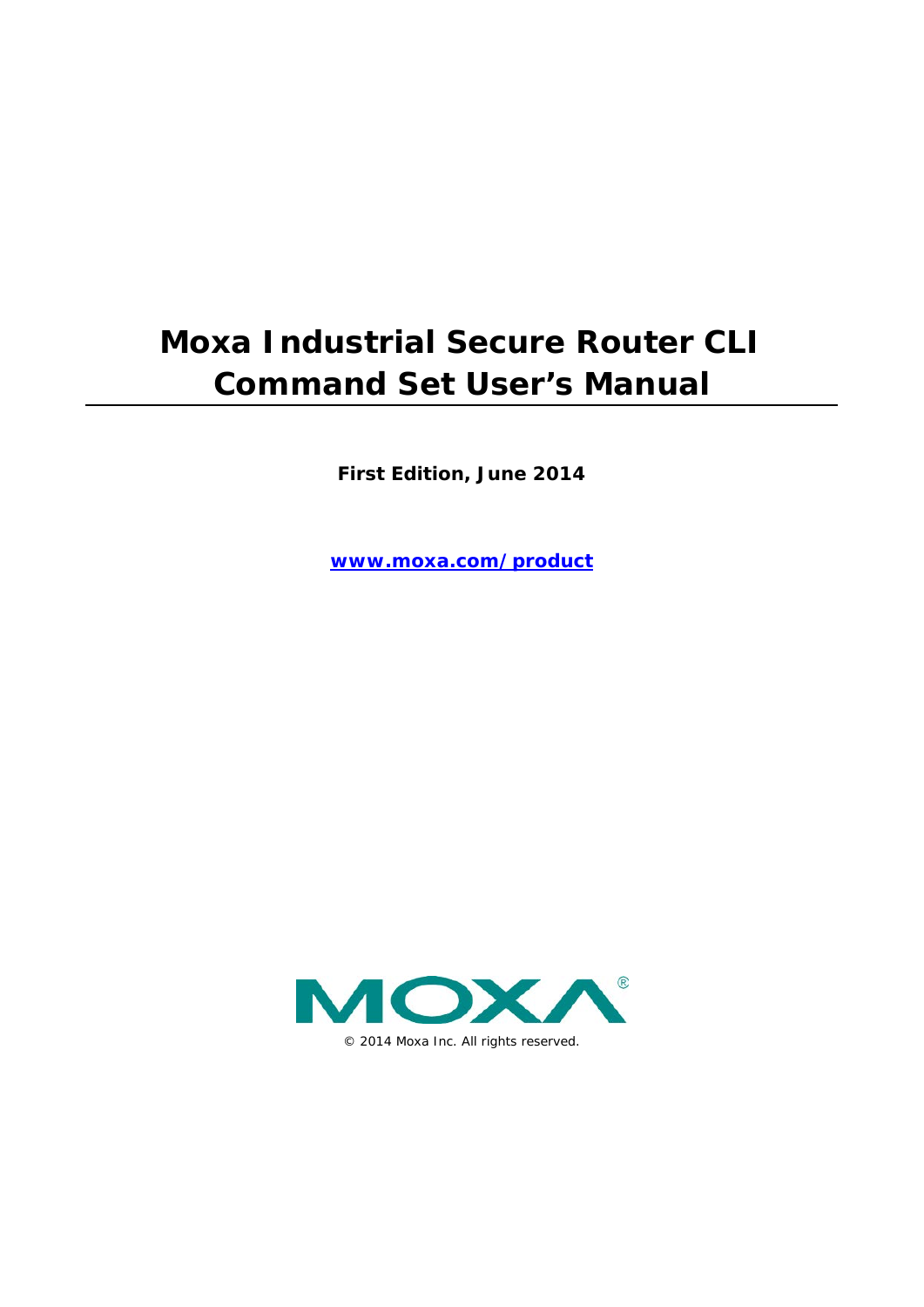# **Moxa Industrial Secure Router CLI Command Set User's Manual**

**First Edition, June 2014**

**www.moxa.com/product**

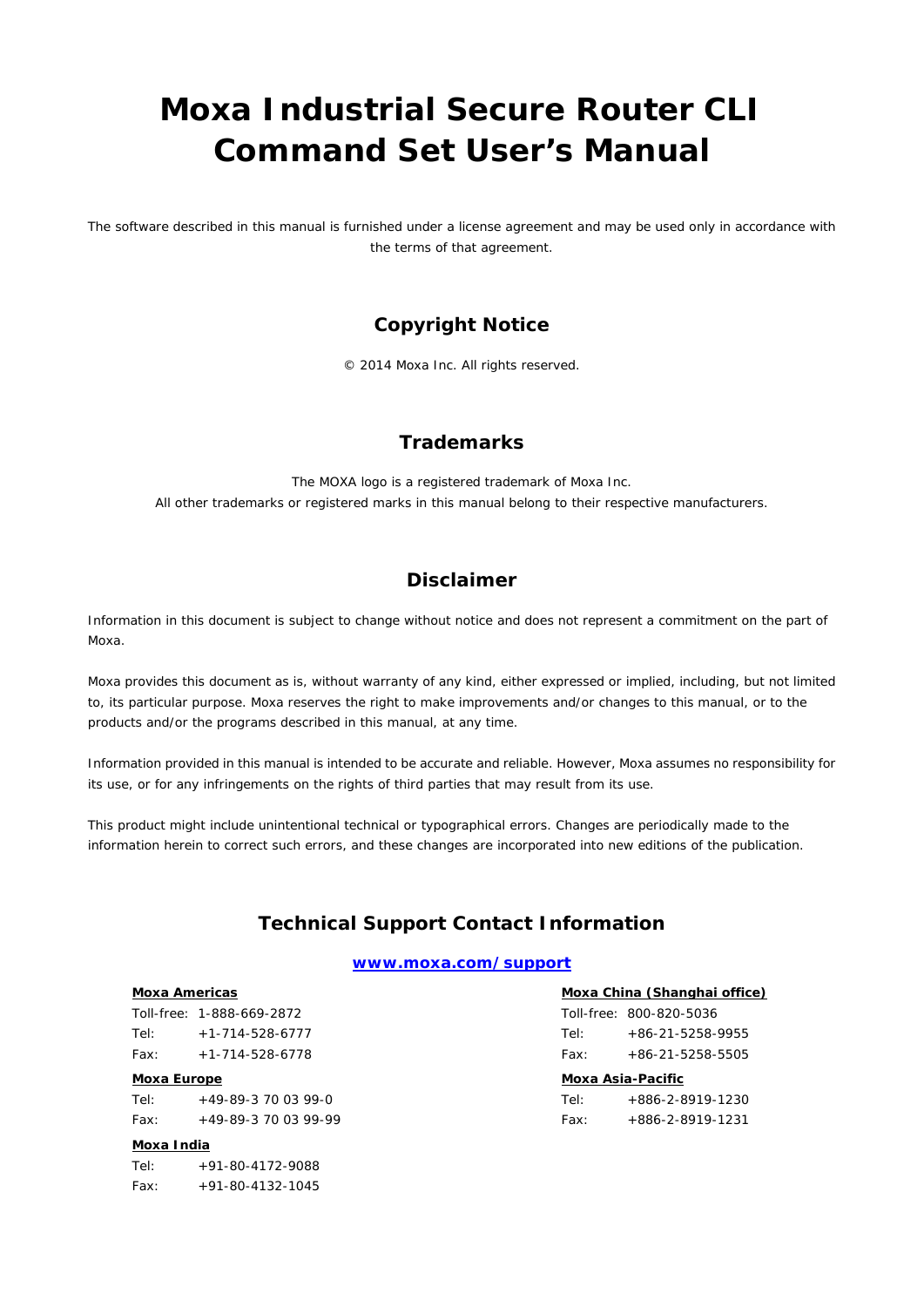# **Moxa Industrial Secure Router CLI Command Set User's Manual**

The software described in this manual is furnished under a license agreement and may be used only in accordance with the terms of that agreement.

## **Copyright Notice**

© 2014 Moxa Inc. All rights reserved.

## **Trademarks**

The MOXA logo is a registered trademark of Moxa Inc. All other trademarks or registered marks in this manual belong to their respective manufacturers.

## **Disclaimer**

Information in this document is subject to change without notice and does not represent a commitment on the part of Moxa.

Moxa provides this document as is, without warranty of any kind, either expressed or implied, including, but not limited to, its particular purpose. Moxa reserves the right to make improvements and/or changes to this manual, or to the products and/or the programs described in this manual, at any time.

Information provided in this manual is intended to be accurate and reliable. However, Moxa assumes no responsibility for its use, or for any infringements on the rights of third parties that may result from its use.

This product might include unintentional technical or typographical errors. Changes are periodically made to the information herein to correct such errors, and these changes are incorporated into new editions of the publication.

## **Technical Support Contact Information**

## **www.moxa.com/support**

### **Moxa Americas**

Toll-free: 1-888-669-2872 Tel: +1-714-528-6777 Fax: +1-714-528-6778

#### **Moxa Europe**

Tel:  $+49-89-3700399-0$ Fax: +49-89-3 70 03 99-99

#### **Moxa India**

Tel: +91-80-4172-9088  $Fax: +91-80-4132-1045$ 

## **Moxa China (Shanghai office)**

| Fax: | $+86-21-5258-5505$      |
|------|-------------------------|
| Tel: | $+86-21-5258-9955$      |
|      | Toll-free: 800-820-5036 |

## **Moxa Asia-Pacific**

| Tel: | $+886 - 2 - 8919 - 1230$ |
|------|--------------------------|
| Fax: | $+886 - 2 - 8919 - 1231$ |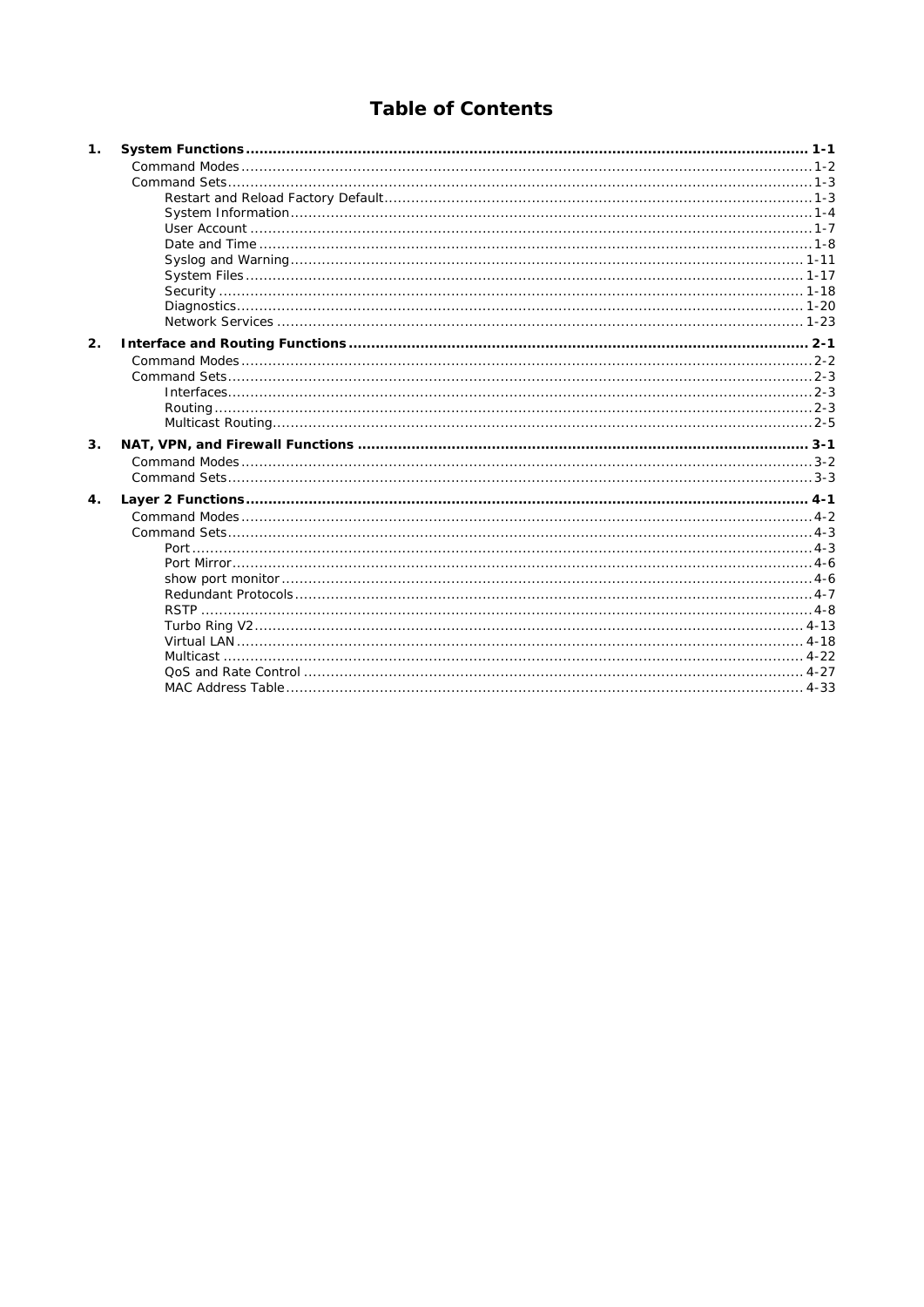## **Table of Contents**

| 1. |  |
|----|--|
|    |  |
|    |  |
|    |  |
|    |  |
|    |  |
|    |  |
|    |  |
|    |  |
|    |  |
|    |  |
|    |  |
| 2. |  |
|    |  |
|    |  |
|    |  |
|    |  |
|    |  |
| 3. |  |
|    |  |
|    |  |
| 4. |  |
|    |  |
|    |  |
|    |  |
|    |  |
|    |  |
|    |  |
|    |  |
|    |  |
|    |  |
|    |  |
|    |  |
|    |  |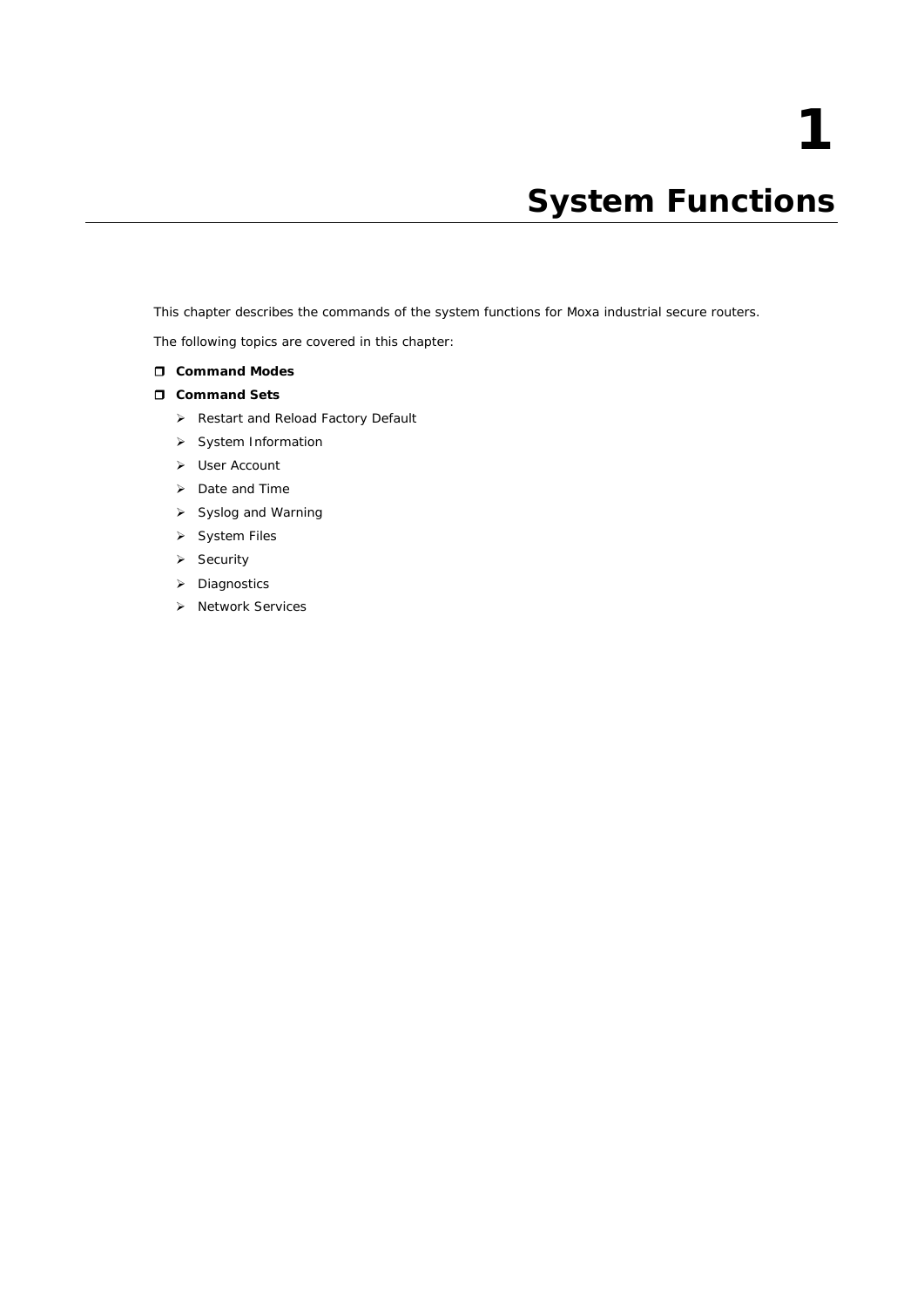# **1. System Functions**

<span id="page-3-0"></span>This chapter describes the commands of the system functions for Moxa industrial secure routers.

The following topics are covered in this chapter:

- **[Command Modes](#page-4-0)**
- **[Command Sets](#page-5-0)**
	- Restart [and Reload Factory Default](#page-5-1)
	- > [System Information](#page-6-0)
	- [User Account](#page-9-0)
	- $\triangleright$  [Date and Time](#page-10-0)
	- > [Syslog and Warning](#page-13-0)
	- $\triangleright$  [System Files](#page-19-0)
	- $\triangleright$  [Security](#page-20-0)
	- > [Diagnostics](#page-22-0)
	- > [Network Services](#page-25-0)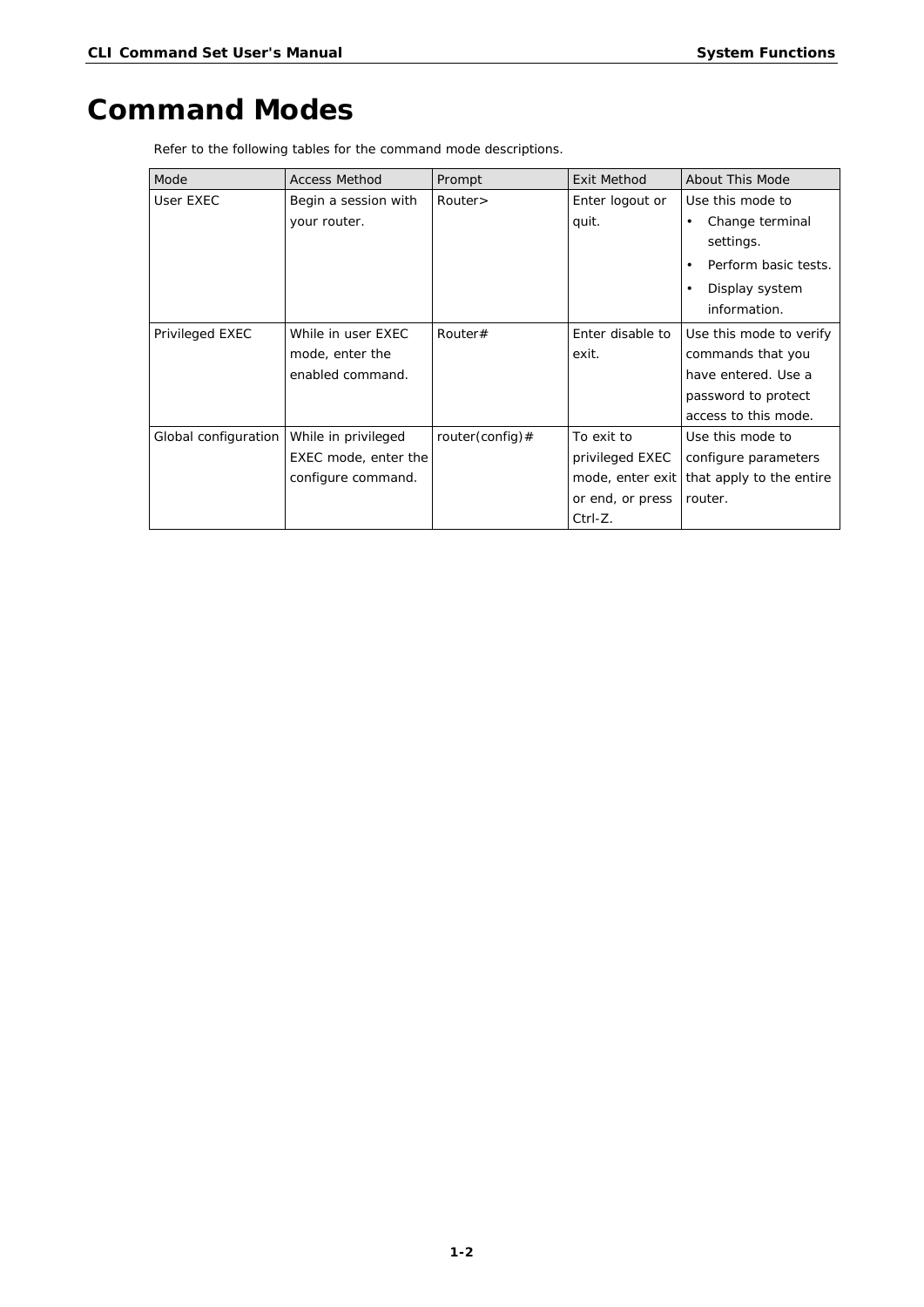# <span id="page-4-0"></span>**Command Modes**

Refer to the following tables for the command mode descriptions.

| Mode                 | <b>Access Method</b> | Prompt          | <b>Exit Method</b> | About This Mode                           |
|----------------------|----------------------|-----------------|--------------------|-------------------------------------------|
| User EXEC            | Begin a session with | Router>         | Enter logout or    | Use this mode to                          |
|                      | your router.         |                 | quit.              | Change terminal<br>٠                      |
|                      |                      |                 |                    | settings.                                 |
|                      |                      |                 |                    | Perform basic tests.<br>٠                 |
|                      |                      |                 |                    | Display system<br>٠                       |
|                      |                      |                 |                    | information.                              |
| Privileged EXEC      | While in user EXEC   | Router $#$      | Enter disable to   | Use this mode to verify                   |
|                      | mode, enter the      |                 | exit.              | commands that you                         |
|                      | enabled command.     |                 |                    | have entered. Use a                       |
|                      |                      |                 |                    | password to protect                       |
|                      |                      |                 |                    | access to this mode.                      |
| Global configuration | While in privileged  | router(config)# | To exit to         | Use this mode to                          |
|                      | EXEC mode, enter the |                 | privileged EXEC    | configure parameters                      |
|                      | configure command.   |                 |                    | mode, enter exit that apply to the entire |
|                      |                      |                 | or end, or press   | router.                                   |
|                      |                      |                 | Ctrl-Z.            |                                           |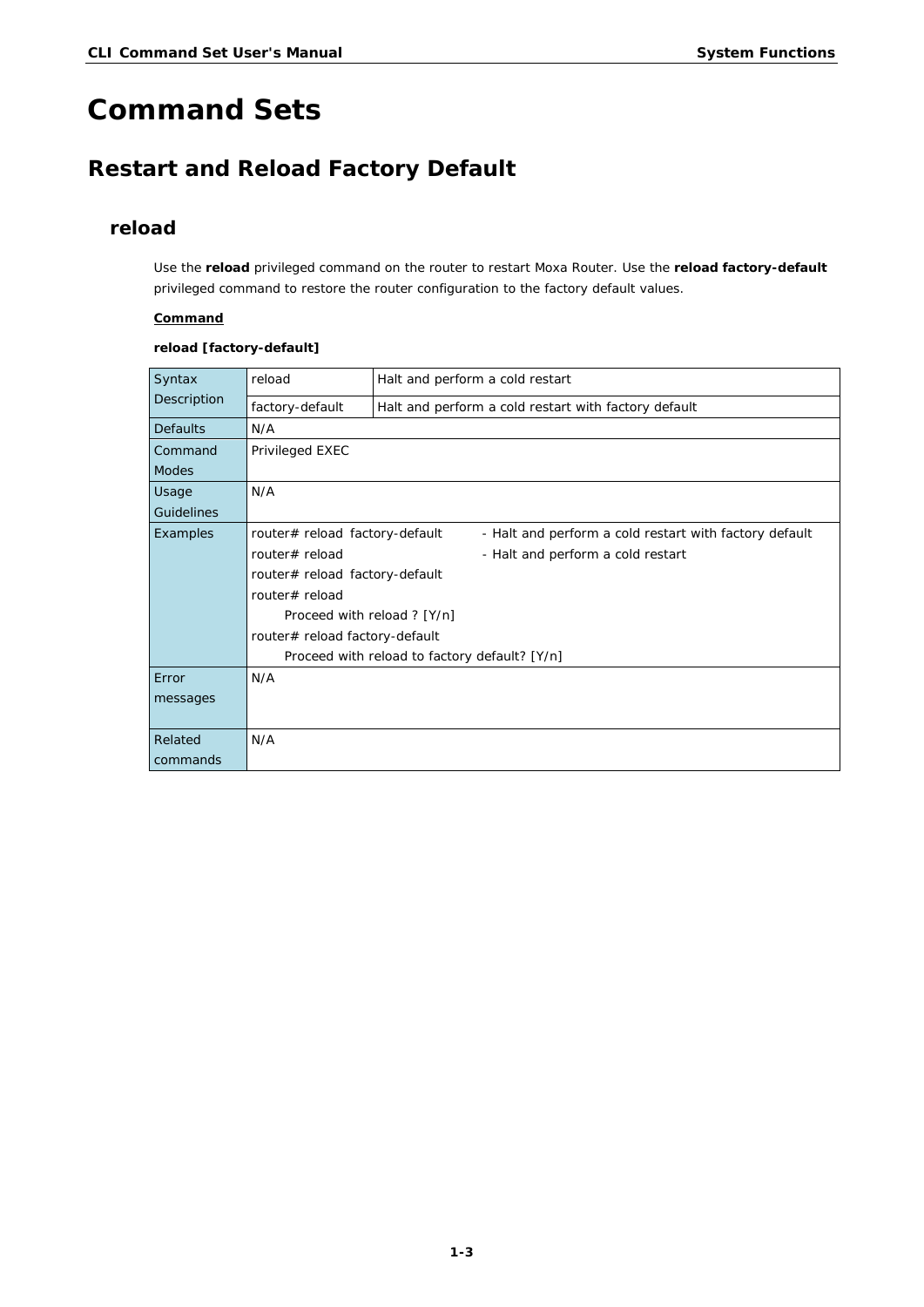# <span id="page-5-0"></span>**Command Sets**

# <span id="page-5-1"></span>**Restart and Reload Factory Default**

## **reload**

Use the **reload** privileged command on the router to restart Moxa Router. Use the **reload factory-default** privileged command to restore the router configuration to the factory default values.

## **Command**

## **reload [factory-default]**

| Syntax          | reload                                        | Halt and perform a cold restart |                                                        |
|-----------------|-----------------------------------------------|---------------------------------|--------------------------------------------------------|
| Description     | factory-default                               |                                 | Halt and perform a cold restart with factory default   |
| <b>Defaults</b> | N/A                                           |                                 |                                                        |
| Command         | Privileged EXEC                               |                                 |                                                        |
| Modes           |                                               |                                 |                                                        |
| <b>Usage</b>    | N/A                                           |                                 |                                                        |
| Guidelines      |                                               |                                 |                                                        |
| Examples        | router# reload factory-default                |                                 | - Halt and perform a cold restart with factory default |
|                 | router# reload                                |                                 | - Halt and perform a cold restart                      |
|                 | router# reload factory-default                |                                 |                                                        |
|                 | router# reload                                |                                 |                                                        |
|                 | Proceed with reload ? [Y/n]                   |                                 |                                                        |
|                 | router# reload factory-default                |                                 |                                                        |
|                 | Proceed with reload to factory default? [Y/n] |                                 |                                                        |
| Error           | N/A                                           |                                 |                                                        |
| messages        |                                               |                                 |                                                        |
|                 |                                               |                                 |                                                        |
| Related         | N/A                                           |                                 |                                                        |
| commands        |                                               |                                 |                                                        |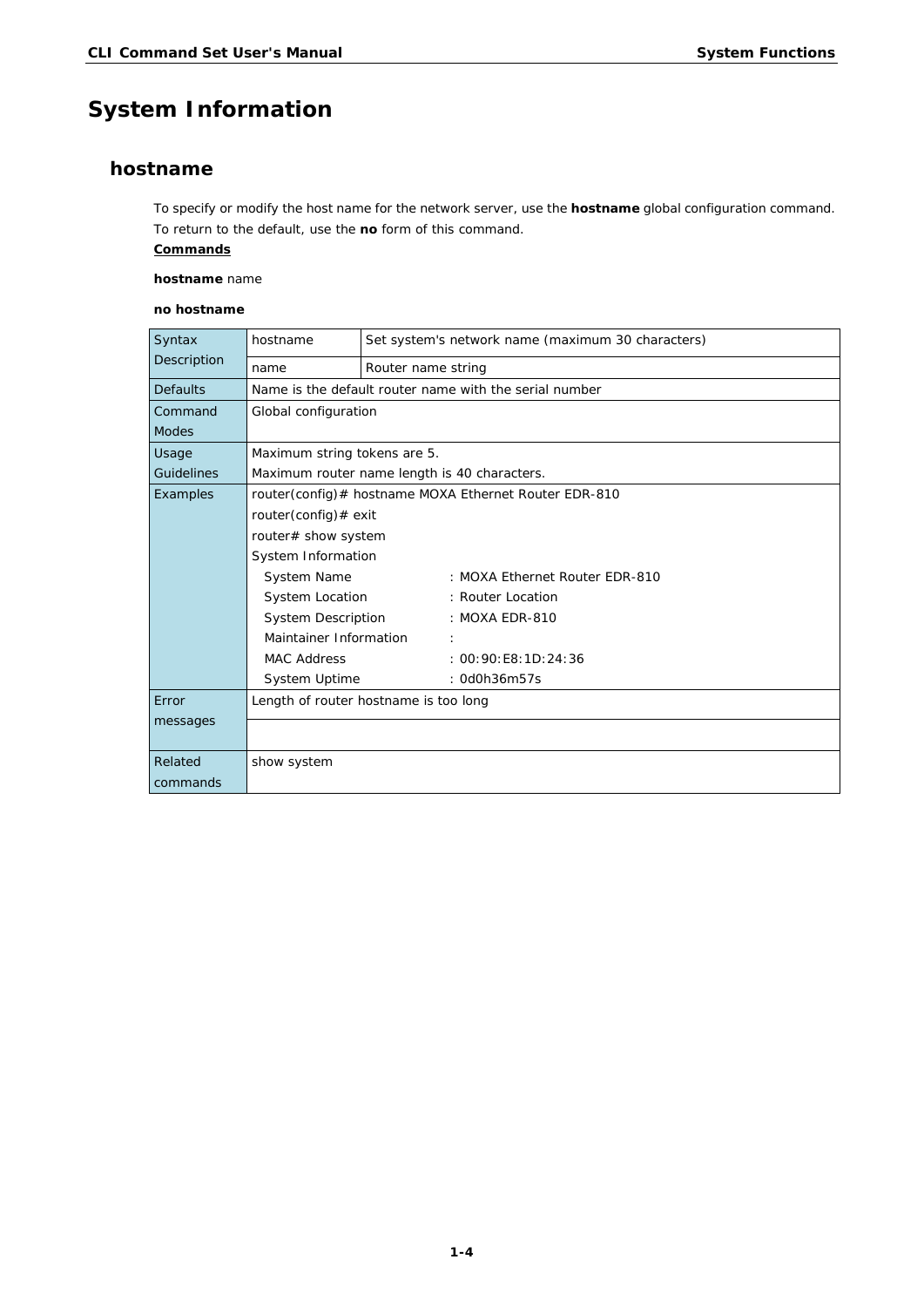# <span id="page-6-0"></span>**System Information**

## **hostname**

To specify or modify the host name for the network server, use the **hostname** global configuration command. To return to the default, use the **no** form of this command. **Commands**

## **hostname** name

#### **no hostname**

| Syntax            | hostname                     | Set system's network name (maximum 30 characters)      |
|-------------------|------------------------------|--------------------------------------------------------|
| Description       | name                         | Router name string                                     |
| <b>Defaults</b>   |                              | Name is the default router name with the serial number |
| Command           | Global configuration         |                                                        |
| Modes             |                              |                                                        |
| <b>Usage</b>      | Maximum string tokens are 5. |                                                        |
| <b>Guidelines</b> |                              | Maximum router name length is 40 characters.           |
| Examples          |                              | router(config)# hostname MOXA Ethernet Router EDR-810  |
|                   | router(config) $#$ exit      |                                                        |
|                   | router# show system          |                                                        |
|                   | System Information           |                                                        |
|                   | <b>System Name</b>           | : MOXA Ethernet Router EDR-810                         |
|                   | System Location              | : Router Location                                      |
|                   | <b>System Description</b>    | : MOXA EDR-810                                         |
|                   | Maintainer Information       |                                                        |
|                   | <b>MAC Address</b>           | : 00:90:EB:1D:24:36                                    |
|                   | <b>System Uptime</b>         | : 0d0h36m57s                                           |
| Error             |                              | Length of router hostname is too long                  |
| messages          |                              |                                                        |
|                   |                              |                                                        |
| Related           | show system                  |                                                        |
| commands          |                              |                                                        |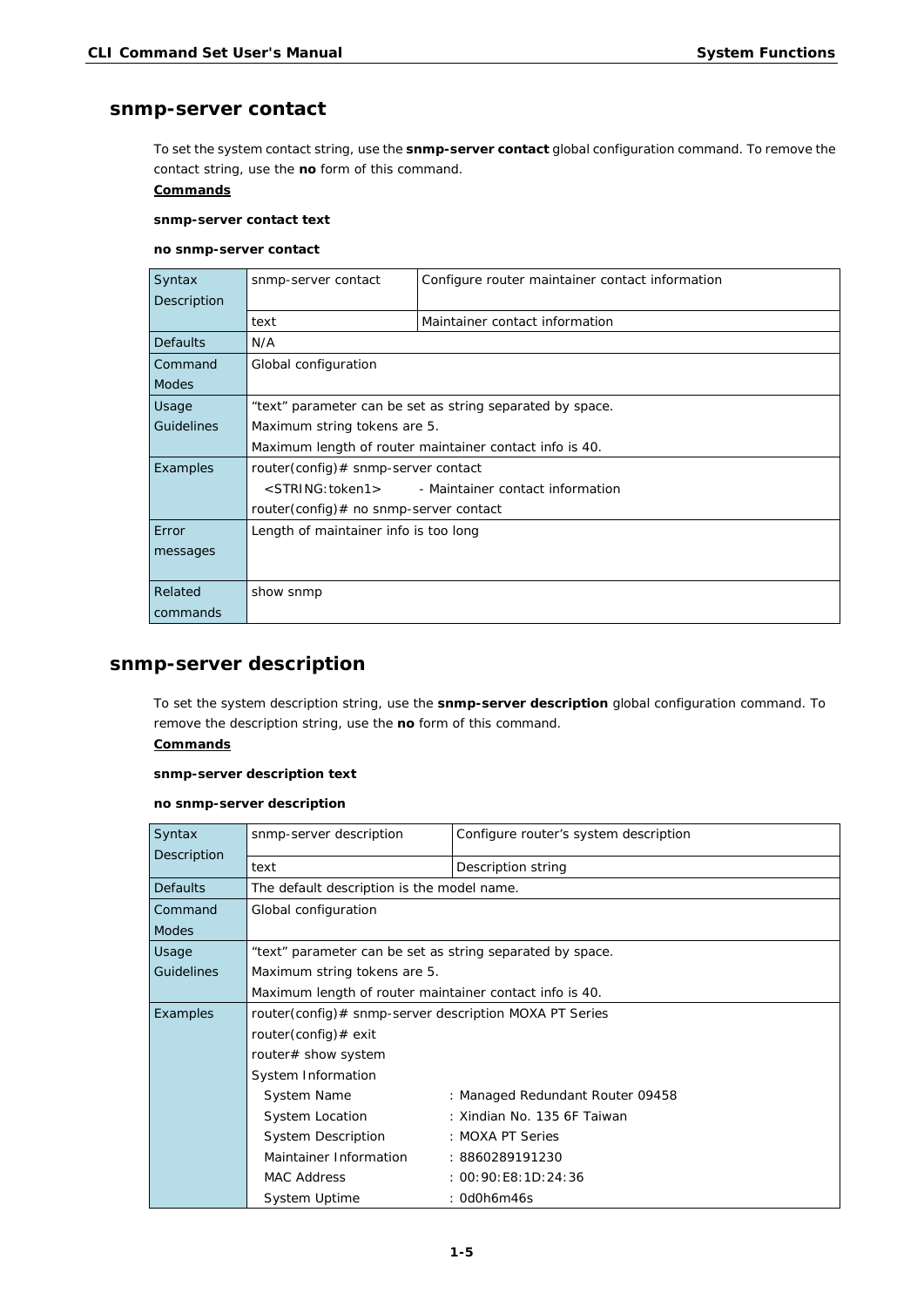## **snmp-server contact**

To set the system contact string, use the **snmp-server contact** global configuration command. To remove the contact string, use the **no** form of this command.

## **Commands**

## **snmp-server contact text**

#### **no snmp-server contact**

| Syntax            | snmp-server contact                                     | Configure router maintainer contact information                  |
|-------------------|---------------------------------------------------------|------------------------------------------------------------------|
| Description       |                                                         |                                                                  |
|                   | text                                                    | Maintainer contact information                                   |
| <b>Defaults</b>   | N/A                                                     |                                                                  |
| Command           | Global configuration                                    |                                                                  |
| <b>Modes</b>      |                                                         |                                                                  |
| Usage             |                                                         | "text" parameter can be set as string separated by space.        |
| <b>Guidelines</b> | Maximum string tokens are 5.                            |                                                                  |
|                   | Maximum length of router maintainer contact info is 40. |                                                                  |
| Examples          | router(config)# snmp-server contact                     |                                                                  |
|                   |                                                         | <string:token1> - Maintainer contact information</string:token1> |
|                   | router(config)# no snmp-server contact                  |                                                                  |
| Error             | Length of maintainer info is too long                   |                                                                  |
| messages          |                                                         |                                                                  |
|                   |                                                         |                                                                  |
| Related           | show snmp                                               |                                                                  |
| commands          |                                                         |                                                                  |

## **snmp-server description**

To set the system description string, use the **snmp-server description** global configuration command. To remove the description string, use the **no** form of this command.

## **Commands**

## **snmp-server description text**

#### **no snmp-server description**

| Syntax            | snmp-server description                                   | Configure router's system description |
|-------------------|-----------------------------------------------------------|---------------------------------------|
| Description       | text                                                      | Description string                    |
| <b>Defaults</b>   | The default description is the model name.                |                                       |
| Command           | Global configuration                                      |                                       |
| <b>Modes</b>      |                                                           |                                       |
| Usage             | "text" parameter can be set as string separated by space. |                                       |
| <b>Guidelines</b> | Maximum string tokens are 5.                              |                                       |
|                   | Maximum length of router maintainer contact info is 40.   |                                       |
| Examples          | router(config)# snmp-server description MOXA PT Series    |                                       |
|                   | router(config) $#$ exit                                   |                                       |
|                   | router# show system                                       |                                       |
|                   | System Information                                        |                                       |
|                   | <b>System Name</b>                                        | : Managed Redundant Router 09458      |
|                   | System Location                                           | : Xindian No. 135 6F Taiwan           |
|                   | <b>System Description</b>                                 | : MOXA PT Series                      |
|                   | Maintainer Information                                    | : 8860289191230                       |
|                   | <b>MAC Address</b>                                        | : 00:90:EB:1D:24:36                   |
|                   | <b>System Uptime</b>                                      | $:$ 0d0h6m46s                         |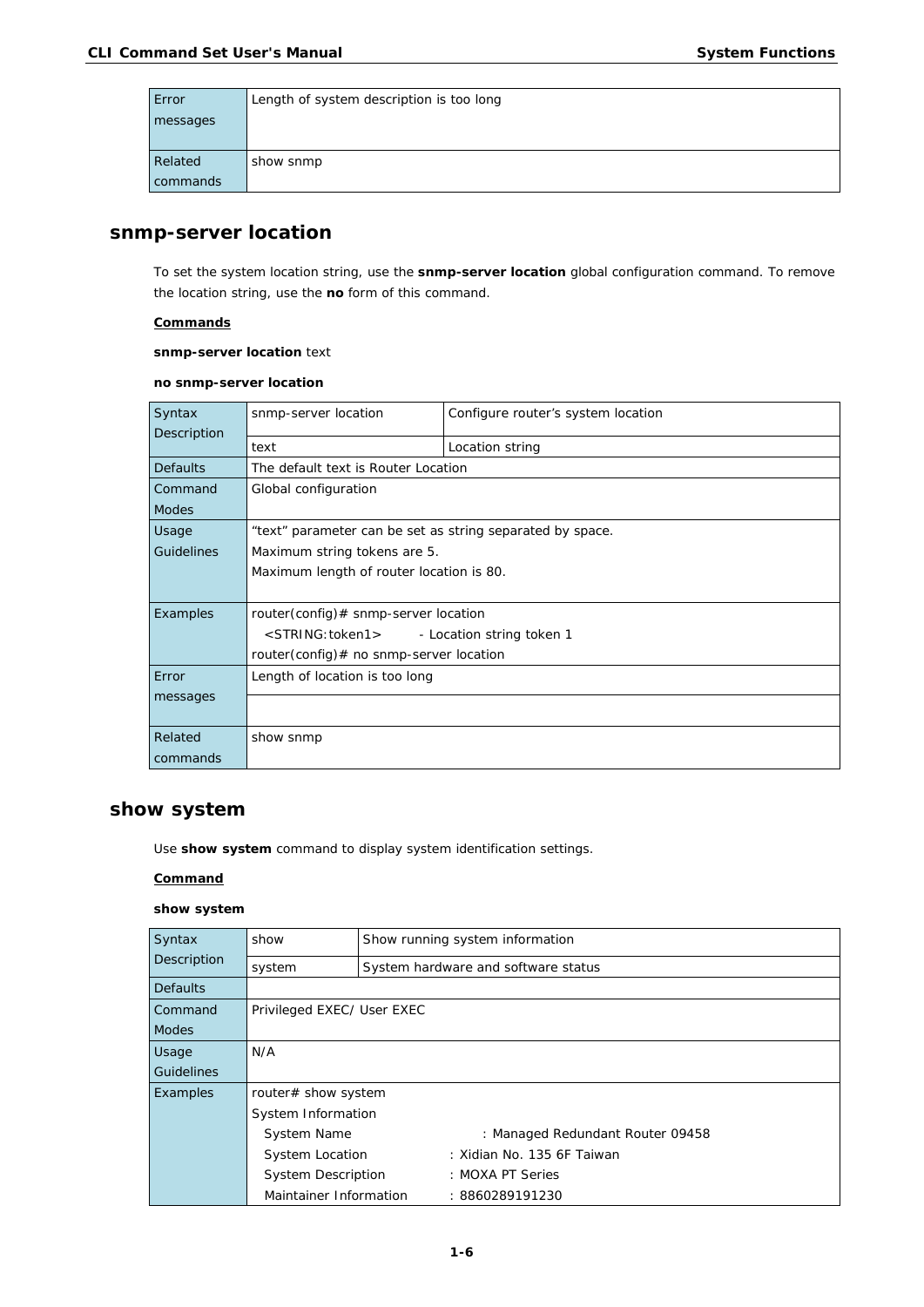| Error    | Length of system description is too long |
|----------|------------------------------------------|
| messages |                                          |
|          |                                          |
| Related  | show snmp                                |
| commands |                                          |

## **snmp-server location**

To set the system location string, use the **snmp-server location** global configuration command. To remove the location string, use the **no** form of this command.

#### **Commands**

#### **snmp-server location** text

#### **no snmp-server location**

| Syntax          | snmp-server location                                      | Configure router's system location |
|-----------------|-----------------------------------------------------------|------------------------------------|
| Description     | text                                                      | Location string                    |
| <b>Defaults</b> | The default text is Router Location                       |                                    |
| Command         | Global configuration                                      |                                    |
| Modes           |                                                           |                                    |
| <b>Usage</b>    | "text" parameter can be set as string separated by space. |                                    |
| Guidelines      | Maximum string tokens are 5.                              |                                    |
|                 | Maximum length of router location is 80.                  |                                    |
|                 |                                                           |                                    |
| Examples        | router(config)# snmp-server location                      |                                    |
|                 | <string:token1></string:token1>                           | - Location string token 1          |
|                 | router(config)# no snmp-server location                   |                                    |
| Error           | Length of location is too long                            |                                    |
| messages        |                                                           |                                    |
|                 |                                                           |                                    |
| Related         | show snmp                                                 |                                    |
| commands        |                                                           |                                    |

## **show system**

Use **show system** command to display system identification settings.

#### **Command**

### **show system**

| Syntax            | show                       | Show running system information     |  |
|-------------------|----------------------------|-------------------------------------|--|
| Description       | system                     | System hardware and software status |  |
| <b>Defaults</b>   |                            |                                     |  |
| Command           | Privileged EXEC/ User EXEC |                                     |  |
| <b>Modes</b>      |                            |                                     |  |
| Usage             | N/A                        |                                     |  |
| <b>Guidelines</b> |                            |                                     |  |
| Examples          | router# show system        |                                     |  |
|                   | System Information         |                                     |  |
|                   | <b>System Name</b>         | : Managed Redundant Router 09458    |  |
|                   | <b>System Location</b>     | : Xidian No. 135 6F Taiwan          |  |
|                   | <b>System Description</b>  | : MOXA PT Series                    |  |
|                   | Maintainer Information     | : 8860289191230                     |  |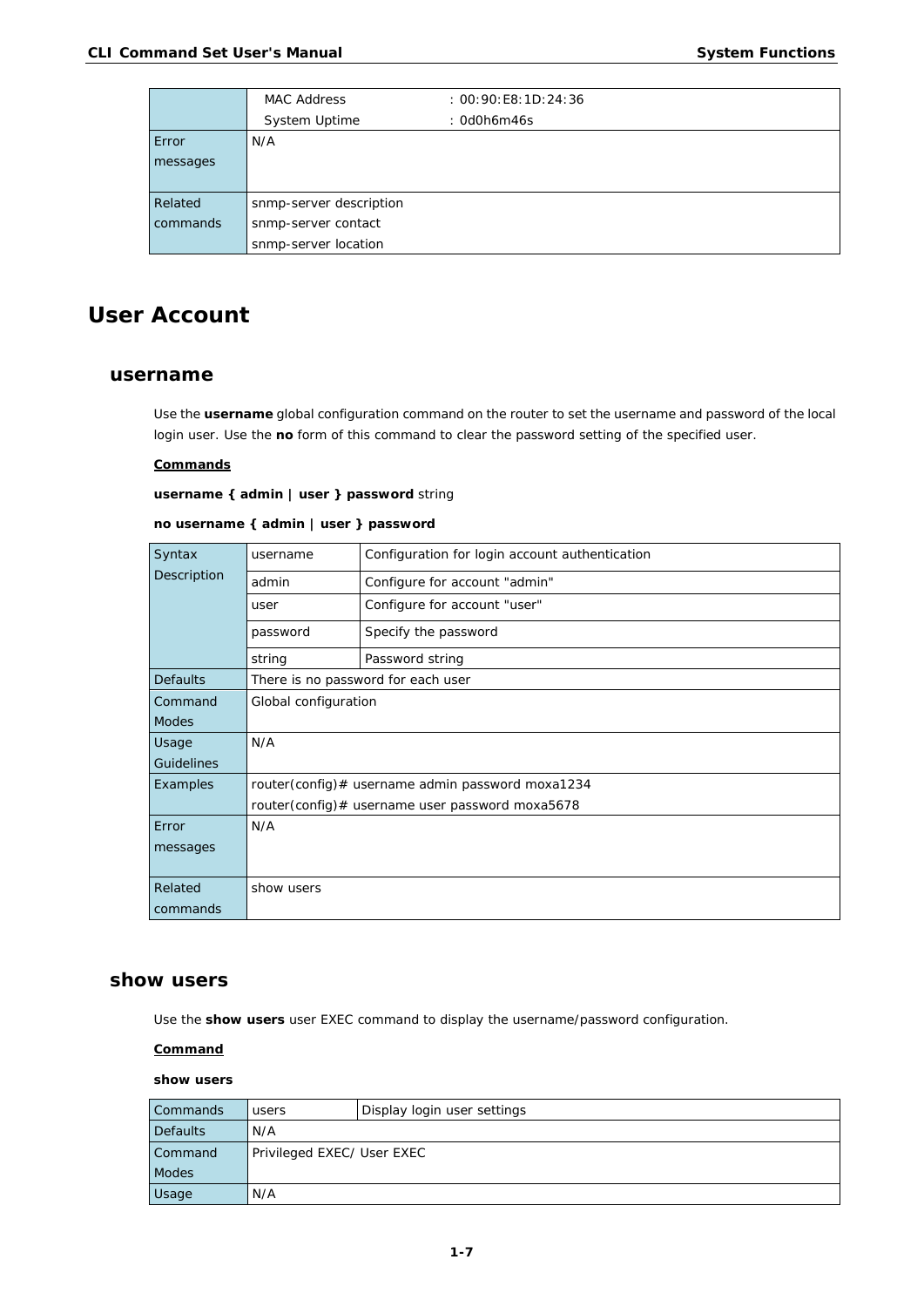|          | <b>MAC Address</b>      | : 00:90:EB:1D:24:36 |
|----------|-------------------------|---------------------|
|          | System Uptime           | $:$ 0d0h6m46s       |
| Error    | N/A                     |                     |
| messages |                         |                     |
|          |                         |                     |
| Related  | snmp-server description |                     |
| commands | snmp-server contact     |                     |
|          | snmp-server location    |                     |
|          |                         |                     |

## <span id="page-9-0"></span>**User Account**

### **username**

Use the **username** global configuration command on the router to set the username and password of the local login user. Use the **no** form of this command to clear the password setting of the specified user.

#### **Commands**

**username { admin | user } password** string

### **no username { admin | user } password**

| Syntax            | username                                         | Configuration for login account authentication |  |
|-------------------|--------------------------------------------------|------------------------------------------------|--|
| Description       | admin                                            | Configure for account "admin"                  |  |
|                   | user                                             | Configure for account "user"                   |  |
|                   | password                                         | Specify the password                           |  |
|                   | string                                           | Password string                                |  |
| <b>Defaults</b>   | There is no password for each user               |                                                |  |
| Command           | Global configuration                             |                                                |  |
| <b>Modes</b>      |                                                  |                                                |  |
| Usage             | N/A                                              |                                                |  |
| <b>Guidelines</b> |                                                  |                                                |  |
| Examples          | router(config)# username admin password moxa1234 |                                                |  |
|                   | router(config)# username user password moxa5678  |                                                |  |
| Error             | N/A                                              |                                                |  |
| messages          |                                                  |                                                |  |
|                   |                                                  |                                                |  |
| Related           | show users                                       |                                                |  |
| commands          |                                                  |                                                |  |

## **show users**

Use the **show users** user EXEC command to display the username/password configuration.

#### **Command**

### **show users**

| <b>Commands</b> | users                      | Display login user settings |
|-----------------|----------------------------|-----------------------------|
| <b>Defaults</b> | N/A                        |                             |
| Command         | Privileged EXEC/ User EXEC |                             |
| <b>Modes</b>    |                            |                             |
| <b>Usage</b>    | N/A                        |                             |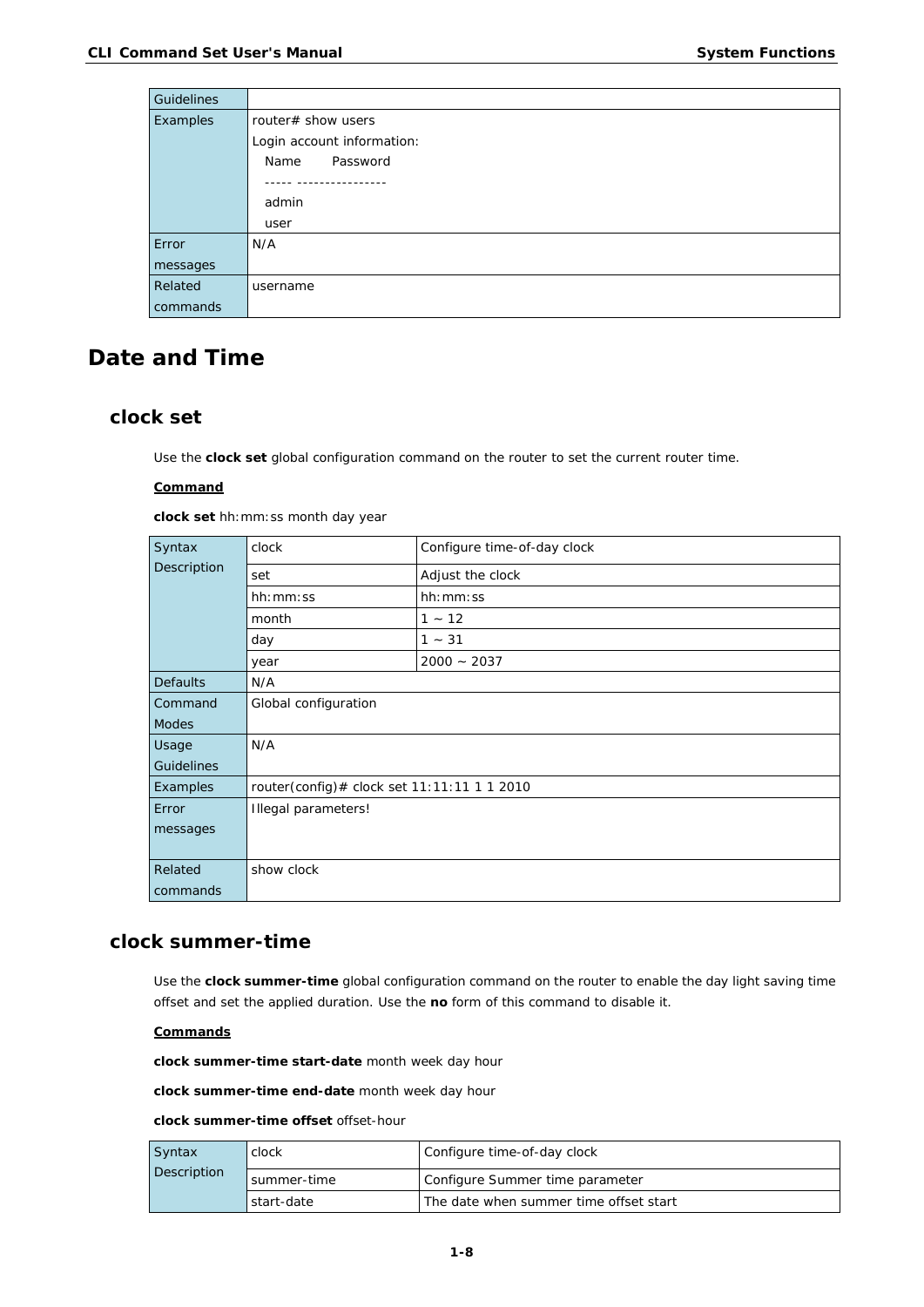| Guidelines |                            |
|------------|----------------------------|
| Examples   | router# show users         |
|            | Login account information: |
|            | Password<br>Name           |
|            | -----------                |
|            | admin                      |
|            | user                       |
| Error      | N/A                        |
| messages   |                            |
| Related    | username                   |
| commands   |                            |

## <span id="page-10-0"></span>**Date and Time**

## **clock set**

Use the **clock set** global configuration command on the router to set the current router time.

#### **Command**

**clock set** hh:mm:ss month day year

| Syntax            | clock                                       | Configure time-of-day clock |
|-------------------|---------------------------------------------|-----------------------------|
| Description       | set                                         | Adjust the clock            |
|                   | hh:mm:ss                                    | hh: mm: ss                  |
|                   | month                                       | $1 - 12$                    |
|                   | day                                         | $1 - 31$                    |
|                   | year                                        | $2000 - 2037$               |
| <b>Defaults</b>   | N/A                                         |                             |
| Command           | Global configuration                        |                             |
| <b>Modes</b>      |                                             |                             |
| Usage             | N/A                                         |                             |
| <b>Guidelines</b> |                                             |                             |
| Examples          | router(config)# clock set 11:11:11 1 1 2010 |                             |
| Error             | Illegal parameters!                         |                             |
| messages          |                                             |                             |
|                   |                                             |                             |
| Related           | show clock                                  |                             |
| commands          |                                             |                             |

## **clock summer-time**

Use the **clock summer-time** global configuration command on the router to enable the day light saving time offset and set the applied duration. Use the **no** form of this command to disable it.

#### **Commands**

**clock summer-time start-date** month week day hour

**clock summer-time end-date** month week day hour

**clock summer-time offset** offset-hour

| <b>Syntax</b><br>Description | clock       | Configure time-of-day clock            |
|------------------------------|-------------|----------------------------------------|
|                              | summer-time | Configure Summer time parameter        |
|                              | start-date  | The date when summer time offset start |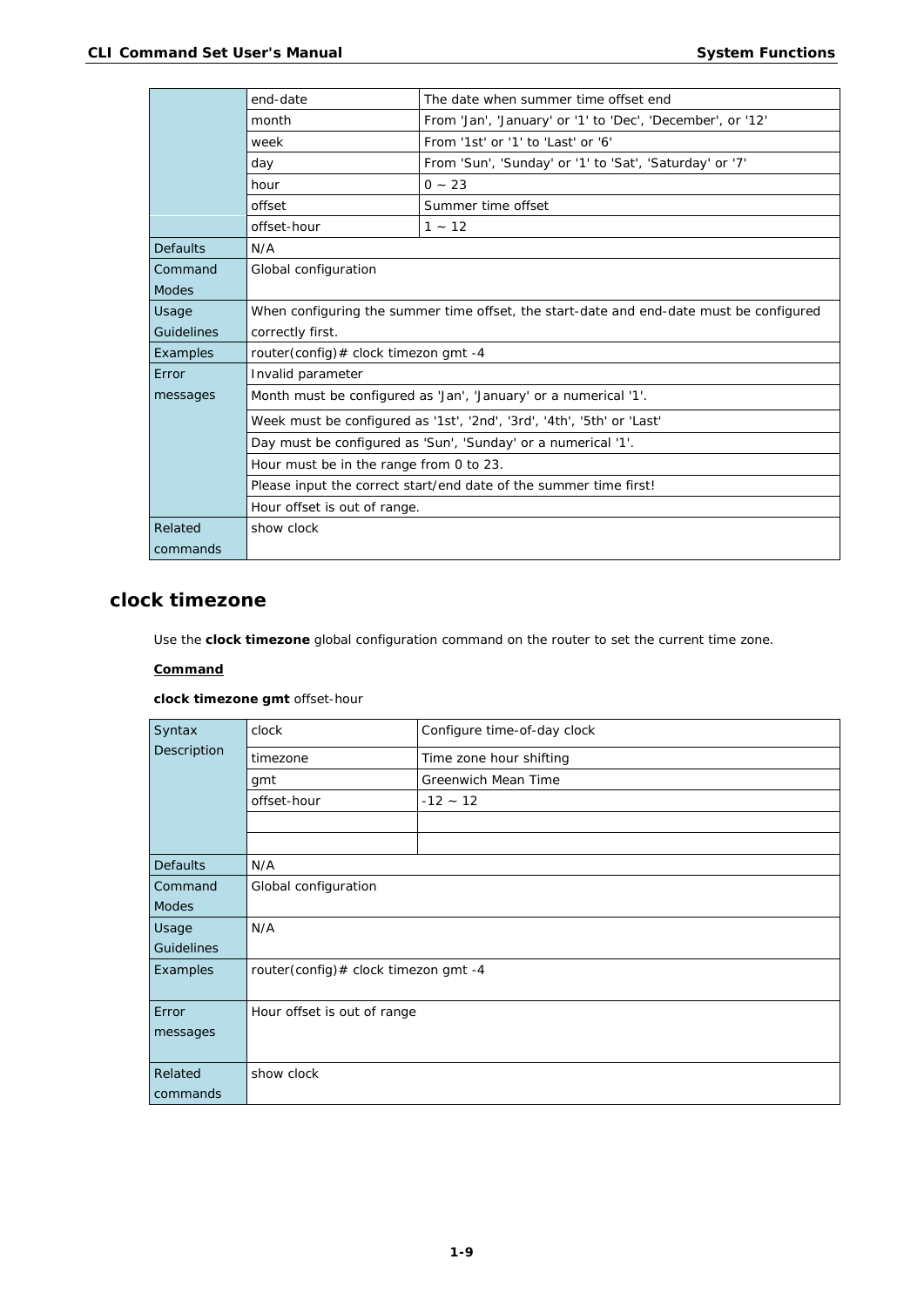|                   | end-date                                                                                                     | The date when summer time offset end                       |  |
|-------------------|--------------------------------------------------------------------------------------------------------------|------------------------------------------------------------|--|
|                   | month                                                                                                        | From 'Jan', 'January' or '1' to 'Dec', 'December', or '12' |  |
|                   | From '1st' or '1' to 'Last' or '6'<br>week<br>From 'Sun', 'Sunday' or '1' to 'Sat', 'Saturday' or '7'<br>day |                                                            |  |
|                   |                                                                                                              |                                                            |  |
|                   | hour                                                                                                         | $0 - 23$                                                   |  |
|                   | offset                                                                                                       | Summer time offset                                         |  |
|                   | offset-hour                                                                                                  | $1 - 12$                                                   |  |
| <b>Defaults</b>   | N/A                                                                                                          |                                                            |  |
| Command           | Global configuration                                                                                         |                                                            |  |
| <b>Modes</b>      |                                                                                                              |                                                            |  |
| Usage             | When configuring the summer time offset, the start-date and end-date must be configured                      |                                                            |  |
| <b>Guidelines</b> | correctly first.                                                                                             |                                                            |  |
| Examples          | router(config)# clock timezon gmt -4                                                                         |                                                            |  |
| Error             | Invalid parameter                                                                                            |                                                            |  |
| messages          | Month must be configured as 'Jan', 'January' or a numerical '1'.                                             |                                                            |  |
|                   | Week must be configured as '1st', '2nd', '3rd', '4th', '5th' or 'Last'                                       |                                                            |  |
|                   | Day must be configured as 'Sun', 'Sunday' or a numerical '1'.                                                |                                                            |  |
|                   | Hour must be in the range from 0 to 23.                                                                      |                                                            |  |
|                   | Please input the correct start/end date of the summer time first!                                            |                                                            |  |
|                   | Hour offset is out of range.                                                                                 |                                                            |  |
| Related           | show clock                                                                                                   |                                                            |  |
| commands          |                                                                                                              |                                                            |  |

## **clock timezone**

Use the **clock timezone** global configuration command on the router to set the current time zone.

## **Command**

**clock timezone gmt** offset-hour

| Syntax          | clock                                | Configure time-of-day clock |
|-----------------|--------------------------------------|-----------------------------|
| Description     | timezone                             | Time zone hour shifting     |
|                 | gmt                                  | Greenwich Mean Time         |
|                 | offset-hour                          | $-12 - 12$                  |
|                 |                                      |                             |
|                 |                                      |                             |
| <b>Defaults</b> | N/A                                  |                             |
| Command         | Global configuration                 |                             |
| Modes           |                                      |                             |
| <b>Usage</b>    | N/A                                  |                             |
| Guidelines      |                                      |                             |
| Examples        | router(config)# clock timezon gmt -4 |                             |
|                 |                                      |                             |
| Error           | Hour offset is out of range          |                             |
| messages        |                                      |                             |
|                 |                                      |                             |
| Related         | show clock                           |                             |
| commands        |                                      |                             |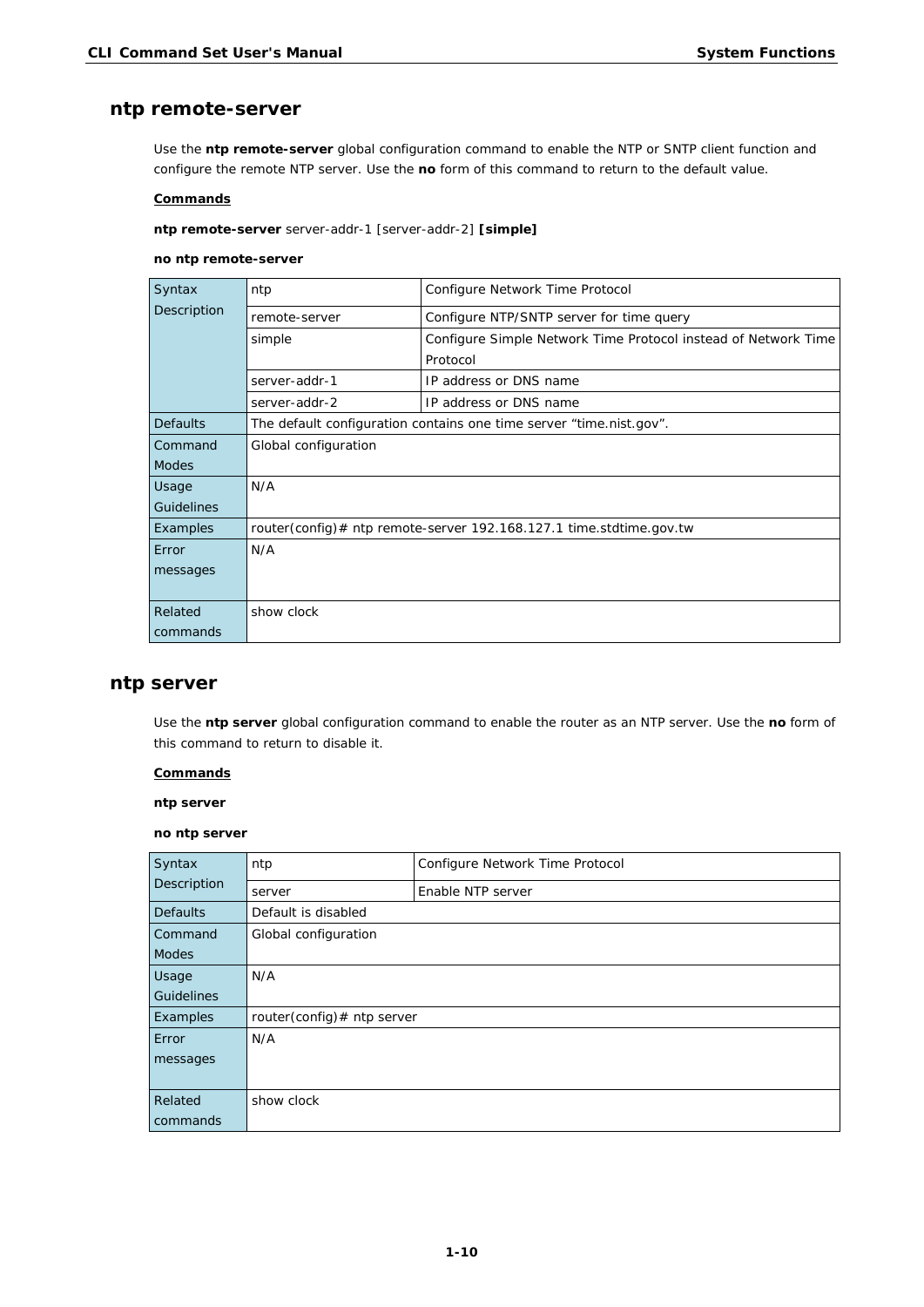## **ntp remote-server**

Use the **ntp remote-server** global configuration command to enable the NTP or SNTP client function and configure the remote NTP server. Use the **no** form of this command to return to the default value.

#### **Commands**

**ntp remote-server** server-addr-1 [server-addr-2] **[simple]**

#### **no ntp remote-server**

| Syntax            | ntp                                                                 | Configure Network Time Protocol                                     |
|-------------------|---------------------------------------------------------------------|---------------------------------------------------------------------|
| Description       | remote-server                                                       | Configure NTP/SNTP server for time query                            |
|                   | simple                                                              | Configure Simple Network Time Protocol instead of Network Time      |
|                   |                                                                     | Protocol                                                            |
|                   | server-addr-1                                                       | IP address or DNS name                                              |
|                   | server-addr-2                                                       | IP address or DNS name                                              |
| <b>Defaults</b>   | The default configuration contains one time server "time.nist.gov". |                                                                     |
| Command           | Global configuration                                                |                                                                     |
| <b>Modes</b>      |                                                                     |                                                                     |
| Usage             | N/A                                                                 |                                                                     |
| <b>Guidelines</b> |                                                                     |                                                                     |
| Examples          |                                                                     | router(config)# ntp remote-server 192.168.127.1 time.stdtime.gov.tw |
| Error             | N/A                                                                 |                                                                     |
| messages          |                                                                     |                                                                     |
|                   |                                                                     |                                                                     |
| Related           | show clock                                                          |                                                                     |
| commands          |                                                                     |                                                                     |

## **ntp server**

Use the **ntp server** global configuration command to enable the router as an NTP server. Use the **no** form of this command to return to disable it.

## **Commands**

**ntp server**

#### **no ntp server**

| Syntax            | ntp                           | Configure Network Time Protocol |  |
|-------------------|-------------------------------|---------------------------------|--|
| Description       | server                        | Enable NTP server               |  |
| <b>Defaults</b>   | Default is disabled           |                                 |  |
| Command           | Global configuration          |                                 |  |
| <b>Modes</b>      |                               |                                 |  |
| Usage             | N/A                           |                                 |  |
| <b>Guidelines</b> |                               |                                 |  |
| Examples          | router(config) $#$ ntp server |                                 |  |
| Error             | N/A                           |                                 |  |
| messages          |                               |                                 |  |
|                   |                               |                                 |  |
| Related           | show clock                    |                                 |  |
| commands          |                               |                                 |  |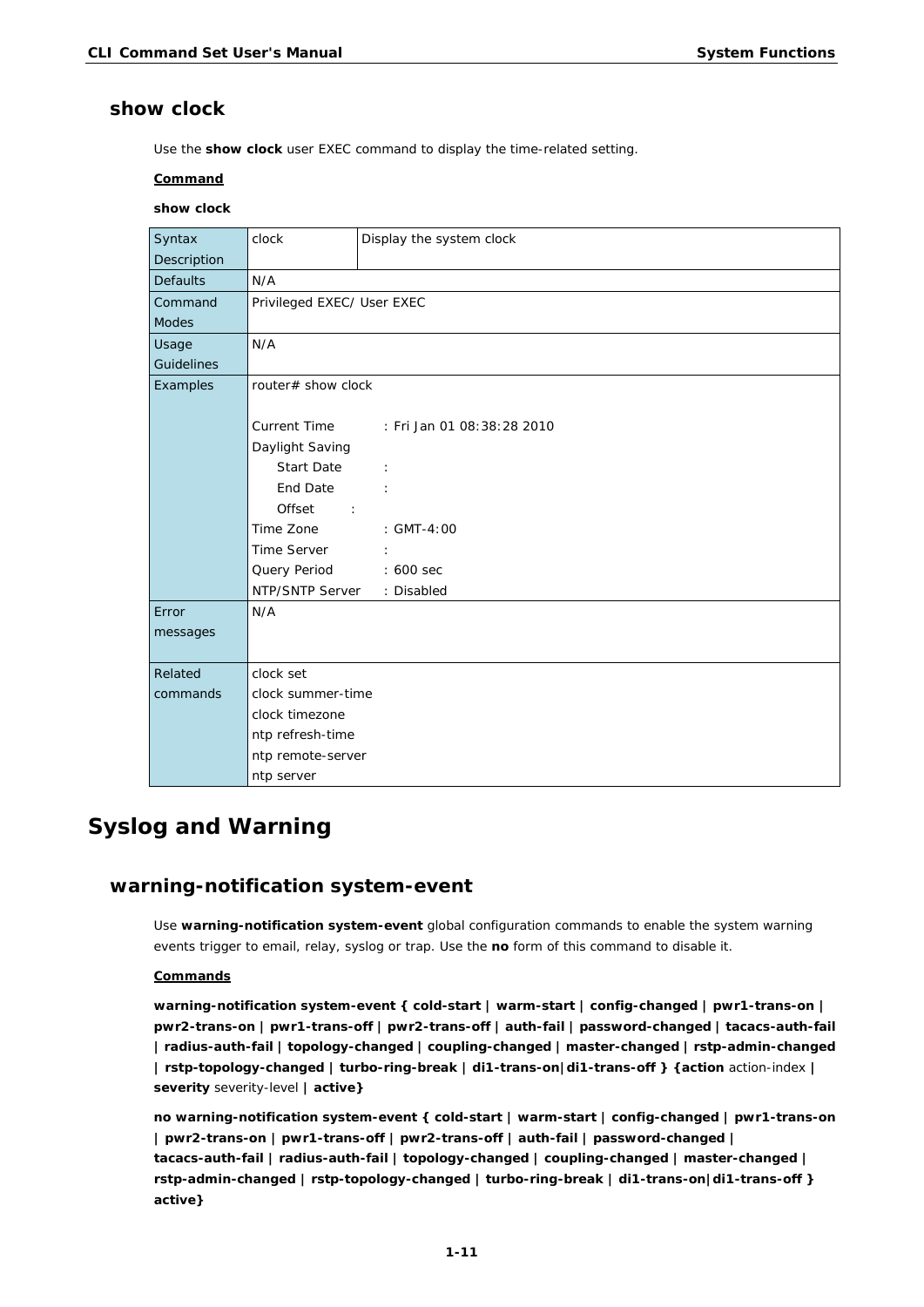## **show clock**

Use the **show clock** user EXEC command to display the time-related setting.

#### **Command**

#### **show clock**

| Syntax            | clock                      | Display the system clock                |  |
|-------------------|----------------------------|-----------------------------------------|--|
| Description       |                            |                                         |  |
| <b>Defaults</b>   | N/A                        |                                         |  |
| Command           | Privileged EXEC/ User EXEC |                                         |  |
| <b>Modes</b>      |                            |                                         |  |
| Usage             | N/A                        |                                         |  |
| <b>Guidelines</b> |                            |                                         |  |
| Examples          | router# show clock         |                                         |  |
|                   |                            |                                         |  |
|                   |                            | Current Time : Fri Jan 01 08:38:28 2010 |  |
|                   | Daylight Saving            |                                         |  |
|                   | <b>Start Date</b>          | $\ddot{\phantom{a}}$                    |  |
|                   | End Date                   |                                         |  |
|                   | Offset<br>$\sim$ 100 $\pm$ |                                         |  |
|                   | Time Zone                  | : $GMT-4:00$                            |  |
|                   | Time Server                |                                         |  |
|                   | Query Period               | $: 600$ sec                             |  |
|                   | NTP/SNTP Server : Disabled |                                         |  |
| Error             | N/A                        |                                         |  |
| messages          |                            |                                         |  |
|                   |                            |                                         |  |
| Related           | clock set                  |                                         |  |
| commands          | clock summer-time          |                                         |  |
|                   | clock timezone             |                                         |  |
|                   | ntp refresh-time           |                                         |  |
|                   | ntp remote-server          |                                         |  |
|                   | ntp server                 |                                         |  |

# <span id="page-13-0"></span>**Syslog and Warning**

## **warning-notification system-event**

Use **warning-notification system-event** global configuration commands to enable the system warning events trigger to email, relay, syslog or trap. Use the **no** form of this command to disable it.

#### **Commands**

**warning-notification system-event { cold-start | warm-start | config-changed | pwr1-trans-on | pwr2-trans-on | pwr1-trans-off | pwr2-trans-off | auth-fail | password-changed | tacacs-auth-fail | radius-auth-fail | topology-changed | coupling-changed | master-changed | rstp-admin-changed | rstp-topology-changed | turbo-ring-break | di1-trans-on|di1-trans-off } {action** *action-index* **| severity** *severity-level* **| active}**

**no warning-notification system-event { cold-start | warm-start | config-changed | pwr1-trans-on | pwr2-trans-on | pwr1-trans-off | pwr2-trans-off | auth-fail | password-changed | tacacs-auth-fail | radius-auth-fail | topology-changed | coupling-changed | master-changed | rstp-admin-changed | rstp-topology-changed | turbo-ring-break | di1-trans-on|di1-trans-off } active}**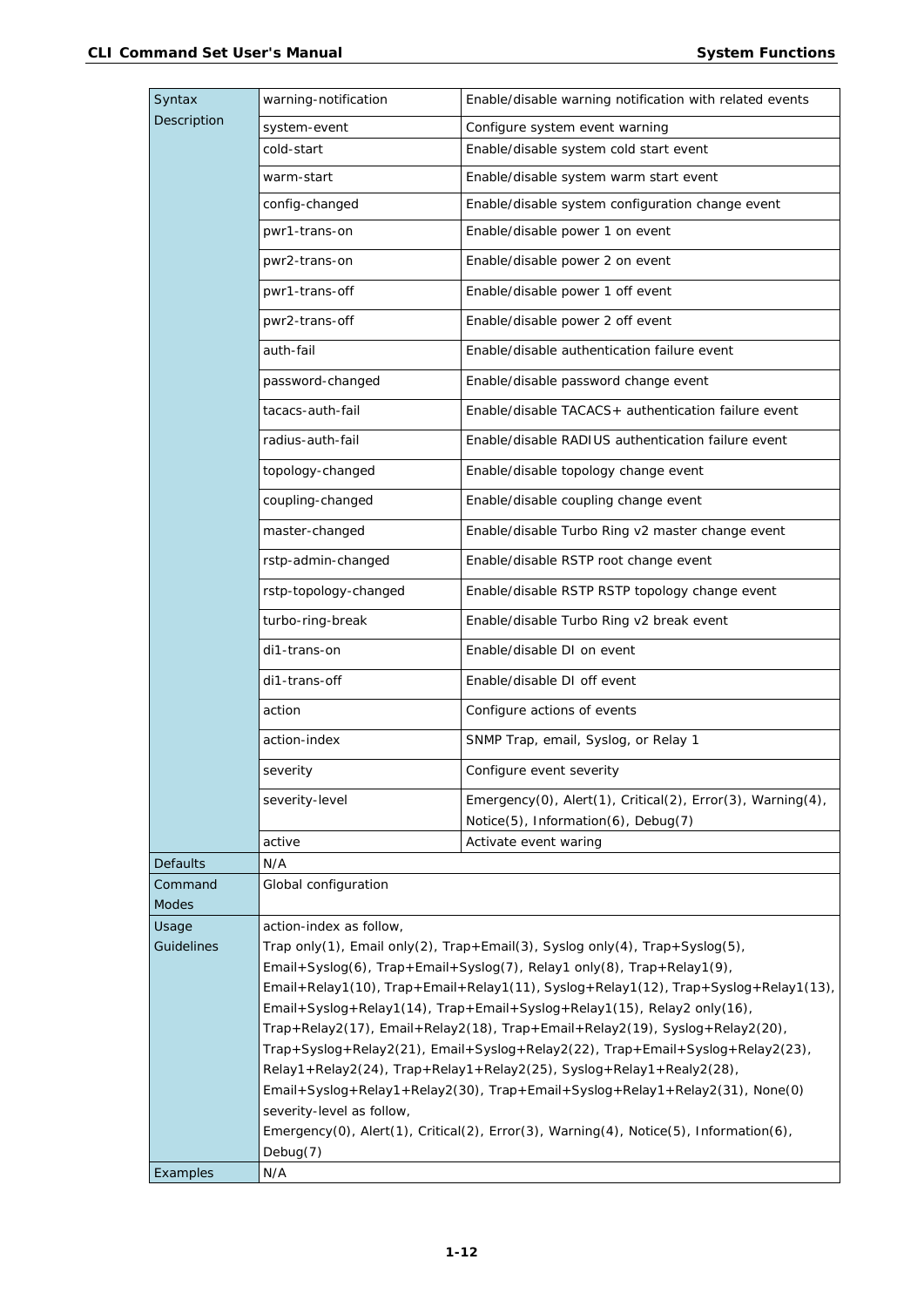| Syntax                  | warning-notification                                                                                                                                           | Enable/disable warning notification with related events                                           |  |
|-------------------------|----------------------------------------------------------------------------------------------------------------------------------------------------------------|---------------------------------------------------------------------------------------------------|--|
| Description             | system-event                                                                                                                                                   | Configure system event warning                                                                    |  |
|                         | cold-start                                                                                                                                                     | Enable/disable system cold start event                                                            |  |
|                         | warm-start                                                                                                                                                     | Enable/disable system warm start event                                                            |  |
|                         | config-changed                                                                                                                                                 | Enable/disable system configuration change event                                                  |  |
|                         | pwr1-trans-on                                                                                                                                                  | Enable/disable power 1 on event                                                                   |  |
|                         | pwr2-trans-on                                                                                                                                                  | Enable/disable power 2 on event                                                                   |  |
|                         | pwr1-trans-off                                                                                                                                                 | Enable/disable power 1 off event                                                                  |  |
|                         | pwr2-trans-off                                                                                                                                                 | Enable/disable power 2 off event                                                                  |  |
|                         | auth-fail                                                                                                                                                      | Enable/disable authentication failure event                                                       |  |
|                         | password-changed                                                                                                                                               | Enable/disable password change event                                                              |  |
|                         | tacacs-auth-fail                                                                                                                                               | Enable/disable TACACS+ authentication failure event                                               |  |
|                         | radius-auth-fail                                                                                                                                               | Enable/disable RADIUS authentication failure event                                                |  |
|                         | topology-changed                                                                                                                                               | Enable/disable topology change event                                                              |  |
|                         | coupling-changed                                                                                                                                               | Enable/disable coupling change event                                                              |  |
|                         | master-changed                                                                                                                                                 | Enable/disable Turbo Ring v2 master change event                                                  |  |
|                         | rstp-admin-changed                                                                                                                                             | Enable/disable RSTP root change event                                                             |  |
|                         | rstp-topology-changed                                                                                                                                          | Enable/disable RSTP RSTP topology change event                                                    |  |
|                         | turbo-ring-break                                                                                                                                               | Enable/disable Turbo Ring v2 break event                                                          |  |
|                         | di1-trans-on                                                                                                                                                   | Enable/disable DI on event                                                                        |  |
|                         | di1-trans-off                                                                                                                                                  | Enable/disable DI off event                                                                       |  |
|                         | action                                                                                                                                                         | Configure actions of events                                                                       |  |
|                         | action-index                                                                                                                                                   | SNMP Trap, email, Syslog, or Relay 1                                                              |  |
|                         | severity                                                                                                                                                       | Configure event severity                                                                          |  |
|                         | severity-level                                                                                                                                                 | Emergency(0), Alert(1), Critical(2), Error(3), Warning(4),<br>Notice(5), Information(6), Debug(7) |  |
|                         | active                                                                                                                                                         | Activate event waring                                                                             |  |
| <b>Defaults</b>         | N/A                                                                                                                                                            |                                                                                                   |  |
| Command<br><b>Modes</b> | Global configuration                                                                                                                                           |                                                                                                   |  |
| Usage                   | action-index as follow,                                                                                                                                        |                                                                                                   |  |
| <b>Guidelines</b>       | Trap only(1), Email only(2), Trap+Email(3), Syslog only(4), Trap+Syslog(5),                                                                                    |                                                                                                   |  |
|                         | Email+Syslog(6), Trap+Email+Syslog(7), Relay1 only(8), Trap+Relay1(9),                                                                                         |                                                                                                   |  |
|                         | Email+Relay1(10), Trap+Email+Relay1(11), Syslog+Relay1(12), Trap+Syslog+Relay1(13),                                                                            |                                                                                                   |  |
|                         | Email+Syslog+Relay1(14), Trap+Email+Syslog+Relay1(15), Relay2 only(16),                                                                                        |                                                                                                   |  |
|                         | Trap+Relay2(17), Email+Relay2(18), Trap+Email+Relay2(19), Syslog+Relay2(20),<br>Trap+Syslog+Relay2(21), Email+Syslog+Relay2(22), Trap+Email+Syslog+Relay2(23), |                                                                                                   |  |
|                         | Relay1+Relay2(24), Trap+Relay1+Relay2(25), Syslog+Relay1+Realy2(28),                                                                                           |                                                                                                   |  |
|                         | Email+Syslog+Relay1+Relay2(30), Trap+Email+Syslog+Relay1+Relay2(31), None(0)                                                                                   |                                                                                                   |  |
|                         | severity-level as follow,                                                                                                                                      |                                                                                                   |  |
|                         | Emergency(0), Alert(1), Critical(2), Error(3), Warning(4), Notice(5), Information(6),                                                                          |                                                                                                   |  |
|                         | Debug(7)                                                                                                                                                       |                                                                                                   |  |
| Examples                | N/A                                                                                                                                                            |                                                                                                   |  |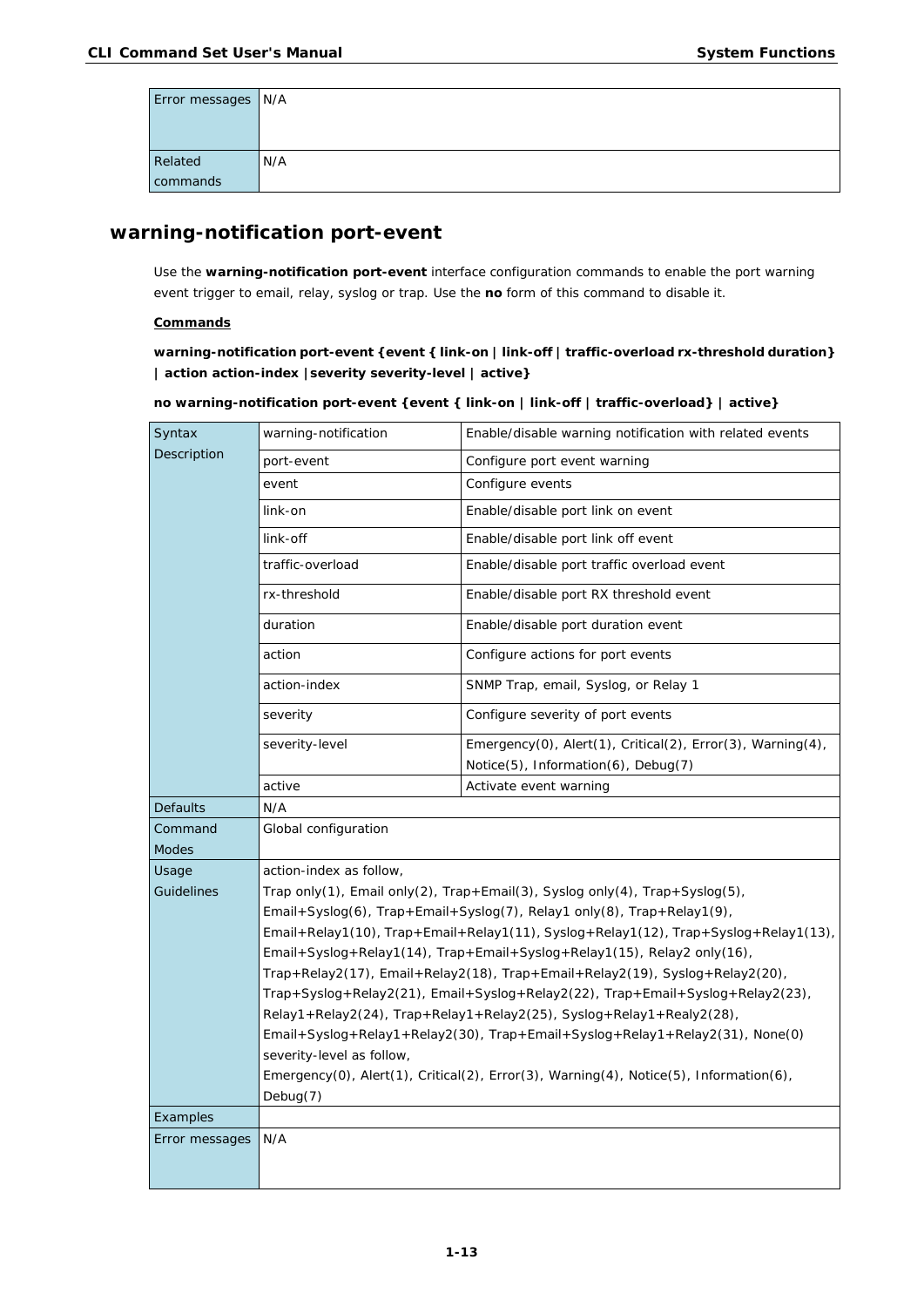| Error messages N/A |     |
|--------------------|-----|
|                    |     |
|                    |     |
| Related            | N/A |
| commands           |     |

## **warning-notification port-event**

Use the **warning-notification port-event** interface configuration commands to enable the port warning event trigger to email, relay, syslog or trap. Use the **no** form of this command to disable it.

#### **Commands**

warning-notification port-event { event { link-on | link-off | traffic-overload rx-threshold duration} **| action action-index |severity severity-level | active}**

**no warning-notification port-event {event { link-on | link-off | traffic-overload} | active}**

| Syntax            | warning-notification      | Enable/disable warning notification with related events                               |
|-------------------|---------------------------|---------------------------------------------------------------------------------------|
| Description       | port-event                | Configure port event warning                                                          |
|                   | event                     | Configure events                                                                      |
|                   | link-on                   | Enable/disable port link on event                                                     |
|                   | link-off                  | Enable/disable port link off event                                                    |
|                   | traffic-overload          | Enable/disable port traffic overload event                                            |
|                   | rx-threshold              | Enable/disable port RX threshold event                                                |
|                   | duration                  | Enable/disable port duration event                                                    |
|                   | action                    | Configure actions for port events                                                     |
|                   | action-index              | SNMP Trap, email, Syslog, or Relay 1                                                  |
|                   | severity                  | Configure severity of port events                                                     |
|                   | severity-level            | Emergency(0), Alert(1), Critical(2), Error(3), Warning(4),                            |
|                   |                           | Notice(5), Information(6), Debug(7)                                                   |
|                   | active                    | Activate event warning                                                                |
| <b>Defaults</b>   | N/A                       |                                                                                       |
| Command           | Global configuration      |                                                                                       |
| <b>Modes</b>      |                           |                                                                                       |
| Usage             | action-index as follow,   |                                                                                       |
| <b>Guidelines</b> |                           | Trap only(1), Email only(2), Trap+Email(3), Syslog only(4), Trap+Syslog(5),           |
|                   |                           | Email+Syslog(6), Trap+Email+Syslog(7), Relay1 only(8), Trap+Relay1(9),                |
|                   |                           | Email+Relay1(10), Trap+Email+Relay1(11), Syslog+Relay1(12), Trap+Syslog+Relay1(13),   |
|                   |                           | Email+Syslog+Relay1(14), Trap+Email+Syslog+Relay1(15), Relay2 only(16),               |
|                   |                           | Trap+Relay2(17), Email+Relay2(18), Trap+Email+Relay2(19), Syslog+Relay2(20),          |
|                   |                           | Trap+Syslog+Relay2(21), Email+Syslog+Relay2(22), Trap+Email+Syslog+Relay2(23),        |
|                   |                           | Relay1+Relay2(24), Trap+Relay1+Relay2(25), Syslog+Relay1+Realy2(28),                  |
|                   |                           | Email+Syslog+Relay1+Relay2(30), Trap+Email+Syslog+Relay1+Relay2(31), None(0)          |
|                   | severity-level as follow, |                                                                                       |
|                   |                           | Emergency(0), Alert(1), Critical(2), Error(3), Warning(4), Notice(5), Information(6), |
|                   | Debug(7)                  |                                                                                       |
| Examples          |                           |                                                                                       |
| Error messages    | N/A                       |                                                                                       |
|                   |                           |                                                                                       |
|                   |                           |                                                                                       |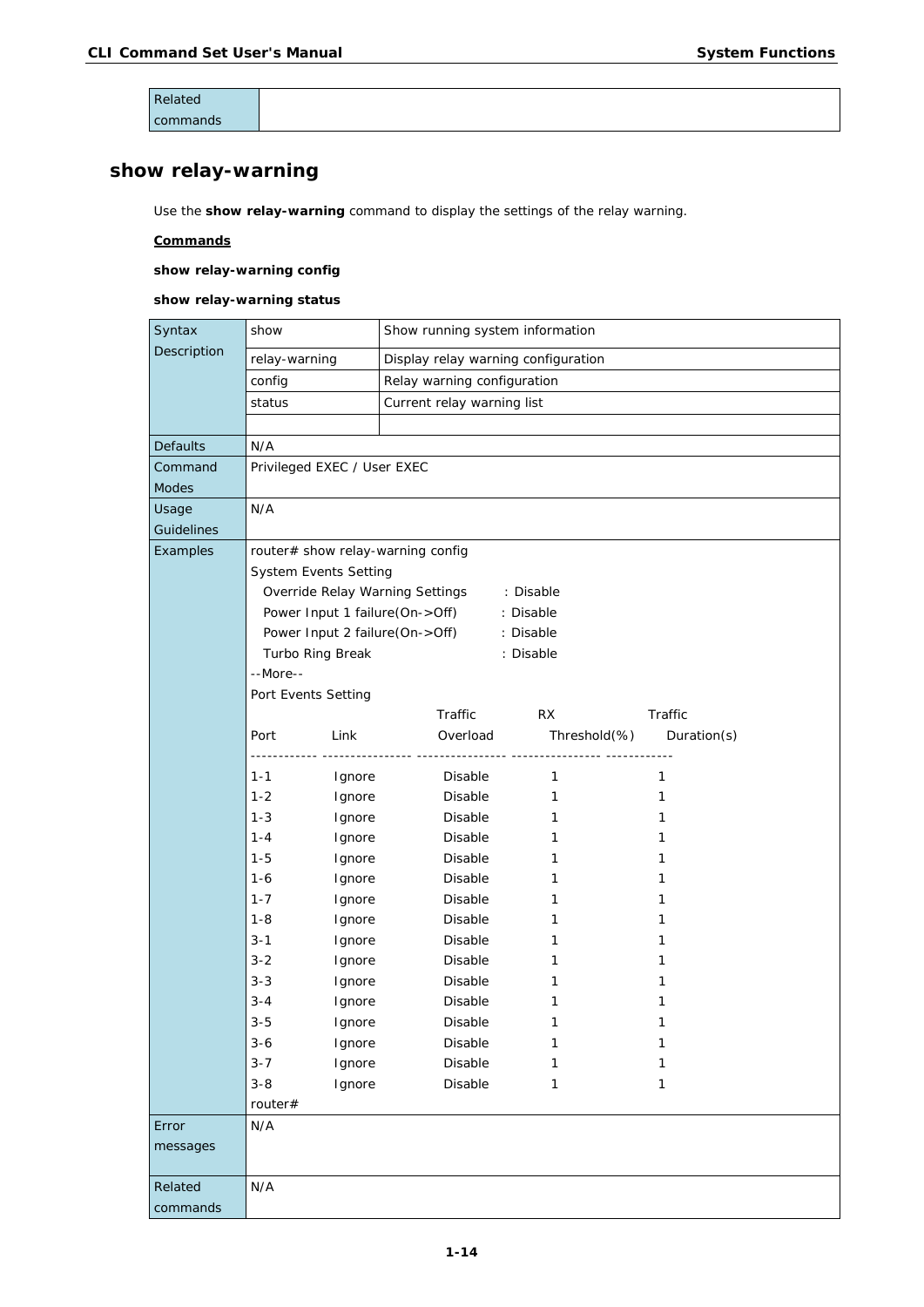| Related |          |
|---------|----------|
|         | commands |

## **show relay-warning**

Use the **show relay-warning** command to display the settings of the relay warning.

## **Commands**

**show relay-warning config** 

#### **show relay-warning status**

| Syntax          | Show running system information<br>show |                                     |                              |              |  |  |
|-----------------|-----------------------------------------|-------------------------------------|------------------------------|--------------|--|--|
| Description     | relay-warning                           | Display relay warning configuration |                              |              |  |  |
|                 | config                                  | Relay warning configuration         |                              |              |  |  |
|                 | status                                  | Current relay warning list          |                              |              |  |  |
|                 |                                         |                                     |                              |              |  |  |
| <b>Defaults</b> | N/A                                     |                                     |                              |              |  |  |
| Command         | Privileged EXEC / User EXEC             |                                     |                              |              |  |  |
| <b>Modes</b>    |                                         |                                     |                              |              |  |  |
| Usage           | N/A                                     |                                     |                              |              |  |  |
| Guidelines      |                                         |                                     |                              |              |  |  |
| Examples        | router# show relay-warning config       |                                     |                              |              |  |  |
|                 | <b>System Events Setting</b>            |                                     |                              |              |  |  |
|                 | Override Relay Warning Settings         |                                     | : Disable                    |              |  |  |
|                 | Power Input 1 failure(On->Off)          | Power Input 2 failure(On->Off)      | : Disable<br>: Disable       |              |  |  |
|                 | Turbo Ring Break                        |                                     | : Disable                    |              |  |  |
|                 | --More--                                |                                     |                              |              |  |  |
|                 | Port Events Setting                     |                                     |                              |              |  |  |
|                 |                                         | Traffic                             | RX.                          | Traffic      |  |  |
|                 | Port<br>Link                            | Overload                            | Threshold(%)                 | Duration(s)  |  |  |
|                 |                                         |                                     |                              |              |  |  |
|                 | $1 - 1$<br>Ignore                       | Disable                             | $\mathbf{1}$                 | $\mathbf{1}$ |  |  |
|                 | $1 - 2$<br>Ignore                       | Disable                             | $\mathbf{1}$                 | 1            |  |  |
|                 | $1 - 3$<br>Ignore                       | Disable                             | $\mathbf{1}$                 | 1            |  |  |
|                 | $1 - 4$<br>Ignore                       | <b>Disable</b>                      | $\mathbf{1}$                 | 1            |  |  |
|                 | $1 - 5$<br>Ignore                       | Disable                             | $\mathbf{1}$                 | 1            |  |  |
|                 | $1 - 6$<br>Ignore                       | Disable                             | $\mathbf{1}$                 | 1            |  |  |
|                 | $1 - 7$<br>Ignore                       | Disable                             | 1                            | 1            |  |  |
|                 | $1 - 8$<br>Ignore                       | Disable                             | 1                            | 1            |  |  |
|                 | $3 - 1$<br>Ignore<br>$3 - 2$            | Disable<br>Disable                  | $\mathbf{1}$<br>$\mathbf{1}$ | 1            |  |  |
|                 | Ignore<br>$3 - 3$<br>Ignore             | Disable                             | $\mathbf{1}$                 | 1<br>1       |  |  |
|                 | $3 - 4$<br>Ignore                       | Disable                             | 1                            | 1            |  |  |
|                 | Ignore<br>$3 - 5$                       | Disable                             | T                            | Τ            |  |  |
|                 | $3 - 6$<br>Ignore                       | Disable                             | 1                            | 1            |  |  |
|                 | $3 - 7$<br>Ignore                       | Disable                             | 1                            | 1            |  |  |
|                 | Ignore<br>$3 - 8$                       | Disable                             | $\mathbf{1}$                 | $\mathbf{1}$ |  |  |
|                 | router#                                 |                                     |                              |              |  |  |
| Error           | N/A                                     |                                     |                              |              |  |  |
| messages        |                                         |                                     |                              |              |  |  |
|                 |                                         |                                     |                              |              |  |  |
| Related         | N/A                                     |                                     |                              |              |  |  |
| commands        |                                         |                                     |                              |              |  |  |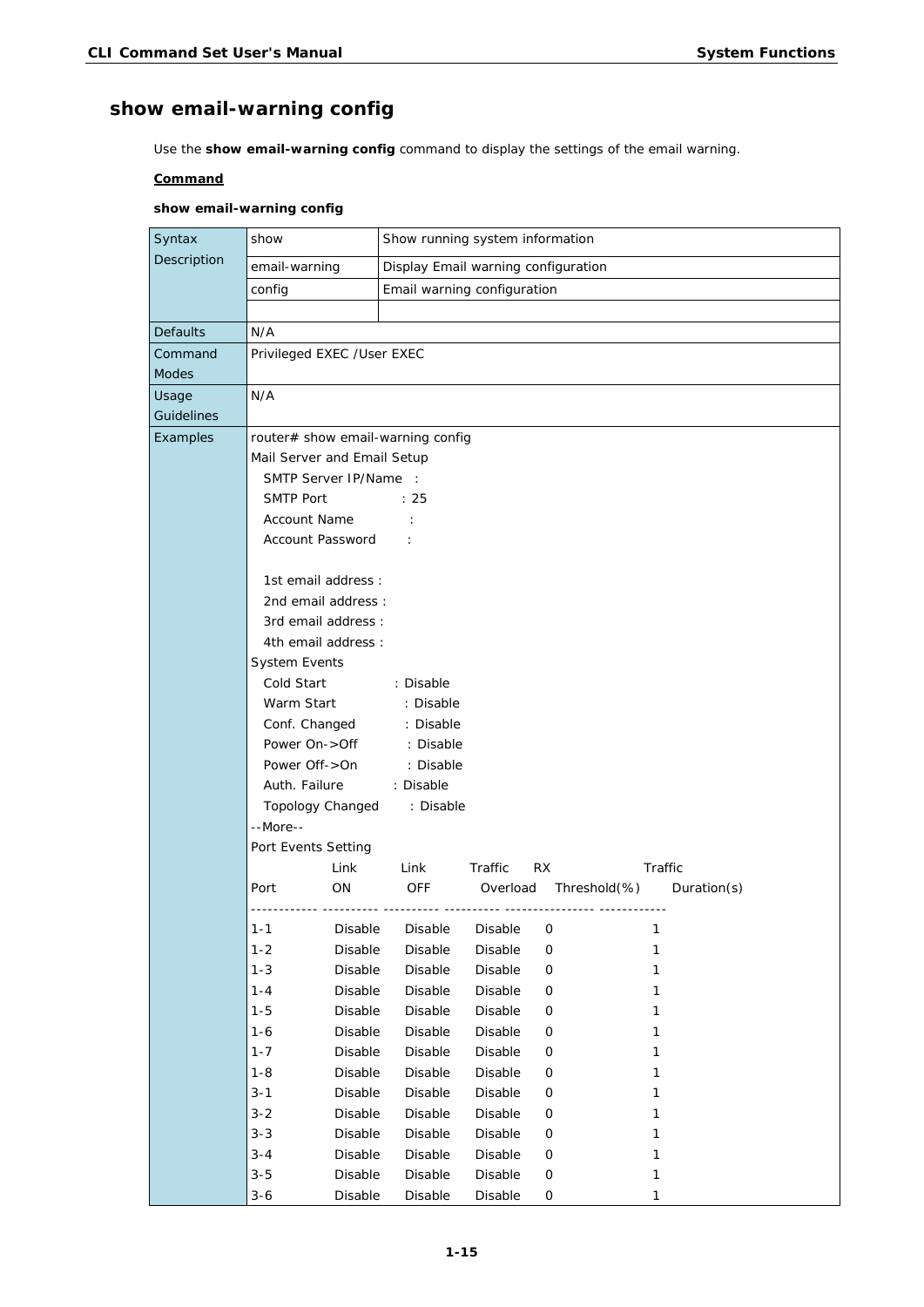## **show email-warning config**

Use the **show email-warning config** command to display the settings of the email warning.

### **Command**

### **show email-warning config**

| Syntax            | show                                                                             | Show running system information     |         |      |                              |             |  |
|-------------------|----------------------------------------------------------------------------------|-------------------------------------|---------|------|------------------------------|-------------|--|
| Description       | email-warning                                                                    | Display Email warning configuration |         |      |                              |             |  |
|                   | config                                                                           | Email warning configuration         |         |      |                              |             |  |
|                   |                                                                                  |                                     |         |      |                              |             |  |
| <b>Defaults</b>   | N/A                                                                              |                                     |         |      |                              |             |  |
| Command           | Privileged EXEC /User EXEC                                                       |                                     |         |      |                              |             |  |
| <b>Modes</b>      |                                                                                  |                                     |         |      |                              |             |  |
| Usage             | N/A                                                                              |                                     |         |      |                              |             |  |
| <b>Guidelines</b> |                                                                                  |                                     |         |      |                              |             |  |
| Examples          | router# show email-warning config                                                |                                     |         |      |                              |             |  |
|                   | Mail Server and Email Setup                                                      |                                     |         |      |                              |             |  |
|                   | SMTP Server IP/Name:                                                             |                                     |         |      |                              |             |  |
|                   | <b>SMTP Port</b>                                                                 | $\therefore$ 25                     |         |      |                              |             |  |
|                   | Account Name:                                                                    |                                     |         |      |                              |             |  |
|                   | Account Password :                                                               |                                     |         |      |                              |             |  |
|                   | 1st email address :                                                              |                                     |         |      |                              |             |  |
|                   | 2nd email address :                                                              |                                     |         |      |                              |             |  |
|                   | 3rd email address :                                                              |                                     |         |      |                              |             |  |
|                   | 4th email address :                                                              |                                     |         |      |                              |             |  |
|                   | <b>System Events</b>                                                             |                                     |         |      |                              |             |  |
|                   | Cold Start : Disable                                                             |                                     |         |      |                              |             |  |
|                   | Warm Start : Disable                                                             |                                     |         |      |                              |             |  |
|                   | Conf. Changed : Disable                                                          |                                     |         |      |                              |             |  |
|                   | Power On->Off : Disable                                                          |                                     |         |      |                              |             |  |
|                   |                                                                                  |                                     |         |      |                              |             |  |
|                   | Power Off->On : Disable<br>Auth. Failure : Disable<br>Topology Changed : Disable |                                     |         |      |                              |             |  |
|                   |                                                                                  |                                     |         |      |                              |             |  |
|                   | --More--                                                                         |                                     |         |      |                              |             |  |
|                   | Port Events Setting                                                              |                                     |         |      |                              |             |  |
|                   |                                                                                  | Link Link Traffic                   |         | RX - | Traffic                      |             |  |
|                   | Port                                                                             |                                     |         |      | ON OFF Overload Threshold(%) | Duration(s) |  |
|                   |                                                                                  |                                     |         |      |                              |             |  |
|                   | $1 - 1$<br>Disable                                                               | Disable                             | Disable | 0    | 1                            |             |  |
|                   | $1 - 2$<br>Disable                                                               | Disable                             | Disable | 0    | 1                            |             |  |
|                   | $1 - 3$<br>Disable                                                               | Disable                             | Disable | 0    | 1                            |             |  |
|                   | Disable<br>$1 - 4$                                                               | Disable                             | Disable | 0    | 1                            |             |  |
|                   | Disable<br>$1 - 5$                                                               | Disable                             | Disable | 0    | 1                            |             |  |
|                   | Disable<br>$1 - 6$                                                               | Disable                             | Disable | 0    | 1                            |             |  |
|                   | Disable<br>$1 - 7$                                                               | Disable                             | Disable | 0    | 1                            |             |  |
|                   | Disable<br>$1 - 8$                                                               | Disable                             | Disable | 0    | 1                            |             |  |
|                   | Disable<br>$3 - 1$                                                               | Disable                             | Disable | 0    | 1                            |             |  |
|                   | Disable<br>$3 - 2$                                                               | Disable                             | Disable | 0    | 1                            |             |  |
|                   | Disable<br>$3 - 3$                                                               | Disable                             | Disable | 0    | 1                            |             |  |
|                   | $3 - 4$<br>Disable                                                               | Disable                             | Disable | 0    | 1                            |             |  |
|                   | $3 - 5$<br>Disable                                                               | Disable                             | Disable | 0    | 1                            |             |  |
|                   | Disable<br>$3 - 6$                                                               | Disable                             | Disable | 0    | 1                            |             |  |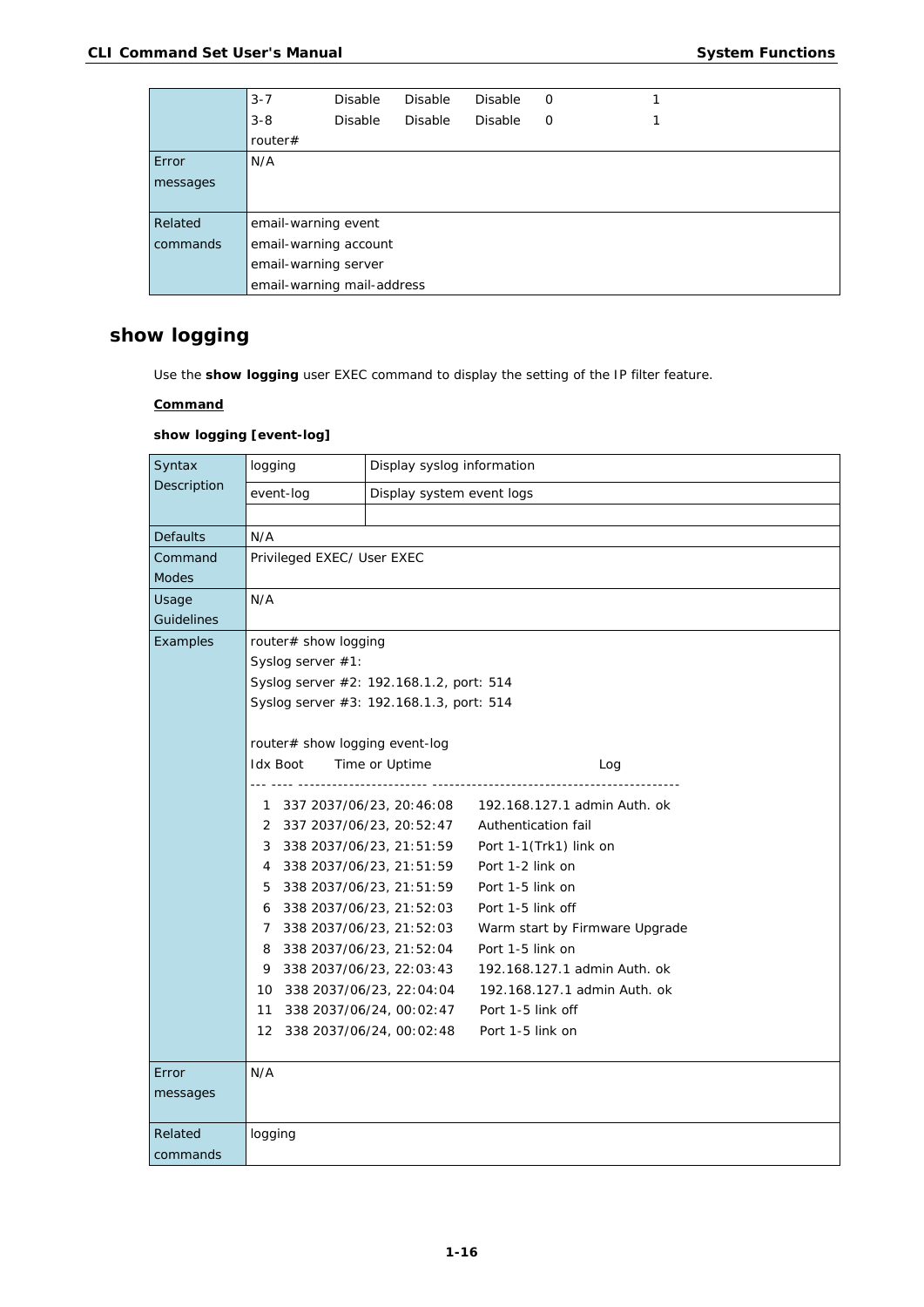|          | $3 - 7$                    | <b>Disable</b> | Disable | <b>Disable</b> | 0 |  |
|----------|----------------------------|----------------|---------|----------------|---|--|
|          | $3 - 8$                    | <b>Disable</b> | Disable | <b>Disable</b> | 0 |  |
|          | router $#$                 |                |         |                |   |  |
| Error    | N/A                        |                |         |                |   |  |
| messages |                            |                |         |                |   |  |
|          |                            |                |         |                |   |  |
| Related  | email-warning event        |                |         |                |   |  |
| commands | email-warning account      |                |         |                |   |  |
|          | email-warning server       |                |         |                |   |  |
|          | email-warning mail-address |                |         |                |   |  |

# **show logging**

Use the **show logging** user EXEC command to display the setting of the IP filter feature.

## **Command**

## **show logging [event-log]**

| Syntax            | logging                                  |                           | Display syslog information     |  |  |  |
|-------------------|------------------------------------------|---------------------------|--------------------------------|--|--|--|
| Description       | event-log                                | Display system event logs |                                |  |  |  |
|                   |                                          |                           |                                |  |  |  |
| <b>Defaults</b>   | N/A                                      |                           |                                |  |  |  |
| Command           | Privileged EXEC/ User EXEC               |                           |                                |  |  |  |
| <b>Modes</b>      |                                          |                           |                                |  |  |  |
| Usage             | N/A                                      |                           |                                |  |  |  |
| <b>Guidelines</b> |                                          |                           |                                |  |  |  |
| Examples          | router# show logging                     |                           |                                |  |  |  |
|                   | Syslog server #1:                        |                           |                                |  |  |  |
|                   | Syslog server #2: 192.168.1.2, port: 514 |                           |                                |  |  |  |
|                   | Syslog server #3: 192.168.1.3, port: 514 |                           |                                |  |  |  |
|                   |                                          |                           |                                |  |  |  |
|                   | router# show logging event-log           |                           |                                |  |  |  |
|                   | Idx Boot                                 | Time or Uptime            | Log                            |  |  |  |
|                   | $\mathbf{1}$                             | 337 2037/06/23, 20:46:08  | 192.168.127.1 admin Auth. ok   |  |  |  |
|                   | 2 337 2037/06/23, 20:52:47               |                           | Authentication fail            |  |  |  |
|                   | 3 338 2037/06/23, 21:51:59               |                           | Port 1-1(Trk1) link on         |  |  |  |
|                   | 4                                        | 338 2037/06/23, 21:51:59  | Port 1-2 link on               |  |  |  |
|                   | 5                                        | 338 2037/06/23, 21:51:59  | Port 1-5 link on               |  |  |  |
|                   | 6                                        | 338 2037/06/23, 21:52:03  | Port 1-5 link off              |  |  |  |
|                   | $7^{\circ}$                              | 338 2037/06/23, 21:52:03  | Warm start by Firmware Upgrade |  |  |  |
|                   | 8                                        | 338 2037/06/23, 21:52:04  | Port 1-5 link on               |  |  |  |
|                   | 9                                        | 338 2037/06/23, 22:03:43  | 192.168.127.1 admin Auth. ok   |  |  |  |
|                   | 10 338 2037/06/23, 22:04:04              |                           | 192.168.127.1 admin Auth. ok   |  |  |  |
|                   | 11                                       | 338 2037/06/24, 00:02:47  | Port 1-5 link off              |  |  |  |
|                   | 12 338 2037/06/24, 00:02:48              |                           | Port 1-5 link on               |  |  |  |
|                   |                                          |                           |                                |  |  |  |
| Error             | N/A                                      |                           |                                |  |  |  |
| messages          |                                          |                           |                                |  |  |  |
| Related           | logging                                  |                           |                                |  |  |  |
| commands          |                                          |                           |                                |  |  |  |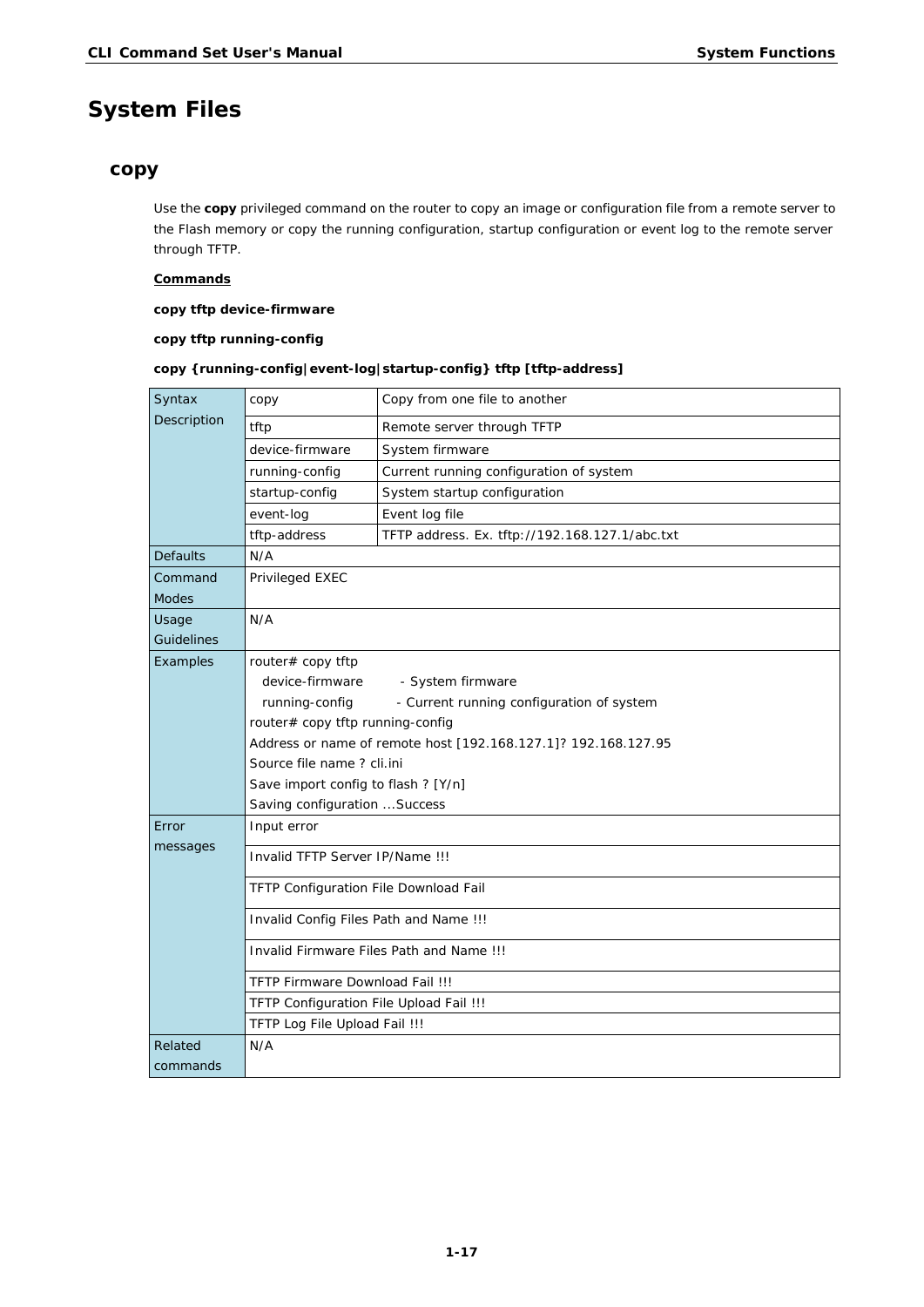# <span id="page-19-0"></span>**System Files**

## **copy**

Use the **copy** privileged command on the router to copy an image or configuration file from a remote server to the Flash memory or copy the running configuration, startup configuration or event log to the remote server through TFTP.

## **Commands**

**copy tftp device-firmware** 

**copy tftp running-config**

#### **copy {running-config|event-log|startup-config} tftp [tftp-address]**

| Syntax            | copy                                                           | Copy from one file to another                  |  |  |  |
|-------------------|----------------------------------------------------------------|------------------------------------------------|--|--|--|
| Description       | tftp                                                           | Remote server through TFTP                     |  |  |  |
|                   | device-firmware                                                | System firmware                                |  |  |  |
|                   | running-config                                                 | Current running configuration of system        |  |  |  |
|                   | startup-config                                                 | System startup configuration                   |  |  |  |
|                   | event-log                                                      | Event log file                                 |  |  |  |
|                   | tftp-address                                                   | TFTP address. Ex. tftp://192.168.127.1/abc.txt |  |  |  |
| <b>Defaults</b>   | N/A                                                            |                                                |  |  |  |
| Command           | Privileged EXEC                                                |                                                |  |  |  |
| <b>Modes</b>      |                                                                |                                                |  |  |  |
| Usage             | N/A                                                            |                                                |  |  |  |
| <b>Guidelines</b> |                                                                |                                                |  |  |  |
| Examples          | router# $copy$ tftp                                            |                                                |  |  |  |
|                   | device-firmware<br>- System firmware                           |                                                |  |  |  |
|                   | running-config<br>- Current running configuration of system    |                                                |  |  |  |
|                   | router# copy tftp running-config                               |                                                |  |  |  |
|                   | Address or name of remote host [192.168.127.1]? 192.168.127.95 |                                                |  |  |  |
|                   | Source file name ? cli.ini                                     |                                                |  |  |  |
|                   | Save import config to flash ? [Y/n]                            |                                                |  |  |  |
|                   | Saving configuration  Success                                  |                                                |  |  |  |
| Error             | Input error                                                    |                                                |  |  |  |
| messages          | Invalid TFTP Server IP/Name !!!                                |                                                |  |  |  |
|                   | TFTP Configuration File Download Fail                          |                                                |  |  |  |
|                   | Invalid Config Files Path and Name !!!                         |                                                |  |  |  |
|                   | Invalid Firmware Files Path and Name !!!                       |                                                |  |  |  |
|                   | TFTP Firmware Download Fail !!!                                |                                                |  |  |  |
|                   | TFTP Configuration File Upload Fail !!!                        |                                                |  |  |  |
|                   | TFTP Log File Upload Fail !!!                                  |                                                |  |  |  |
| Related           | N/A                                                            |                                                |  |  |  |
| commands          |                                                                |                                                |  |  |  |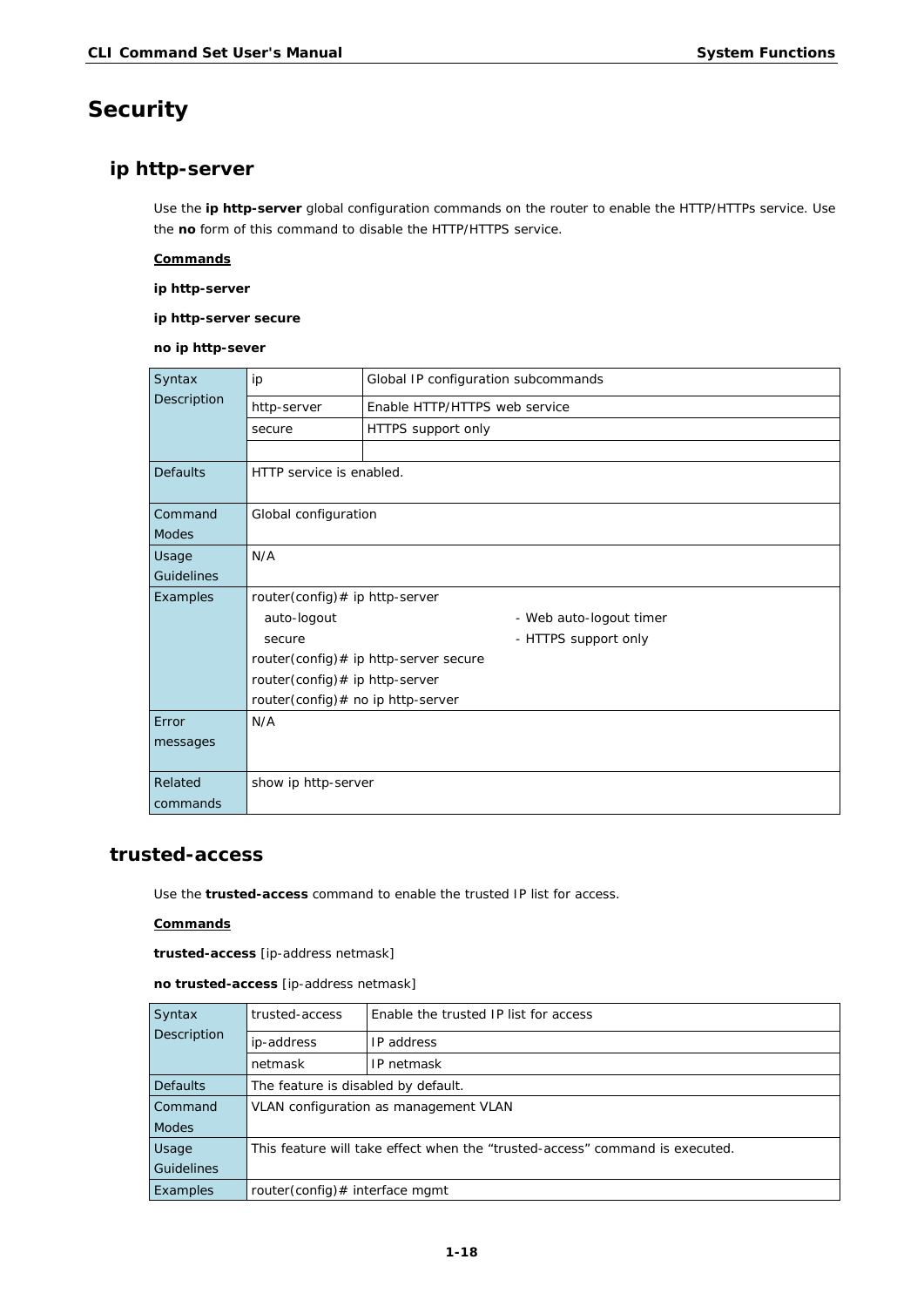## <span id="page-20-0"></span>**Security**

## **ip http-server**

Use the **ip http-server** global configuration commands on the router to enable the HTTP/HTTPs service. Use the **no** form of this command to disable the HTTP/HTTPS service.

## **Commands**

### **ip http-server**

#### **ip http-server secure**

## **no ip http-sever**

| Syntax          | ip                                | Global IP configuration subcommands   |  |  |  |
|-----------------|-----------------------------------|---------------------------------------|--|--|--|
| Description     | http-server                       | Enable HTTP/HTTPS web service         |  |  |  |
|                 | secure                            | HTTPS support only                    |  |  |  |
|                 |                                   |                                       |  |  |  |
| <b>Defaults</b> | HTTP service is enabled.          |                                       |  |  |  |
| Command         | Global configuration              |                                       |  |  |  |
| Modes           |                                   |                                       |  |  |  |
| <b>Usage</b>    | N/A                               |                                       |  |  |  |
| Guidelines      |                                   |                                       |  |  |  |
| Examples        | router(config) $#$ ip http-server |                                       |  |  |  |
|                 | auto-logout                       | - Web auto-logout timer               |  |  |  |
|                 | secure                            | - HTTPS support only                  |  |  |  |
|                 |                                   | router(config)# ip http-server secure |  |  |  |
|                 | router(config)# ip http-server    |                                       |  |  |  |
|                 | router(config)# no ip http-server |                                       |  |  |  |
| Error           | N/A                               |                                       |  |  |  |
| messages        |                                   |                                       |  |  |  |
| Related         | show ip http-server               |                                       |  |  |  |
| commands        |                                   |                                       |  |  |  |

## **trusted-access**

Use the **trusted-access** command to enable the trusted IP list for access.

## **Commands**

**trusted-access** [ip-address netmask]

**no trusted-access** [ip-address netmask]

| Syntax             | trusted-access                                                               | Enable the trusted IP list for access |  |  |
|--------------------|------------------------------------------------------------------------------|---------------------------------------|--|--|
| <b>Description</b> | ip-address                                                                   | IP address                            |  |  |
|                    | netmask                                                                      | IP netmask                            |  |  |
| <b>Defaults</b>    | The feature is disabled by default.                                          |                                       |  |  |
| Command            | VLAN configuration as management VLAN                                        |                                       |  |  |
| <b>Modes</b>       |                                                                              |                                       |  |  |
| Usage              | This feature will take effect when the "trusted-access" command is executed. |                                       |  |  |
| <b>Guidelines</b>  |                                                                              |                                       |  |  |
| Examples           | router(config)# interface mgmt                                               |                                       |  |  |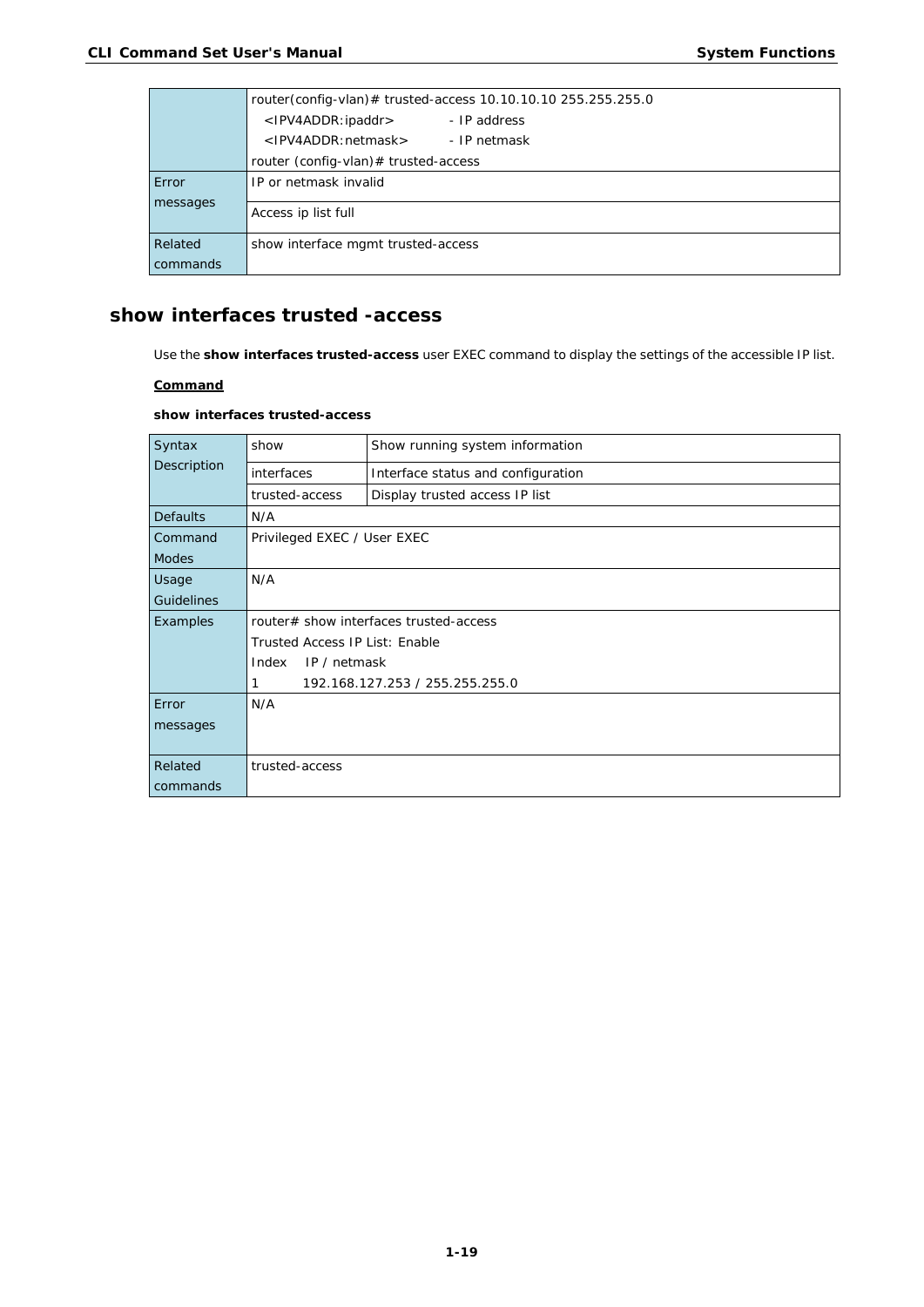|          | router(config-vlan)# trusted-access 10.10.10.10 255.255.255.0 |  |  |
|----------|---------------------------------------------------------------|--|--|
|          | $\langle$ IPV4ADDR: ipaddr $>$<br>- IP address                |  |  |
|          | $\leq$ IPV4ADDR: netmask $>$<br>- IP netmask                  |  |  |
|          | router (config-vlan)# trusted-access                          |  |  |
| Error    | IP or netmask invalid                                         |  |  |
| messages |                                                               |  |  |
|          | Access ip list full                                           |  |  |
| Related  | show interface mgmt trusted-access                            |  |  |
| commands |                                                               |  |  |

## **show interfaces trusted -access**

Use the **show interfaces trusted-access** user EXEC command to display the settings of the accessible IP list.

## **Command**

#### **show interfaces trusted-access**

| Syntax            | show                                   | Show running system information    |  |  |  |
|-------------------|----------------------------------------|------------------------------------|--|--|--|
| Description       | interfaces                             | Interface status and configuration |  |  |  |
|                   | trusted-access                         | Display trusted access IP list     |  |  |  |
| <b>Defaults</b>   | N/A                                    |                                    |  |  |  |
| Command           | Privileged EXEC / User EXEC            |                                    |  |  |  |
| <b>Modes</b>      |                                        |                                    |  |  |  |
| Usage             | N/A                                    |                                    |  |  |  |
| <b>Guidelines</b> |                                        |                                    |  |  |  |
| Examples          | router# show interfaces trusted-access |                                    |  |  |  |
|                   | Trusted Access IP List: Enable         |                                    |  |  |  |
|                   | IP / netmask<br>Index                  |                                    |  |  |  |
|                   | 1                                      | 192.168.127.253 / 255.255.255.0    |  |  |  |
| Error             | N/A                                    |                                    |  |  |  |
| messages          |                                        |                                    |  |  |  |
|                   |                                        |                                    |  |  |  |
| Related           | trusted-access                         |                                    |  |  |  |
| commands          |                                        |                                    |  |  |  |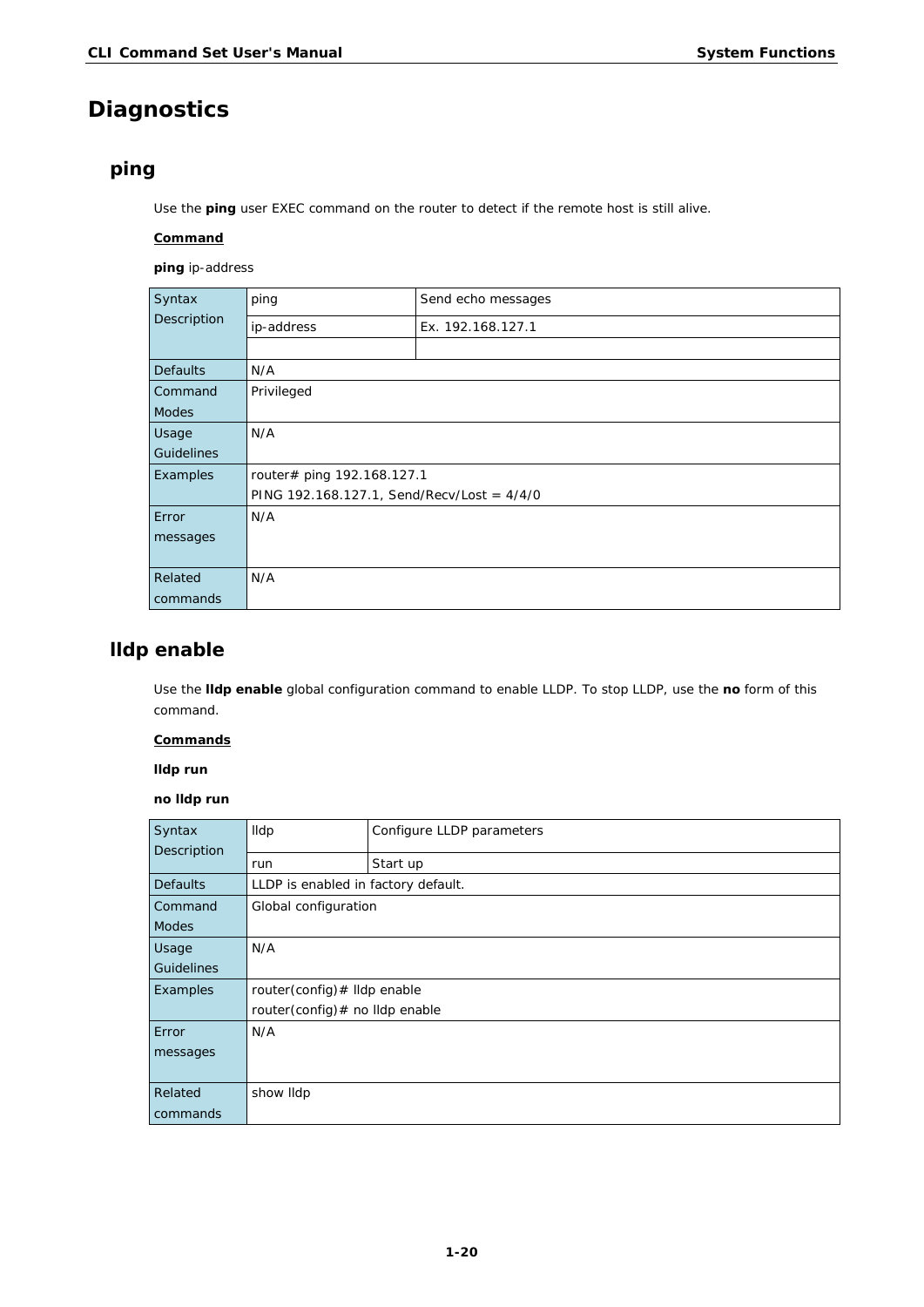# <span id="page-22-0"></span>**Diagnostics**

## **ping**

Use the **ping** user EXEC command on the router to detect if the remote host is still alive.

#### **Command**

**ping** ip-address

| Syntax          | ping                                       | Send echo messages |  |
|-----------------|--------------------------------------------|--------------------|--|
| Description     | ip-address                                 | Ex. 192.168.127.1  |  |
|                 |                                            |                    |  |
| <b>Defaults</b> | N/A                                        |                    |  |
| Command         | Privileged                                 |                    |  |
| <b>Modes</b>    |                                            |                    |  |
| Usage           | N/A                                        |                    |  |
| Guidelines      |                                            |                    |  |
| Examples        | router# ping 192.168.127.1                 |                    |  |
|                 | PING 192.168.127.1, Send/Recv/Lost = 4/4/0 |                    |  |
| Error           | N/A                                        |                    |  |
| messages        |                                            |                    |  |
|                 |                                            |                    |  |
| Related         | N/A                                        |                    |  |
| commands        |                                            |                    |  |

## **lldp enable**

Use the **lldp enable** global configuration command to enable LLDP. To stop LLDP, use the **no** form of this command.

## **Commands**

**lldp run**

## **no lldp run**

| Syntax            | <b>Ildp</b>                    | Configure LLDP parameters           |  |
|-------------------|--------------------------------|-------------------------------------|--|
| Description       | run                            | Start up                            |  |
| <b>Defaults</b>   |                                | LLDP is enabled in factory default. |  |
| Command           |                                | Global configuration                |  |
| <b>Modes</b>      |                                |                                     |  |
| Usage             | N/A                            |                                     |  |
| <b>Guidelines</b> |                                |                                     |  |
| Examples          | router(config)# lldp enable    |                                     |  |
|                   | router(config)# no lldp enable |                                     |  |
| Error             | N/A                            |                                     |  |
| messages          |                                |                                     |  |
|                   |                                |                                     |  |
| Related           | show IIdp                      |                                     |  |
| commands          |                                |                                     |  |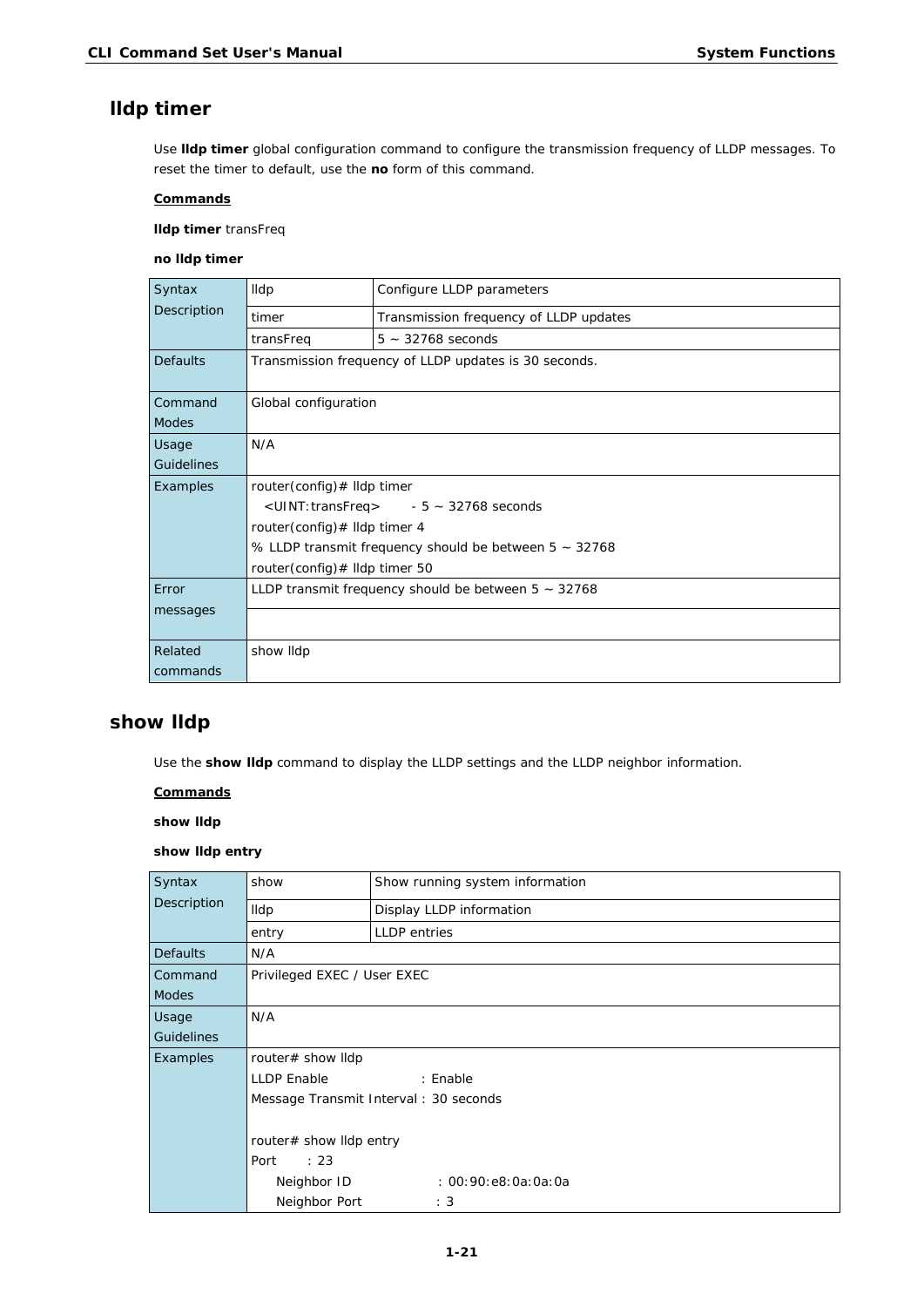## **lldp timer**

Use **lldp timer** global configuration command to configure the transmission frequency of LLDP messages. To reset the timer to default, use the **no** form of this command.

#### **Commands**

**lldp timer** transFreq

### **no lldp timer**

| Syntax          | <b>Ildp</b>                                                                                    | Configure LLDP parameters                                |  |
|-----------------|------------------------------------------------------------------------------------------------|----------------------------------------------------------|--|
| Description     | timer                                                                                          | Transmission frequency of LLDP updates                   |  |
|                 | transFreq                                                                                      | $5 \sim 32768$ seconds                                   |  |
| <b>Defaults</b> | Transmission frequency of LLDP updates is 30 seconds.                                          |                                                          |  |
| Command         | Global configuration                                                                           |                                                          |  |
| Modes           |                                                                                                |                                                          |  |
| <b>Usage</b>    | N/A                                                                                            |                                                          |  |
| Guidelines      |                                                                                                |                                                          |  |
| <b>Examples</b> | router(config) $#$ lldp timer                                                                  |                                                          |  |
|                 | $\langle$ UINT: transFreq > $-5 \sim 32768$ seconds                                            |                                                          |  |
|                 | router(config)# lldp timer 4                                                                   |                                                          |  |
|                 | % LLDP transmit frequency should be between $5 \sim 32768$<br>router(config) $#$ Ildp timer 50 |                                                          |  |
|                 |                                                                                                |                                                          |  |
| Error           |                                                                                                | LLDP transmit frequency should be between $5 \sim 32768$ |  |
| messages        |                                                                                                |                                                          |  |
|                 |                                                                                                |                                                          |  |
| Related         | show Ildp                                                                                      |                                                          |  |
| commands        |                                                                                                |                                                          |  |

## **show lldp**

Use the **show lldp** command to display the LLDP settings and the LLDP neighbor information.

#### **Commands**

**show lldp**

#### **show lldp entry**

| Syntax            | show                                  | Show running system information |  |
|-------------------|---------------------------------------|---------------------------------|--|
| Description       | <b>Ildp</b>                           | Display LLDP information        |  |
|                   | entry                                 | <b>LLDP</b> entries             |  |
| <b>Defaults</b>   | N/A                                   |                                 |  |
| Command           | Privileged EXEC / User EXEC           |                                 |  |
| <b>Modes</b>      |                                       |                                 |  |
| Usage             | N/A                                   |                                 |  |
| <b>Guidelines</b> |                                       |                                 |  |
| Examples          | router# show Ildp                     |                                 |  |
|                   | LLDP Enable                           | : Enable                        |  |
|                   | Message Transmit Interval: 30 seconds |                                 |  |
|                   |                                       |                                 |  |
|                   | router# show lldp entry               |                                 |  |
|                   | Port<br>$\therefore$ 23               |                                 |  |
|                   | Neighbor ID                           | : 00:90: e8:0a:0a:0a            |  |
|                   | Neighbor Port                         | : 3                             |  |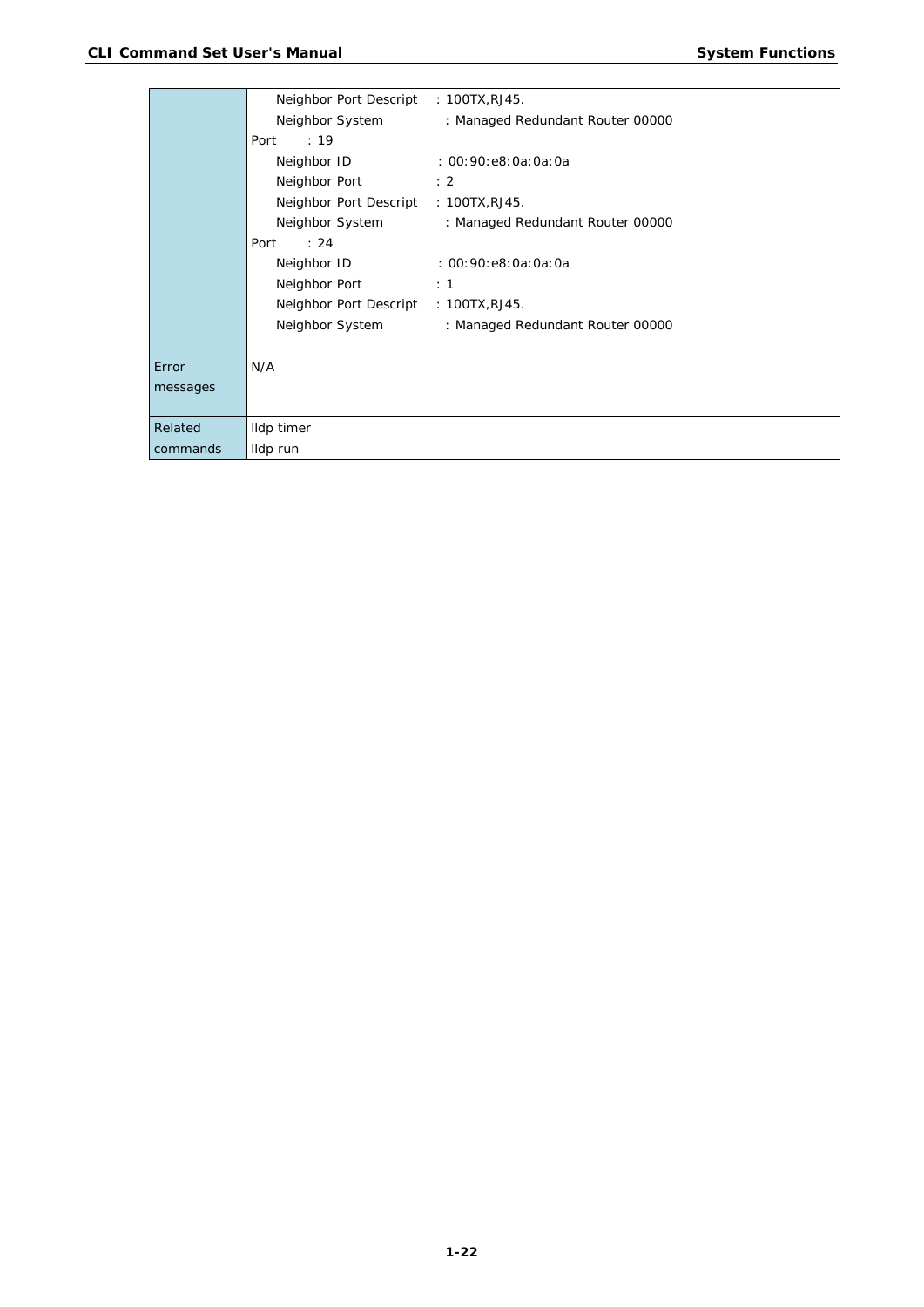|          | Neighbor Port Descript : 100TX, RJ45. |                                  |
|----------|---------------------------------------|----------------------------------|
|          | Neighbor System                       | : Managed Redundant Router 00000 |
|          | Port<br>: 19                          |                                  |
|          | Neighbor ID                           | : 00:90: e8:0a:0a:0a             |
|          | Neighbor Port                         | $\therefore$ 2                   |
|          | Neighbor Port Descript : 100TX, RJ45. |                                  |
|          | Neighbor System                       | : Managed Redundant Router 00000 |
|          | : 24<br>Port                          |                                  |
|          | Neighbor ID                           | : 00:90: e8:0a:0a:0a             |
|          | Neighbor Port                         | $\therefore$ 1                   |
|          | Neighbor Port Descript                | : 100TX, RJ45.                   |
|          | Neighbor System                       | : Managed Redundant Router 00000 |
|          |                                       |                                  |
| Error    | N/A                                   |                                  |
| messages |                                       |                                  |
|          |                                       |                                  |
| Related  | lldp timer                            |                                  |
| commands | lldp run                              |                                  |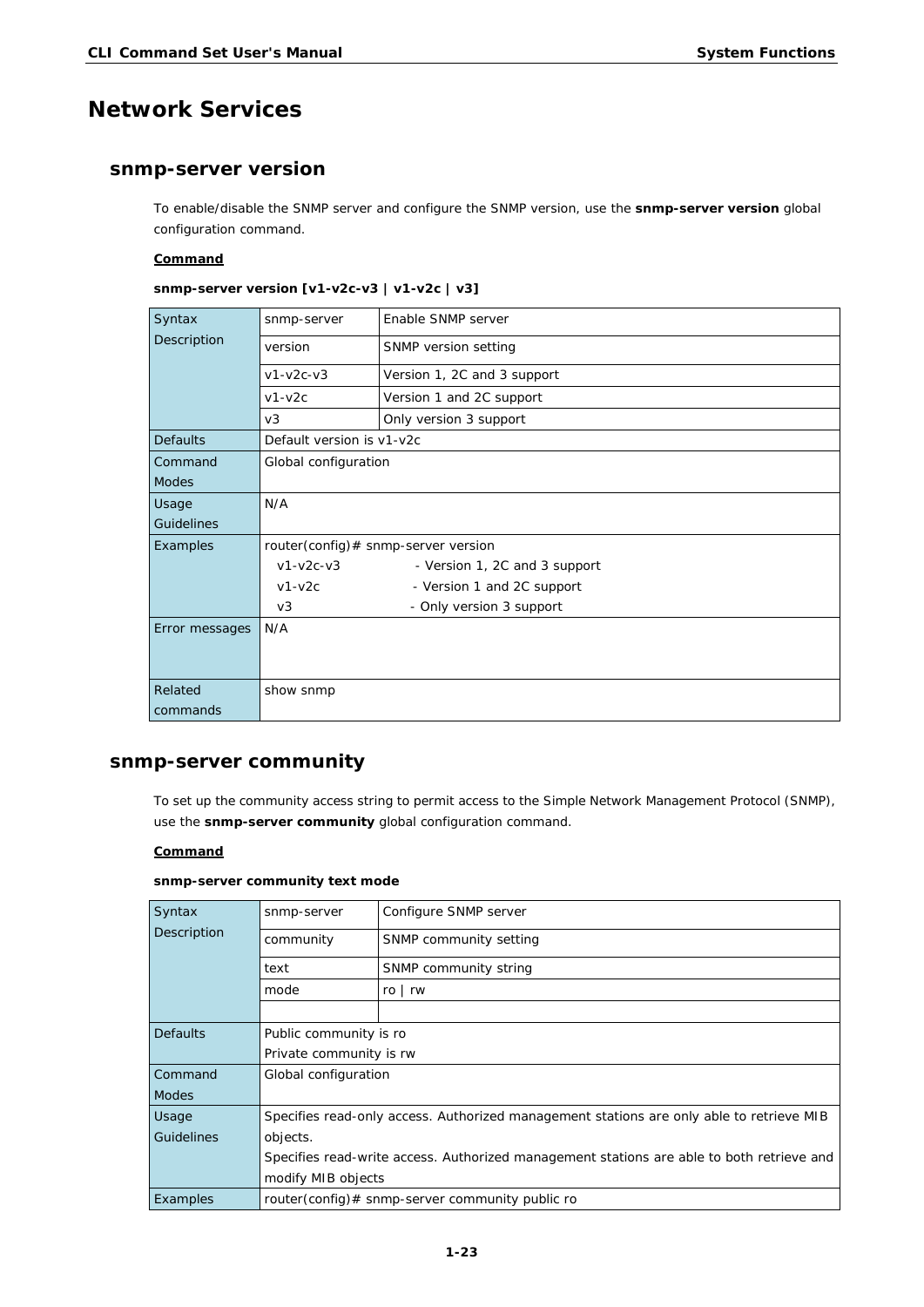## <span id="page-25-0"></span>**Network Services**

## **snmp-server version**

To enable/disable the SNMP server and configure the SNMP version, use the **snmp-server version** global configuration command.

#### **Command**

| snmp-server version [v1-v2c-v3   v1-v2c   v3] |  |  |
|-----------------------------------------------|--|--|
|                                               |  |  |

| Syntax            | snmp-server                         | Enable SNMP server            |
|-------------------|-------------------------------------|-------------------------------|
| Description       | version                             | SNMP version setting          |
|                   | $v1-v2c-v3$                         | Version 1, 2C and 3 support   |
|                   | $v1-v2c$                            | Version 1 and 2C support      |
|                   | v3                                  | Only version 3 support        |
| <b>Defaults</b>   | Default version is v1-v2c           |                               |
| Command           | Global configuration                |                               |
| <b>Modes</b>      |                                     |                               |
| Usage             | N/A                                 |                               |
| <b>Guidelines</b> |                                     |                               |
| Examples          | router(config)# snmp-server version |                               |
|                   | $v1-v2c-v3$                         | - Version 1, 2C and 3 support |
|                   | $v1-v2c$                            | - Version 1 and 2C support    |
|                   | V <sub>3</sub>                      | - Only version 3 support      |
| Error messages    | N/A                                 |                               |
|                   |                                     |                               |
|                   |                                     |                               |
| Related           | show snmp                           |                               |
| commands          |                                     |                               |

## **snmp-server community**

To set up the community access string to permit access to the Simple Network Management Protocol (SNMP), use the **snmp-server community** global configuration command.

## **Command**

#### **snmp-server community text mode**

| Syntax            | snmp-server                                                                               | Configure SNMP server  |
|-------------------|-------------------------------------------------------------------------------------------|------------------------|
| Description       | community                                                                                 | SNMP community setting |
|                   | text                                                                                      | SNMP community string  |
|                   | mode                                                                                      | $ro$   rw              |
|                   |                                                                                           |                        |
| Defaults          | Public community is ro<br>Private community is rw                                         |                        |
|                   |                                                                                           |                        |
| Command           | Global configuration                                                                      |                        |
| <b>Modes</b>      |                                                                                           |                        |
| <b>Usage</b>      | Specifies read-only access. Authorized management stations are only able to retrieve MIB  |                        |
| <b>Guidelines</b> | objects.                                                                                  |                        |
|                   | Specifies read-write access. Authorized management stations are able to both retrieve and |                        |
|                   | modify MIB objects                                                                        |                        |
| Examples          | router(config)# snmp-server community public ro                                           |                        |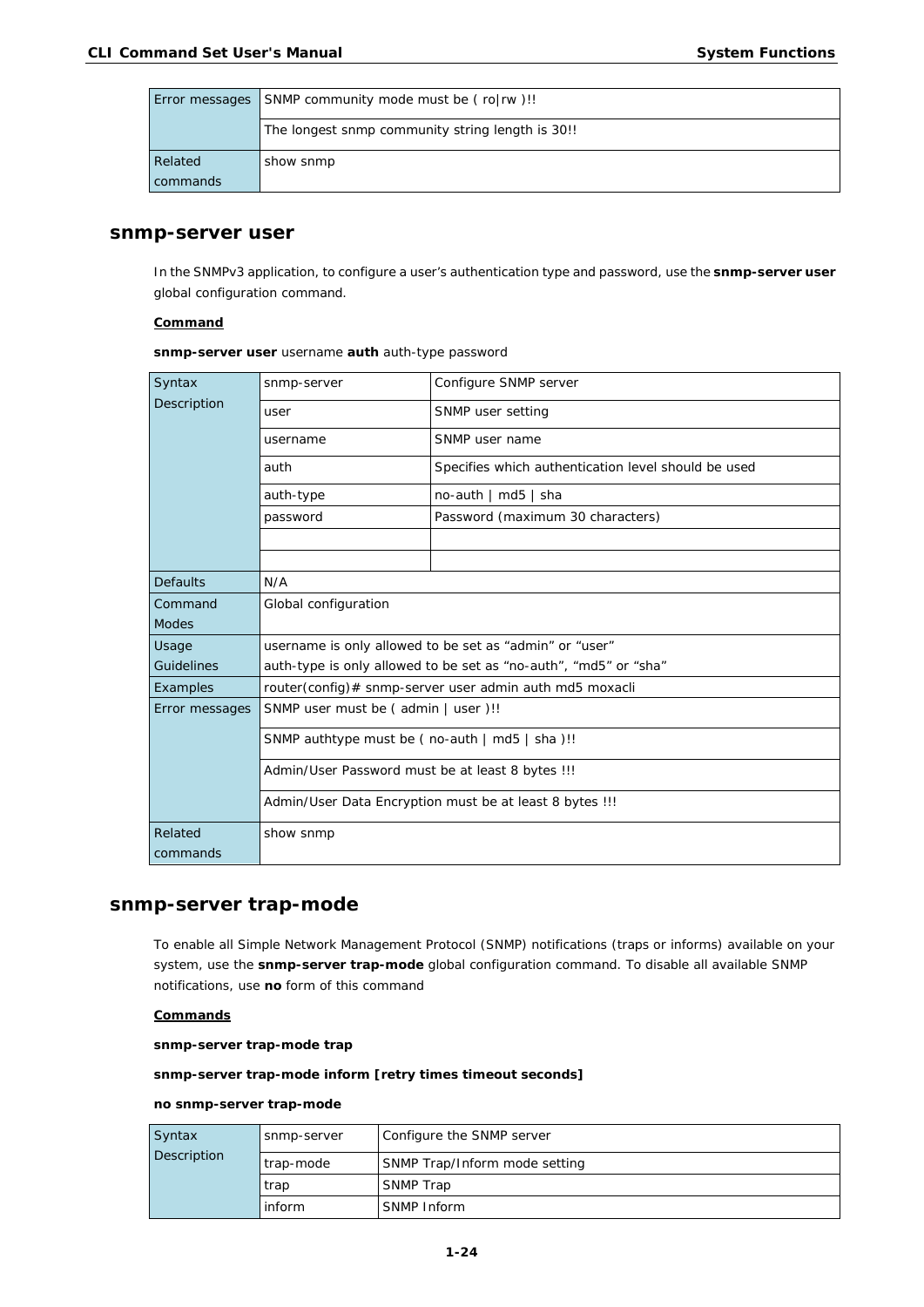|          | Error messages SNMP community mode must be (rolrw)!! |
|----------|------------------------------------------------------|
|          | The longest snmp community string length is 30!!     |
| Related  | show snmp                                            |
| commands |                                                      |

## **snmp-server user**

In the SNMPv3 application, to configure a user's authentication type and password, use the **snmp-server user**  global configuration command.

#### **Command**

**snmp-server user** username **auth** auth-type password

| Syntax                                                | snmp-server                                                      | Configure SNMP server                               |  |
|-------------------------------------------------------|------------------------------------------------------------------|-----------------------------------------------------|--|
| Description                                           | user                                                             | SNMP user setting                                   |  |
|                                                       | username                                                         | SNMP user name                                      |  |
|                                                       | auth                                                             | Specifies which authentication level should be used |  |
|                                                       | auth-type                                                        | $no$ -auth   md5   sha                              |  |
|                                                       | password                                                         | Password (maximum 30 characters)                    |  |
|                                                       |                                                                  |                                                     |  |
|                                                       |                                                                  |                                                     |  |
| <b>Defaults</b>                                       | N/A                                                              |                                                     |  |
| Command                                               | Global configuration                                             |                                                     |  |
| <b>Modes</b>                                          |                                                                  |                                                     |  |
| Usage                                                 | username is only allowed to be set as "admin" or "user"          |                                                     |  |
| <b>Guidelines</b>                                     | auth-type is only allowed to be set as "no-auth", "md5" or "sha" |                                                     |  |
| Examples                                              | router(config)# snmp-server user admin auth md5 moxacli          |                                                     |  |
| SNMP user must be (admin   user )!!<br>Error messages |                                                                  |                                                     |  |
|                                                       | SNMP authtype must be (no-auth   md5   sha)!!                    |                                                     |  |
|                                                       | Admin/User Password must be at least 8 bytes !!!                 |                                                     |  |
|                                                       | Admin/User Data Encryption must be at least 8 bytes !!!          |                                                     |  |
| Related                                               | show snmp                                                        |                                                     |  |
| commands                                              |                                                                  |                                                     |  |

## **snmp-server trap-mode**

To enable all Simple Network Management Protocol (SNMP) notifications (traps or informs) available on your system, use the **snmp-server trap-mode** global configuration command. To disable all available SNMP notifications, use **no** form of this command

#### **Commands**

**snmp-server trap-mode trap**

#### **snmp-server trap-mode inform [retry times timeout seconds]**

#### **no snmp-server trap-mode**

| Syntax<br>Description | snmp-server | Configure the SNMP server     |
|-----------------------|-------------|-------------------------------|
|                       | trap-mode   | SNMP Trap/Inform mode setting |
|                       | trap        | <b>SNMP Trap</b>              |
|                       | inform      | SNMP Inform                   |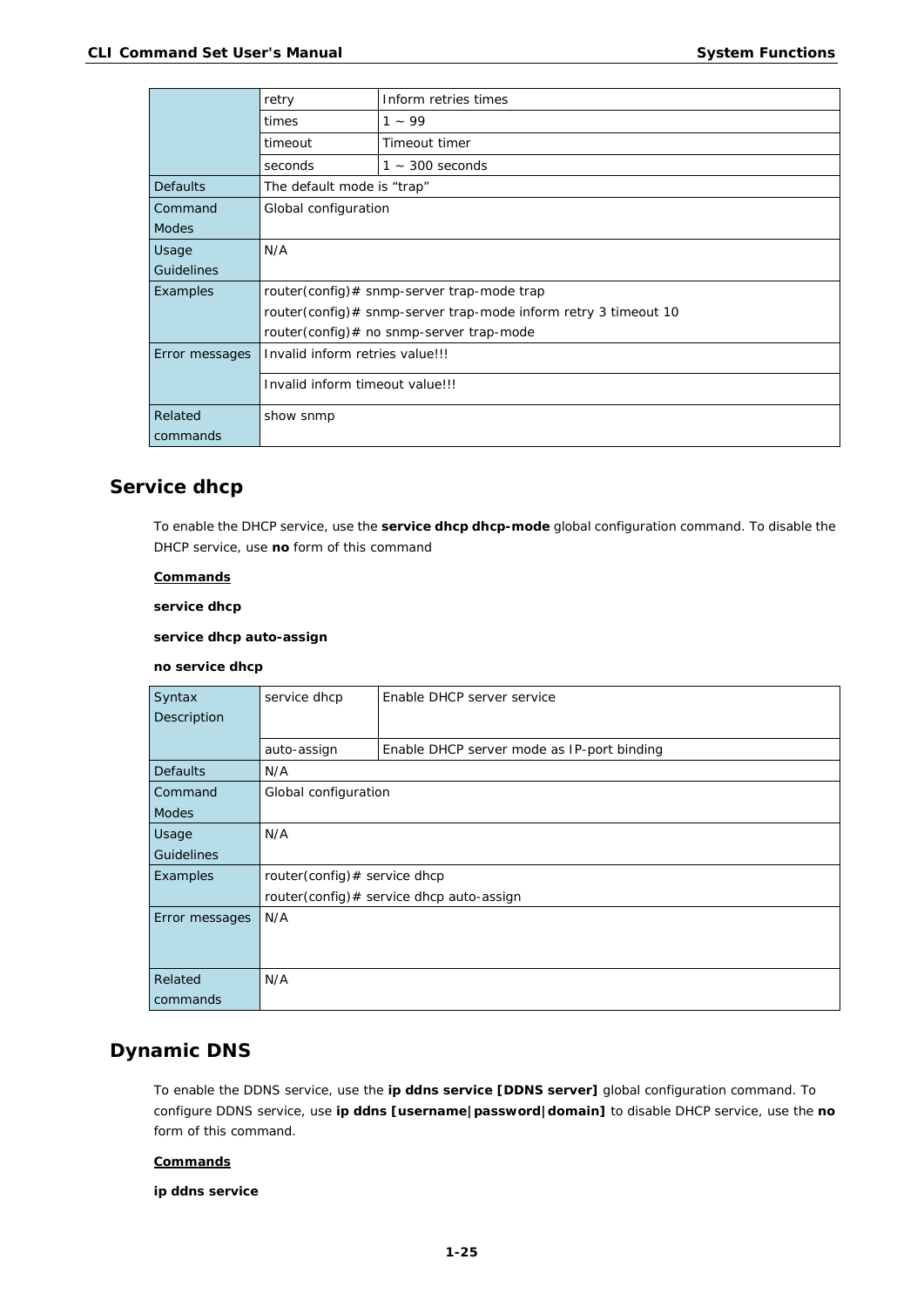|                 | retry                                                           | Inform retries times |
|-----------------|-----------------------------------------------------------------|----------------------|
|                 | times                                                           | $1 - 99$             |
|                 | timeout                                                         | Timeout timer        |
|                 | seconds                                                         | $1 - 300$ seconds    |
| <b>Defaults</b> | The default mode is "trap"                                      |                      |
| Command         | Global configuration                                            |                      |
| <b>Modes</b>    |                                                                 |                      |
| Usage           | N/A                                                             |                      |
| Guidelines      |                                                                 |                      |
| Examples        | router(config)# snmp-server trap-mode trap                      |                      |
|                 | router(config)# snmp-server trap-mode inform retry 3 timeout 10 |                      |
|                 | router(config)# no snmp-server trap-mode                        |                      |
| Error messages  | Invalid inform retries value!!!                                 |                      |
|                 | Invalid inform timeout value!!!                                 |                      |
| Related         | show snmp                                                       |                      |
| commands        |                                                                 |                      |

## **Service dhcp**

To enable the DHCP service, use the **service dhcp dhcp-mode** global configuration command. To disable the DHCP service, use **no** form of this command

#### **Commands**

#### **service dhcp**

#### **service dhcp auto-assign**

#### **no service dhcp**

| Syntax            | service dhcp                    | Enable DHCP server service                 |
|-------------------|---------------------------------|--------------------------------------------|
| Description       |                                 |                                            |
|                   | auto-assign                     | Enable DHCP server mode as IP-port binding |
| <b>Defaults</b>   | N/A                             |                                            |
| Command           | Global configuration            |                                            |
| <b>Modes</b>      |                                 |                                            |
| Usage             | N/A                             |                                            |
| <b>Guidelines</b> |                                 |                                            |
| Examples          | router(config) $#$ service dhcp |                                            |
|                   |                                 | router(config)# service dhcp auto-assign   |
| Error messages    | N/A                             |                                            |
|                   |                                 |                                            |
|                   |                                 |                                            |
| Related           | N/A                             |                                            |
| commands          |                                 |                                            |

## **Dynamic DNS**

To enable the DDNS service, use the **ip ddns service [DDNS server]** global configuration command. To configure DDNS service, use **ip ddns [username|password|domain]** to disable DHCP service, use the **no**  form of this command.

#### **Commands**

**ip ddns service**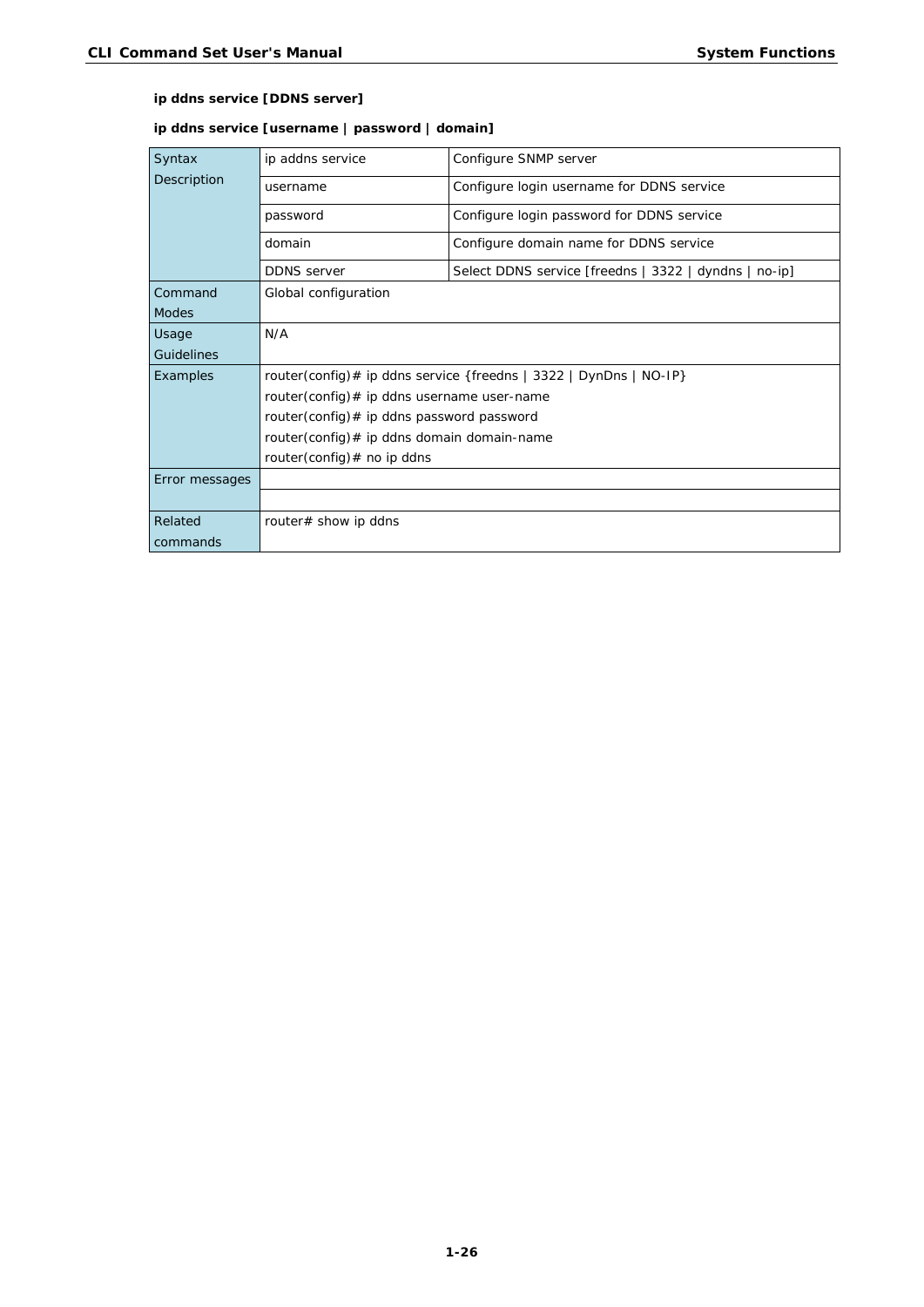## **ip ddns service [DDNS server]**

## **ip ddns service [username | password | domain]**

| Syntax                  | Configure SNMP server<br>ip addns service                         |                                                                                        |  |  |  |
|-------------------------|-------------------------------------------------------------------|----------------------------------------------------------------------------------------|--|--|--|
| Description             | username                                                          | Configure login username for DDNS service<br>Configure login password for DDNS service |  |  |  |
|                         | password                                                          |                                                                                        |  |  |  |
|                         | domain                                                            | Configure domain name for DDNS service                                                 |  |  |  |
|                         | <b>DDNS</b> server                                                | Select DDNS service [freedns   3322   dyndns   no-ip]                                  |  |  |  |
| Command<br><b>Modes</b> | Global configuration                                              |                                                                                        |  |  |  |
|                         |                                                                   |                                                                                        |  |  |  |
| Usage                   | N/A                                                               |                                                                                        |  |  |  |
| <b>Guidelines</b>       |                                                                   |                                                                                        |  |  |  |
| Examples                | router(config)# ip ddns service {freedns   3322   DynDns   NO-IP} |                                                                                        |  |  |  |
|                         | router(config)# ip ddns username user-name                        |                                                                                        |  |  |  |
|                         | router(config)# ip ddns password password                         |                                                                                        |  |  |  |
|                         | router(config)# ip ddns domain domain-name                        |                                                                                        |  |  |  |
|                         | router(config) $#$ no ip ddns                                     |                                                                                        |  |  |  |
| Error messages          |                                                                   |                                                                                        |  |  |  |
|                         |                                                                   |                                                                                        |  |  |  |
| Related                 | router# show ip ddns                                              |                                                                                        |  |  |  |
| commands                |                                                                   |                                                                                        |  |  |  |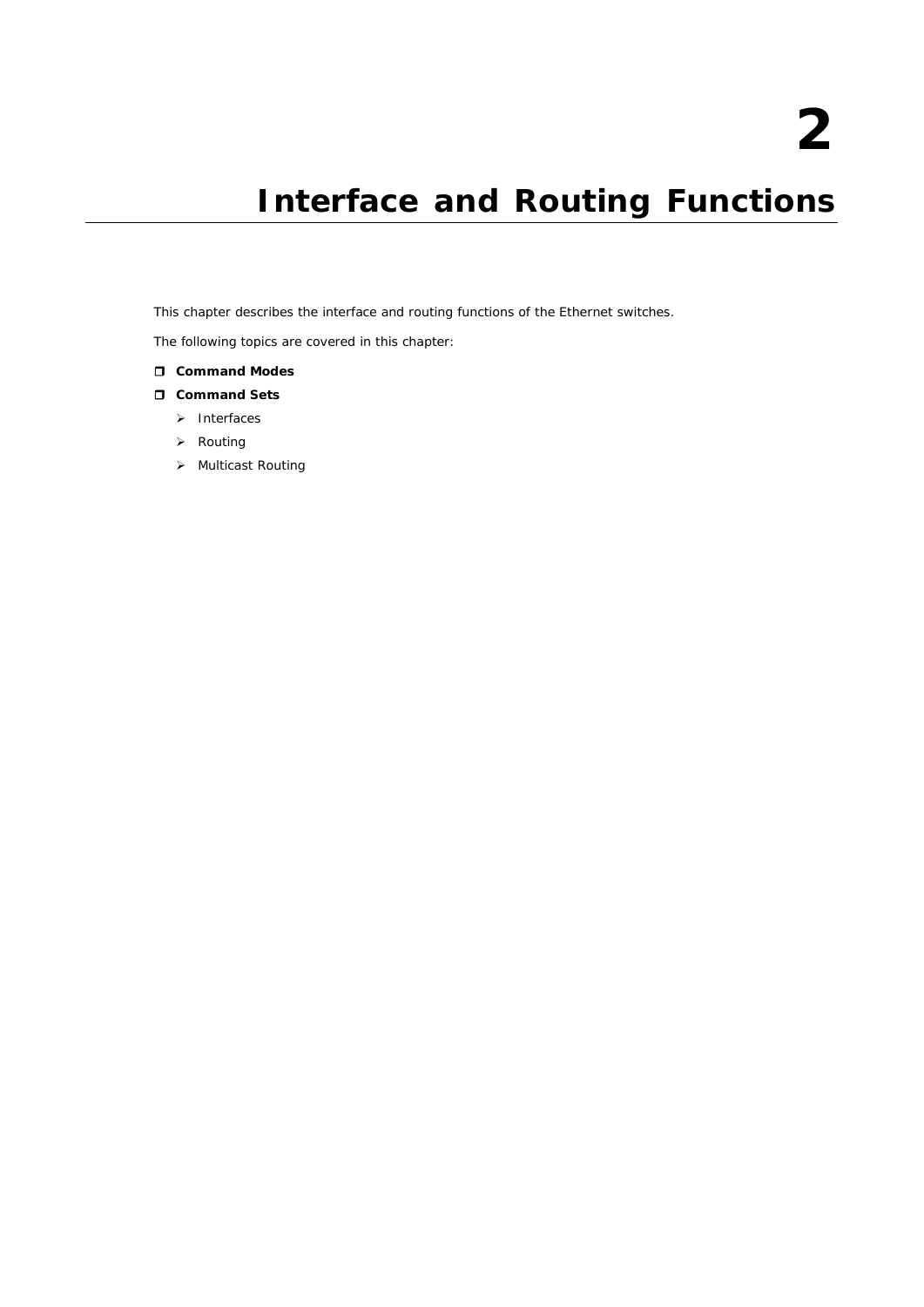# **2. Interface and Routing Functions**

<span id="page-29-0"></span>This chapter describes the interface and routing functions of the Ethernet switches.

The following topics are covered in this chapter:

- **[Command Modes](#page-30-0)**
- **[Command Sets](#page-31-0)**
	- $\triangleright$  [Interfaces](#page-31-1)
	- [Routing](#page-31-2)
	- [Multicast Routing](#page-33-0)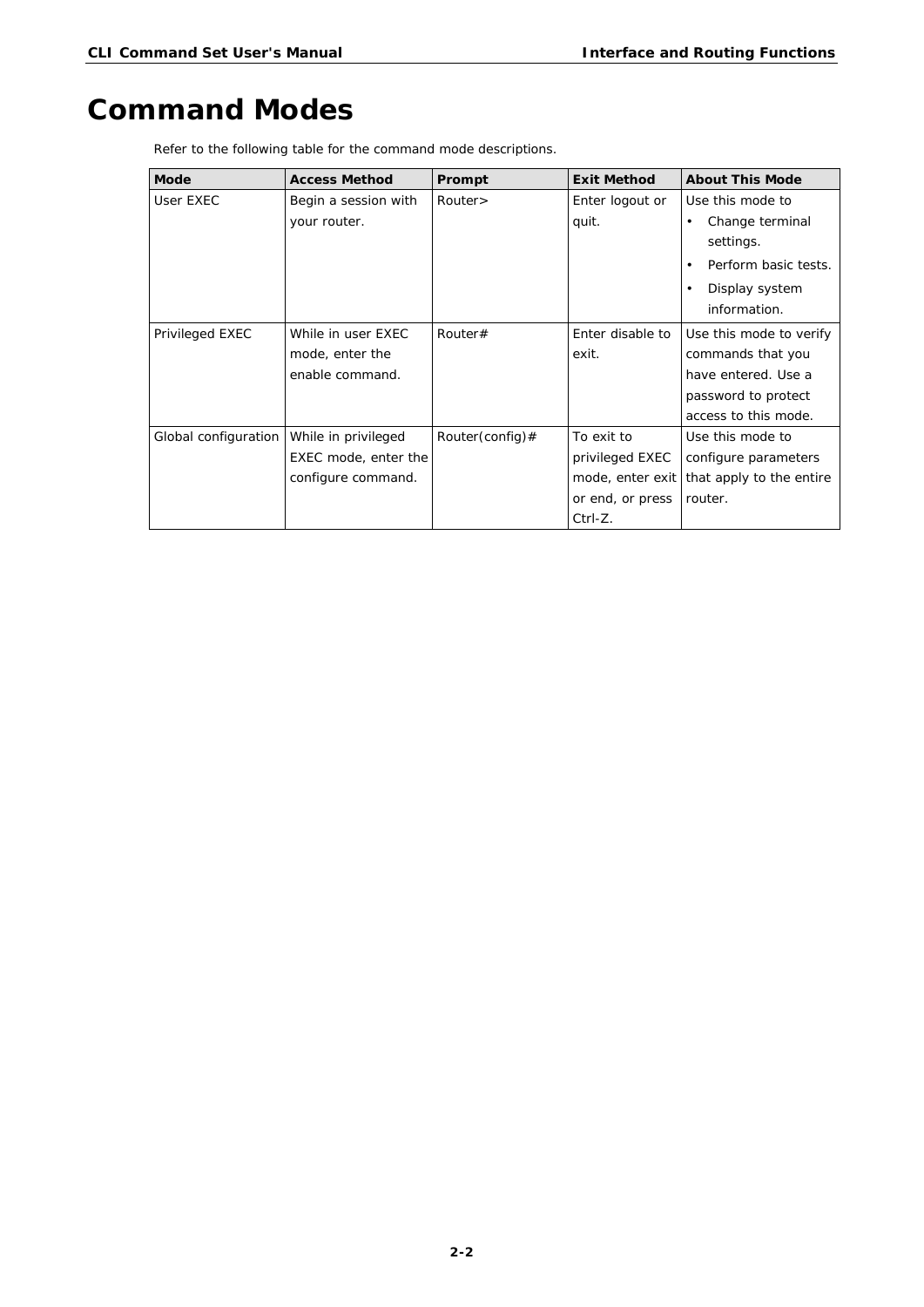# <span id="page-30-0"></span>**Command Modes**

Refer to the following table for the command mode descriptions.

| <b>Mode</b>          | <b>Access Method</b> | Prompt          | <b>Exit Method</b> | <b>About This Mode</b>                      |
|----------------------|----------------------|-----------------|--------------------|---------------------------------------------|
| User EXEC            | Begin a session with | Router>         | Enter logout or    | Use this mode to                            |
|                      | your router.         |                 | quit.              | Change terminal<br>$\bullet$                |
|                      |                      |                 |                    | settings.                                   |
|                      |                      |                 |                    | Perform basic tests.<br>$\bullet$           |
|                      |                      |                 |                    | Display system<br>$\bullet$                 |
|                      |                      |                 |                    | information.                                |
| Privileged EXEC      | While in user EXEC   | Router $#$      | Enter disable to   | Use this mode to verify                     |
|                      | mode, enter the      |                 | exit.              | commands that you                           |
|                      | enable command.      |                 |                    | have entered. Use a                         |
|                      |                      |                 |                    | password to protect                         |
|                      |                      |                 |                    | access to this mode.                        |
| Global configuration | While in privileged  | Router(config)# | To exit to         | Use this mode to                            |
|                      | EXEC mode, enter the |                 | privileged EXEC    | configure parameters                        |
|                      | configure command.   |                 |                    | mode, enter exit   that apply to the entire |
|                      |                      |                 | or end, or press   | router.                                     |
|                      |                      |                 | Ctrl-Z.            |                                             |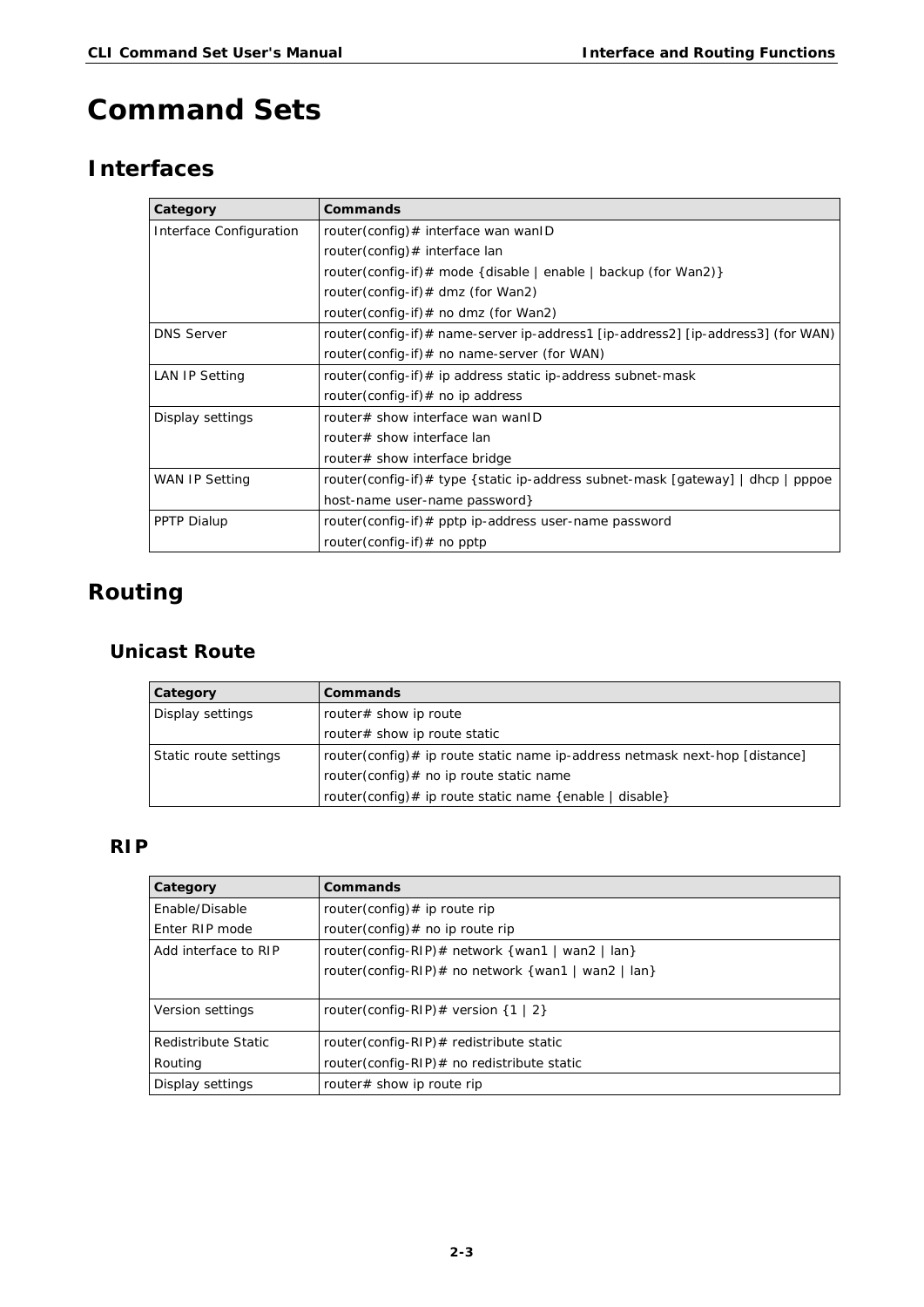# <span id="page-31-0"></span>**Command Sets**

# <span id="page-31-1"></span>**Interfaces**

| Category                | Commands                                                                         |  |  |  |
|-------------------------|----------------------------------------------------------------------------------|--|--|--|
| Interface Configuration | router(config)# interface wan wanID                                              |  |  |  |
|                         | router(config)# interface lan                                                    |  |  |  |
|                         | router(config-if)# mode { disable   enable   backup (for Wan2) }                 |  |  |  |
|                         | router(config-if)# dmz (for Wan2)                                                |  |  |  |
|                         | router(config-if) $#$ no dmz (for Wan2)                                          |  |  |  |
| <b>DNS Server</b>       | router(config-if)# name-server ip-address1 [ip-address2] [ip-address3] (for WAN) |  |  |  |
|                         | router(config-if) $#$ no name-server (for WAN)                                   |  |  |  |
| <b>LAN IP Setting</b>   | router(config-if)# ip address static ip-address subnet-mask                      |  |  |  |
|                         | router(config-if) $#$ no ip address                                              |  |  |  |
| Display settings        | router# show interface wan wanID                                                 |  |  |  |
|                         | router# show interface lan                                                       |  |  |  |
|                         | router# show interface bridge                                                    |  |  |  |
| WAN IP Setting          | router(config-if)# type {static ip-address subnet-mask [gateway]   dhcp   pppoe  |  |  |  |
|                         | host-name user-name password}                                                    |  |  |  |
| PPTP Dialup             | router(config-if)# pptp ip-address user-name password                            |  |  |  |
|                         | router(config-if) $#$ no pptp                                                    |  |  |  |

# <span id="page-31-2"></span>**Routing**

## **Unicast Route**

| Category              | Commands                                                                    |  |  |
|-----------------------|-----------------------------------------------------------------------------|--|--|
| Display settings      | router# show ip route                                                       |  |  |
|                       | router# show ip route static                                                |  |  |
| Static route settings | router(config)# ip route static name ip-address netmask next-hop [distance] |  |  |
|                       | router(config)# no ip route static name                                     |  |  |
|                       | router(config)# ip route static name {enable   disable}                     |  |  |

## **RIP**

| Category                                              | Commands                                           |  |  |
|-------------------------------------------------------|----------------------------------------------------|--|--|
| Enable/Disable                                        | router(config) $#$ ip route rip                    |  |  |
| Enter RIP mode                                        | router(config) $#$ no ip route rip                 |  |  |
| Add interface to RIP                                  | router(config-RIP)# network {wan1   wan2   lan}    |  |  |
|                                                       | router(config-RIP)# no network {wan1   wan2   lan} |  |  |
|                                                       |                                                    |  |  |
| Version settings                                      | router(config-RIP)# version $\{1   2\}$            |  |  |
| Redistribute Static                                   | router(config-RIP)# redistribute static            |  |  |
| router(config-RIP)# no redistribute static<br>Routing |                                                    |  |  |
| Display settings                                      | router# show ip route rip                          |  |  |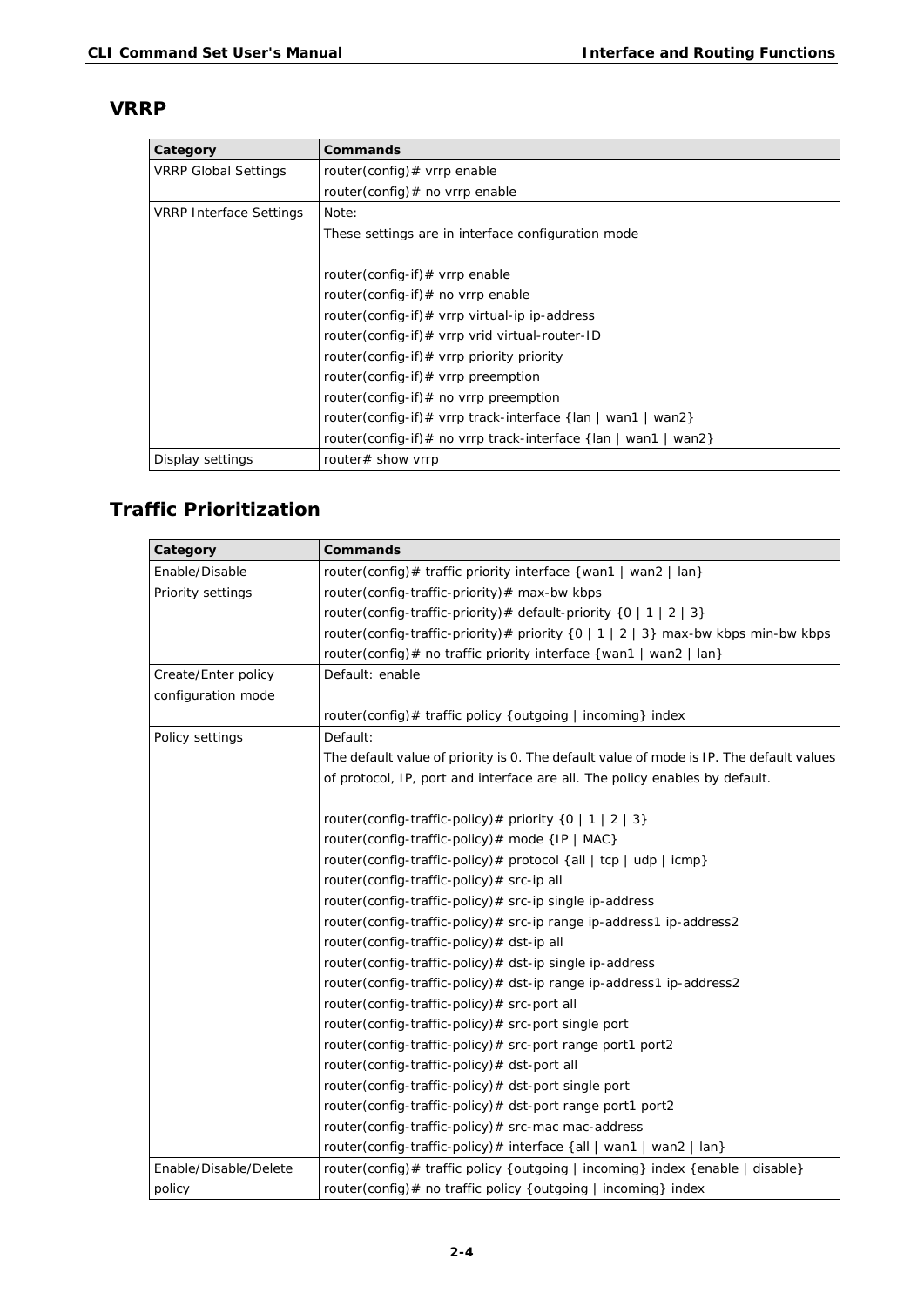## **VRRP**

| Category                       | Commands                                                                     |  |  |
|--------------------------------|------------------------------------------------------------------------------|--|--|
| <b>VRRP Global Settings</b>    | router(config) $#$ vrrp enable                                               |  |  |
|                                | router(config) $#$ no vrrp enable                                            |  |  |
| <b>VRRP Interface Settings</b> | Note:                                                                        |  |  |
|                                | These settings are in interface configuration mode                           |  |  |
|                                |                                                                              |  |  |
|                                | router(config-if) $#$ vrrp enable                                            |  |  |
|                                | router(config-if) $#$ no vrrp enable                                         |  |  |
|                                | router(config-if)# vrrp virtual-ip ip-address                                |  |  |
|                                | router(config-if)# vrrp vrid virtual-router-ID                               |  |  |
|                                | router(config-if)# vrrp priority priority                                    |  |  |
|                                | router(config-if) $#$ vrrp preemption                                        |  |  |
|                                | router(config-if) $#$ no vrrp preemption                                     |  |  |
|                                | router(config-if)# vrrp track-interface { $\{ \text{lan} \}$ wan1 $\}$ wan2} |  |  |
|                                | router(config-if)# no vrrp track-interface { $lan   wan1   wan2$ }           |  |  |
| Display settings               | router# show vrrp                                                            |  |  |

# **Traffic Prioritization**

| Category              | Commands                                                                                |  |  |
|-----------------------|-----------------------------------------------------------------------------------------|--|--|
| Enable/Disable        | router(config)# traffic priority interface {wan1   wan2   lan}                          |  |  |
| Priority settings     | router(config-traffic-priority)# max-bw kbps                                            |  |  |
|                       | router(config-traffic-priority)# default-priority $\{0   1   2   3\}$                   |  |  |
|                       | router(config-traffic-priority)# priority {0   1   2   3} max-bw kbps min-bw kbps       |  |  |
|                       | router(config)# no traffic priority interface {wan1   wan2   lan}                       |  |  |
| Create/Enter policy   | Default: enable                                                                         |  |  |
| configuration mode    |                                                                                         |  |  |
|                       | router(config)# traffic policy { outgoing   incoming} index                             |  |  |
| Policy settings       | Default:                                                                                |  |  |
|                       | The default value of priority is 0. The default value of mode is IP. The default values |  |  |
|                       | of protocol, IP, port and interface are all. The policy enables by default.             |  |  |
|                       |                                                                                         |  |  |
|                       | router(config-traffic-policy)# priority $\{0   1   2   3\}$                             |  |  |
|                       | router(config-traffic-policy)# mode {IP   MAC}                                          |  |  |
|                       | router(config-traffic-policy)# protocol { all   tcp   udp   icmp}                       |  |  |
|                       | router(config-traffic-policy)# src-ip all                                               |  |  |
|                       | router(config-traffic-policy)# src-ip single ip-address                                 |  |  |
|                       | router(config-traffic-policy)# src-ip range ip-address1 ip-address2                     |  |  |
|                       | router(config-traffic-policy)# dst-ip all                                               |  |  |
|                       | router(config-traffic-policy)# dst-ip single ip-address                                 |  |  |
|                       | router(config-traffic-policy)# dst-ip range ip-address1 ip-address2                     |  |  |
|                       | router(config-traffic-policy)# src-port all                                             |  |  |
|                       | router(config-traffic-policy)# src-port single port                                     |  |  |
|                       | router(config-traffic-policy)# src-port range port1 port2                               |  |  |
|                       | router(config-traffic-policy)# dst-port all                                             |  |  |
|                       | router(config-traffic-policy)# dst-port single port                                     |  |  |
|                       | router(config-traffic-policy)# dst-port range port1 port2                               |  |  |
|                       | router(config-traffic-policy)# src-mac mac-address                                      |  |  |
|                       | router(config-traffic-policy)# interface { all   wan1   wan2   lan}                     |  |  |
| Enable/Disable/Delete | router(config)# traffic policy {outgoing   incoming} index {enable   disable}           |  |  |
| policy                | router(config)# no traffic policy { outgoing   incoming} index                          |  |  |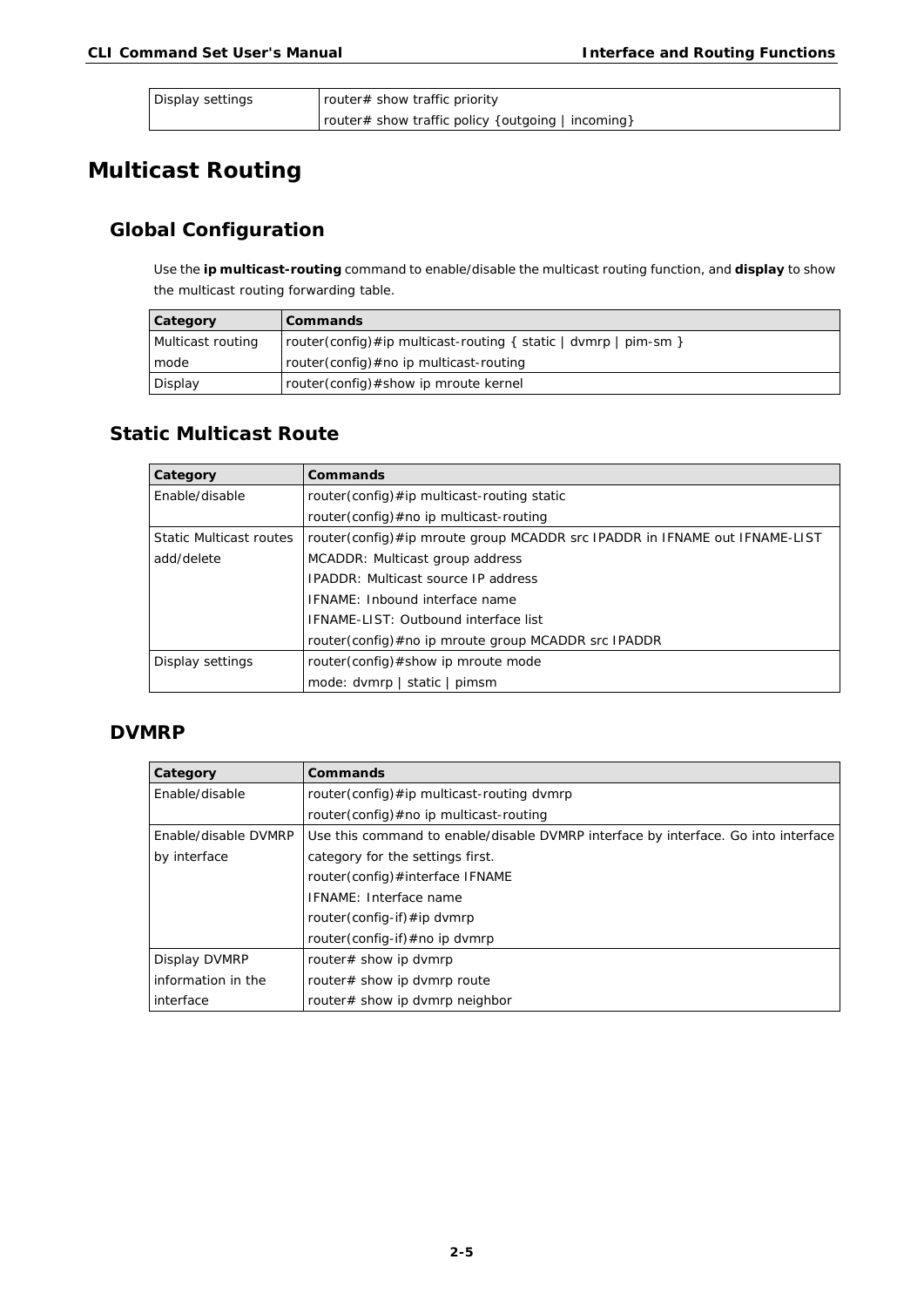| Display settings | router# show traffic priority                     |
|------------------|---------------------------------------------------|
|                  | router# show traffic policy {outgoing   incoming} |

# <span id="page-33-0"></span>**Multicast Routing**

## **Global Configuration**

Use the **ip multicast-routing** command to enable/disable the multicast routing function, and **display** to show the multicast routing forwarding table.

| <b>Category</b>   | <b>Commands</b>                                                 |
|-------------------|-----------------------------------------------------------------|
| Multicast routing | router(config)#ip multicast-routing { static   dvmrp   pim-sm } |
| mode              | router(config)#no ip multicast-routing                          |
| Display           | router(config)#show ip mroute kernel                            |

## **Static Multicast Route**

| Category                       | Commands                                                                   |  |  |  |
|--------------------------------|----------------------------------------------------------------------------|--|--|--|
| Enable/disable                 | router(config)#ip multicast-routing static                                 |  |  |  |
|                                | router(config)#no ip multicast-routing                                     |  |  |  |
| <b>Static Multicast routes</b> | router(config)#ip mroute group MCADDR src IPADDR in IFNAME out IFNAME-LIST |  |  |  |
| add/delete                     | MCADDR: Multicast group address                                            |  |  |  |
|                                | <b>IPADDR: Multicast source IP address</b>                                 |  |  |  |
|                                | IFNAME: Inbound interface name                                             |  |  |  |
|                                | IFNAME-LIST: Outbound interface list                                       |  |  |  |
|                                | router(config)#no ip mroute group MCADDR src IPADDR                        |  |  |  |
| Display settings               | router(config)#show ip mroute mode                                         |  |  |  |
|                                | mode: dvmrp   static   pimsm                                               |  |  |  |

## **DVMRP**

| Category             | Commands                                                                           |  |  |
|----------------------|------------------------------------------------------------------------------------|--|--|
| Enable/disable       | router(config)#ip multicast-routing dymrp                                          |  |  |
|                      | router(config)#no ip multicast-routing                                             |  |  |
| Enable/disable DVMRP | Use this command to enable/disable DVMRP interface by interface. Go into interface |  |  |
| by interface         | category for the settings first.                                                   |  |  |
|                      | router(config)#interface IFNAME                                                    |  |  |
|                      | IFNAME: Interface name                                                             |  |  |
|                      | router(config-if)#ip dymrp                                                         |  |  |
|                      | router(config-if)#no ip dymrp                                                      |  |  |
| Display DVMRP        | router# show ip dvmrp                                                              |  |  |
| information in the   | router# show ip dymrp route                                                        |  |  |
| interface            | router# show ip dymrp neighbor                                                     |  |  |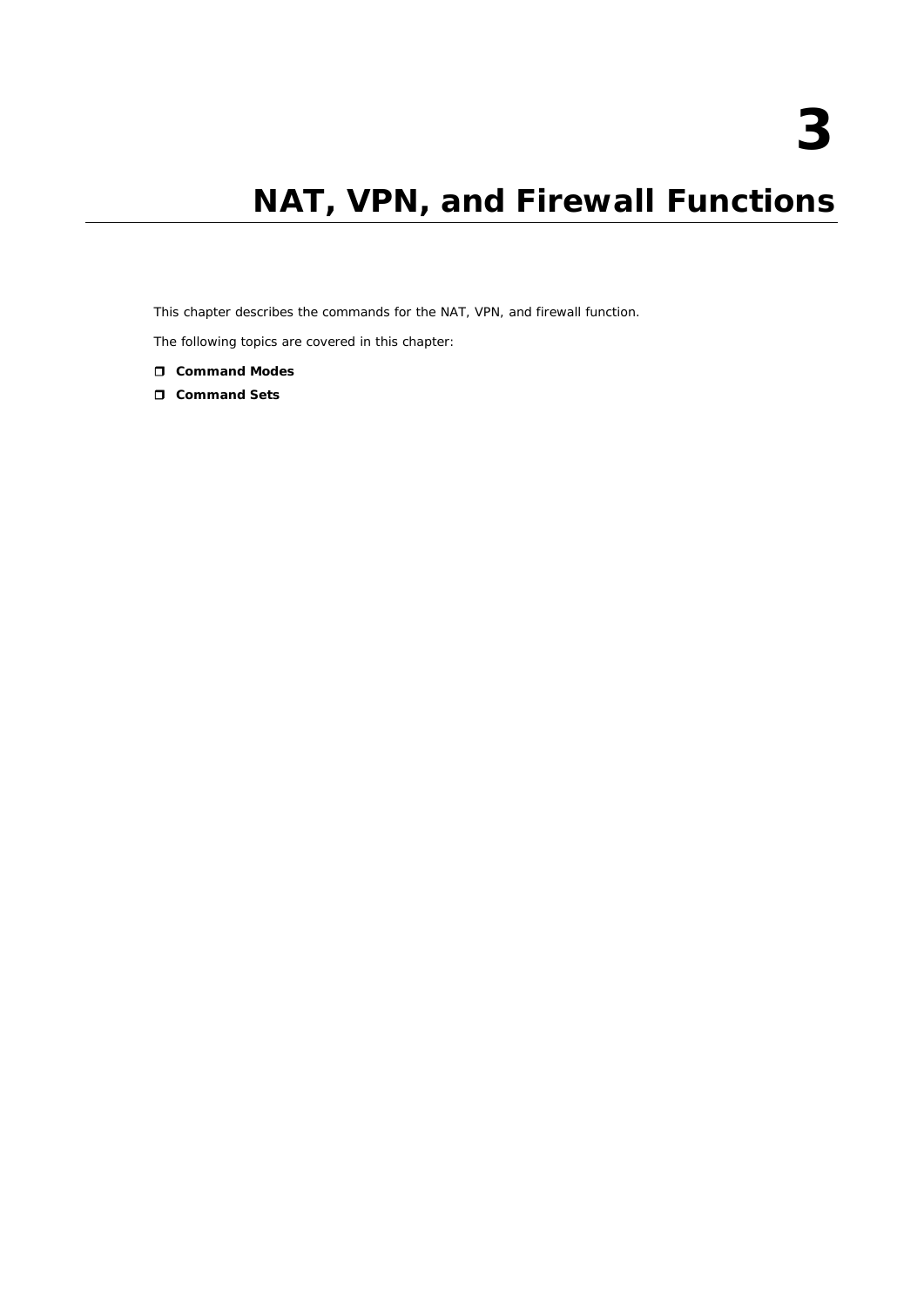# **3. NAT, VPN, and Firewall Functions**

<span id="page-34-0"></span>This chapter describes the commands for the NAT, VPN, and firewall function.

The following topics are covered in this chapter:

- **[Command Modes](#page-35-0)**
- **[Command Sets](#page-36-0)**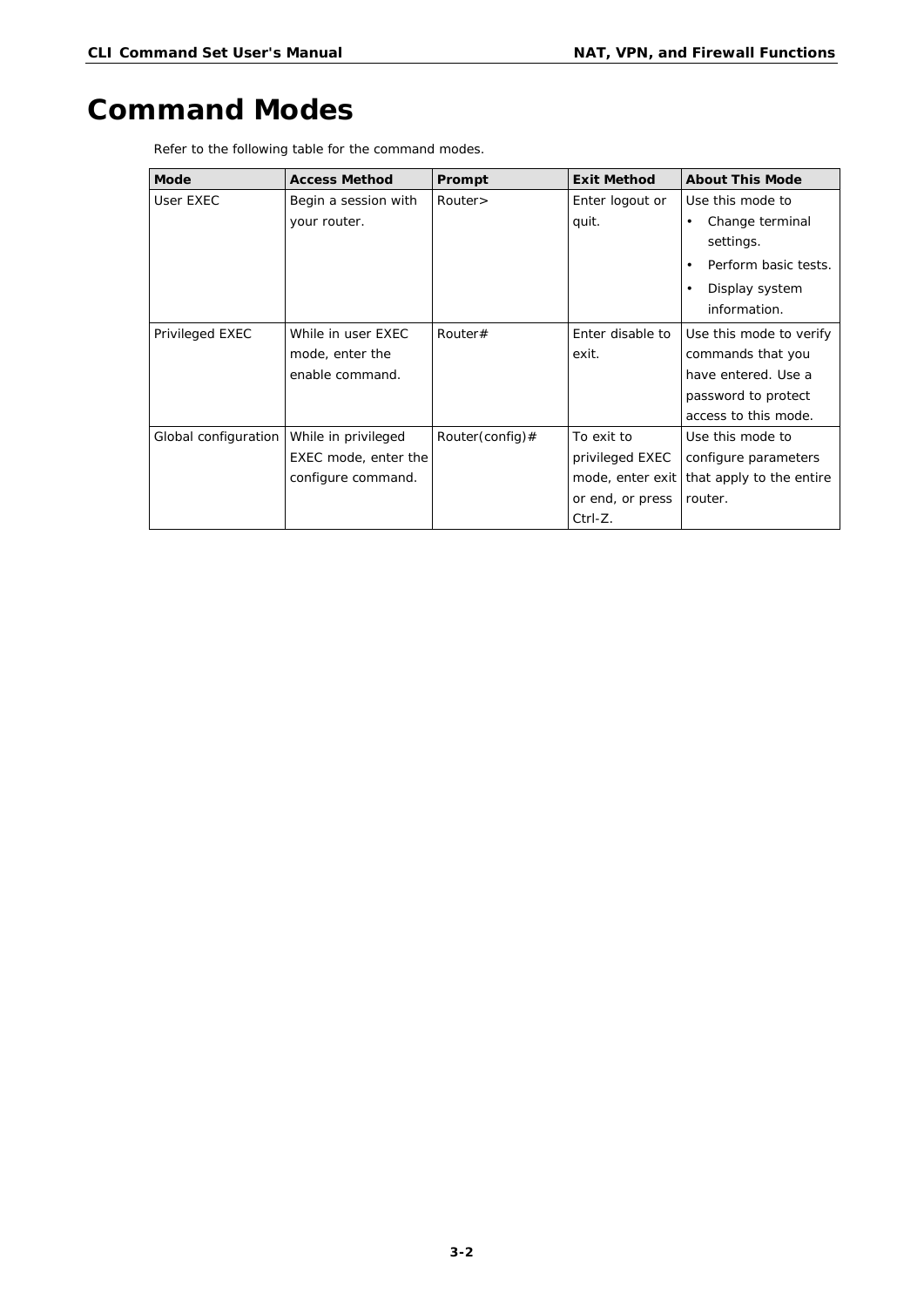# <span id="page-35-0"></span>**Command Modes**

Refer to the following table for the command modes.

| <b>Mode</b>          | <b>Access Method</b> | Prompt          | <b>Exit Method</b> | <b>About This Mode</b>                      |
|----------------------|----------------------|-----------------|--------------------|---------------------------------------------|
| User EXEC            | Begin a session with | Router>         | Enter logout or    | Use this mode to                            |
|                      | your router.         |                 | quit.              | Change terminal<br>$\bullet$                |
|                      |                      |                 |                    | settings.                                   |
|                      |                      |                 |                    | Perform basic tests.<br>$\bullet$           |
|                      |                      |                 |                    | Display system<br>$\bullet$                 |
|                      |                      |                 |                    | information.                                |
| Privileged EXEC      | While in user EXEC   | Router $#$      | Enter disable to   | Use this mode to verify                     |
|                      | mode, enter the      |                 | exit.              | commands that you                           |
|                      | enable command.      |                 |                    | have entered. Use a                         |
|                      |                      |                 |                    | password to protect                         |
|                      |                      |                 |                    | access to this mode.                        |
| Global configuration | While in privileged  | Router(config)# | To exit to         | Use this mode to                            |
|                      | EXEC mode, enter the |                 | privileged EXEC    | configure parameters                        |
|                      | configure command.   |                 |                    | mode, enter exit   that apply to the entire |
|                      |                      |                 | or end, or press   | router.                                     |
|                      |                      |                 | Ctrl-Z.            |                                             |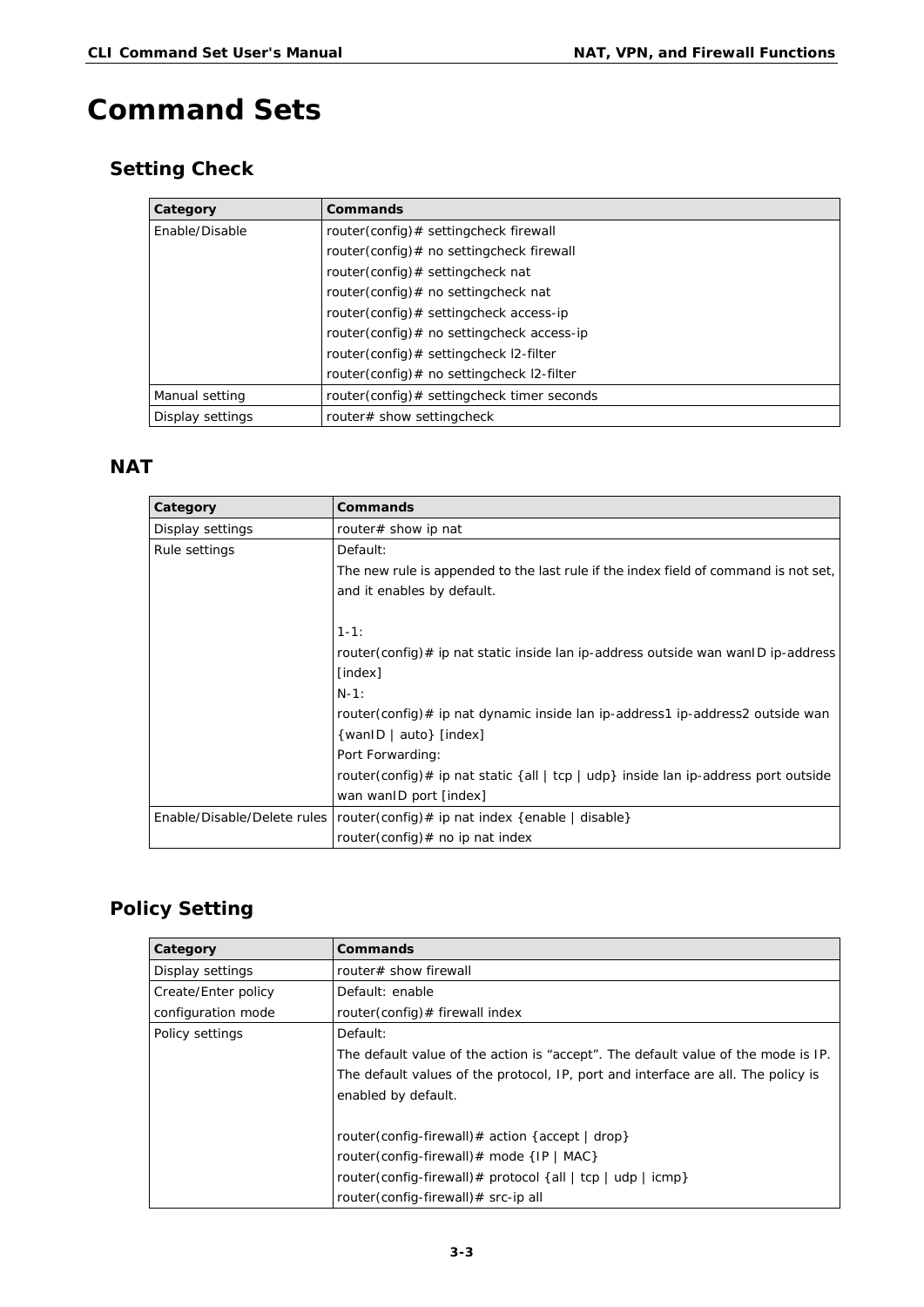# **Command Sets**

# **Setting Check**

| Category         | Commands                                   |  |  |
|------------------|--------------------------------------------|--|--|
| Enable/Disable   | router(config)# settingcheck firewall      |  |  |
|                  | router(config)# no settingcheck firewall   |  |  |
|                  | router(config) $#$ settingcheck nat        |  |  |
|                  | router(config)# no settingcheck nat        |  |  |
|                  | router(config)# settingcheck access-ip     |  |  |
|                  | router(config)# no settingcheck access-ip  |  |  |
|                  | router(config)# settingcheck I2-filter     |  |  |
|                  | router(config)# no settingcheck I2-filter  |  |  |
| Manual setting   | router(config)# settingcheck timer seconds |  |  |
| Display settings | router# show settingcheck                  |  |  |

# **NAT**

| Category                    | Commands                                                                            |  |  |
|-----------------------------|-------------------------------------------------------------------------------------|--|--|
| Display settings            | router# show ip nat                                                                 |  |  |
| Rule settings               | Default:                                                                            |  |  |
|                             | The new rule is appended to the last rule if the index field of command is not set, |  |  |
|                             | and it enables by default.                                                          |  |  |
|                             |                                                                                     |  |  |
|                             | $1 - 1:$                                                                            |  |  |
|                             | router(config)# ip nat static inside lan ip-address outside wan wanlD ip-address    |  |  |
|                             | [index]                                                                             |  |  |
|                             | $N-1:$                                                                              |  |  |
|                             | router(config)# ip nat dynamic inside lan ip-address1 ip-address2 outside wan       |  |  |
|                             | $\{$ wanID $ $ auto $\}$ $[$ index $]$                                              |  |  |
|                             | Port Forwarding:                                                                    |  |  |
|                             | router(config)# ip nat static {all   tcp   udp} inside lan ip-address port outside  |  |  |
|                             | wan wanID port [index]                                                              |  |  |
| Enable/Disable/Delete rules | router(config)# ip nat index {enable $\vert$ disable}                               |  |  |
|                             | router(config) $#$ no ip nat index                                                  |  |  |

# **Policy Setting**

| Category            | Commands                                                                          |  |  |
|---------------------|-----------------------------------------------------------------------------------|--|--|
| Display settings    | router# show firewall                                                             |  |  |
| Create/Enter policy | Default: enable                                                                   |  |  |
| configuration mode  | router(config) $#$ firewall index                                                 |  |  |
| Policy settings     | Default:                                                                          |  |  |
|                     | The default value of the action is "accept". The default value of the mode is IP. |  |  |
|                     | The default values of the protocol, IP, port and interface are all. The policy is |  |  |
|                     | enabled by default.                                                               |  |  |
|                     |                                                                                   |  |  |
|                     | router(config-firewall)# action { $accept$   drop}                                |  |  |
|                     | router(config-firewall)# mode {IP   MAC}                                          |  |  |
|                     | router(config-firewall)# protocol { all   tcp   udp   icmp}                       |  |  |
|                     | router(config-firewall)# src-ip all                                               |  |  |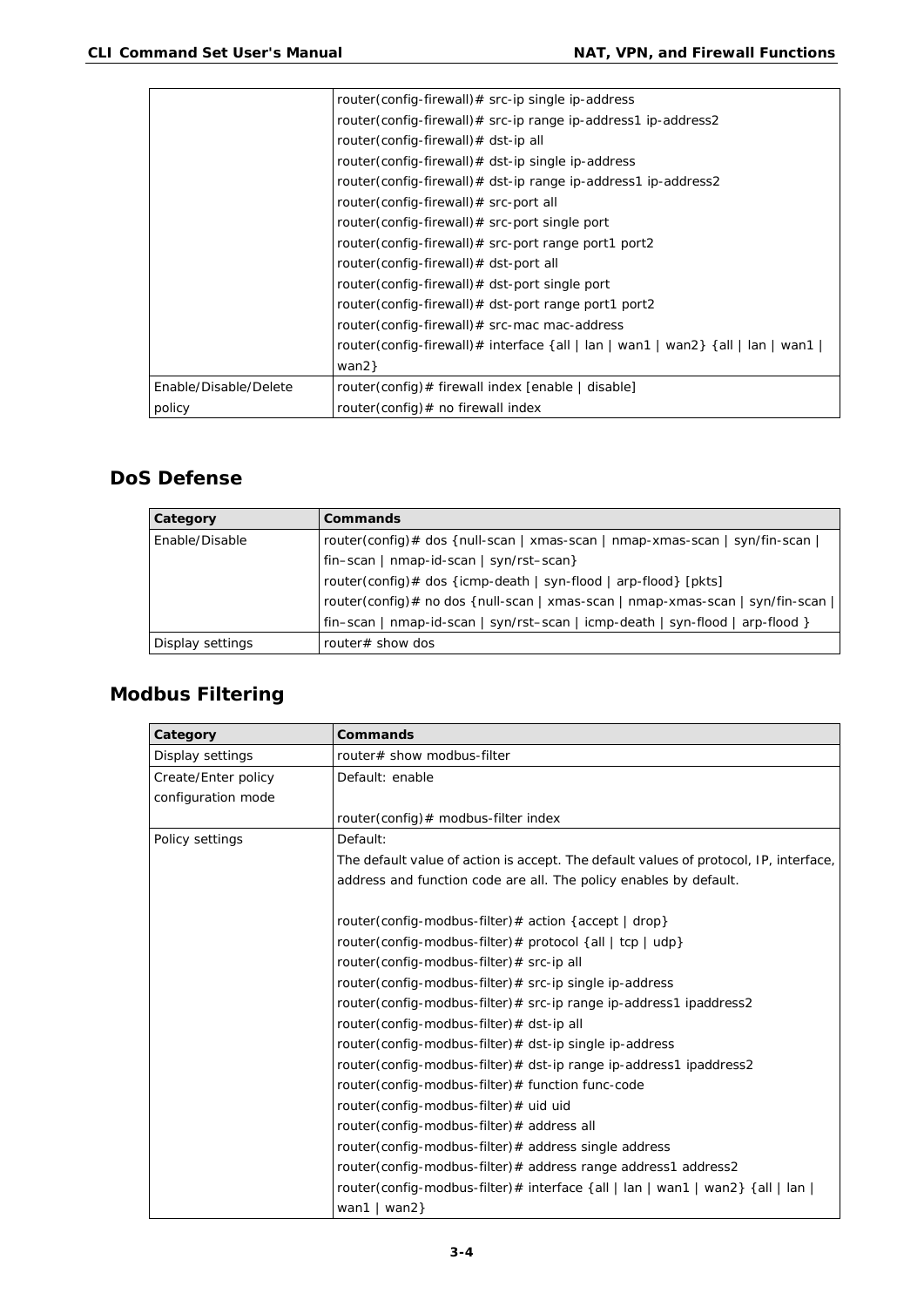|                       | router(config-firewall)# src-ip single ip-address                              |
|-----------------------|--------------------------------------------------------------------------------|
|                       | router(config-firewall)# src-ip range ip-address1 ip-address2                  |
|                       | router(config-firewall)# dst-ip all                                            |
|                       | router(config-firewall)# dst-ip single ip-address                              |
|                       | router(config-firewall)# dst-ip range ip-address1 ip-address2                  |
|                       | router(config-firewall)# src-port all                                          |
|                       | router(config-firewall)# src-port single port                                  |
|                       | router(config-firewall)# src-port range port1 port2                            |
|                       | router(config-firewall)# dst-port all                                          |
|                       | router(config-firewall)# dst-port single port                                  |
|                       | router(config-firewall)# dst-port range port1 port2                            |
|                       | router(config-firewall)# src-mac mac-address                                   |
|                       | router(config-firewall)# interface {all   lan   wan1   wan2} {all   lan   wan1 |
|                       | wan2                                                                           |
| Enable/Disable/Delete | router(config)# firewall index [enable   disable]                              |
| policy                | router(config)# no firewall index                                              |

# **DoS Defense**

| Category         | Commands                                                                       |
|------------------|--------------------------------------------------------------------------------|
| Enable/Disable   | router(config)# dos { null-scan   xmas-scan   nmap-xmas-scan   syn/fin-scan    |
|                  | fin-scan   nmap-id-scan   syn/rst-scan}                                        |
|                  | router(config)# dos {icmp-death   syn-flood   arp-flood} [pkts]                |
|                  | router(config)# no dos { null-scan   xmas-scan   nmap-xmas-scan   syn/fin-scan |
|                  | fin-scan   nmap-id-scan   syn/rst-scan   icmp-death   syn-flood   arp-flood }  |
| Display settings | router# show dos                                                               |

# **Modbus Filtering**

| Category            | Commands                                                                              |  |  |  |
|---------------------|---------------------------------------------------------------------------------------|--|--|--|
| Display settings    | router# show modbus-filter                                                            |  |  |  |
| Create/Enter policy | Default: enable                                                                       |  |  |  |
| configuration mode  |                                                                                       |  |  |  |
|                     | router(config)# modbus-filter index                                                   |  |  |  |
| Policy settings     | Default:                                                                              |  |  |  |
|                     | The default value of action is accept. The default values of protocol, IP, interface, |  |  |  |
|                     | address and function code are all. The policy enables by default.                     |  |  |  |
|                     | router(config-modbus-filter)# action { accept   drop}                                 |  |  |  |
|                     | router(config-modbus-filter)# protocol { all   tcp   udp}                             |  |  |  |
|                     | router(config-modbus-filter)# src-ip all                                              |  |  |  |
|                     | router(config-modbus-filter)# src-ip single ip-address                                |  |  |  |
|                     | router(config-modbus-filter)# src-ip range ip-address1 ipaddress2                     |  |  |  |
|                     | router(config-modbus-filter)# dst-ip all                                              |  |  |  |
|                     | router(config-modbus-filter)# dst-ip single ip-address                                |  |  |  |
|                     | router(config-modbus-filter)# dst-ip range ip-address1 ipaddress2                     |  |  |  |
|                     | router(config-modbus-filter)# function func-code                                      |  |  |  |
|                     | router(config-modbus-filter)# uid uid                                                 |  |  |  |
|                     | router(config-modbus-filter)# address all                                             |  |  |  |
|                     | router(config-modbus-filter)# address single address                                  |  |  |  |
|                     | router(config-modbus-filter)# address range address1 address2                         |  |  |  |
|                     | router(config-modbus-filter)# interface { all   lan   wan1   wan2 } { all   lan       |  |  |  |
|                     | wan1 $ $ wan2 $ $                                                                     |  |  |  |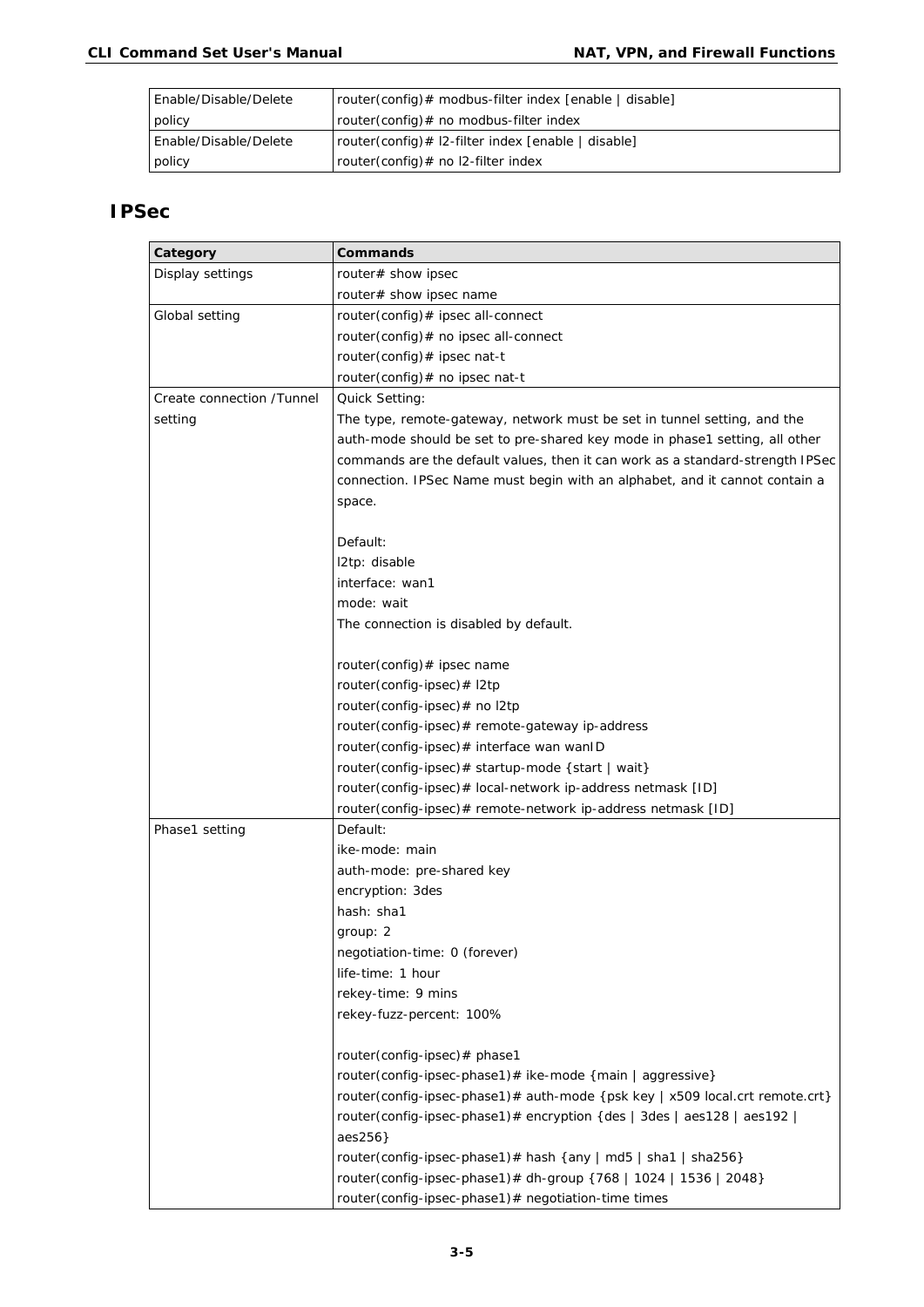| Enable/Disable/Delete | router(config)# modbus-filter index [enable   disable] |
|-----------------------|--------------------------------------------------------|
| policy                | router(config)# no modbus-filter index                 |
| Enable/Disable/Delete | router(config)# 12-filter index [enable   disable]     |
| policy                | router(config)# no I2-filter index                     |

## **IPSec**

| Category                  | Commands                                                                       |  |  |
|---------------------------|--------------------------------------------------------------------------------|--|--|
| Display settings          | router# show ipsec                                                             |  |  |
|                           | router# show ipsec name                                                        |  |  |
| Global setting            | router(config)# ipsec all-connect                                              |  |  |
|                           | router(config)# no ipsec all-connect                                           |  |  |
|                           | router(config)# ipsec nat-t                                                    |  |  |
|                           | router(config)# no ipsec nat-t                                                 |  |  |
| Create connection /Tunnel | Quick Setting:                                                                 |  |  |
| setting                   | The type, remote-gateway, network must be set in tunnel setting, and the       |  |  |
|                           | auth-mode should be set to pre-shared key mode in phase1 setting, all other    |  |  |
|                           | commands are the default values, then it can work as a standard-strength IPSec |  |  |
|                           | connection. IPSec Name must begin with an alphabet, and it cannot contain a    |  |  |
|                           | space.                                                                         |  |  |
|                           |                                                                                |  |  |
|                           | Default:                                                                       |  |  |
|                           | I2tp: disable                                                                  |  |  |
|                           | interface: wan1                                                                |  |  |
|                           | mode: wait                                                                     |  |  |
|                           | The connection is disabled by default.                                         |  |  |
|                           |                                                                                |  |  |
|                           | router(config)# ipsec name                                                     |  |  |
|                           | router(config-ipsec)# l2tp                                                     |  |  |
|                           | router(config-ipsec)# no l2tp                                                  |  |  |
|                           | router(config-ipsec)# remote-gateway ip-address                                |  |  |
|                           | router(config-ipsec)# interface wan wanID                                      |  |  |
|                           | router(config-ipsec)# startup-mode {start   wait}                              |  |  |
|                           | router(config-ipsec)# local-network ip-address netmask [ID]                    |  |  |
|                           | router(config-ipsec)# remote-network ip-address netmask [ID]                   |  |  |
| Phase1 setting            | Default:                                                                       |  |  |
|                           | ike-mode: main                                                                 |  |  |
|                           | auth-mode: pre-shared key                                                      |  |  |
|                           | encryption: 3des                                                               |  |  |
|                           | hash: sha1                                                                     |  |  |
|                           | group: 2                                                                       |  |  |
|                           | negotiation-time: 0 (forever)                                                  |  |  |
|                           | life-time: 1 hour                                                              |  |  |
|                           | rekey-time: 9 mins                                                             |  |  |
|                           | rekey-fuzz-percent: 100%                                                       |  |  |
|                           |                                                                                |  |  |
|                           | router(config-ipsec)# phase1                                                   |  |  |
|                           | router(config-ipsec-phase1)# ike-mode { main   aggressive}                     |  |  |
|                           | router(config-ipsec-phase1)# auth-mode {psk key   x509 local.crt remote.crt}   |  |  |
|                           | router(config-ipsec-phase1)# encryption {des   3des   aes128   aes192          |  |  |
|                           | aes256}                                                                        |  |  |
|                           | router(config-ipsec-phase1)# hash {any   md5   sha1   sha256}                  |  |  |
|                           | router(config-ipsec-phase1)# dh-group {768   1024   1536   2048}               |  |  |
|                           | router(config-ipsec-phase1)# negotiation-time times                            |  |  |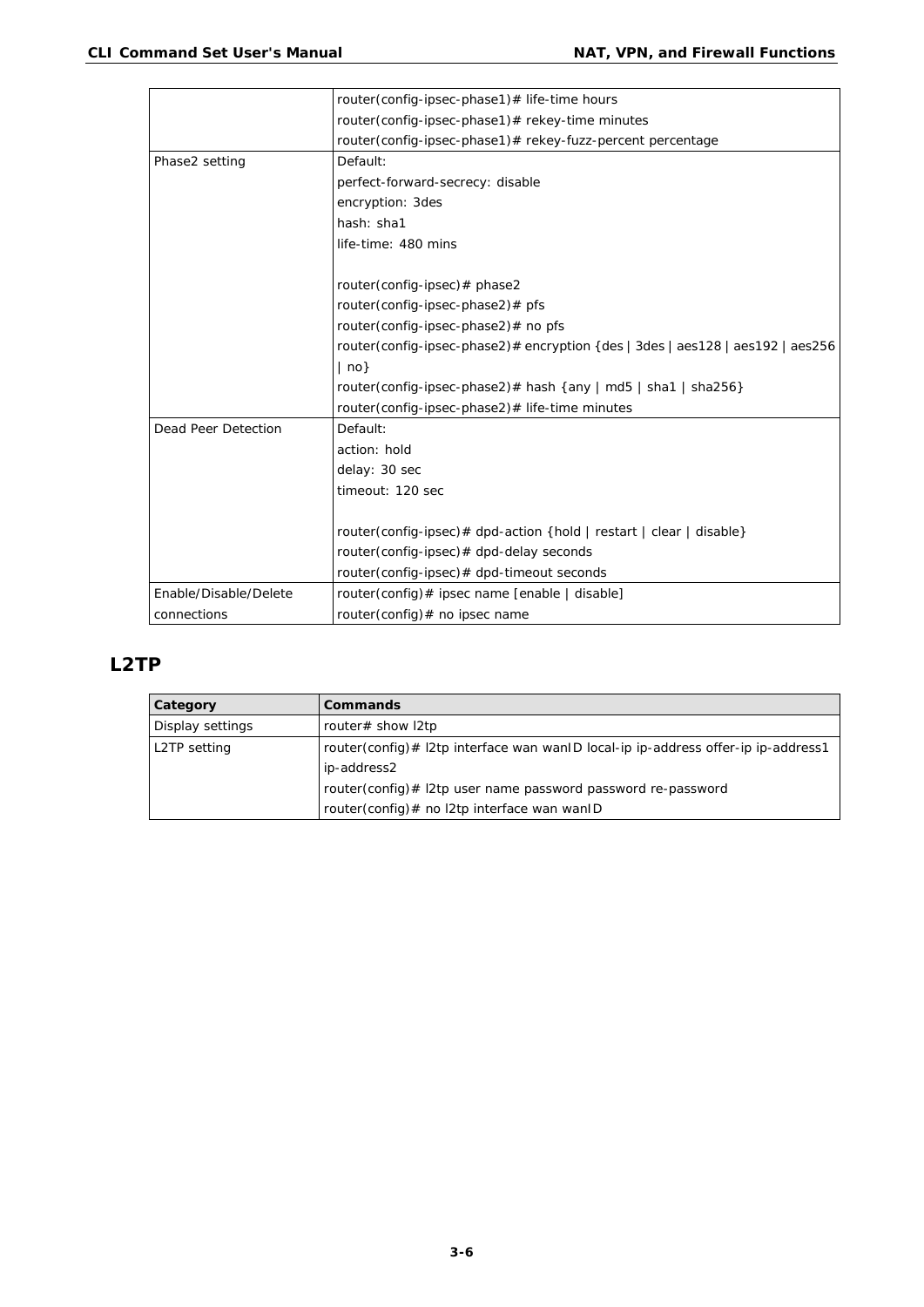| router(config-ipsec-phase1)# life-time hours                                    |  |  |
|---------------------------------------------------------------------------------|--|--|
| router(config-ipsec-phase1)# rekey-time minutes                                 |  |  |
| router(config-ipsec-phase1)# rekey-fuzz-percent percentage                      |  |  |
| Default:                                                                        |  |  |
| perfect-forward-secrecy: disable                                                |  |  |
| encryption: 3des                                                                |  |  |
| hash: sha1                                                                      |  |  |
| life-time: 480 mins                                                             |  |  |
|                                                                                 |  |  |
| router(config-ipsec)# phase2                                                    |  |  |
| router(config-ipsec-phase2)# pfs                                                |  |  |
| router(config-ipsec-phase2)# no pfs                                             |  |  |
| router(config-ipsec-phase2)# encryption { des   3des   aes128   aes192   aes256 |  |  |
| $ no\rangle$                                                                    |  |  |
| router(config-ipsec-phase2)# hash $\{any \mid md5 \mid sha1 \mid sha256\}$      |  |  |
| router(config-ipsec-phase2)# life-time minutes                                  |  |  |
| Default:                                                                        |  |  |
| action: hold                                                                    |  |  |
| delay: 30 sec                                                                   |  |  |
| timeout: 120 sec                                                                |  |  |
|                                                                                 |  |  |
| router(config-ipsec)# dpd-action {hold   restart   clear   disable}             |  |  |
| router(config-ipsec)# dpd-delay seconds                                         |  |  |
| router(config-ipsec)# dpd-timeout seconds                                       |  |  |
| router(config)# ipsec name [enable   disable]                                   |  |  |
| router(config) $#$ no ipsec name                                                |  |  |
|                                                                                 |  |  |

# **L2TP**

| Category         | Commands                                                                          |
|------------------|-----------------------------------------------------------------------------------|
| Display settings | router# show I2tp                                                                 |
| L2TP setting     | router(config)# l2tp interface wan wanID local-ip ip-address offer-ip ip-address1 |
|                  | ip-address2                                                                       |
|                  | router(config)# I2tp user name password password re-password                      |
|                  | router(config)# no l2tp interface wan wanID                                       |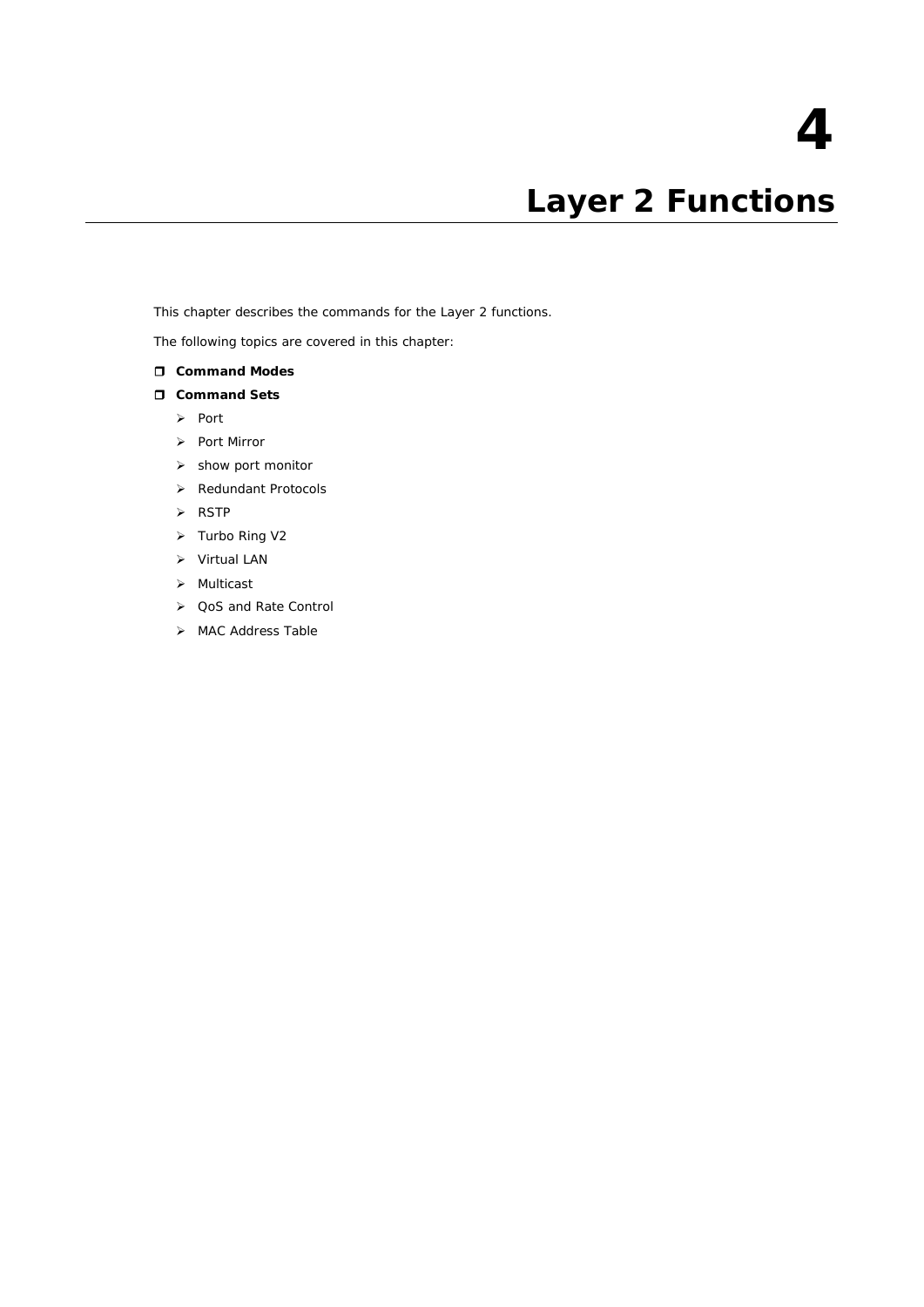# **4. Layer 2 Functions**

This chapter describes the commands for the Layer 2 functions.

The following topics are covered in this chapter:

#### **[Command Modes](#page-41-0)**

- **[Command Sets](#page-42-0)**
	- $\triangleright$  [Port](#page-42-1)
	- > [Port Mirror](#page-45-0)
	- $\triangleright$  [show port monitor](#page-45-1)
	- [Redundant Protocols](#page-46-0)
	- > [RSTP](#page-47-0)
	- > [Turbo Ring V2](#page-52-0)
	- > [Virtual LAN](#page-57-0)
	- [Multicast](#page-61-0)
	- [QoS and Rate Control](#page-66-0)
	- > [MAC Address Table](#page-72-0)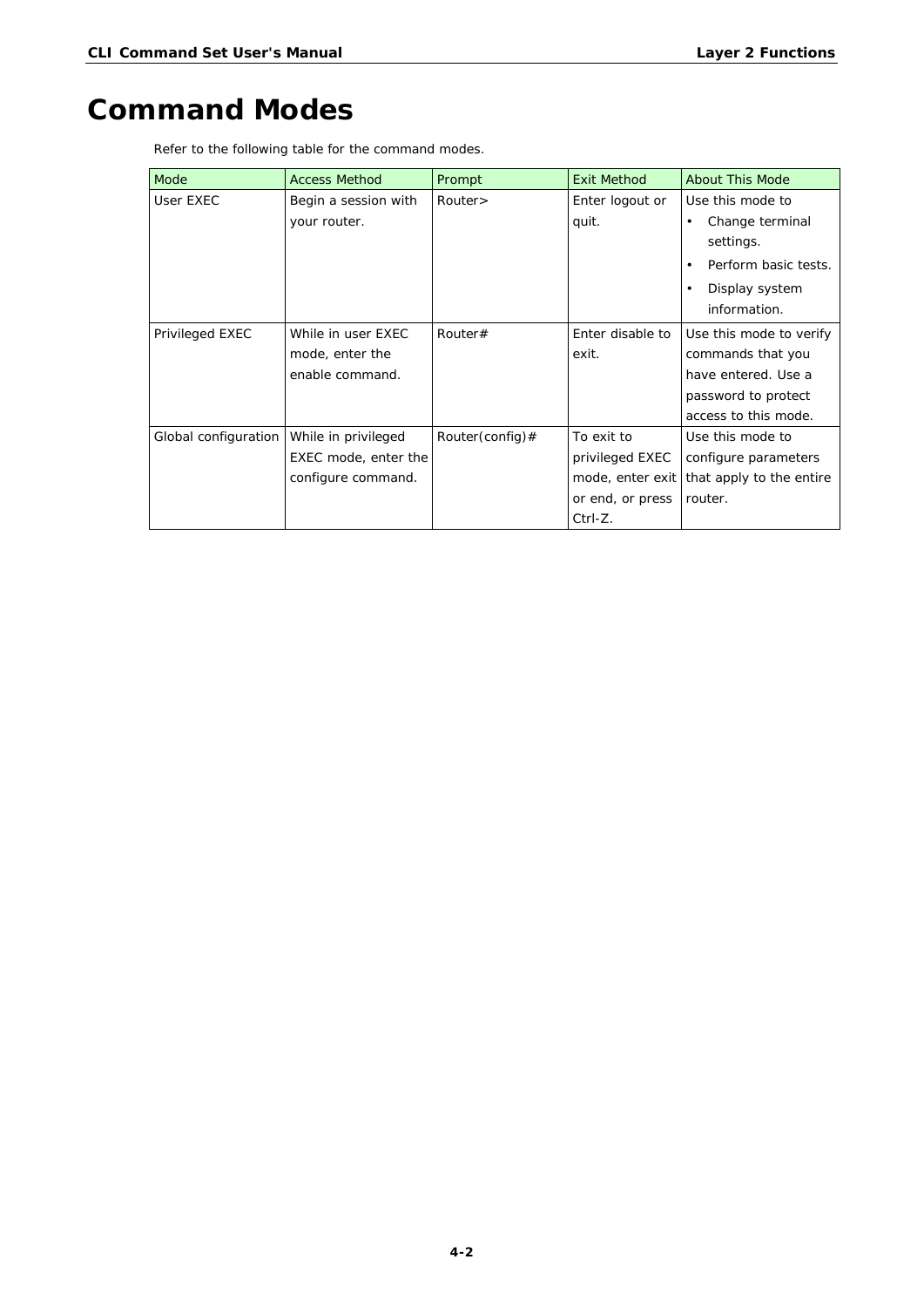# <span id="page-41-0"></span>**Command Modes**

Refer to the following table for the command modes.

| Mode                 | <b>Access Method</b> | Prompt          | <b>Exit Method</b> | <b>About This Mode</b>                    |
|----------------------|----------------------|-----------------|--------------------|-------------------------------------------|
| User EXEC            | Begin a session with | Router>         | Enter logout or    | Use this mode to                          |
|                      | your router.         |                 | quit.              | Change terminal<br>$\bullet$              |
|                      |                      |                 |                    | settings.                                 |
|                      |                      |                 |                    | Perform basic tests.<br>$\bullet$         |
|                      |                      |                 |                    | Display system<br>$\bullet$               |
|                      |                      |                 |                    | information.                              |
| Privileged EXEC      | While in user EXEC   | Router $#$      | Enter disable to   | Use this mode to verify                   |
|                      | mode, enter the      |                 | exit.              | commands that you                         |
|                      | enable command.      |                 |                    | have entered. Use a                       |
|                      |                      |                 |                    | password to protect                       |
|                      |                      |                 |                    | access to this mode.                      |
| Global configuration | While in privileged  | Router(config)# | To exit to         | Use this mode to                          |
|                      | EXEC mode, enter the |                 | privileged EXEC    | configure parameters                      |
|                      | configure command.   |                 |                    | mode, enter exit that apply to the entire |
|                      |                      |                 | or end, or press   | router.                                   |
|                      |                      |                 | Ctrl-Z.            |                                           |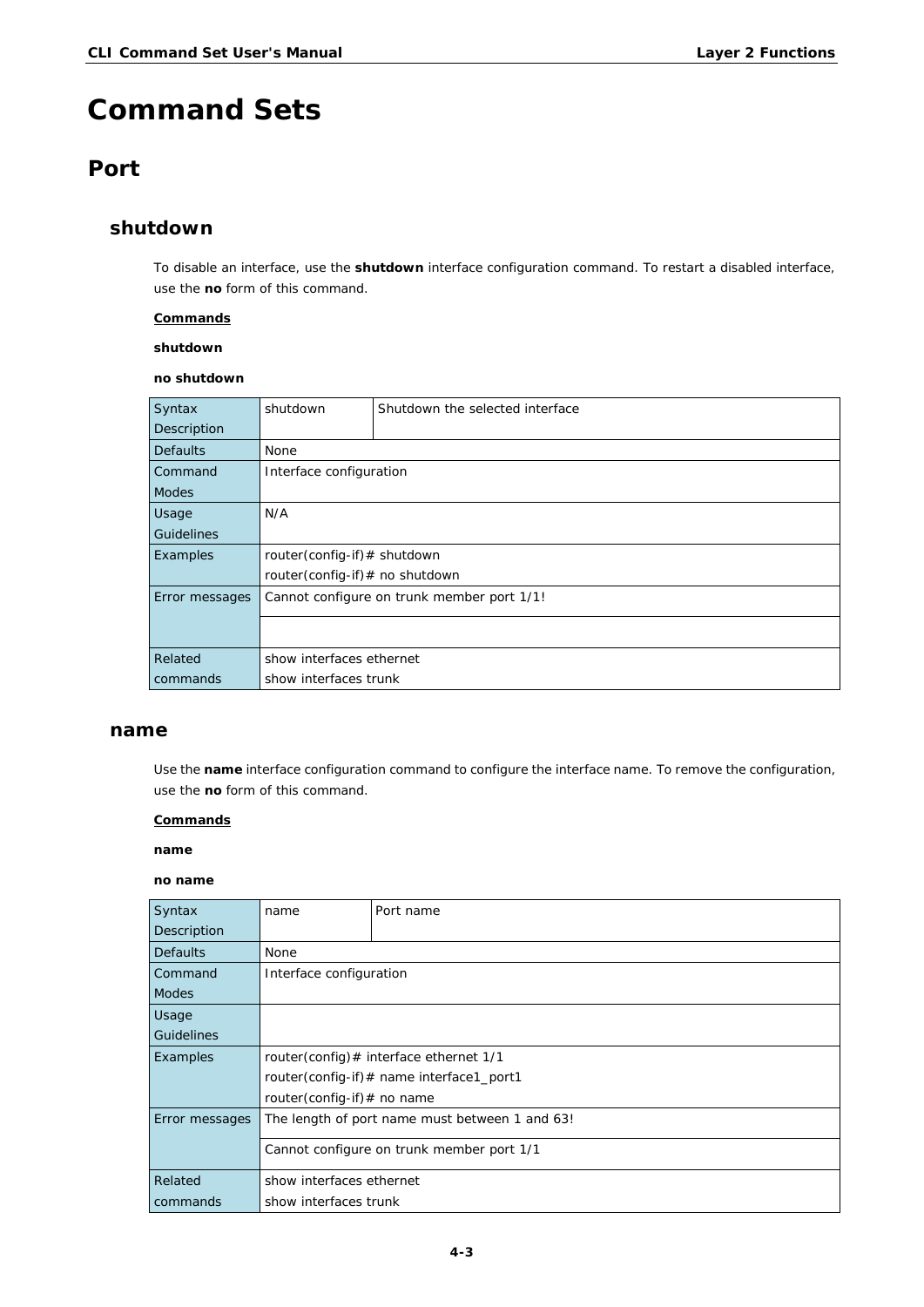# <span id="page-42-0"></span>**Command Sets**

# <span id="page-42-1"></span>**Port**

### **shutdown**

To disable an interface, use the **shutdown** interface configuration command. To restart a disabled interface, use the **no** form of this command.

### **Commands**

#### **shutdown**

#### **no shutdown**

| Syntax            | shutdown                                   | Shutdown the selected interface |  |
|-------------------|--------------------------------------------|---------------------------------|--|
| Description       |                                            |                                 |  |
| <b>Defaults</b>   | None                                       |                                 |  |
| Command           | Interface configuration                    |                                 |  |
| <b>Modes</b>      |                                            |                                 |  |
| Usage             | N/A                                        |                                 |  |
| <b>Guidelines</b> |                                            |                                 |  |
| Examples          | router(config-if)# shutdown                |                                 |  |
|                   | router(config-if)# no shutdown             |                                 |  |
| Error messages    | Cannot configure on trunk member port 1/1! |                                 |  |
|                   |                                            |                                 |  |
| Related           | show interfaces ethernet                   |                                 |  |
| commands          | show interfaces trunk                      |                                 |  |

#### **name**

Use the **name** interface configuration command to configure the interface name. To remove the configuration, use the **no** form of this command.

#### **Commands**

#### **name**

#### **no name**

| Syntax            | name                                           | Port name |  |
|-------------------|------------------------------------------------|-----------|--|
| Description       |                                                |           |  |
| <b>Defaults</b>   | None                                           |           |  |
| Command           | Interface configuration                        |           |  |
| <b>Modes</b>      |                                                |           |  |
| Usage             |                                                |           |  |
| <b>Guidelines</b> |                                                |           |  |
| Examples          | router(config)# interface ethernet $1/1$       |           |  |
|                   | router(config-if)# name interface1_port1       |           |  |
|                   | router(config-if)# no name                     |           |  |
| Error messages    | The length of port name must between 1 and 63! |           |  |
|                   | Cannot configure on trunk member port 1/1      |           |  |
| Related           | show interfaces ethernet                       |           |  |
| commands          | show interfaces trunk                          |           |  |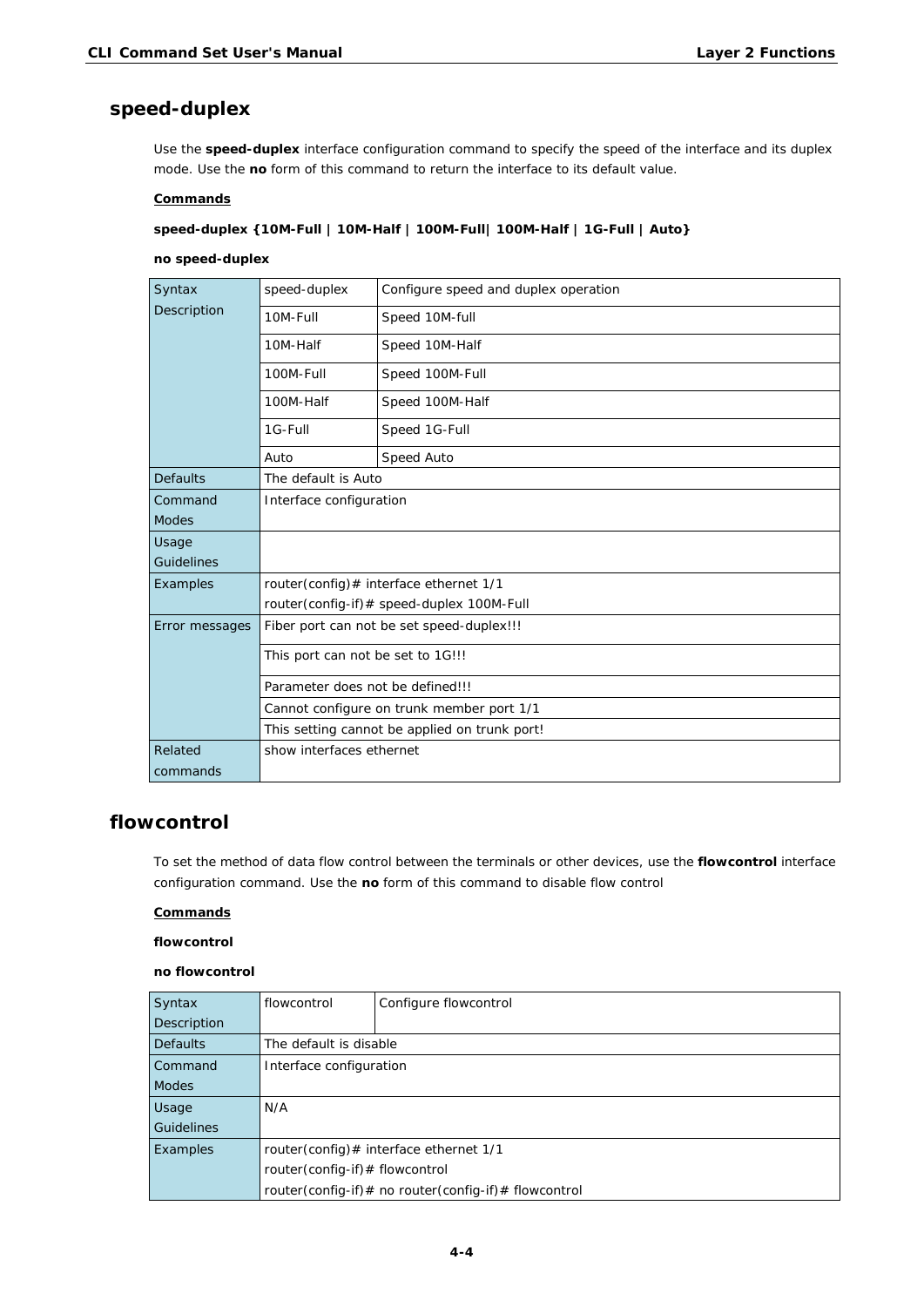### **speed-duplex**

Use the **speed-duplex** interface configuration command to specify the speed of the interface and its duplex mode. Use the **no** form of this command to return the interface to its default value.

#### **Commands**

### **speed-duplex {10M-Full | 10M-Half | 100M-Full| 100M-Half | 1G-Full | Auto}**

#### **no speed-duplex**

| Syntax                                                                                                             | speed-duplex                              | Configure speed and duplex operation          |  |  |
|--------------------------------------------------------------------------------------------------------------------|-------------------------------------------|-----------------------------------------------|--|--|
| Description                                                                                                        | 10M-Full                                  | Speed 10M-full                                |  |  |
|                                                                                                                    | 10M-Half                                  | Speed 10M-Half                                |  |  |
|                                                                                                                    | 100M-Full                                 | Speed 100M-Full                               |  |  |
|                                                                                                                    | 100M-Half                                 | Speed 100M-Half                               |  |  |
|                                                                                                                    | 1G-Full                                   | Speed 1G-Full                                 |  |  |
|                                                                                                                    | Auto                                      | Speed Auto                                    |  |  |
| <b>Defaults</b>                                                                                                    | The default is Auto                       |                                               |  |  |
| Command                                                                                                            | Interface configuration                   |                                               |  |  |
| <b>Modes</b>                                                                                                       |                                           |                                               |  |  |
| Usage                                                                                                              |                                           |                                               |  |  |
| Guidelines                                                                                                         |                                           |                                               |  |  |
| Examples                                                                                                           | router(config)# interface ethernet 1/1    |                                               |  |  |
|                                                                                                                    | router(config-if)# speed-duplex 100M-Full |                                               |  |  |
| Error messages                                                                                                     | Fiber port can not be set speed-duplex!!! |                                               |  |  |
| This port can not be set to 1G!!!<br>Parameter does not be defined!!!<br>Cannot configure on trunk member port 1/1 |                                           |                                               |  |  |
|                                                                                                                    |                                           |                                               |  |  |
|                                                                                                                    |                                           |                                               |  |  |
|                                                                                                                    |                                           | This setting cannot be applied on trunk port! |  |  |
| Related                                                                                                            | show interfaces ethernet                  |                                               |  |  |
| commands                                                                                                           |                                           |                                               |  |  |

### **flowcontrol**

To set the method of data flow control between the terminals or other devices, use the **flowcontrol** interface configuration command. Use the **no** form of this command to disable flow control

#### **Commands**

#### **flowcontrol**

#### **no flowcontrol**

| Syntax          | flowcontrol                            | Configure flowcontrol                                |  |  |
|-----------------|----------------------------------------|------------------------------------------------------|--|--|
| Description     |                                        |                                                      |  |  |
| <b>Defaults</b> |                                        | The default is disable                               |  |  |
| Command         |                                        | Interface configuration                              |  |  |
| <b>Modes</b>    |                                        |                                                      |  |  |
| Usage           | N/A                                    |                                                      |  |  |
| Guidelines      |                                        |                                                      |  |  |
| Examples        | router(config)# interface ethernet 1/1 |                                                      |  |  |
|                 | router(config-if)# flowcontrol         |                                                      |  |  |
|                 |                                        | router(config-if)# no router(config-if)# flowcontrol |  |  |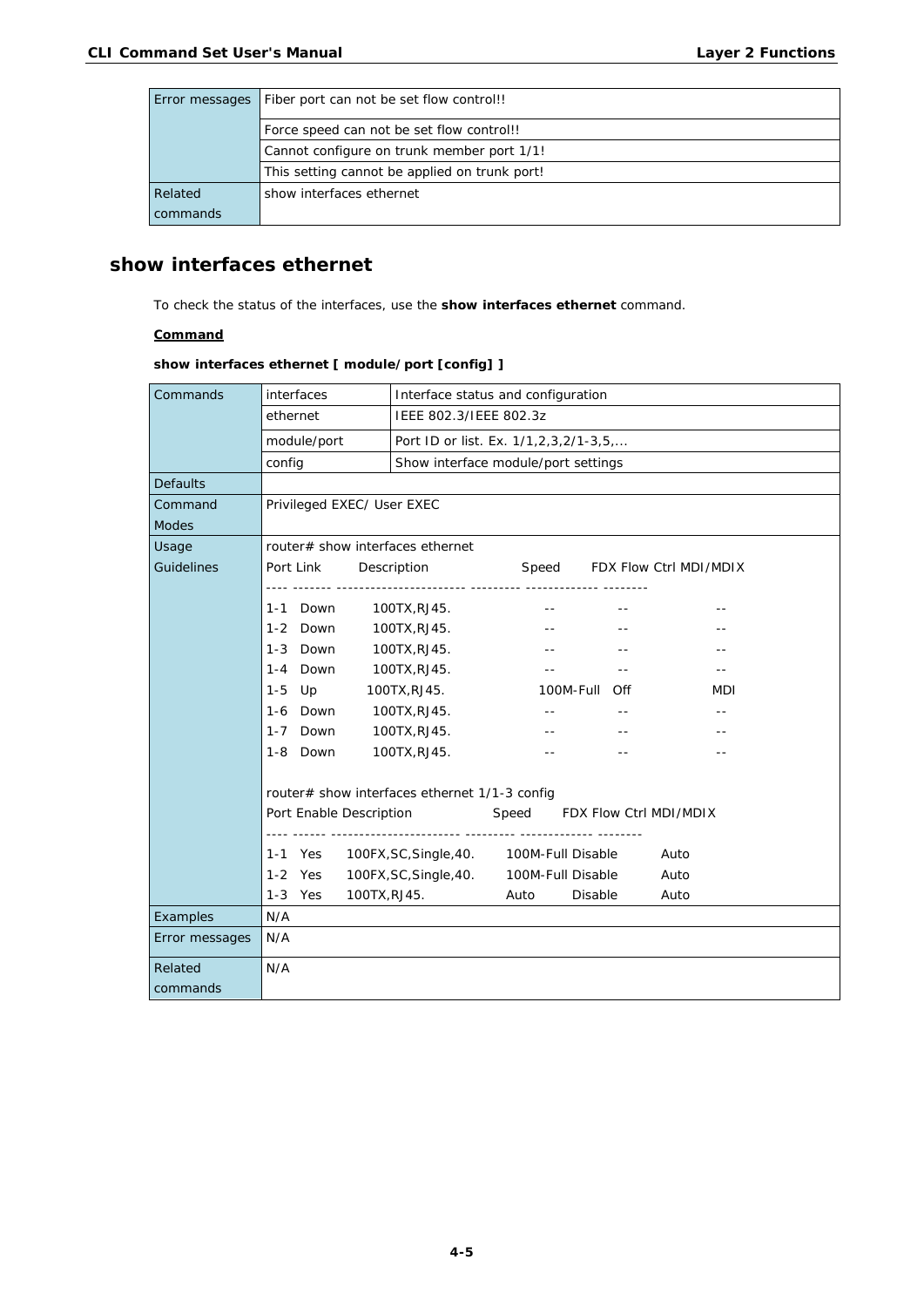|          | Error messages   Fiber port can not be set flow control!! |  |
|----------|-----------------------------------------------------------|--|
|          | Force speed can not be set flow control!!                 |  |
|          | Cannot configure on trunk member port 1/1!                |  |
|          | This setting cannot be applied on trunk port!             |  |
| Related  | show interfaces ethernet                                  |  |
| commands |                                                           |  |

# **show interfaces ethernet**

To check the status of the interfaces, use the **show interfaces ethernet** command.

#### **Command**

#### **show interfaces ethernet [ module/port [config] ]**

| Commands<br>interfaces |                                                  | Interface status and configuration            |                                               |                              |            |  |
|------------------------|--------------------------------------------------|-----------------------------------------------|-----------------------------------------------|------------------------------|------------|--|
|                        | ethernet                                         | IEEE 802.3/IEEE 802.3z                        |                                               |                              |            |  |
|                        | module/port                                      | Port ID or list. Ex. 1/1,2,3,2/1-3,5,         |                                               |                              |            |  |
|                        | config                                           | Show interface module/port settings           |                                               |                              |            |  |
| <b>Defaults</b>        |                                                  |                                               |                                               |                              |            |  |
| Command                | Privileged EXEC/ User EXEC                       |                                               |                                               |                              |            |  |
| <b>Modes</b>           |                                                  |                                               |                                               |                              |            |  |
| Usage                  | router# show interfaces ethernet                 |                                               |                                               |                              |            |  |
| <b>Guidelines</b>      | Port Link                                        | Description                                   |                                               | Speed FDX Flow Ctrl MDI/MDIX |            |  |
|                        |                                                  |                                               |                                               |                              |            |  |
|                        | 1-1 Down                                         | 100TX,RJ45.                                   | <b>Address Committee</b>                      |                              |            |  |
|                        | 1-2 Down                                         | 100TX,RJ45.                                   | $\sim$ $\sim$                                 |                              |            |  |
|                        | 1-3 Down                                         | 100TX, RJ45.                                  | $\sim$ $\sim$                                 | $\sim$ $-$                   |            |  |
|                        | 1-4 Down                                         | 100TX, RJ45.                                  |                                               | $\overline{\phantom{a}}$ .   |            |  |
|                        | $1-5$ Up                                         | 100TX, RJ45.                                  | 100M-Full Off                                 |                              | <b>MDI</b> |  |
|                        | 1-6 Down                                         | 100TX, RJ45.                                  | $\mathord{\hspace{1pt}\text{--}\hspace{1pt}}$ | $ -$                         | $\sim$ $-$ |  |
|                        | 1-7 Down                                         | 100TX, RJ45.                                  | $\sim$ $-$                                    | $\overline{\phantom{m}}$ .   |            |  |
|                        | 1-8 Down                                         | 100TX, RJ45.                                  | $\sim$ $-$                                    | $\overline{\phantom{a}}$ .   |            |  |
|                        |                                                  |                                               |                                               |                              |            |  |
|                        |                                                  | router# show interfaces ethernet 1/1-3 config |                                               |                              |            |  |
|                        | Port Enable Description                          |                                               | Speed                                         | FDX Flow Ctrl MDI/MDIX       |            |  |
|                        | 1-1 Yes 100FX, SC, Single, 40. 100M-Full Disable |                                               |                                               | Auto                         |            |  |
|                        | $1-2$ Yes                                        | 100FX, SC, Single, 40. 100M-Full Disable      |                                               | Auto                         |            |  |
|                        | $1-3$ Yes<br>100TX, RJ45.                        |                                               | Auto<br>Disable                               | Auto                         |            |  |
| Examples               | N/A                                              |                                               |                                               |                              |            |  |
| Error messages         | N/A                                              |                                               |                                               |                              |            |  |
|                        |                                                  |                                               |                                               |                              |            |  |
| Related                | N/A                                              |                                               |                                               |                              |            |  |
| commands               |                                                  |                                               |                                               |                              |            |  |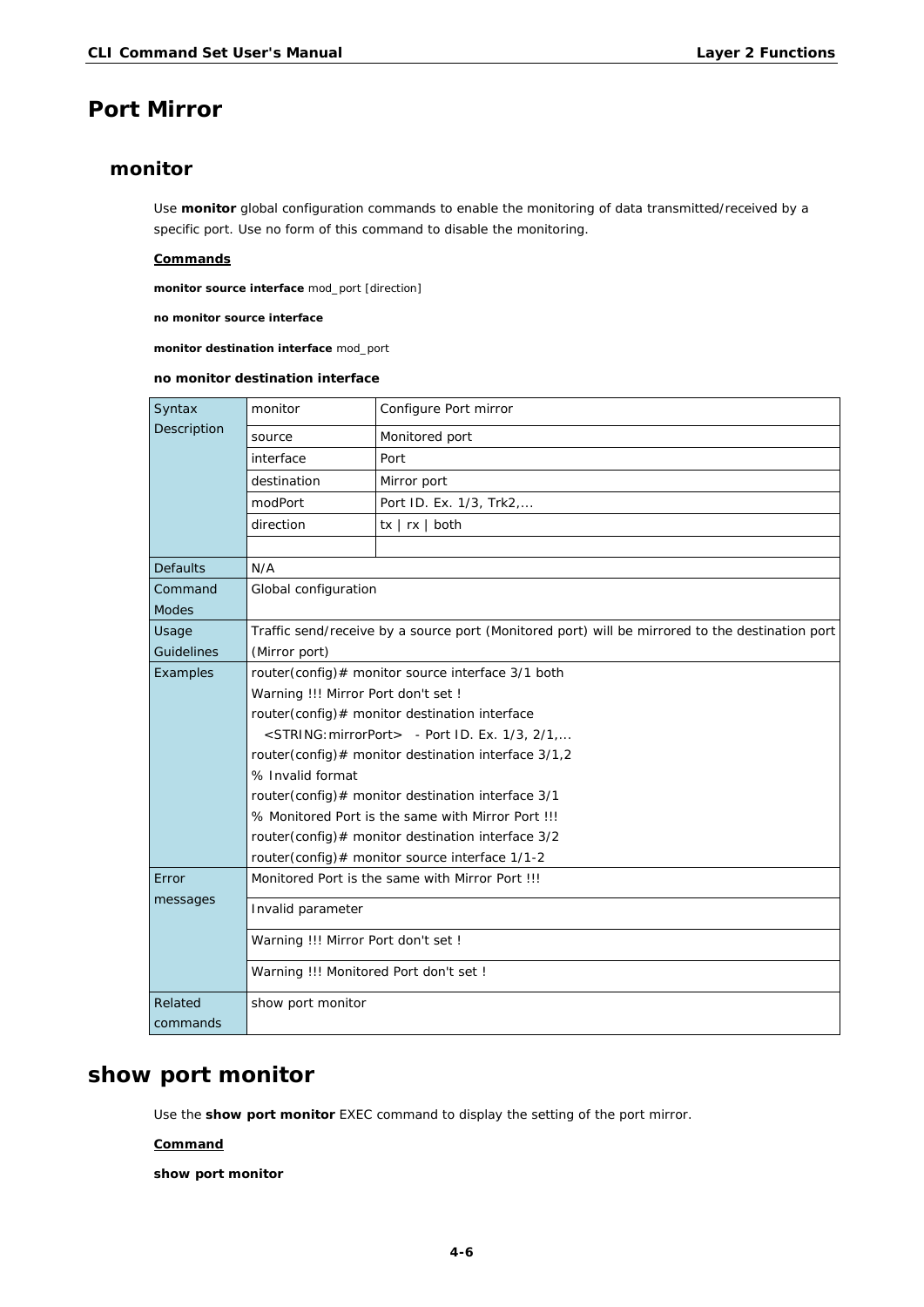# <span id="page-45-0"></span>**Port Mirror**

### **monitor**

Use **monitor** global configuration commands to enable the monitoring of data transmitted/received by a specific port. Use no form of this command to disable the monitoring.

#### **Commands**

**monitor source interface** mod\_port [direction]

**no monitor source interface** 

**monitor destination interface** mod\_port

#### **no monitor destination interface**

| Syntax          | monitor                                                    | Configure Port mirror                                                                           |  |
|-----------------|------------------------------------------------------------|-------------------------------------------------------------------------------------------------|--|
| Description     | source                                                     | Monitored port                                                                                  |  |
|                 | interface                                                  | Port                                                                                            |  |
|                 | destination                                                | Mirror port                                                                                     |  |
|                 | modPort                                                    | Port ID. Ex. 1/3, Trk2,                                                                         |  |
|                 | direction                                                  | $tx$   $rx$   both                                                                              |  |
|                 |                                                            |                                                                                                 |  |
| <b>Defaults</b> | N/A                                                        |                                                                                                 |  |
| Command         | Global configuration                                       |                                                                                                 |  |
| <b>Modes</b>    |                                                            |                                                                                                 |  |
| Usage           |                                                            | Traffic send/receive by a source port (Monitored port) will be mirrored to the destination port |  |
| Guidelines      | (Mirror port)                                              |                                                                                                 |  |
| Examples        | router(config)# monitor source interface 3/1 both          |                                                                                                 |  |
|                 | Warning !!! Mirror Port don't set !                        |                                                                                                 |  |
|                 | router(config)# monitor destination interface              |                                                                                                 |  |
|                 | <string: mirrorport=""> - Port ID. Ex. 1/3, 2/1,</string:> |                                                                                                 |  |
|                 | router(config)# monitor destination interface 3/1,2        |                                                                                                 |  |
|                 | % Invalid format                                           |                                                                                                 |  |
|                 | router(config)# monitor destination interface 3/1          |                                                                                                 |  |
|                 | % Monitored Port is the same with Mirror Port !!!          |                                                                                                 |  |
|                 | router(config)# monitor destination interface 3/2          |                                                                                                 |  |
|                 |                                                            | router(config)# monitor source interface 1/1-2                                                  |  |
| Error           |                                                            | Monitored Port is the same with Mirror Port !!!                                                 |  |
| messages        | Invalid parameter                                          |                                                                                                 |  |
|                 | Warning !!! Mirror Port don't set !                        |                                                                                                 |  |
|                 | Warning !!! Monitored Port don't set !                     |                                                                                                 |  |
| Related         | show port monitor                                          |                                                                                                 |  |
| commands        |                                                            |                                                                                                 |  |

# <span id="page-45-1"></span>**show port monitor**

Use the **show port monitor** EXEC command to display the setting of the port mirror.

#### **Command**

**show port monitor**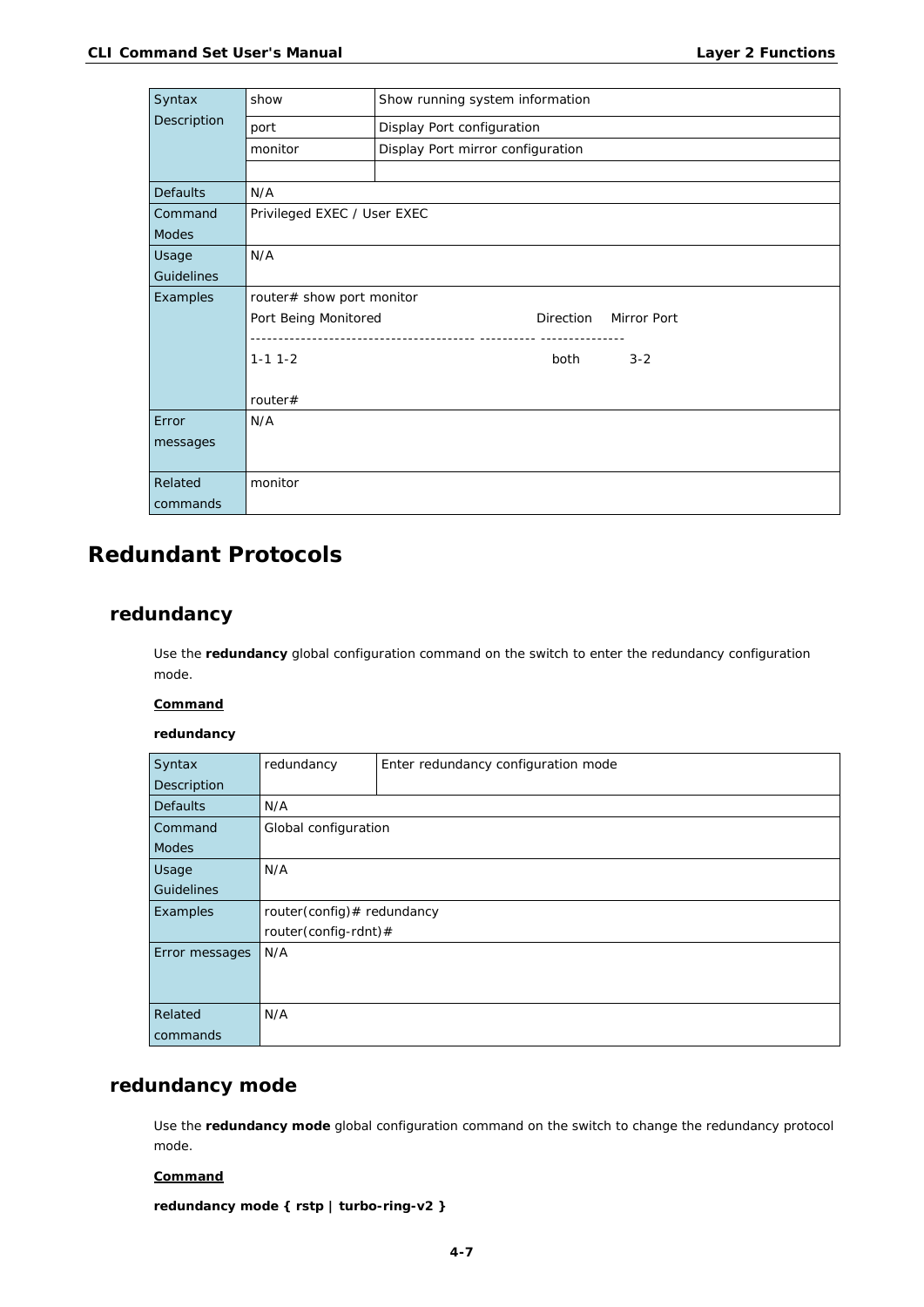| Syntax          | show                        |                                   | Show running system information |                    |  |
|-----------------|-----------------------------|-----------------------------------|---------------------------------|--------------------|--|
| Description     | port                        |                                   | Display Port configuration      |                    |  |
|                 | monitor                     | Display Port mirror configuration |                                 |                    |  |
|                 |                             |                                   |                                 |                    |  |
| <b>Defaults</b> | N/A                         |                                   |                                 |                    |  |
| Command         | Privileged EXEC / User EXEC |                                   |                                 |                    |  |
| <b>Modes</b>    |                             |                                   |                                 |                    |  |
| Usage           | N/A                         |                                   |                                 |                    |  |
| Guidelines      |                             |                                   |                                 |                    |  |
| Examples        | router# show port monitor   |                                   |                                 |                    |  |
|                 | Port Being Monitored        |                                   | <b>Direction</b>                | <b>Mirror Port</b> |  |
|                 | $1 - 1$ $1 - 2$             |                                   | both                            | $3 - 2$            |  |
|                 | router#                     |                                   |                                 |                    |  |
| Error           | N/A                         |                                   |                                 |                    |  |
| messages        |                             |                                   |                                 |                    |  |
| Related         | monitor                     |                                   |                                 |                    |  |
| commands        |                             |                                   |                                 |                    |  |

# <span id="page-46-0"></span>**Redundant Protocols**

### **redundancy**

Use the **redundancy** global configuration command on the switch to enter the redundancy configuration mode.

### **Command**

### **redundancy**

| Syntax            | redundancy                 | Enter redundancy configuration mode |  |  |
|-------------------|----------------------------|-------------------------------------|--|--|
| Description       |                            |                                     |  |  |
| <b>Defaults</b>   | N/A                        |                                     |  |  |
| Command           | Global configuration       |                                     |  |  |
| <b>Modes</b>      |                            |                                     |  |  |
| Usage             | N/A                        |                                     |  |  |
| <b>Guidelines</b> |                            |                                     |  |  |
| Examples          | router(config)# redundancy |                                     |  |  |
|                   | router(config-rdnt) $#$    |                                     |  |  |
| Error messages    | N/A                        |                                     |  |  |
|                   |                            |                                     |  |  |
|                   |                            |                                     |  |  |
| Related           | N/A                        |                                     |  |  |
| commands          |                            |                                     |  |  |

# **redundancy mode**

Use the **redundancy mode** global configuration command on the switch to change the redundancy protocol mode.

#### **Command**

**redundancy mode { rstp | turbo-ring-v2 }**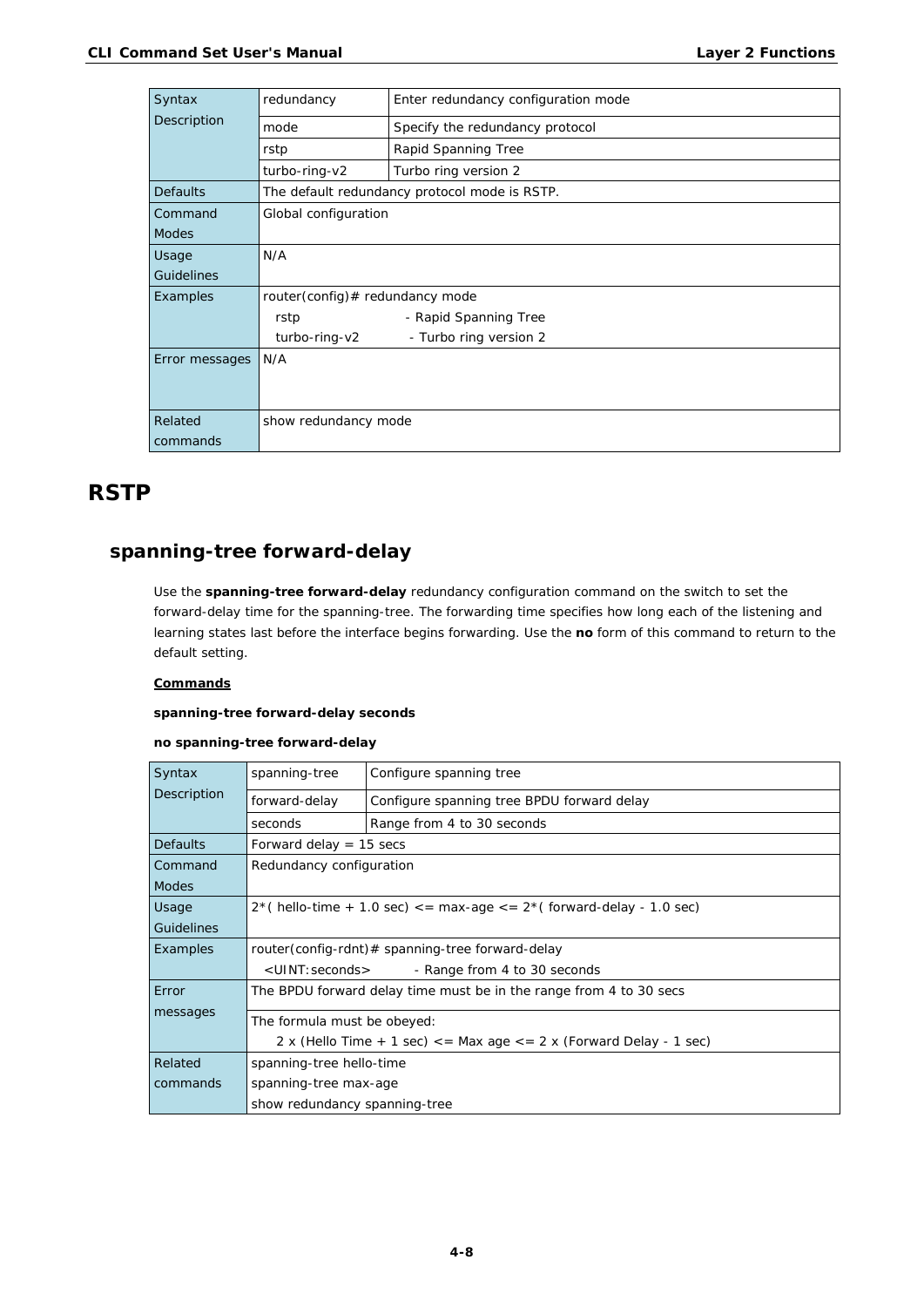| Syntax            | Enter redundancy configuration mode<br>redundancy |                                               |  |
|-------------------|---------------------------------------------------|-----------------------------------------------|--|
| Description       | mode                                              | Specify the redundancy protocol               |  |
|                   | rstp                                              | Rapid Spanning Tree                           |  |
|                   | turbo-ring-v2                                     | Turbo ring version 2                          |  |
| <b>Defaults</b>   |                                                   | The default redundancy protocol mode is RSTP. |  |
| Command           | Global configuration                              |                                               |  |
| <b>Modes</b>      |                                                   |                                               |  |
| Usage             | N/A                                               |                                               |  |
| <b>Guidelines</b> |                                                   |                                               |  |
| Examples          | router(config)# redundancy mode                   |                                               |  |
|                   | rstp                                              | - Rapid Spanning Tree                         |  |
|                   | turbo-ring-v2                                     | - Turbo ring version 2                        |  |
| Error messages    | N/A                                               |                                               |  |
|                   |                                                   |                                               |  |
|                   |                                                   |                                               |  |
| Related           | show redundancy mode                              |                                               |  |
| commands          |                                                   |                                               |  |

# <span id="page-47-0"></span>**RSTP**

# **spanning-tree forward-delay**

Use the **spanning-tree forward-delay** redundancy configuration command on the switch to set the forward-delay time for the spanning-tree. The forwarding time specifies how long each of the listening and learning states last before the interface begins forwarding. Use the **no** form of this command to return to the default setting.

#### **Commands**

#### **spanning-tree forward-delay seconds**

#### **no spanning-tree forward-delay**

| Syntax<br>Description | spanning-tree                                                                | Configure spanning tree                    |  |  |  |
|-----------------------|------------------------------------------------------------------------------|--------------------------------------------|--|--|--|
|                       | forward-delay                                                                | Configure spanning tree BPDU forward delay |  |  |  |
|                       | seconds                                                                      | Range from 4 to 30 seconds                 |  |  |  |
| Defaults              | Forward delay = $15$ secs                                                    |                                            |  |  |  |
| Command               | Redundancy configuration                                                     |                                            |  |  |  |
| Modes                 |                                                                              |                                            |  |  |  |
| <b>Usage</b>          | $2*$ (hello-time + 1.0 sec) <= max-age <= $2*$ (forward-delay - 1.0 sec)     |                                            |  |  |  |
| Guidelines            |                                                                              |                                            |  |  |  |
| Examples              | router(config-rdnt)# spanning-tree forward-delay                             |                                            |  |  |  |
|                       | <uint:seconds><br/>- Range from 4 to 30 seconds</uint:seconds>               |                                            |  |  |  |
| Error                 | The BPDU forward delay time must be in the range from 4 to 30 secs           |                                            |  |  |  |
| messages              | The formula must be obeyed:                                                  |                                            |  |  |  |
|                       | 2 x (Hello Time + 1 sec) $\lt$ = Max age $\lt$ = 2 x (Forward Delay - 1 sec) |                                            |  |  |  |
| Related               | spanning-tree hello-time                                                     |                                            |  |  |  |
| commands              | spanning-tree max-age                                                        |                                            |  |  |  |
|                       | show redundancy spanning-tree                                                |                                            |  |  |  |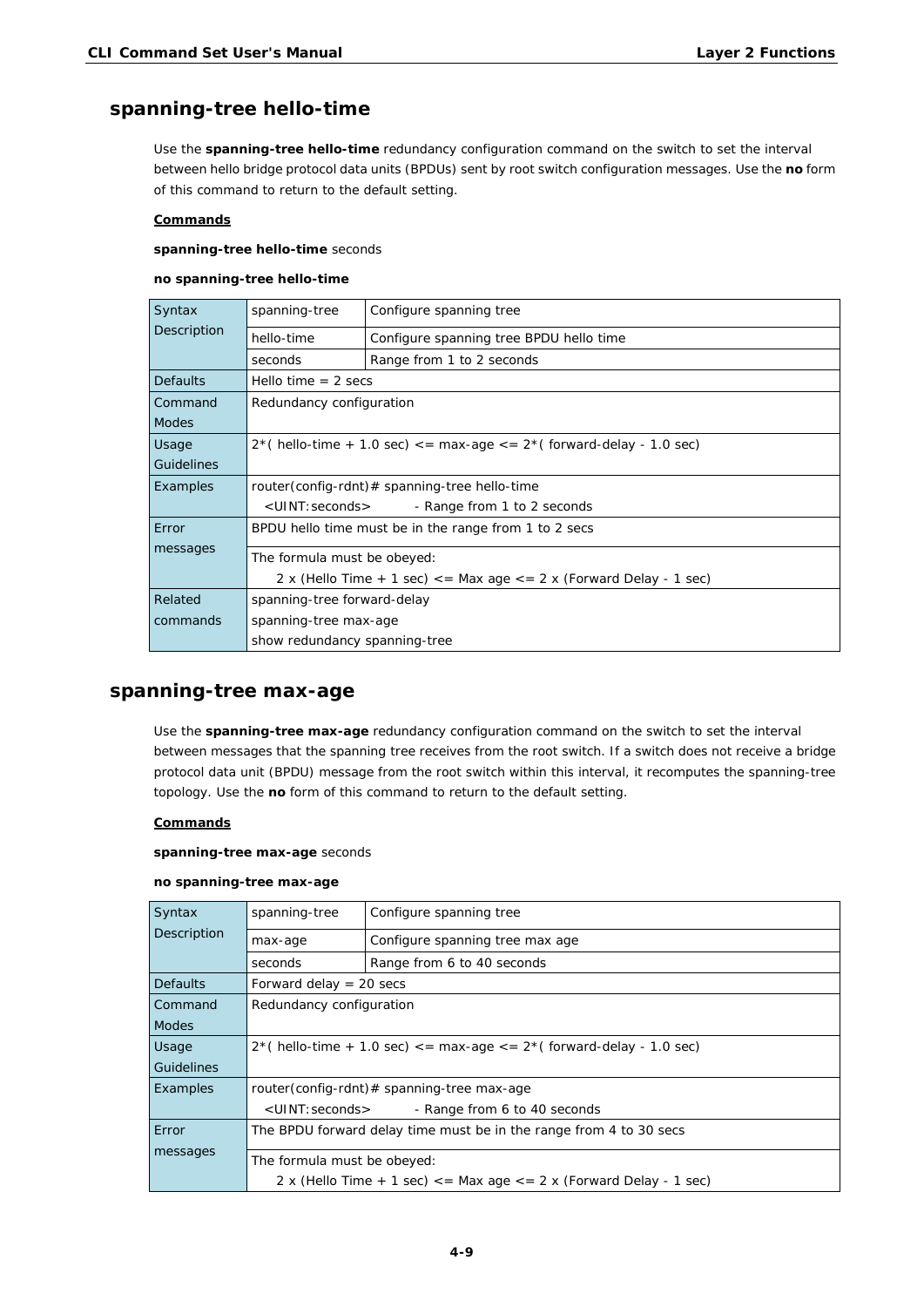## **spanning-tree hello-time**

Use the **spanning-tree hello-time** redundancy configuration command on the switch to set the interval between hello bridge protocol data units (BPDUs) sent by root switch configuration messages. Use the **no** form of this command to return to the default setting.

#### **Commands**

#### **spanning-tree hello-time** seconds

#### **no spanning-tree hello-time**

| Syntax          | spanning-tree                                                            | Configure spanning tree                 |  |  |
|-----------------|--------------------------------------------------------------------------|-----------------------------------------|--|--|
| Description     | hello-time                                                               | Configure spanning tree BPDU hello time |  |  |
|                 | seconds                                                                  | Range from 1 to 2 seconds               |  |  |
| <b>Defaults</b> | Hello time $= 2$ secs                                                    |                                         |  |  |
| Command         | Redundancy configuration                                                 |                                         |  |  |
| Modes           |                                                                          |                                         |  |  |
| <b>Usage</b>    | $2*$ (hello-time + 1.0 sec) <= max-age <= $2*$ (forward-delay - 1.0 sec) |                                         |  |  |
| Guidelines      |                                                                          |                                         |  |  |
| <b>Examples</b> | router(config-rdnt)# spanning-tree hello-time                            |                                         |  |  |
|                 | <uint:seconds><br/>- Range from 1 to 2 seconds</uint:seconds>            |                                         |  |  |
| Error           | BPDU hello time must be in the range from 1 to 2 secs                    |                                         |  |  |
| messages        | The formula must be obeyed:                                              |                                         |  |  |
|                 | 2 x (Hello Time + 1 sec) <= Max age <= 2 x (Forward Delay - 1 sec)       |                                         |  |  |
| Related         | spanning-tree forward-delay                                              |                                         |  |  |
| commands        | spanning-tree max-age                                                    |                                         |  |  |
|                 | show redundancy spanning-tree                                            |                                         |  |  |

### **spanning-tree max-age**

Use the **spanning-tree max-age** redundancy configuration command on the switch to set the interval between messages that the spanning tree receives from the root switch. If a switch does not receive a bridge protocol data unit (BPDU) message from the root switch within this interval, it recomputes the spanning-tree topology. Use the **no** form of this command to return to the default setting.

#### **Commands**

#### **spanning-tree max-age** seconds

#### **no spanning-tree max-age**

| Syntax<br>Description | spanning-tree                                                                      | Configure spanning tree                                                      |  |  |
|-----------------------|------------------------------------------------------------------------------------|------------------------------------------------------------------------------|--|--|
|                       | max-age                                                                            | Configure spanning tree max age                                              |  |  |
|                       | seconds                                                                            | Range from 6 to 40 seconds                                                   |  |  |
| <b>Defaults</b>       | Forward delay $= 20$ secs                                                          |                                                                              |  |  |
| Command               |                                                                                    | Redundancy configuration                                                     |  |  |
| <b>Modes</b>          |                                                                                    |                                                                              |  |  |
| Usage                 | $2*$ (hello-time + 1.0 sec) $\lt$ = max-age $\lt$ = $2*$ (forward-delay - 1.0 sec) |                                                                              |  |  |
| <b>Guidelines</b>     |                                                                                    |                                                                              |  |  |
| Examples              | router(config-rdnt)# spanning-tree max-age                                         |                                                                              |  |  |
|                       |                                                                                    | <uint: seconds=""> - Range from 6 to 40 seconds</uint:>                      |  |  |
| Error                 | The BPDU forward delay time must be in the range from 4 to 30 secs                 |                                                                              |  |  |
|                       |                                                                                    |                                                                              |  |  |
| messages              | The formula must be obeyed:                                                        |                                                                              |  |  |
|                       |                                                                                    | 2 x (Hello Time + 1 sec) $\lt$ = Max age $\lt$ = 2 x (Forward Delay - 1 sec) |  |  |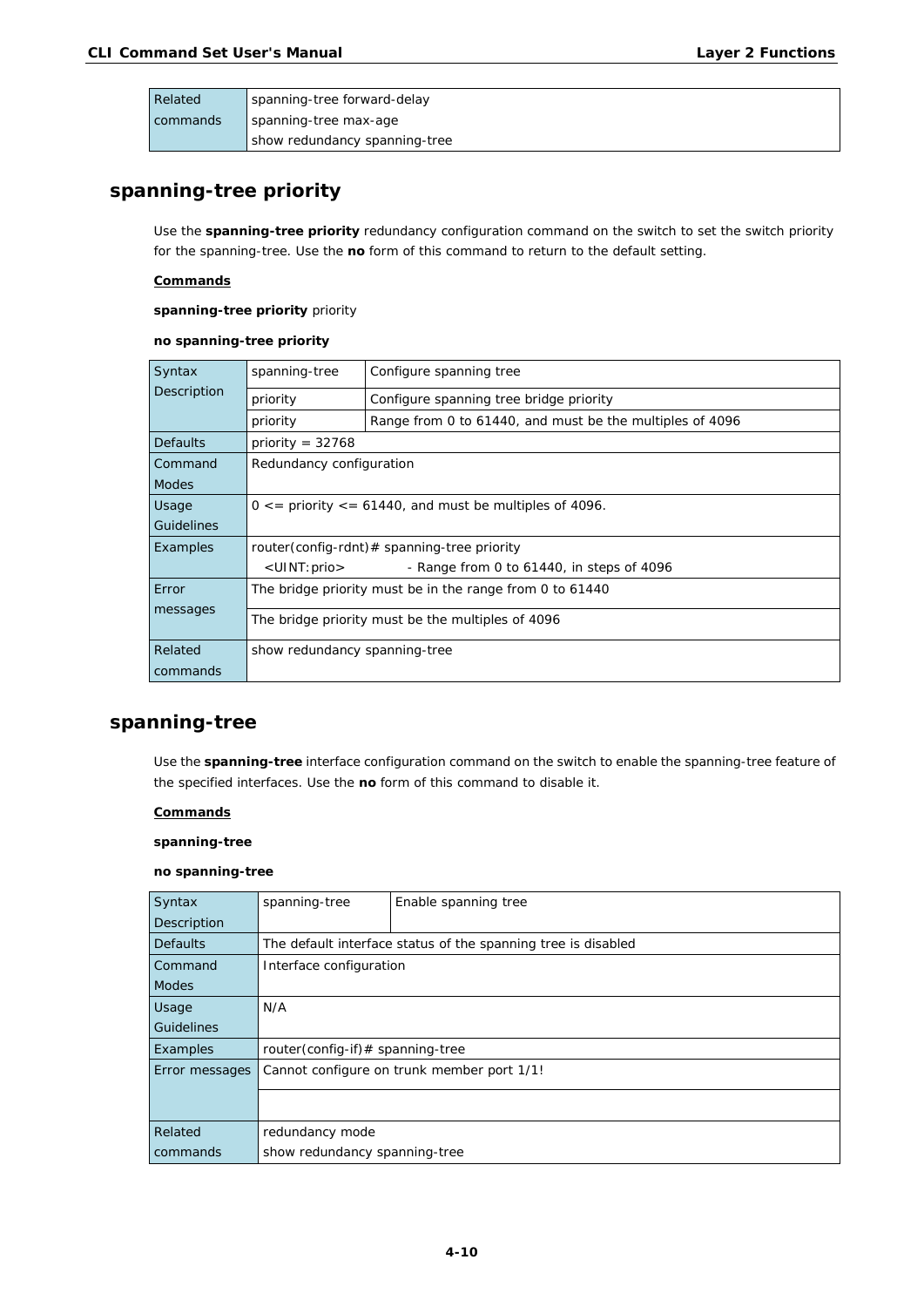| Related  | spanning-tree forward-delay   |  |
|----------|-------------------------------|--|
| commands | I spanning-tree max-age       |  |
|          | show redundancy spanning-tree |  |

# **spanning-tree priority**

Use the **spanning-tree priority** redundancy configuration command on the switch to set the switch priority for the spanning-tree. Use the **no** form of this command to return to the default setting.

#### **Commands**

**spanning-tree priority** priority

#### **no spanning-tree priority**

| Syntax       | spanning-tree                                                    | Configure spanning tree                                  |  |  |  |  |
|--------------|------------------------------------------------------------------|----------------------------------------------------------|--|--|--|--|
| Description  | priority                                                         | Configure spanning tree bridge priority                  |  |  |  |  |
|              | priority                                                         | Range from 0 to 61440, and must be the multiples of 4096 |  |  |  |  |
| Defaults     | priority = $32768$                                               |                                                          |  |  |  |  |
| Command      | Redundancy configuration                                         |                                                          |  |  |  |  |
| <b>Modes</b> |                                                                  |                                                          |  |  |  |  |
| <b>Usage</b> | $0 \le$ = priority $\le$ = 61440, and must be multiples of 4096. |                                                          |  |  |  |  |
| Guidelines   |                                                                  |                                                          |  |  |  |  |
| Examples     | router(config-rdnt) $#$ spanning-tree priority                   |                                                          |  |  |  |  |
|              | <uint: prio=""></uint:>                                          | - Range from 0 to 61440, in steps of 4096                |  |  |  |  |
| Error        | The bridge priority must be in the range from 0 to 61440         |                                                          |  |  |  |  |
| messages     | The bridge priority must be the multiples of 4096                |                                                          |  |  |  |  |
| Related      | show redundancy spanning-tree                                    |                                                          |  |  |  |  |
| commands     |                                                                  |                                                          |  |  |  |  |

### **spanning-tree**

Use the **spanning-tree** interface configuration command on the switch to enable the spanning-tree feature of the specified interfaces. Use the **no** form of this command to disable it.

#### **Commands**

### **spanning-tree**

#### **no spanning-tree**

| Syntax            | spanning-tree                              | Enable spanning tree                                          |  |  |  |
|-------------------|--------------------------------------------|---------------------------------------------------------------|--|--|--|
| Description       |                                            |                                                               |  |  |  |
| <b>Defaults</b>   |                                            | The default interface status of the spanning tree is disabled |  |  |  |
| Command           |                                            | Interface configuration                                       |  |  |  |
| <b>Modes</b>      |                                            |                                                               |  |  |  |
| Usage             | N/A                                        |                                                               |  |  |  |
| <b>Guidelines</b> |                                            |                                                               |  |  |  |
| Examples          | router(config-if)# spanning-tree           |                                                               |  |  |  |
| Error messages    | Cannot configure on trunk member port 1/1! |                                                               |  |  |  |
|                   |                                            |                                                               |  |  |  |
|                   |                                            |                                                               |  |  |  |
| Related           | redundancy mode                            |                                                               |  |  |  |
| commands          | show redundancy spanning-tree              |                                                               |  |  |  |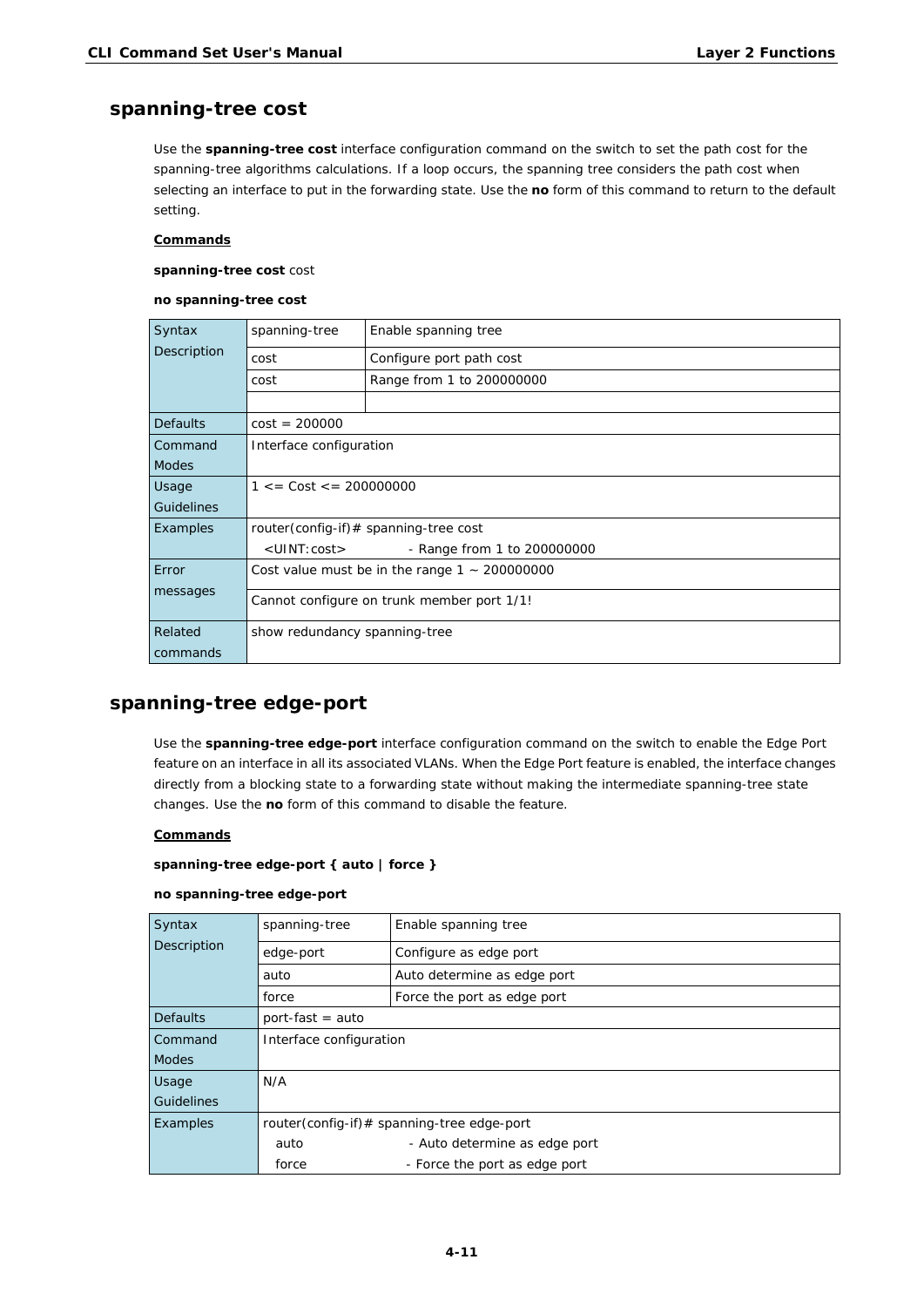### **spanning-tree cost**

Use the **spanning-tree cost** interface configuration command on the switch to set the path cost for the spanning-tree algorithms calculations. If a loop occurs, the spanning tree considers the path cost when selecting an interface to put in the forwarding state. Use the **no** form of this command to return to the default setting.

#### **Commands**

#### **spanning-tree cost** cost

#### **no spanning-tree cost**

| Syntax                             | spanning-tree                                      | Enable spanning tree        |  |  |  |
|------------------------------------|----------------------------------------------------|-----------------------------|--|--|--|
| Description                        | cost                                               | Configure port path cost    |  |  |  |
|                                    | cost                                               | Range from 1 to 200000000   |  |  |  |
|                                    |                                                    |                             |  |  |  |
| <b>Defaults</b>                    | $cost = 200000$                                    |                             |  |  |  |
| Command<br>Interface configuration |                                                    |                             |  |  |  |
| <b>Modes</b>                       |                                                    |                             |  |  |  |
| Usage                              | $1 \leq Cost \leq 200000000$                       |                             |  |  |  |
| <b>Guidelines</b>                  |                                                    |                             |  |  |  |
| Examples                           | router(config-if)# spanning-tree cost              |                             |  |  |  |
|                                    | <uint:cost></uint:cost>                            | - Range from 1 to 200000000 |  |  |  |
| Error                              | Cost value must be in the range $1 \sim 200000000$ |                             |  |  |  |
| messages                           | Cannot configure on trunk member port 1/1!         |                             |  |  |  |
| Related                            | show redundancy spanning-tree                      |                             |  |  |  |
| commands                           |                                                    |                             |  |  |  |

### **spanning-tree edge-port**

Use the **spanning-tree edge-port** interface configuration command on the switch to enable the Edge Port feature on an interface in all its associated VLANs. When the Edge Port feature is enabled, the interface changes directly from a blocking state to a forwarding state without making the intermediate spanning-tree state changes. Use the **no** form of this command to disable the feature.

#### **Commands**

#### **spanning-tree edge-port { auto | force }**

#### **no spanning-tree edge-port**

| Syntax            | spanning-tree                              | Enable spanning tree        |  |  |  |
|-------------------|--------------------------------------------|-----------------------------|--|--|--|
| Description       | edge-port                                  | Configure as edge port      |  |  |  |
|                   | auto                                       | Auto determine as edge port |  |  |  |
|                   | force                                      | Force the port as edge port |  |  |  |
| <b>Defaults</b>   | $port-fast = auto$                         |                             |  |  |  |
| Command           | Interface configuration                    |                             |  |  |  |
| <b>Modes</b>      |                                            |                             |  |  |  |
| Usage             | N/A                                        |                             |  |  |  |
| <b>Guidelines</b> |                                            |                             |  |  |  |
| Examples          | router(config-if)# spanning-tree edge-port |                             |  |  |  |
|                   | - Auto determine as edge port<br>auto      |                             |  |  |  |
|                   | - Force the port as edge port<br>force     |                             |  |  |  |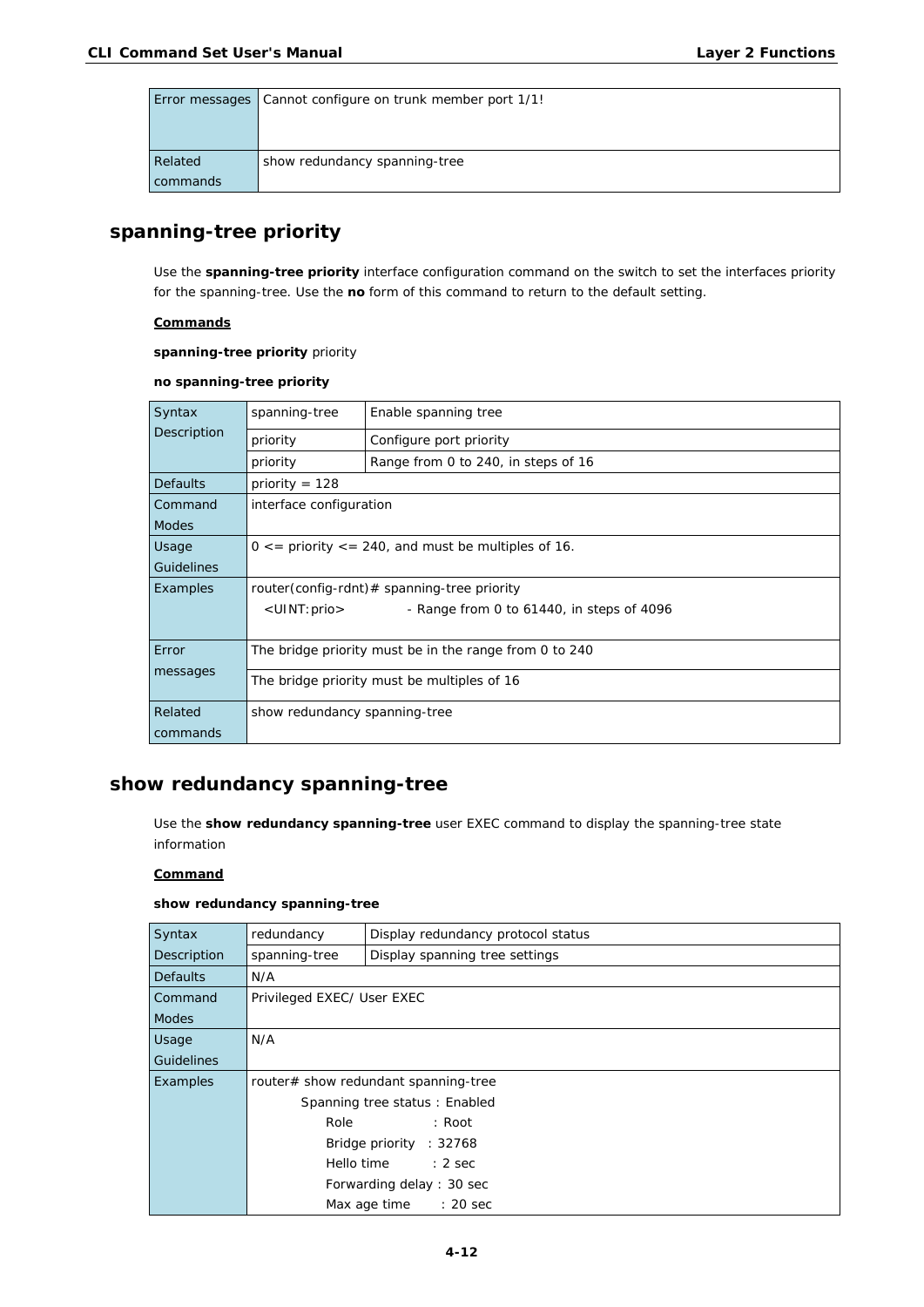|          | Error messages   Cannot configure on trunk member port 1/1! |  |
|----------|-------------------------------------------------------------|--|
|          |                                                             |  |
|          |                                                             |  |
| Related  | show redundancy spanning-tree                               |  |
| commands |                                                             |  |

# **spanning-tree priority**

Use the **spanning-tree priority** interface configuration command on the switch to set the interfaces priority for the spanning-tree. Use the **no** form of this command to return to the default setting.

#### **Commands**

**spanning-tree priority** priority

**no spanning-tree priority**

| Syntax                             | spanning-tree                                                         | Enable spanning tree                |  |  |  |  |
|------------------------------------|-----------------------------------------------------------------------|-------------------------------------|--|--|--|--|
| Description                        | priority                                                              | Configure port priority             |  |  |  |  |
|                                    | priority                                                              | Range from 0 to 240, in steps of 16 |  |  |  |  |
| <b>Defaults</b>                    | priority = $128$                                                      |                                     |  |  |  |  |
| Command<br>interface configuration |                                                                       |                                     |  |  |  |  |
| <b>Modes</b>                       |                                                                       |                                     |  |  |  |  |
| Usage                              | $0 \le$ = priority $\le$ = 240, and must be multiples of 16.          |                                     |  |  |  |  |
| <b>Guidelines</b>                  |                                                                       |                                     |  |  |  |  |
| Examples                           | router(config-rdnt)# spanning-tree priority                           |                                     |  |  |  |  |
|                                    | <uint: prio=""><br/>- Range from 0 to 61440, in steps of 4096</uint:> |                                     |  |  |  |  |
|                                    |                                                                       |                                     |  |  |  |  |
| Error                              | The bridge priority must be in the range from 0 to 240                |                                     |  |  |  |  |
| messages                           | The bridge priority must be multiples of 16                           |                                     |  |  |  |  |
| Related                            | show redundancy spanning-tree                                         |                                     |  |  |  |  |
| commands                           |                                                                       |                                     |  |  |  |  |

### **show redundancy spanning-tree**

Use the **show redundancy spanning-tree** user EXEC command to display the spanning-tree state information

#### **Command**

#### **show redundancy spanning-tree**

| Syntax       | redundancy                           | Display redundancy protocol status |  |  |
|--------------|--------------------------------------|------------------------------------|--|--|
| Description  | spanning-tree                        | Display spanning tree settings     |  |  |
| Defaults     | N/A                                  |                                    |  |  |
| Command      | Privileged EXEC/ User EXEC           |                                    |  |  |
| <b>Modes</b> |                                      |                                    |  |  |
| <b>Usage</b> | N/A                                  |                                    |  |  |
| Guidelines   |                                      |                                    |  |  |
| Examples     | router# show redundant spanning-tree |                                    |  |  |
|              | Spanning tree status: Enabled        |                                    |  |  |
|              | Role<br>: Root                       |                                    |  |  |
|              | Bridge priority : 32768              |                                    |  |  |
|              | Hello time<br>$: 2$ sec              |                                    |  |  |
|              | Forwarding delay: 30 sec             |                                    |  |  |
|              |                                      | Max age time $\cdot$ 20 sec        |  |  |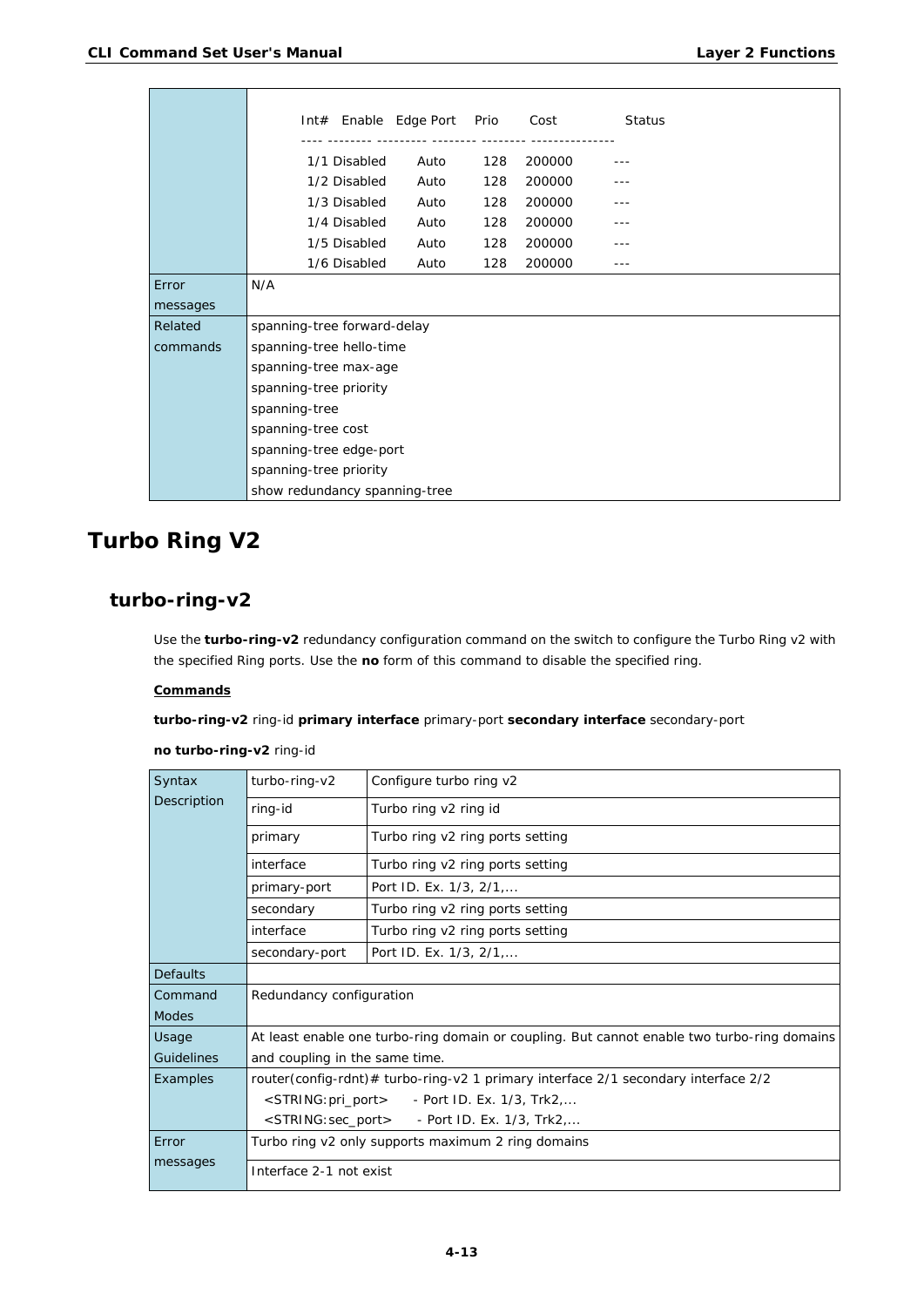$\mathbf{r}$ 

|          | Int# Enable Edge Port         |      | Prio | Cost   | <b>Status</b> |  |
|----------|-------------------------------|------|------|--------|---------------|--|
|          | 1/1 Disabled                  | Auto | 128  | 200000 |               |  |
|          | 1/2 Disabled                  | Auto | 128  | 200000 |               |  |
|          | 1/3 Disabled                  | Auto | 128  | 200000 |               |  |
|          | 1/4 Disabled                  | Auto | 128  | 200000 |               |  |
|          | 1/5 Disabled                  | Auto | 128  | 200000 | ---           |  |
|          | 1/6 Disabled                  | Auto | 128  | 200000 | ---           |  |
| Error    | N/A                           |      |      |        |               |  |
| messages |                               |      |      |        |               |  |
| Related  | spanning-tree forward-delay   |      |      |        |               |  |
| commands | spanning-tree hello-time      |      |      |        |               |  |
|          | spanning-tree max-age         |      |      |        |               |  |
|          | spanning-tree priority        |      |      |        |               |  |
|          | spanning-tree                 |      |      |        |               |  |
|          | spanning-tree cost            |      |      |        |               |  |
|          | spanning-tree edge-port       |      |      |        |               |  |
|          | spanning-tree priority        |      |      |        |               |  |
|          | show redundancy spanning-tree |      |      |        |               |  |

# <span id="page-52-0"></span>**Turbo Ring V2**

# **turbo-ring-v2**

Use the **turbo-ring-v2** redundancy configuration command on the switch to configure the Turbo Ring v2 with the specified Ring ports. Use the **no** form of this command to disable the specified ring.

#### **Commands**

**turbo-ring-v2** ring-id **primary interface** primary-port **secondary interface** secondary-port

#### **no turbo-ring-v2** ring-id

| Syntax            | turbo-ring-v2                                                                                                               | Configure turbo ring v2                                                            |  |  |  |
|-------------------|-----------------------------------------------------------------------------------------------------------------------------|------------------------------------------------------------------------------------|--|--|--|
| Description       | ring-id                                                                                                                     | Turbo ring v2 ring id                                                              |  |  |  |
|                   | primary                                                                                                                     | Turbo ring v2 ring ports setting                                                   |  |  |  |
|                   | interface                                                                                                                   | Turbo ring v2 ring ports setting                                                   |  |  |  |
|                   | primary-port                                                                                                                | Port ID. Ex. $1/3$ , $2/1$                                                         |  |  |  |
|                   | secondary                                                                                                                   | Turbo ring v2 ring ports setting                                                   |  |  |  |
|                   | interface                                                                                                                   | Turbo ring v2 ring ports setting                                                   |  |  |  |
|                   | secondary-port                                                                                                              | Port ID. Ex. 1/3, 2/1,                                                             |  |  |  |
| <b>Defaults</b>   |                                                                                                                             |                                                                                    |  |  |  |
| Command           | Redundancy configuration                                                                                                    |                                                                                    |  |  |  |
| <b>Modes</b>      |                                                                                                                             |                                                                                    |  |  |  |
| Usage             | At least enable one turbo-ring domain or coupling. But cannot enable two turbo-ring domains                                 |                                                                                    |  |  |  |
| <b>Guidelines</b> | and coupling in the same time.                                                                                              |                                                                                    |  |  |  |
| Examples          |                                                                                                                             | router(config-rdnt)# turbo-ring-v2 1 primary interface 2/1 secondary interface 2/2 |  |  |  |
|                   | <string: pri_port=""> - Port ID. Ex. 1/3, Trk2,<br/><string:sec_port> - Port ID. Ex. 1/3, Trk2,</string:sec_port></string:> |                                                                                    |  |  |  |
|                   |                                                                                                                             |                                                                                    |  |  |  |
| Error             |                                                                                                                             | Turbo ring v2 only supports maximum 2 ring domains                                 |  |  |  |
| messages          | Interface 2-1 not exist                                                                                                     |                                                                                    |  |  |  |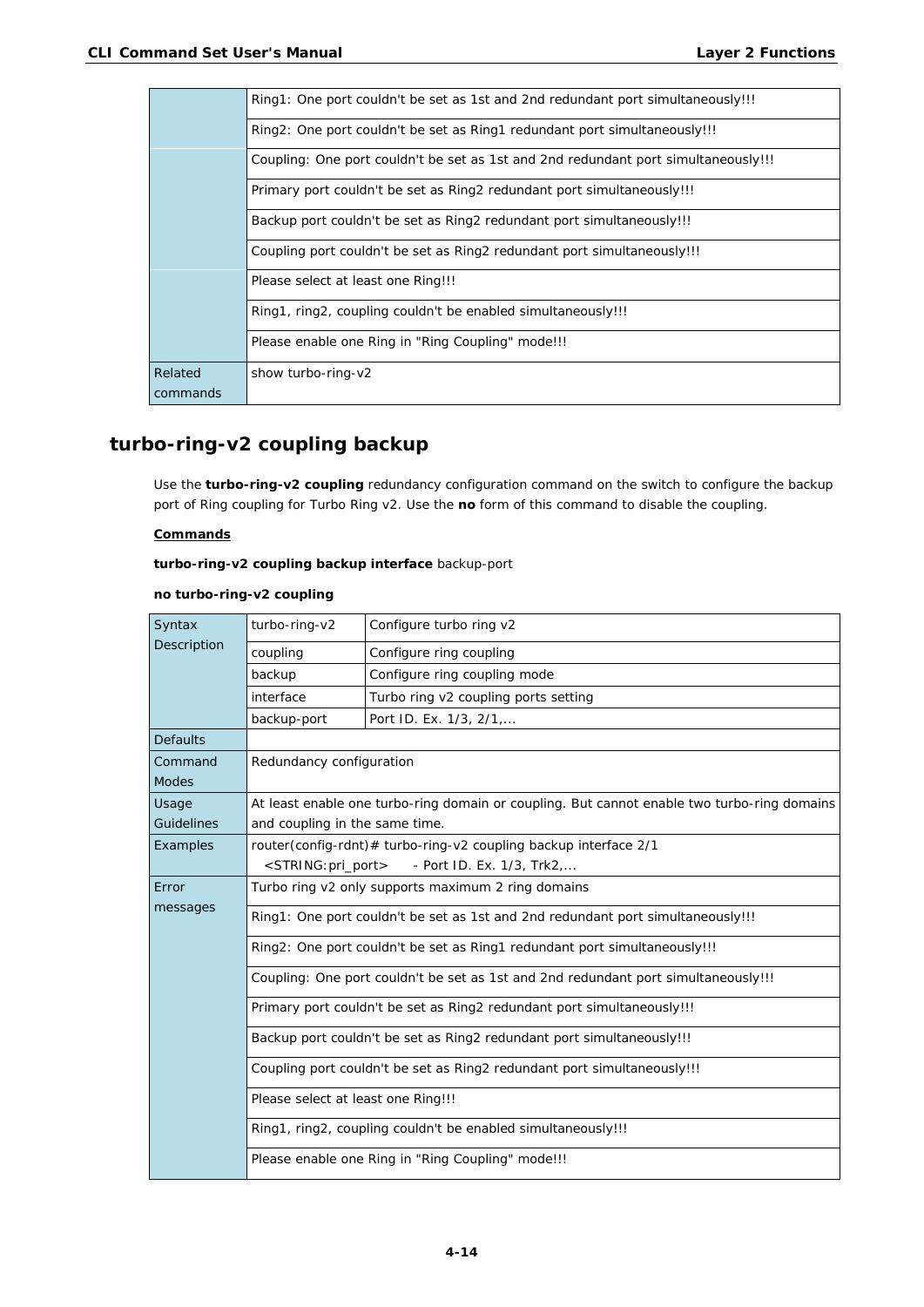|          | Ring1: One port couldn't be set as 1st and 2nd redundant port simultaneously!!!    |
|----------|------------------------------------------------------------------------------------|
|          | Ring2: One port couldn't be set as Ring1 redundant port simultaneously!!!          |
|          | Coupling: One port couldn't be set as 1st and 2nd redundant port simultaneously!!! |
|          | Primary port couldn't be set as Ring2 redundant port simultaneously!!!             |
|          | Backup port couldn't be set as Ring2 redundant port simultaneously!!!              |
|          | Coupling port couldn't be set as Ring2 redundant port simultaneously!!!            |
|          | Please select at least one Ring!!!                                                 |
|          | Ring1, ring2, coupling couldn't be enabled simultaneously!!!                       |
|          | Please enable one Ring in "Ring Coupling" mode!!!                                  |
| Related  | show turbo-ring-v2                                                                 |
| commands |                                                                                    |

# **turbo-ring-v2 coupling backup**

Use the **turbo-ring-v2 coupling** redundancy configuration command on the switch to configure the backup port of Ring coupling for Turbo Ring v2. Use the **no** form of this command to disable the coupling.

#### **Commands**

#### **turbo-ring-v2 coupling backup interface** backup-port

#### **no turbo-ring-v2 coupling**

| Syntax                                                                                                                                                          | turbo-ring-v2                                                                   | Configure turbo ring v2                                                                     |  |  |  |  |
|-----------------------------------------------------------------------------------------------------------------------------------------------------------------|---------------------------------------------------------------------------------|---------------------------------------------------------------------------------------------|--|--|--|--|
| Description                                                                                                                                                     | coupling                                                                        | Configure ring coupling                                                                     |  |  |  |  |
|                                                                                                                                                                 | backup                                                                          | Configure ring coupling mode                                                                |  |  |  |  |
|                                                                                                                                                                 | interface                                                                       | Turbo ring v2 coupling ports setting                                                        |  |  |  |  |
|                                                                                                                                                                 | backup-port                                                                     | Port ID. Ex. 1/3, 2/1,                                                                      |  |  |  |  |
| <b>Defaults</b>                                                                                                                                                 |                                                                                 |                                                                                             |  |  |  |  |
| Command                                                                                                                                                         | Redundancy configuration                                                        |                                                                                             |  |  |  |  |
| <b>Modes</b>                                                                                                                                                    |                                                                                 |                                                                                             |  |  |  |  |
| Usage                                                                                                                                                           |                                                                                 | At least enable one turbo-ring domain or coupling. But cannot enable two turbo-ring domains |  |  |  |  |
| Guidelines                                                                                                                                                      | and coupling in the same time.                                                  |                                                                                             |  |  |  |  |
| Examples                                                                                                                                                        |                                                                                 | router(config-rdnt)# turbo-ring-v2 coupling backup interface 2/1                            |  |  |  |  |
|                                                                                                                                                                 | <string: pri_port=""></string:>                                                 | - Port ID. Ex. 1/3, Trk2,                                                                   |  |  |  |  |
| Error                                                                                                                                                           | Turbo ring v2 only supports maximum 2 ring domains                              |                                                                                             |  |  |  |  |
| messages                                                                                                                                                        | Ring1: One port couldn't be set as 1st and 2nd redundant port simultaneously!!! |                                                                                             |  |  |  |  |
| Ring2: One port couldn't be set as Ring1 redundant port simultaneously!!!<br>Coupling: One port couldn't be set as 1st and 2nd redundant port simultaneously!!! |                                                                                 |                                                                                             |  |  |  |  |
|                                                                                                                                                                 |                                                                                 |                                                                                             |  |  |  |  |
|                                                                                                                                                                 |                                                                                 | Primary port couldn't be set as Ring2 redundant port simultaneously!!!                      |  |  |  |  |
|                                                                                                                                                                 | Backup port couldn't be set as Ring2 redundant port simultaneously!!!           |                                                                                             |  |  |  |  |
|                                                                                                                                                                 | Coupling port couldn't be set as Ring2 redundant port simultaneously!!!         |                                                                                             |  |  |  |  |
|                                                                                                                                                                 |                                                                                 | Please select at least one Ring!!!                                                          |  |  |  |  |
|                                                                                                                                                                 |                                                                                 | Ring1, ring2, coupling couldn't be enabled simultaneously!!!                                |  |  |  |  |
|                                                                                                                                                                 |                                                                                 | Please enable one Ring in "Ring Coupling" mode!!!                                           |  |  |  |  |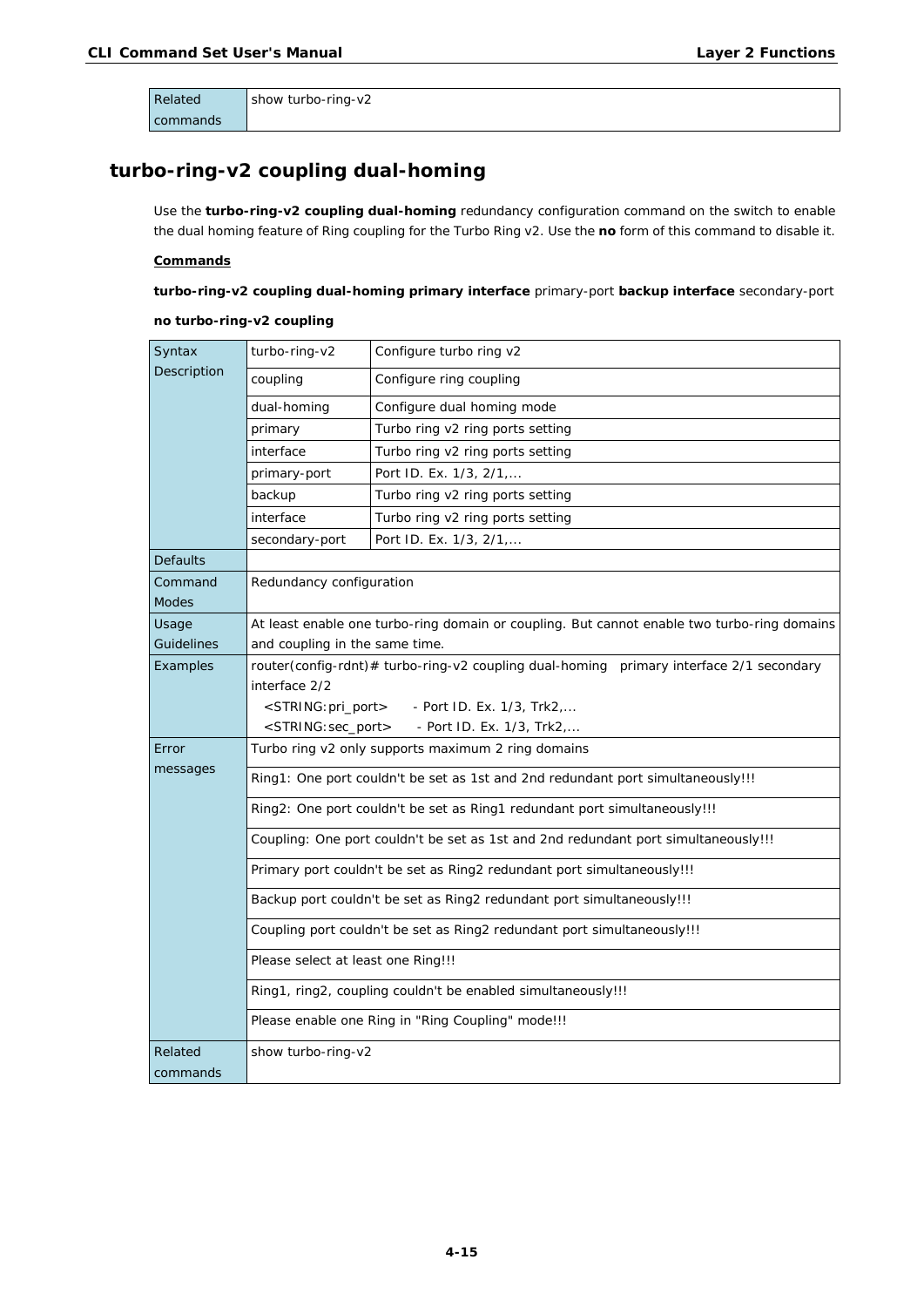Related commands show turbo-ring-v2

# **turbo-ring-v2 coupling dual-homing**

Use the **turbo-ring-v2 coupling dual-homing** redundancy configuration command on the switch to enable the dual homing feature of Ring coupling for the Turbo Ring v2. Use the **no** form of this command to disable it.

### **Commands**

**turbo-ring-v2 coupling dual-homing primary interface** primary-port **backup interface** secondary-port

#### **no turbo-ring-v2 coupling**

| Syntax<br>Description      | turbo-ring-v2                                                                                                             | Configure turbo ring v2                            |  |
|----------------------------|---------------------------------------------------------------------------------------------------------------------------|----------------------------------------------------|--|
|                            | coupling                                                                                                                  | Configure ring coupling                            |  |
|                            | dual-homing                                                                                                               | Configure dual homing mode                         |  |
|                            | primary                                                                                                                   | Turbo ring v2 ring ports setting                   |  |
|                            | interface                                                                                                                 | Turbo ring v2 ring ports setting                   |  |
|                            | primary-port                                                                                                              | Port ID. Ex. 1/3, 2/1,                             |  |
|                            | backup                                                                                                                    | Turbo ring v2 ring ports setting                   |  |
|                            | interface                                                                                                                 | Turbo ring v2 ring ports setting                   |  |
|                            | secondary-port                                                                                                            | Port ID. Ex. 1/3, 2/1,                             |  |
| <b>Defaults</b>            |                                                                                                                           |                                                    |  |
| Command                    | Redundancy configuration                                                                                                  |                                                    |  |
| <b>Modes</b>               |                                                                                                                           |                                                    |  |
| Usage<br><b>Guidelines</b> | At least enable one turbo-ring domain or coupling. But cannot enable two turbo-ring domains                               |                                                    |  |
| Examples                   | and coupling in the same time.<br>router(config-rdnt)# turbo-ring-v2 coupling dual-homing primary interface 2/1 secondary |                                                    |  |
|                            | interface 2/2                                                                                                             |                                                    |  |
|                            | <string:pri_port></string:pri_port>                                                                                       | - Port ID. Ex. 1/3, Trk2,                          |  |
|                            | <string:sec_port></string:sec_port>                                                                                       | - Port ID. Ex. 1/3, Trk2,                          |  |
| Error                      |                                                                                                                           | Turbo ring v2 only supports maximum 2 ring domains |  |
| messages                   | Ring1: One port couldn't be set as 1st and 2nd redundant port simultaneously!!!                                           |                                                    |  |
|                            | Ring2: One port couldn't be set as Ring1 redundant port simultaneously!!!                                                 |                                                    |  |
|                            | Coupling: One port couldn't be set as 1st and 2nd redundant port simultaneously!!!                                        |                                                    |  |
|                            | Primary port couldn't be set as Ring2 redundant port simultaneously!!!                                                    |                                                    |  |
|                            | Backup port couldn't be set as Ring2 redundant port simultaneously!!!                                                     |                                                    |  |
|                            | Coupling port couldn't be set as Ring2 redundant port simultaneously!!!                                                   |                                                    |  |
|                            | Please select at least one Ring!!!                                                                                        |                                                    |  |
|                            | Ring1, ring2, coupling couldn't be enabled simultaneously!!!                                                              |                                                    |  |
|                            | Please enable one Ring in "Ring Coupling" mode!!!                                                                         |                                                    |  |
| Related                    | show turbo-ring-v2                                                                                                        |                                                    |  |
| commands                   |                                                                                                                           |                                                    |  |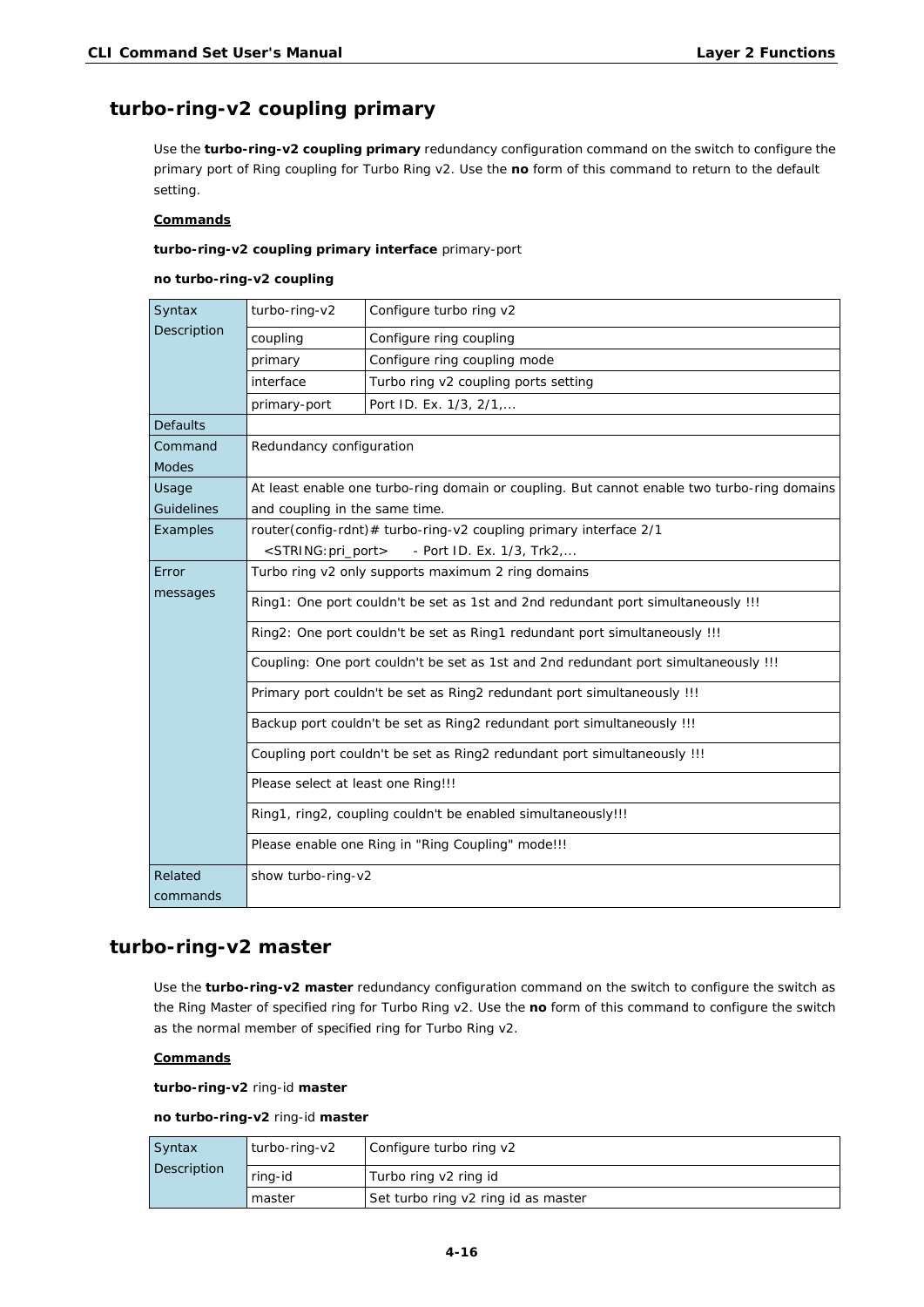## **turbo-ring-v2 coupling primary**

Use the **turbo-ring-v2 coupling primary** redundancy configuration command on the switch to configure the primary port of Ring coupling for Turbo Ring v2. Use the **no** form of this command to return to the default setting.

#### **Commands**

**turbo-ring-v2 coupling primary interface** primary-port

#### **no turbo-ring-v2 coupling**

| Syntax<br>Description | turbo-ring-v2                                                                    | Configure turbo ring v2                                                                     |  |
|-----------------------|----------------------------------------------------------------------------------|---------------------------------------------------------------------------------------------|--|
|                       | coupling                                                                         | Configure ring coupling                                                                     |  |
|                       | primary                                                                          | Configure ring coupling mode                                                                |  |
|                       | interface                                                                        | Turbo ring v2 coupling ports setting                                                        |  |
|                       | primary-port                                                                     | Port ID. Ex. 1/3, 2/1,                                                                      |  |
| <b>Defaults</b>       |                                                                                  |                                                                                             |  |
| Command               | Redundancy configuration                                                         |                                                                                             |  |
| <b>Modes</b>          |                                                                                  |                                                                                             |  |
| Usage                 |                                                                                  | At least enable one turbo-ring domain or coupling. But cannot enable two turbo-ring domains |  |
| <b>Guidelines</b>     | and coupling in the same time.                                                   |                                                                                             |  |
| Examples              |                                                                                  | router(config-rdnt)# turbo-ring-v2 coupling primary interface 2/1                           |  |
|                       | <string: pri_port=""></string:>                                                  | - Port ID. Ex. 1/3, Trk2,                                                                   |  |
| Error                 | Turbo ring v2 only supports maximum 2 ring domains                               |                                                                                             |  |
| messages              | Ring1: One port couldn't be set as 1st and 2nd redundant port simultaneously !!! |                                                                                             |  |
|                       | Ring2: One port couldn't be set as Ring1 redundant port simultaneously !!!       |                                                                                             |  |
|                       |                                                                                  | Coupling: One port couldn't be set as 1st and 2nd redundant port simultaneously !!!         |  |
|                       |                                                                                  | Primary port couldn't be set as Ring2 redundant port simultaneously !!!                     |  |
|                       | Backup port couldn't be set as Ring2 redundant port simultaneously !!!           |                                                                                             |  |
|                       | Coupling port couldn't be set as Ring2 redundant port simultaneously !!!         |                                                                                             |  |
|                       | Please select at least one Ring!!!                                               |                                                                                             |  |
|                       | Ring1, ring2, coupling couldn't be enabled simultaneously!!!                     |                                                                                             |  |
|                       |                                                                                  | Please enable one Ring in "Ring Coupling" mode!!!                                           |  |
| Related               | show turbo-ring-v2                                                               |                                                                                             |  |
| commands              |                                                                                  |                                                                                             |  |

### **turbo-ring-v2 master**

Use the **turbo-ring-v2 master** redundancy configuration command on the switch to configure the switch as the Ring Master of specified ring for Turbo Ring v2. Use the **no** form of this command to configure the switch as the normal member of specified ring for Turbo Ring v2.

#### **Commands**

**turbo-ring-v2** ring-id **master**

### **no turbo-ring-v2** ring-id **master**

| Syntax      | turbo-ring-v2 | Configure turbo ring v2             |
|-------------|---------------|-------------------------------------|
| Description | ring-id       | Turbo ring v2 ring id               |
|             | master        | Set turbo ring v2 ring id as master |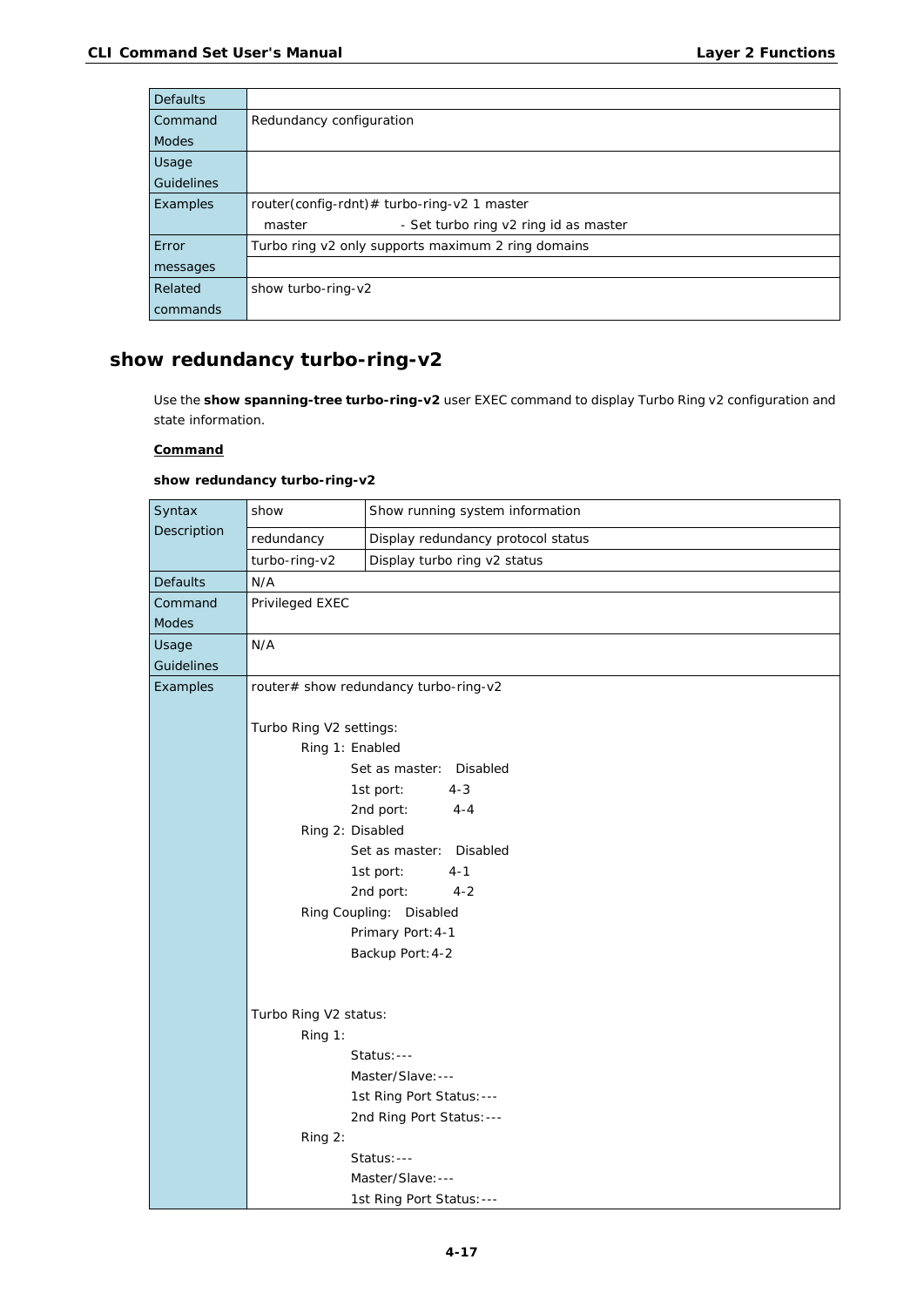| <b>Defaults</b> |                                                    |
|-----------------|----------------------------------------------------|
| Command         | Redundancy configuration                           |
| <b>Modes</b>    |                                                    |
| Usage           |                                                    |
| Guidelines      |                                                    |
| Examples        | router(config-rdnt)# turbo-ring-v2 1 master        |
|                 | - Set turbo ring v2 ring id as master<br>master    |
| Error           | Turbo ring v2 only supports maximum 2 ring domains |
| messages        |                                                    |
| Related         | show turbo-ring-v2                                 |
| commands        |                                                    |

# **show redundancy turbo-ring-v2**

Use the **show spanning-tree turbo-ring-v2** user EXEC command to display Turbo Ring v2 configuration and state information.

### **Command**

#### **show redundancy turbo-ring-v2**

| Syntax<br>Description | show                             | Show running system information       |  |
|-----------------------|----------------------------------|---------------------------------------|--|
|                       | redundancy                       | Display redundancy protocol status    |  |
|                       | turbo-ring-v2                    | Display turbo ring v2 status          |  |
| <b>Defaults</b>       | N/A                              |                                       |  |
| Command               | Privileged EXEC                  |                                       |  |
| Modes                 |                                  |                                       |  |
| Usage                 | N/A                              |                                       |  |
| Guidelines            |                                  |                                       |  |
| Examples              |                                  | router# show redundancy turbo-ring-v2 |  |
|                       |                                  |                                       |  |
|                       | Turbo Ring V2 settings:          |                                       |  |
|                       | Ring 1: Enabled                  |                                       |  |
|                       |                                  | Set as master: Disabled               |  |
|                       |                                  | $4 - 3$<br>1st port:                  |  |
|                       |                                  | 2nd port:<br>$4 - 4$                  |  |
|                       | Ring 2: Disabled                 |                                       |  |
|                       |                                  | Set as master: Disabled               |  |
|                       |                                  | $4 - 1$<br>1st port:                  |  |
|                       |                                  | 2nd port:<br>$4 - 2$                  |  |
|                       |                                  | Ring Coupling: Disabled               |  |
|                       |                                  | Primary Port: 4-1                     |  |
|                       |                                  | Backup Port: 4-2                      |  |
|                       |                                  |                                       |  |
|                       |                                  |                                       |  |
|                       | Turbo Ring V2 status:<br>Ring 1: |                                       |  |
|                       |                                  | Status:---                            |  |
|                       |                                  | Master/Slave:---                      |  |
|                       |                                  | 1st Ring Port Status: ---             |  |
|                       |                                  | 2nd Ring Port Status: ---             |  |
|                       | Ring 2:                          |                                       |  |
|                       |                                  | Status:---                            |  |
|                       |                                  |                                       |  |
|                       |                                  | Master/Slave:---                      |  |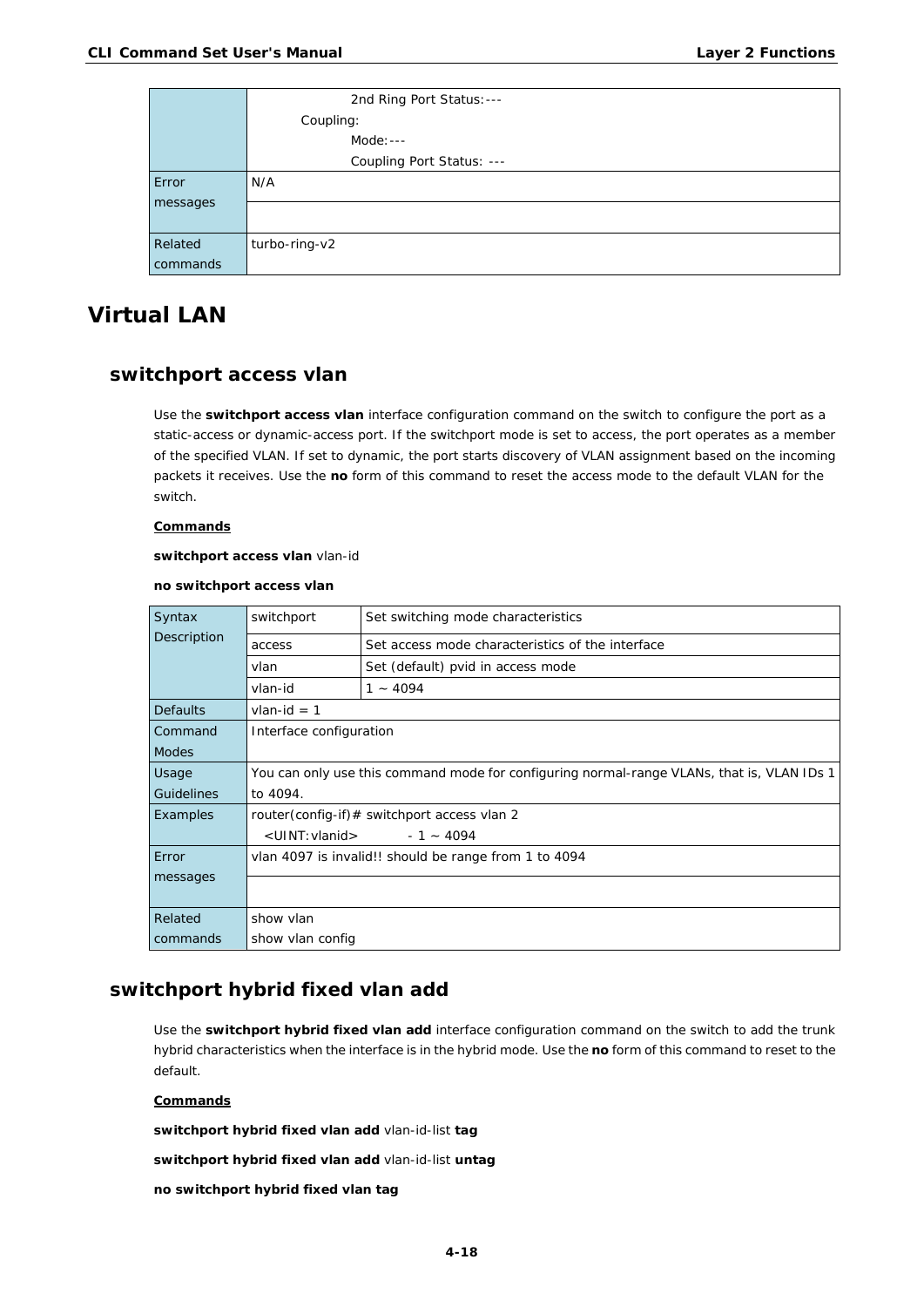|          | 2nd Ring Port Status: --- |
|----------|---------------------------|
|          | Coupling:                 |
|          | $Mode:---$                |
|          | Coupling Port Status: --- |
| Error    | N/A                       |
| messages |                           |
|          |                           |
| Related  | turbo-ring-v2             |
| commands |                           |

# <span id="page-57-0"></span>**Virtual LAN**

### **switchport access vlan**

Use the **switchport access vlan** interface configuration command on the switch to configure the port as a static-access or dynamic-access port. If the switchport mode is set to access, the port operates as a member of the specified VLAN. If set to dynamic, the port starts discovery of VLAN assignment based on the incoming packets it receives. Use the **no** form of this command to reset the access mode to the default VLAN for the switch.

#### **Commands**

**switchport access vlan** vlan-id

#### **no switchport access vlan**

| Syntax            | switchport                                                                                 | Set switching mode characteristics               |
|-------------------|--------------------------------------------------------------------------------------------|--------------------------------------------------|
| Description       | access                                                                                     | Set access mode characteristics of the interface |
|                   | vlan                                                                                       | Set (default) pvid in access mode                |
|                   | vlan-id                                                                                    | $1 - 4094$                                       |
| <b>Defaults</b>   | $v$ lan-id = 1                                                                             |                                                  |
| Command           | Interface configuration                                                                    |                                                  |
| <b>Modes</b>      |                                                                                            |                                                  |
| Usage             | You can only use this command mode for configuring normal-range VLANs, that is, VLAN IDs 1 |                                                  |
| <b>Guidelines</b> | to 4094.                                                                                   |                                                  |
| Examples          |                                                                                            | router(config-if)# switchport access vlan 2      |
|                   | <uint: vlanid=""></uint:>                                                                  | $-1 - 4094$                                      |
| Error             | vlan 4097 is invalid!! should be range from 1 to 4094                                      |                                                  |
| messages          |                                                                                            |                                                  |
|                   |                                                                                            |                                                  |
| Related           | show vlan                                                                                  |                                                  |
| commands          | show vlan config                                                                           |                                                  |

# **switchport hybrid fixed vlan add**

Use the **switchport hybrid fixed vlan add** interface configuration command on the switch to add the trunk hybrid characteristics when the interface is in the hybrid mode. Use the **no** form of this command to reset to the default.

#### **Commands**

**switchport hybrid fixed vlan add** vlan-id-list **tag**

**switchport hybrid fixed vlan add** vlan-id-list **untag**

**no switchport hybrid fixed vlan tag**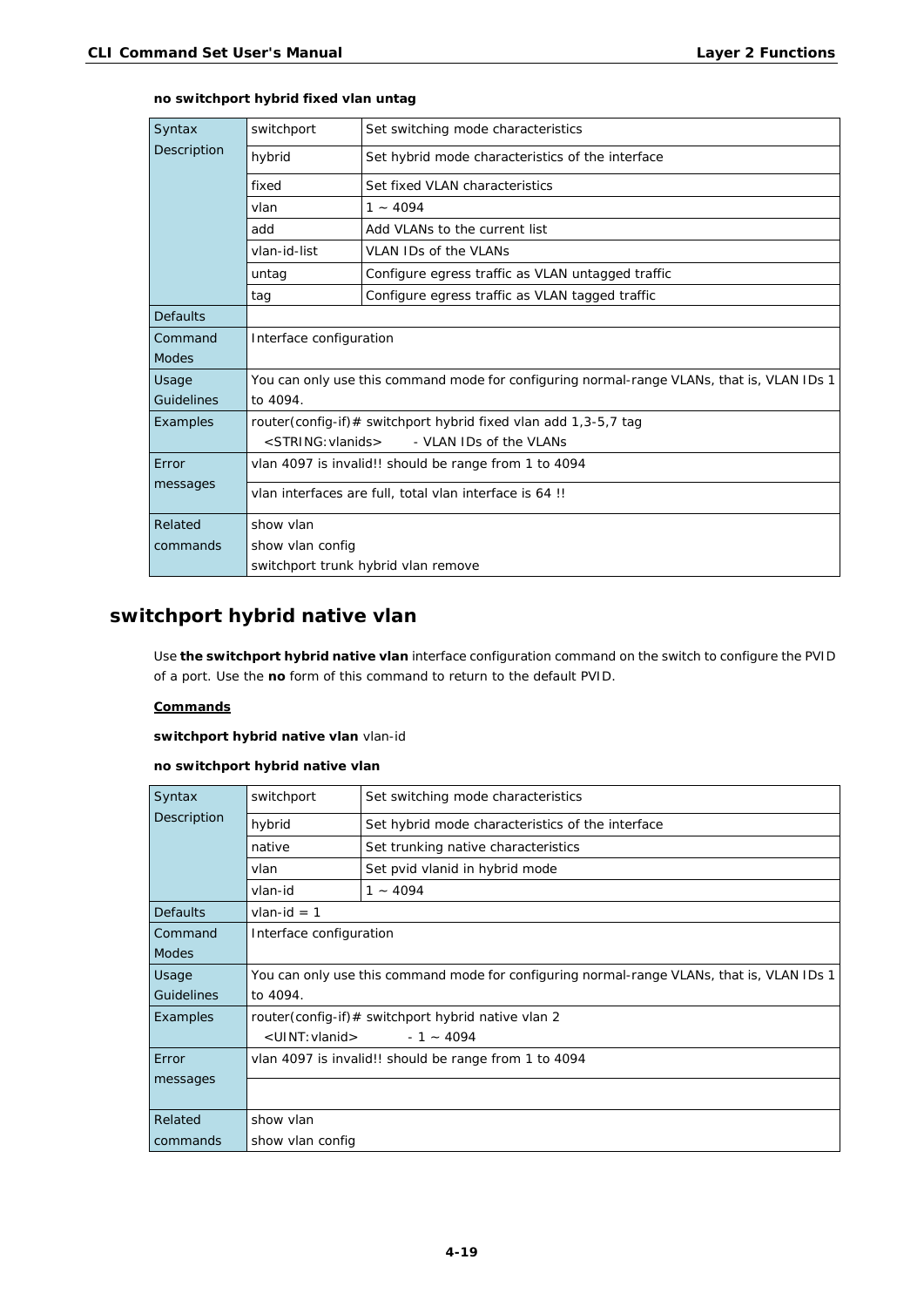| Syntax          | switchport                                                                                 | Set switching mode characteristics                              |
|-----------------|--------------------------------------------------------------------------------------------|-----------------------------------------------------------------|
| Description     | hybrid                                                                                     | Set hybrid mode characteristics of the interface                |
|                 | fixed                                                                                      | Set fixed VI AN characteristics                                 |
|                 | vlan                                                                                       | $1 - 4094$                                                      |
|                 | add                                                                                        | Add VLANs to the current list                                   |
|                 | vlan-id-list                                                                               | <b>VLAN IDs of the VLANs</b>                                    |
|                 | untag                                                                                      | Configure egress traffic as VLAN untagged traffic               |
|                 | tag                                                                                        | Configure egress traffic as VLAN tagged traffic                 |
| <b>Defaults</b> |                                                                                            |                                                                 |
| Command         | Interface configuration                                                                    |                                                                 |
| <b>Modes</b>    |                                                                                            |                                                                 |
| Usage           | You can only use this command mode for configuring normal-range VLANs, that is, VLAN IDs 1 |                                                                 |
| Guidelines      | to 4094.                                                                                   |                                                                 |
| Examples        |                                                                                            | router(config-if)# switchport hybrid fixed vlan add 1,3-5,7 tag |
|                 | $<$ STRING: vlanids >                                                                      | - VLAN IDs of the VLANs                                         |
| Error           | vlan 4097 is invalid!! should be range from 1 to 4094                                      |                                                                 |
| messages        | vlan interfaces are full, total vlan interface is 64 !!                                    |                                                                 |
| Related         | show ylan                                                                                  |                                                                 |
| commands        | show vlan config                                                                           |                                                                 |
|                 |                                                                                            | switchport trunk hybrid vlan remove                             |

### **no switchport hybrid fixed vlan untag**

# **switchport hybrid native vlan**

Use **the switchport hybrid native vlan** interface configuration command on the switch to configure the PVID of a port. Use the **no** form of this command to return to the default PVID.

#### **Commands**

**switchport hybrid native vlan** vlan-id

#### **no switchport hybrid native vlan**

| Syntax            | switchport                                                                                 | Set switching mode characteristics                 |
|-------------------|--------------------------------------------------------------------------------------------|----------------------------------------------------|
| Description       | hybrid                                                                                     | Set hybrid mode characteristics of the interface   |
|                   | native                                                                                     | Set trunking native characteristics                |
|                   | vlan                                                                                       | Set pvid vlanid in hybrid mode                     |
|                   | vlan-id                                                                                    | $1 - 4094$                                         |
| <b>Defaults</b>   | $vlan-id = 1$                                                                              |                                                    |
| Command           | Interface configuration                                                                    |                                                    |
| <b>Modes</b>      |                                                                                            |                                                    |
| Usage             | You can only use this command mode for configuring normal-range VLANs, that is, VLAN IDs 1 |                                                    |
| <b>Guidelines</b> | to 4094.                                                                                   |                                                    |
| Examples          |                                                                                            | router(config-if)# switchport hybrid native vlan 2 |
|                   | <uint: vlanid=""></uint:>                                                                  | $-1 - 4094$                                        |
| Error             | vlan 4097 is invalid!! should be range from 1 to 4094                                      |                                                    |
| messages          |                                                                                            |                                                    |
|                   |                                                                                            |                                                    |
| Related           | show ylan                                                                                  |                                                    |
| commands          | show ylan config                                                                           |                                                    |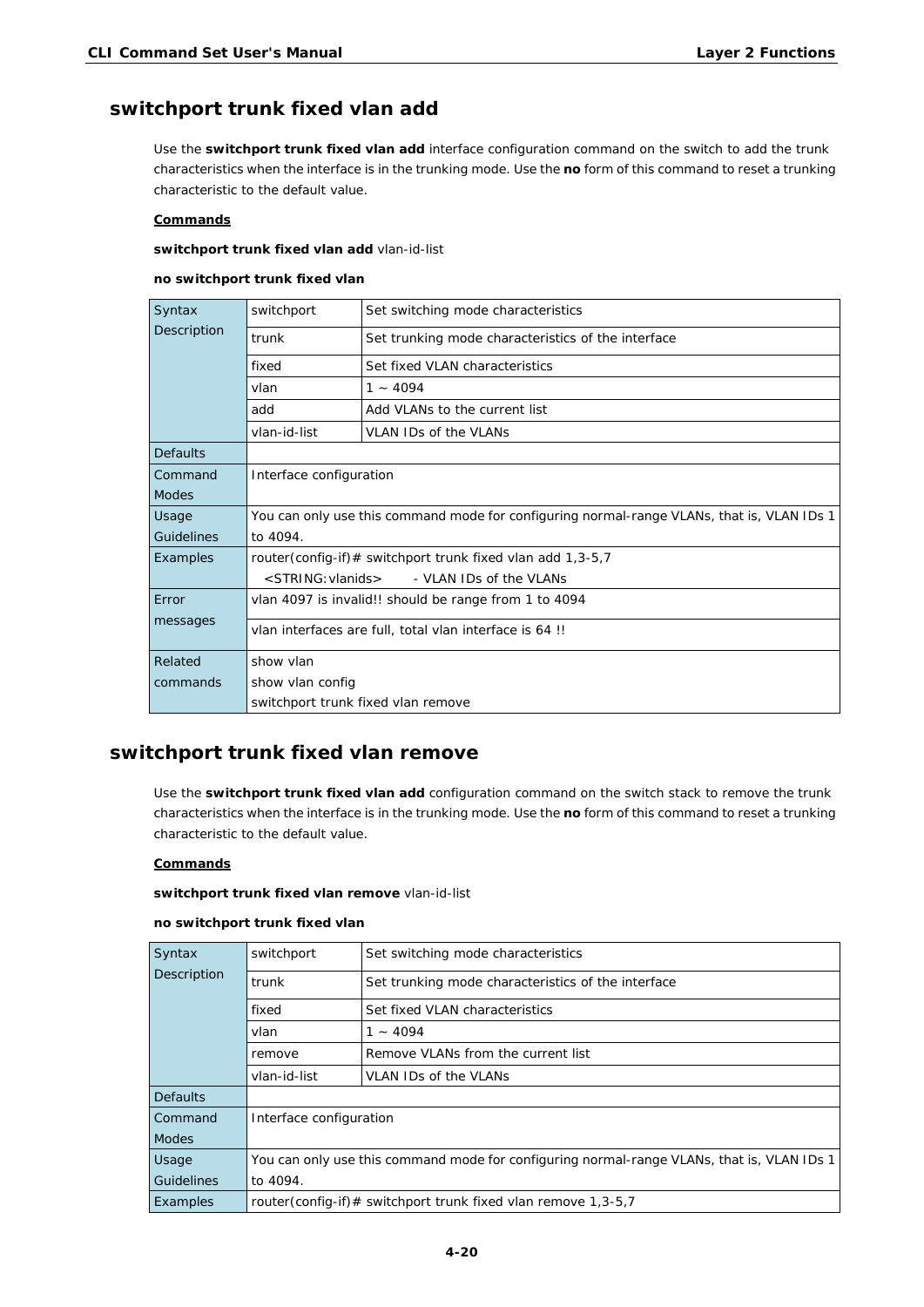## **switchport trunk fixed vlan add**

Use the **switchport trunk fixed vlan add** interface configuration command on the switch to add the trunk characteristics when the interface is in the trunking mode. Use the **no** form of this command to reset a trunking characteristic to the default value.

#### **Commands**

**switchport trunk fixed vlan add** vlan-id-list

#### **no switchport trunk fixed vlan**

| Syntax<br>Description | switchport                                                                                 | Set switching mode characteristics                         |
|-----------------------|--------------------------------------------------------------------------------------------|------------------------------------------------------------|
|                       | trunk                                                                                      | Set trunking mode characteristics of the interface         |
|                       | fixed                                                                                      | Set fixed VLAN characteristics                             |
|                       | vlan                                                                                       | $1 - 4094$                                                 |
|                       | add                                                                                        | Add VLANs to the current list                              |
|                       | vlan-id-list                                                                               | <b>VLAN IDs of the VLANs</b>                               |
| <b>Defaults</b>       |                                                                                            |                                                            |
| Command               | Interface configuration                                                                    |                                                            |
| <b>Modes</b>          |                                                                                            |                                                            |
| Usage                 | You can only use this command mode for configuring normal-range VLANs, that is, VLAN IDs 1 |                                                            |
| <b>Guidelines</b>     | to 4094.                                                                                   |                                                            |
| Examples              |                                                                                            | router(config-if)# switchport trunk fixed vlan add 1,3-5,7 |
|                       | $<$ STRING: vlanids >                                                                      | - VLAN IDs of the VLANs                                    |
| Error                 |                                                                                            | vlan 4097 is invalid!! should be range from 1 to 4094      |
| messages              |                                                                                            | vlan interfaces are full, total vlan interface is 64 !!    |
| Related               | show vlan                                                                                  |                                                            |
| commands              | show vlan config                                                                           |                                                            |
|                       |                                                                                            | switchport trunk fixed vlan remove                         |

### **switchport trunk fixed vlan remove**

Use the **switchport trunk fixed vlan add** configuration command on the switch stack to remove the trunk characteristics when the interface is in the trunking mode. Use the **no** form of this command to reset a trunking characteristic to the default value.

#### **Commands**

**switchport trunk fixed vlan remove** vlan-id-list

#### **no switchport trunk fixed vlan**

| Syntax            | switchport                                                      | Set switching mode characteristics                                                         |
|-------------------|-----------------------------------------------------------------|--------------------------------------------------------------------------------------------|
| Description       | trunk                                                           | Set trunking mode characteristics of the interface                                         |
|                   | fixed                                                           | Set fixed VLAN characteristics                                                             |
|                   | vlan                                                            | $1 - 4094$                                                                                 |
|                   | remove                                                          | Remove VLANs from the current list                                                         |
|                   | vlan-id-list                                                    | <b>VLAN IDs of the VLANs</b>                                                               |
| <b>Defaults</b>   |                                                                 |                                                                                            |
| Command           | Interface configuration                                         |                                                                                            |
| <b>Modes</b>      |                                                                 |                                                                                            |
| Usage             |                                                                 | You can only use this command mode for configuring normal-range VLANs, that is, VLAN IDs 1 |
| <b>Guidelines</b> | to 4094.                                                        |                                                                                            |
| Examples          | router(config-if)# switchport trunk fixed vlan remove $1,3-5,7$ |                                                                                            |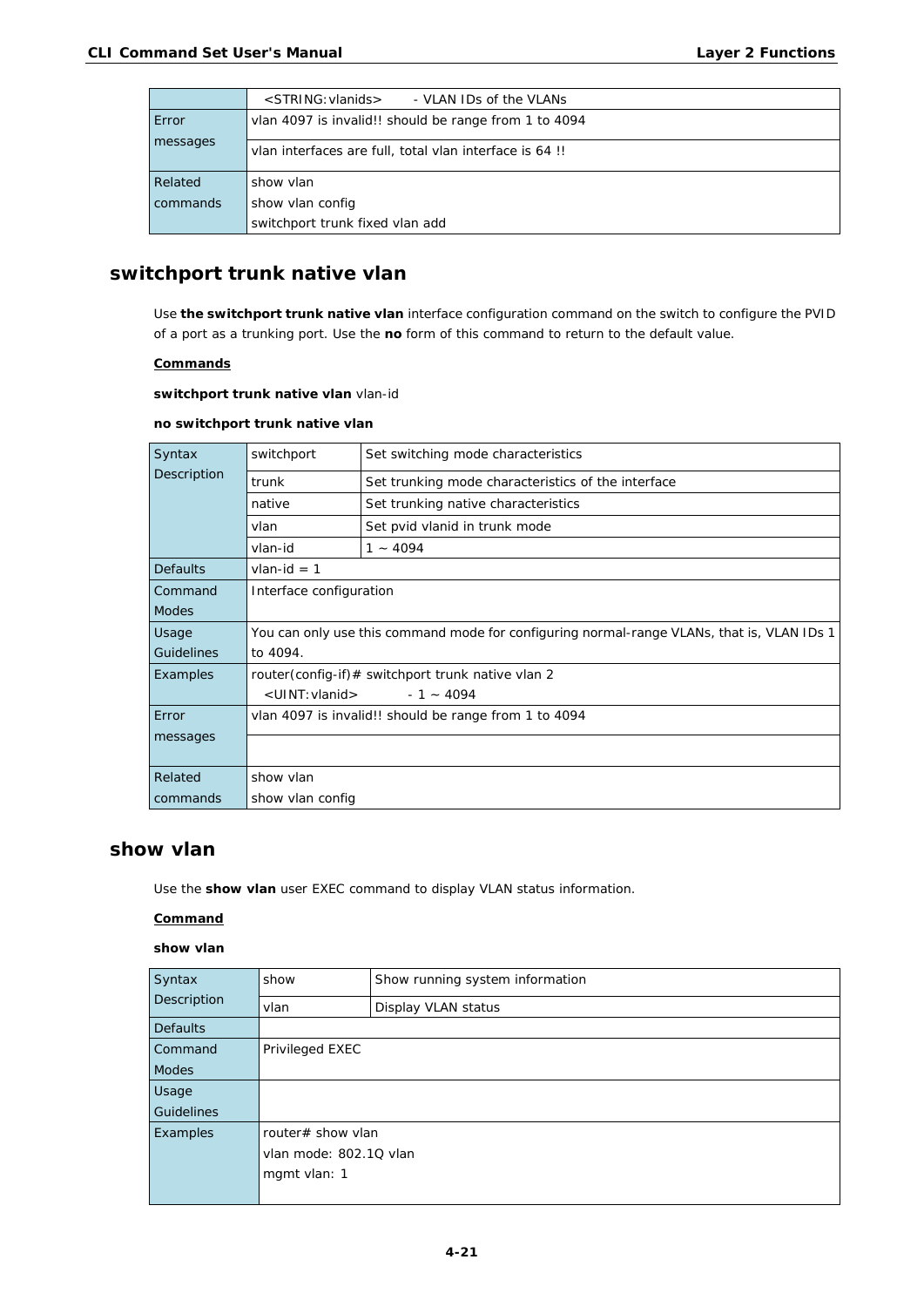|          | <string: vlanids=""><br/>- VLAN IDs of the VLANs</string:> |
|----------|------------------------------------------------------------|
| Error    | vlan 4097 is invalid!! should be range from 1 to 4094      |
| messages | vlan interfaces are full, total vlan interface is 64 !!    |
| Related  | show vlan                                                  |
| commands | show vlan config                                           |
|          | switchport trunk fixed vlan add                            |

# **switchport trunk native vlan**

Use **the switchport trunk native vlan** interface configuration command on the switch to configure the PVID of a port as a trunking port. Use the **no** form of this command to return to the default value.

#### **Commands**

**switchport trunk native vlan** vlan-id

#### **no switchport trunk native vlan**

| Syntax<br>Description | switchport                                                                                 | Set switching mode characteristics                 |  |  |
|-----------------------|--------------------------------------------------------------------------------------------|----------------------------------------------------|--|--|
|                       | trunk                                                                                      | Set trunking mode characteristics of the interface |  |  |
|                       | native                                                                                     | Set trunking native characteristics                |  |  |
|                       | vlan                                                                                       | Set pvid vlanid in trunk mode                      |  |  |
|                       | vlan-id                                                                                    | $1 - 4094$                                         |  |  |
| <b>Defaults</b>       | $vlan-id = 1$                                                                              |                                                    |  |  |
| Command               |                                                                                            | Interface configuration                            |  |  |
| Modes                 |                                                                                            |                                                    |  |  |
| <b>Usage</b>          | You can only use this command mode for configuring normal-range VLANs, that is, VLAN IDs 1 |                                                    |  |  |
| Guidelines            | to 4094.                                                                                   |                                                    |  |  |
| <b>Examples</b>       | router(config-if)# switchport trunk native vlan 2                                          |                                                    |  |  |
|                       | <uint: vlanid=""></uint:>                                                                  | $-1 - 4094$                                        |  |  |
| Error                 | vlan 4097 is invalid!! should be range from 1 to 4094                                      |                                                    |  |  |
| messages              |                                                                                            |                                                    |  |  |
| Related               | show vlan                                                                                  |                                                    |  |  |
| commands              | show vlan config                                                                           |                                                    |  |  |

# **show vlan**

Use the **show vlan** user EXEC command to display VLAN status information.

#### **Command**

#### **show vlan**

| Syntax          | show                   | Show running system information |
|-----------------|------------------------|---------------------------------|
| Description     | vlan                   | Display VLAN status             |
| <b>Defaults</b> |                        |                                 |
| Command         | Privileged EXEC        |                                 |
| Modes           |                        |                                 |
| <b>Usage</b>    |                        |                                 |
| Guidelines      |                        |                                 |
| Examples        | router# show vlan      |                                 |
|                 | vlan mode: 802.10 vlan |                                 |
|                 | mgmt vlan: 1           |                                 |
|                 |                        |                                 |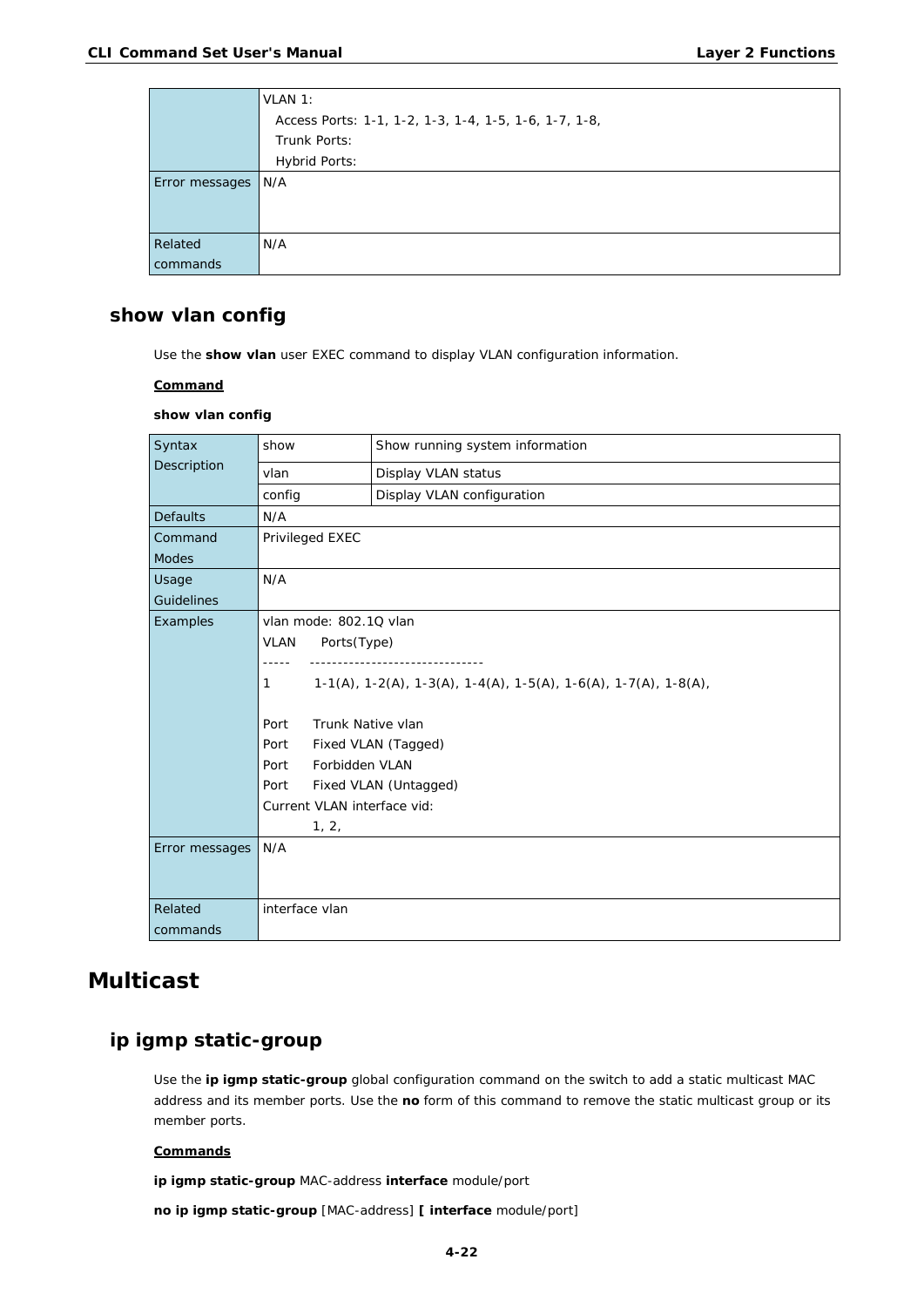|                      | VLAN 1:                                               |
|----------------------|-------------------------------------------------------|
|                      | Access Ports: 1-1, 1-2, 1-3, 1-4, 1-5, 1-6, 1-7, 1-8, |
|                      | Trunk Ports:                                          |
|                      | Hybrid Ports:                                         |
| Error messages   N/A |                                                       |
|                      |                                                       |
|                      |                                                       |
| Related              | N/A                                                   |
| commands             |                                                       |

# **show vlan config**

Use the **show vlan** user EXEC command to display VLAN configuration information.

#### **Command**

#### **show vlan config**

| Syntax<br>Description      | show                                                                                                                                                                                                                                                                                                                                        | Show running system information |
|----------------------------|---------------------------------------------------------------------------------------------------------------------------------------------------------------------------------------------------------------------------------------------------------------------------------------------------------------------------------------------|---------------------------------|
|                            | vlan                                                                                                                                                                                                                                                                                                                                        | Display VLAN status             |
|                            | config                                                                                                                                                                                                                                                                                                                                      | Display VLAN configuration      |
| <b>Defaults</b>            | N/A                                                                                                                                                                                                                                                                                                                                         |                                 |
| Command<br>Modes           | Privileged EXEC                                                                                                                                                                                                                                                                                                                             |                                 |
| <b>Usage</b><br>Guidelines | N/A                                                                                                                                                                                                                                                                                                                                         |                                 |
| Examples                   | vlan mode: 802.1Q vlan<br><b>VLAN</b><br>Ports(Type)<br>--------------------<br>$1-1(A)$ , $1-2(A)$ , $1-3(A)$ , $1-4(A)$ , $1-5(A)$ , $1-6(A)$ , $1-7(A)$ , $1-8(A)$ ,<br>1<br>Trunk Native vlan<br>Port<br>Port<br>Fixed VLAN (Tagged)<br>Forbidden VLAN<br>Port<br>Fixed VLAN (Untagged)<br>Port<br>Current VLAN interface vid:<br>1, 2, |                                 |
| Error messages             | N/A                                                                                                                                                                                                                                                                                                                                         |                                 |
| Related<br>commands        | interface vlan                                                                                                                                                                                                                                                                                                                              |                                 |

# <span id="page-61-0"></span>**Multicast**

### **ip igmp static-group**

Use the **ip igmp static-group** global configuration command on the switch to add a static multicast MAC address and its member ports. Use the **no** form of this command to remove the static multicast group or its member ports.

### **Commands**

**ip igmp static-group** MAC-address **interface** module/port

**no ip igmp static-group** [MAC-address] **[ interface** module/port]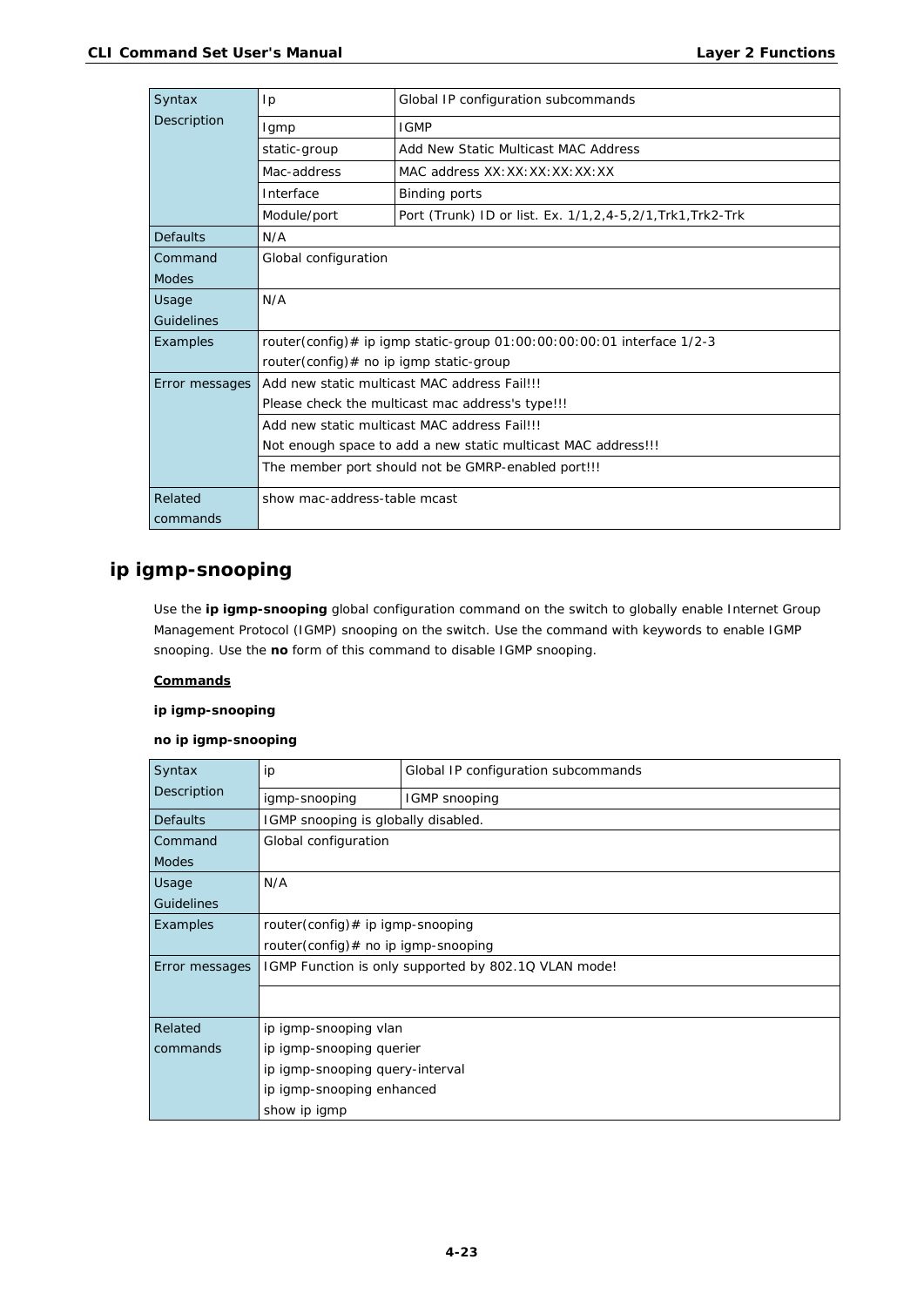| Syntax            | Ip                                           | Global IP configuration subcommands                                    |
|-------------------|----------------------------------------------|------------------------------------------------------------------------|
| Description       | Igmp                                         | <b>IGMP</b>                                                            |
|                   | static-group                                 | Add New Static Multicast MAC Address                                   |
|                   | Mac-address                                  | MAC address XX: XX: XX: XX: XX: XX                                     |
|                   | Interface                                    | Binding ports                                                          |
|                   | Module/port                                  | Port (Trunk) ID or list. Ex. 1/1,2,4-5,2/1, Trk1, Trk2-Trk             |
| Defaults          | N/A                                          |                                                                        |
| Command           | Global configuration                         |                                                                        |
| <b>Modes</b>      |                                              |                                                                        |
| Usage             | N/A                                          |                                                                        |
| <b>Guidelines</b> |                                              |                                                                        |
| Examples          |                                              | router(config)# ip igmp static-group 01:00:00:00:00:01 interface 1/2-3 |
|                   | router(config) $#$ no ip igmp static-group   |                                                                        |
| Error messages    | Add new static multicast MAC address Fail!!! |                                                                        |
|                   |                                              | Please check the multicast mac address's type!!!                       |
|                   |                                              | Add new static multicast MAC address Fail!!!                           |
|                   |                                              | Not enough space to add a new static multicast MAC address!!!          |
|                   |                                              | The member port should not be GMRP-enabled port!!!                     |
| Related           | show mac-address-table mcast                 |                                                                        |
| commands          |                                              |                                                                        |

# **ip igmp-snooping**

Use the **ip igmp-snooping** global configuration command on the switch to globally enable Internet Group Management Protocol (IGMP) snooping on the switch. Use the command with keywords to enable IGMP snooping. Use the **no** form of this command to disable IGMP snooping.

#### **Commands**

**ip igmp-snooping**

#### **no ip igmp-snooping**

| Syntax                | ip                                                   | Global IP configuration subcommands |
|-----------------------|------------------------------------------------------|-------------------------------------|
| Description           | igmp-snooping                                        | <b>IGMP</b> snooping                |
| <b>Defaults</b>       | IGMP snooping is globally disabled.                  |                                     |
| Command               | Global configuration                                 |                                     |
| Modes                 |                                                      |                                     |
| <b>Usage</b>          | N/A                                                  |                                     |
| Guidelines            |                                                      |                                     |
| <b>Examples</b>       | router(config)# ip igmp-snooping                     |                                     |
|                       | router(config) $#$ no ip igmp-snooping               |                                     |
| <b>Error messages</b> | IGMP Function is only supported by 802.10 VLAN mode! |                                     |
|                       |                                                      |                                     |
| Related               | ip igmp-snooping vlan                                |                                     |
| commands              | ip igmp-snooping querier                             |                                     |
|                       | ip igmp-snooping query-interval                      |                                     |
|                       | ip igmp-snooping enhanced                            |                                     |
|                       | show ip igmp                                         |                                     |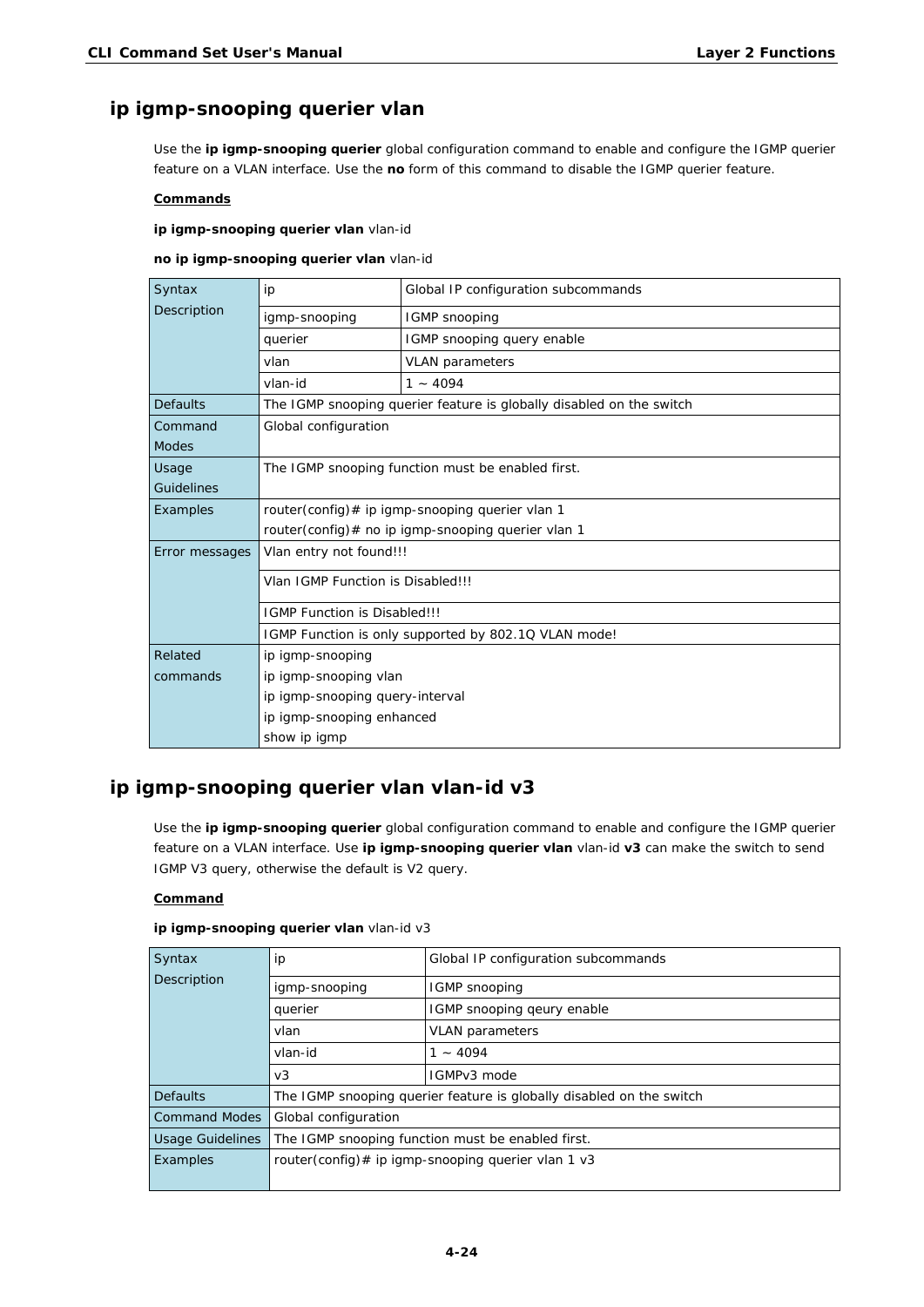# **ip igmp-snooping querier vlan**

Use the **ip igmp-snooping querier** global configuration command to enable and configure the IGMP querier feature on a VLAN interface. Use the **no** form of this command to disable the IGMP querier feature.

#### **Commands**

**ip igmp-snooping querier vlan** vlan-id

**no ip igmp-snooping querier vlan** vlan-id

| Syntax            | ip                                                | Global IP configuration subcommands                                  |
|-------------------|---------------------------------------------------|----------------------------------------------------------------------|
| Description       | igmp-snooping                                     | IGMP snooping                                                        |
|                   | querier                                           | IGMP snooping query enable                                           |
|                   | vlan                                              | <b>VLAN</b> parameters                                               |
|                   | vlan-id                                           | $1 - 4094$                                                           |
| <b>Defaults</b>   |                                                   | The IGMP snooping querier feature is globally disabled on the switch |
| Command           | Global configuration                              |                                                                      |
| <b>Modes</b>      |                                                   |                                                                      |
| Usage             | The IGMP snooping function must be enabled first. |                                                                      |
| <b>Guidelines</b> |                                                   |                                                                      |
| Examples          |                                                   | router(config)# ip igmp-snooping querier vlan 1                      |
|                   |                                                   | router(config)# no ip igmp-snooping querier vlan 1                   |
| Error messages    | Vlan entry not found!!!                           |                                                                      |
|                   | Vlan IGMP Function is Disabled!!!                 |                                                                      |
|                   | <b>IGMP Function is Disabled!!!</b>               |                                                                      |
|                   |                                                   | IGMP Function is only supported by 802.10 VLAN mode!                 |
| Related           | ip igmp-snooping                                  |                                                                      |
| commands          | ip igmp-snooping vlan                             |                                                                      |
|                   | ip igmp-snooping query-interval                   |                                                                      |
|                   | ip igmp-snooping enhanced                         |                                                                      |
|                   | show ip igmp                                      |                                                                      |

# **ip igmp-snooping querier vlan vlan-id v3**

Use the **ip igmp-snooping querier** global configuration command to enable and configure the IGMP querier feature on a VLAN interface. Use **ip igmp-snooping querier vlan** vlan-id **v3** can make the switch to send IGMP V3 query, otherwise the default is V2 query.

#### **Command**

| Syntax                  | ip                   | Global IP configuration subcommands                                  |
|-------------------------|----------------------|----------------------------------------------------------------------|
| Description             | igmp-snooping        | <b>IGMP</b> snooping                                                 |
|                         | querier              | IGMP snooping qeury enable                                           |
|                         | vlan                 | <b>VLAN</b> parameters                                               |
|                         | vlan-id              | $1 - 4094$                                                           |
|                         | V <sub>3</sub>       | IGMPv3 mode                                                          |
| <b>Defaults</b>         |                      | The IGMP snooping querier feature is globally disabled on the switch |
| Command Modes           | Global configuration |                                                                      |
| <b>Usage Guidelines</b> |                      | The IGMP snooping function must be enabled first.                    |
| Examples                |                      | router(config)# ip igmp-snooping querier vlan $1 \vee 3$             |
|                         |                      |                                                                      |

#### **ip igmp-snooping querier vlan** vlan-id v3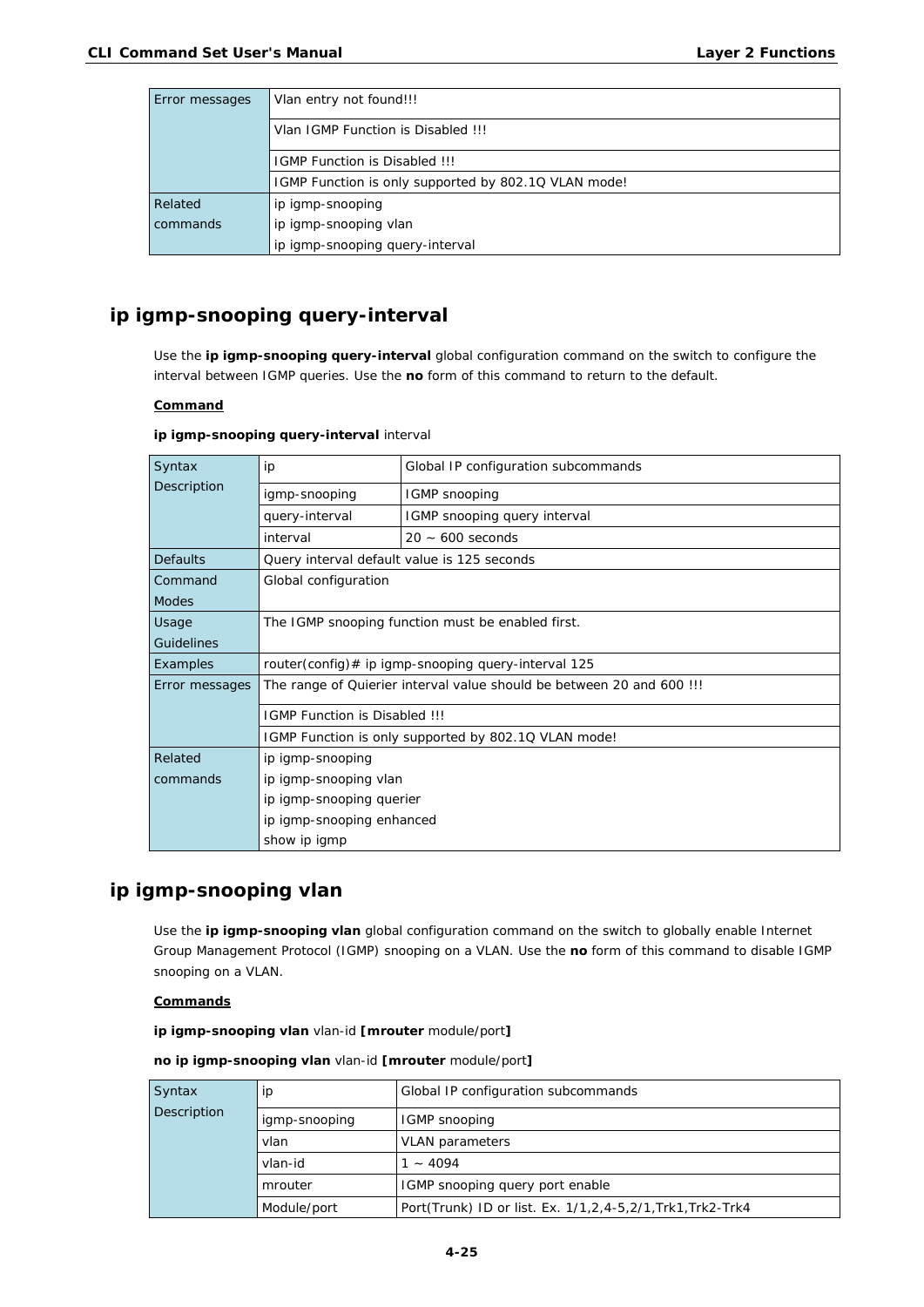| Error messages | Vlan entry not found!!!                              |  |
|----------------|------------------------------------------------------|--|
|                | Vlan IGMP Function is Disabled !!!                   |  |
|                | <b>IGMP Function is Disabled !!!</b>                 |  |
|                | IGMP Function is only supported by 802.10 VLAN mode! |  |
| Related        | ip igmp-snooping                                     |  |
| commands       | ip igmp-snooping vlan                                |  |
|                | ip igmp-snooping query-interval                      |  |

# **ip igmp-snooping query-interval**

Use the **ip igmp-snooping query-interval** global configuration command on the switch to configure the interval between IGMP queries. Use the **no** form of this command to return to the default.

#### **Command**

**ip igmp-snooping query-interval** interval

| Syntax            | ip                                                                    | Global IP configuration subcommands |
|-------------------|-----------------------------------------------------------------------|-------------------------------------|
| Description       | igmp-snooping                                                         | <b>IGMP</b> snooping                |
|                   | query-interval                                                        | IGMP snooping query interval        |
|                   | interval                                                              | $20 \sim 600$ seconds               |
| <b>Defaults</b>   | Query interval default value is 125 seconds                           |                                     |
| Command           | Global configuration                                                  |                                     |
| <b>Modes</b>      |                                                                       |                                     |
| Usage             | The IGMP snooping function must be enabled first.                     |                                     |
| <b>Guidelines</b> |                                                                       |                                     |
| Examples          | router(config)# ip igmp-snooping query-interval 125                   |                                     |
| Error messages    | The range of Quierier interval value should be between 20 and 600 !!! |                                     |
|                   | IGMP Function is Disabled !!!                                         |                                     |
|                   | IGMP Function is only supported by 802.10 VLAN mode!                  |                                     |
| Related           | ip igmp-snooping                                                      |                                     |
| commands          | ip igmp-snooping vlan                                                 |                                     |
|                   | ip igmp-snooping querier                                              |                                     |
|                   | ip igmp-snooping enhanced                                             |                                     |
|                   | show ip igmp                                                          |                                     |

# **ip igmp-snooping vlan**

Use the **ip igmp-snooping vlan** global configuration command on the switch to globally enable Internet Group Management Protocol (IGMP) snooping on a VLAN. Use the **no** form of this command to disable IGMP snooping on a VLAN.

#### **Commands**

**ip igmp-snooping vlan** vlan-id **[mrouter** module/port**]**

**no ip igmp-snooping vlan** vlan-id **[mrouter** module/port**]**

| Syntax      | ip            | Global IP configuration subcommands                        |
|-------------|---------------|------------------------------------------------------------|
| Description | igmp-snooping | <b>IGMP</b> snooping                                       |
|             | vlan          | <b>VLAN</b> parameters                                     |
|             | vlan-id       | $1 - 4094$                                                 |
|             | mrouter       | IGMP snooping query port enable                            |
|             | Module/port   | Port(Trunk) ID or list. Ex. 1/1,2,4-5,2/1, Trk1, Trk2-Trk4 |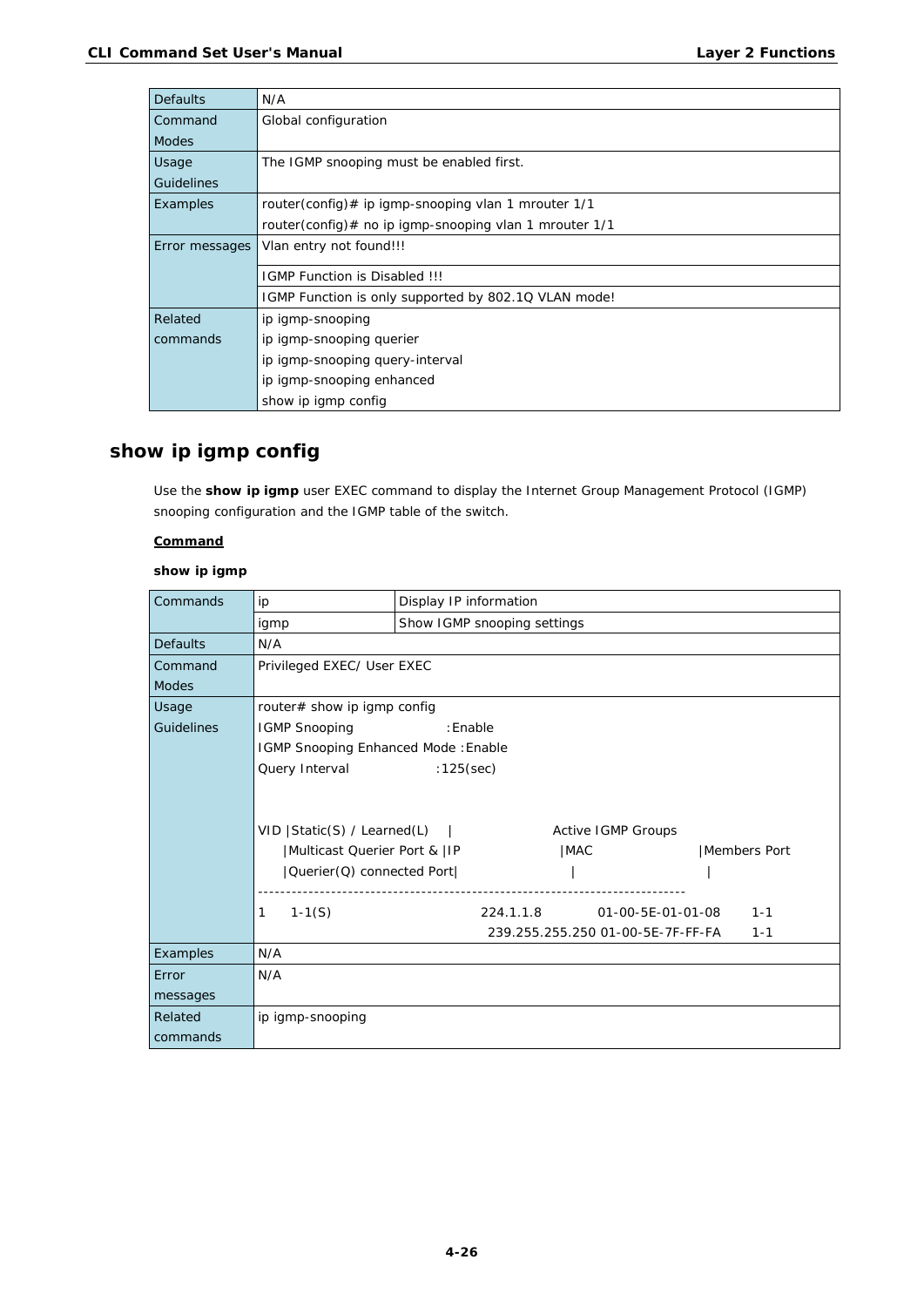| <b>Defaults</b>   | N/A                                                    |
|-------------------|--------------------------------------------------------|
| Command           | Global configuration                                   |
| <b>Modes</b>      |                                                        |
| Usage             | The IGMP snooping must be enabled first.               |
| <b>Guidelines</b> |                                                        |
| Examples          | router(config)# ip igmp-snooping vlan 1 mrouter 1/1    |
|                   | router(config)# no ip igmp-snooping vlan 1 mrouter 1/1 |
| Error messages    | Vlan entry not found!!!                                |
|                   | <b>IGMP Function is Disabled !!!</b>                   |
|                   | IGMP Function is only supported by 802.10 VLAN mode!   |
| Related           | ip igmp-snooping                                       |
| commands          | ip igmp-snooping querier                               |
|                   | ip igmp-snooping query-interval                        |
|                   | ip igmp-snooping enhanced                              |
|                   | show ip igmp config                                    |

# **show ip igmp config**

Use the **show ip igmp** user EXEC command to display the Internet Group Management Protocol (IGMP) snooping configuration and the IGMP table of the switch.

### **Command**

### **show ip igmp**

| Commands          | Display IP information<br>ip        |                             |     |                                   |              |  |  |  |  |
|-------------------|-------------------------------------|-----------------------------|-----|-----------------------------------|--------------|--|--|--|--|
|                   | igmp                                | Show IGMP snooping settings |     |                                   |              |  |  |  |  |
| <b>Defaults</b>   | N/A                                 |                             |     |                                   |              |  |  |  |  |
| Command           | Privileged EXEC/ User EXEC          |                             |     |                                   |              |  |  |  |  |
| <b>Modes</b>      |                                     |                             |     |                                   |              |  |  |  |  |
| Usage             | router# show ip igmp config         |                             |     |                                   |              |  |  |  |  |
| <b>Guidelines</b> | <b>IGMP Snooping</b>                | : Enable                    |     |                                   |              |  |  |  |  |
|                   | IGMP Snooping Enhanced Mode: Enable |                             |     |                                   |              |  |  |  |  |
|                   | Query Interval                      | $:125$ (sec)                |     |                                   |              |  |  |  |  |
|                   |                                     |                             |     |                                   |              |  |  |  |  |
|                   |                                     |                             |     |                                   |              |  |  |  |  |
|                   | VID   Static(S) / Learned(L)        |                             |     | <b>Active IGMP Groups</b>         |              |  |  |  |  |
|                   | Multicast Querier Port &  IP        |                             | MAC |                                   | Members Port |  |  |  |  |
|                   | Querier(Q) connected Port           |                             |     |                                   |              |  |  |  |  |
|                   |                                     |                             |     |                                   |              |  |  |  |  |
|                   | $1 - 1(S)$<br>1                     |                             |     | 224.1.1.8 01-00-5E-01-01-08       | $1 - 1$      |  |  |  |  |
|                   |                                     |                             |     | 239.255.255.250 01-00-5E-7F-FF-FA | $1 - 1$      |  |  |  |  |
| Examples          | N/A                                 |                             |     |                                   |              |  |  |  |  |
| Error             | N/A                                 |                             |     |                                   |              |  |  |  |  |
| messages          |                                     |                             |     |                                   |              |  |  |  |  |
| Related           | ip igmp-snooping                    |                             |     |                                   |              |  |  |  |  |
| commands          |                                     |                             |     |                                   |              |  |  |  |  |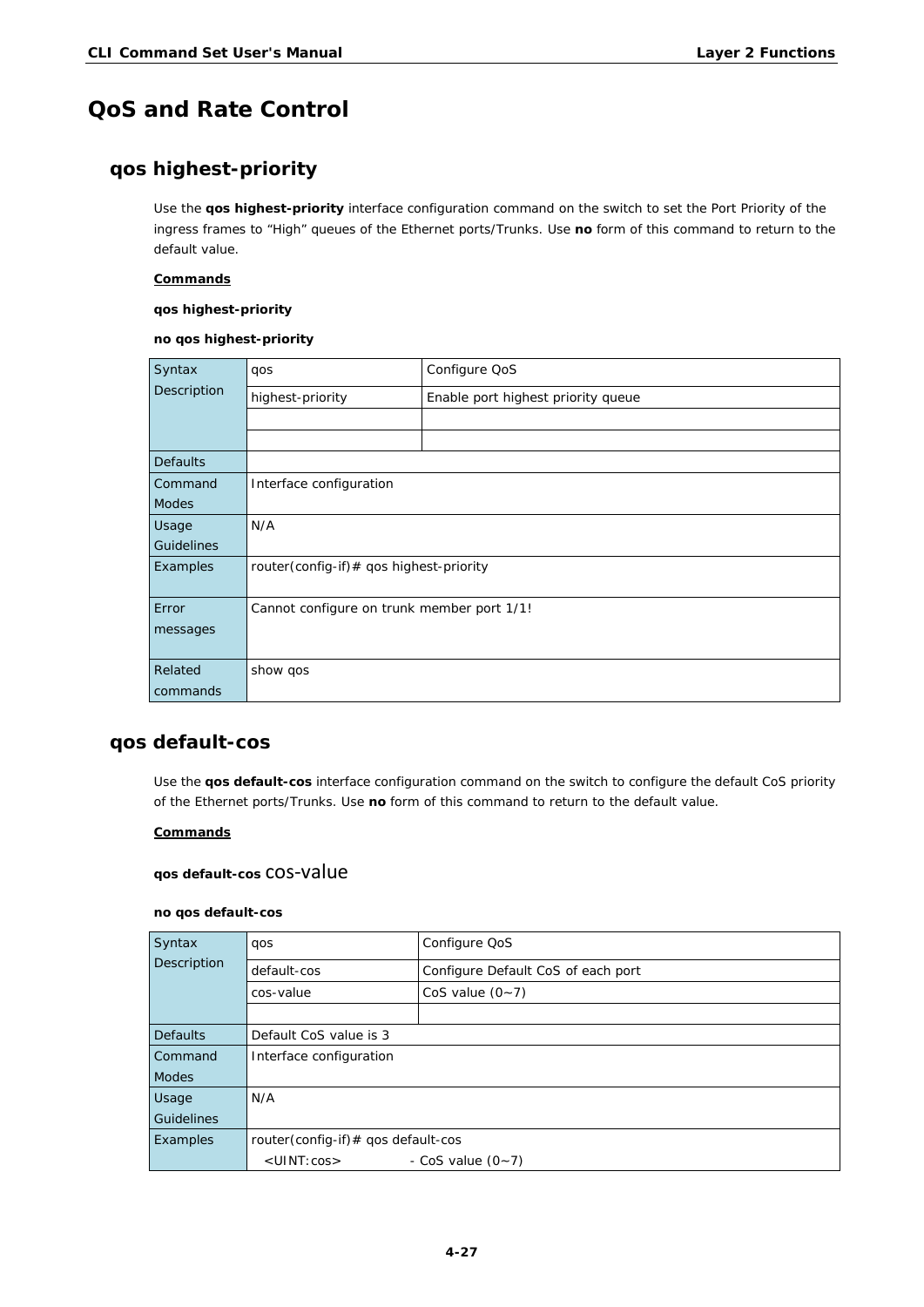# <span id="page-66-0"></span>**QoS and Rate Control**

# **qos highest-priority**

Use the **qos highest-priority** interface configuration command on the switch to set the Port Priority of the ingress frames to "High" queues of the Ethernet ports/Trunks. Use **no** form of this command to return to the default value.

### **Commands**

#### **qos highest-priority**

#### **no qos highest-priority**

| Syntax          | qos                                        | Configure QoS                      |  |  |  |  |  |
|-----------------|--------------------------------------------|------------------------------------|--|--|--|--|--|
| Description     | highest-priority                           | Enable port highest priority queue |  |  |  |  |  |
|                 |                                            |                                    |  |  |  |  |  |
|                 |                                            |                                    |  |  |  |  |  |
| <b>Defaults</b> |                                            |                                    |  |  |  |  |  |
| Command         | Interface configuration                    |                                    |  |  |  |  |  |
| Modes           |                                            |                                    |  |  |  |  |  |
| <b>Usage</b>    | N/A                                        |                                    |  |  |  |  |  |
| Guidelines      |                                            |                                    |  |  |  |  |  |
| Examples        | router(config-if)# qos highest-priority    |                                    |  |  |  |  |  |
|                 |                                            |                                    |  |  |  |  |  |
| Error           | Cannot configure on trunk member port 1/1! |                                    |  |  |  |  |  |
| messages        |                                            |                                    |  |  |  |  |  |
|                 |                                            |                                    |  |  |  |  |  |
| Related         | show qos                                   |                                    |  |  |  |  |  |
| commands        |                                            |                                    |  |  |  |  |  |

### **qos default-cos**

Use the **qos default-cos** interface configuration command on the switch to configure the default CoS priority of the Ethernet ports/Trunks. Use **no** form of this command to return to the default value.

#### **Commands**

### **qos default-cos** cos-value

#### **no qos default-cos**

| Syntax          | qos                                | Configure QoS                      |  |  |  |  |  |  |
|-----------------|------------------------------------|------------------------------------|--|--|--|--|--|--|
| Description     | default-cos                        | Configure Default CoS of each port |  |  |  |  |  |  |
|                 | cos-value                          | CoS value $(0-7)$                  |  |  |  |  |  |  |
|                 |                                    |                                    |  |  |  |  |  |  |
| <b>Defaults</b> | Default CoS value is 3             |                                    |  |  |  |  |  |  |
| Command         | Interface configuration            |                                    |  |  |  |  |  |  |
| <b>Modes</b>    |                                    |                                    |  |  |  |  |  |  |
| Usage           | N/A                                |                                    |  |  |  |  |  |  |
| Guidelines      |                                    |                                    |  |  |  |  |  |  |
| Examples        | router(config-if)# qos default-cos |                                    |  |  |  |  |  |  |
|                 | $<$ UINT: $cos$                    | - CoS value $(0-7)$                |  |  |  |  |  |  |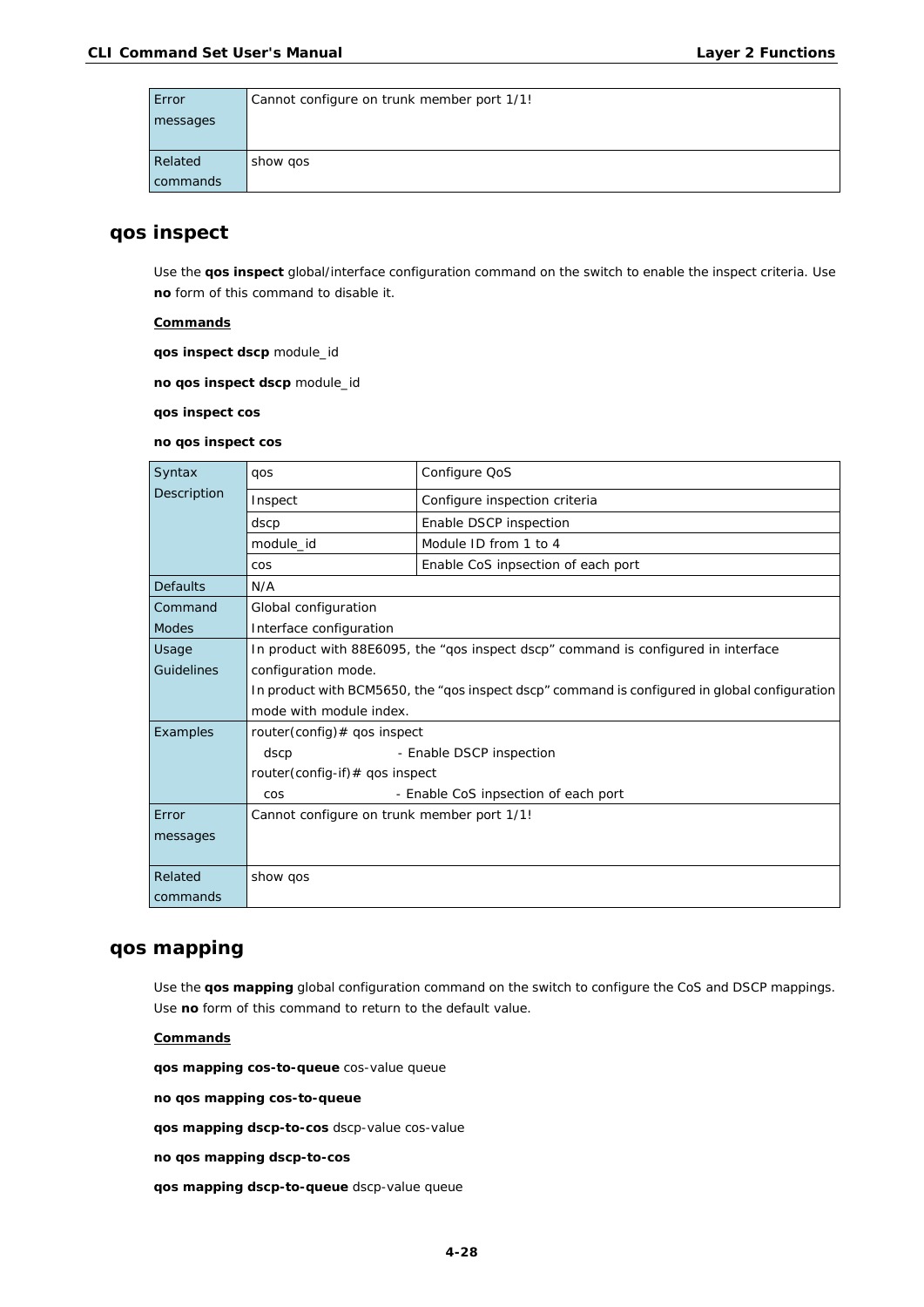| Error    | Cannot configure on trunk member port 1/1! |
|----------|--------------------------------------------|
| messages |                                            |
|          |                                            |
| Related  | show gos                                   |
| commands |                                            |

### **qos inspect**

Use the **qos inspect** global/interface configuration command on the switch to enable the inspect criteria. Use **no** form of this command to disable it.

#### **Commands**

**qos inspect dscp** module\_id

**no qos inspect dscp** module\_id

**qos inspect cos**

#### **no qos inspect cos**

| Syntax            | qos                                                                                           | Configure QoS                        |  |  |  |  |  |  |
|-------------------|-----------------------------------------------------------------------------------------------|--------------------------------------|--|--|--|--|--|--|
| Description       | Inspect                                                                                       | Configure inspection criteria        |  |  |  |  |  |  |
|                   | dscp                                                                                          | Enable DSCP inspection               |  |  |  |  |  |  |
|                   | module_id                                                                                     | Module ID from 1 to 4                |  |  |  |  |  |  |
|                   | <b>COS</b>                                                                                    | Enable CoS inpsection of each port   |  |  |  |  |  |  |
| <b>Defaults</b>   | N/A                                                                                           |                                      |  |  |  |  |  |  |
| Command           | Global configuration                                                                          |                                      |  |  |  |  |  |  |
| <b>Modes</b>      | Interface configuration                                                                       |                                      |  |  |  |  |  |  |
| Usage             | In product with 88E6095, the "qos inspect dscp" command is configured in interface            |                                      |  |  |  |  |  |  |
| <b>Guidelines</b> | configuration mode.                                                                           |                                      |  |  |  |  |  |  |
|                   | In product with BCM5650, the "gos inspect dscp" command is configured in global configuration |                                      |  |  |  |  |  |  |
|                   | mode with module index.                                                                       |                                      |  |  |  |  |  |  |
| Examples          | router(config) $#$ gos inspect                                                                |                                      |  |  |  |  |  |  |
|                   | dscp                                                                                          | - Enable DSCP inspection             |  |  |  |  |  |  |
|                   | router(config-if) $#$ gos inspect                                                             |                                      |  |  |  |  |  |  |
|                   | <b>COS</b>                                                                                    | - Enable CoS inpsection of each port |  |  |  |  |  |  |
| Error             | Cannot configure on trunk member port 1/1!                                                    |                                      |  |  |  |  |  |  |
| messages          |                                                                                               |                                      |  |  |  |  |  |  |
|                   |                                                                                               |                                      |  |  |  |  |  |  |
| Related           | show gos                                                                                      |                                      |  |  |  |  |  |  |
| commands          |                                                                                               |                                      |  |  |  |  |  |  |

### **qos mapping**

Use the **qos mapping** global configuration command on the switch to configure the CoS and DSCP mappings. Use **no** form of this command to return to the default value.

#### **Commands**

**qos mapping cos-to-queue** cos-value queue

**no qos mapping cos-to-queue**

**qos mapping dscp-to-cos** dscp-value cos-value

**no qos mapping dscp-to-cos**

**qos mapping dscp-to-queue** dscp-value queue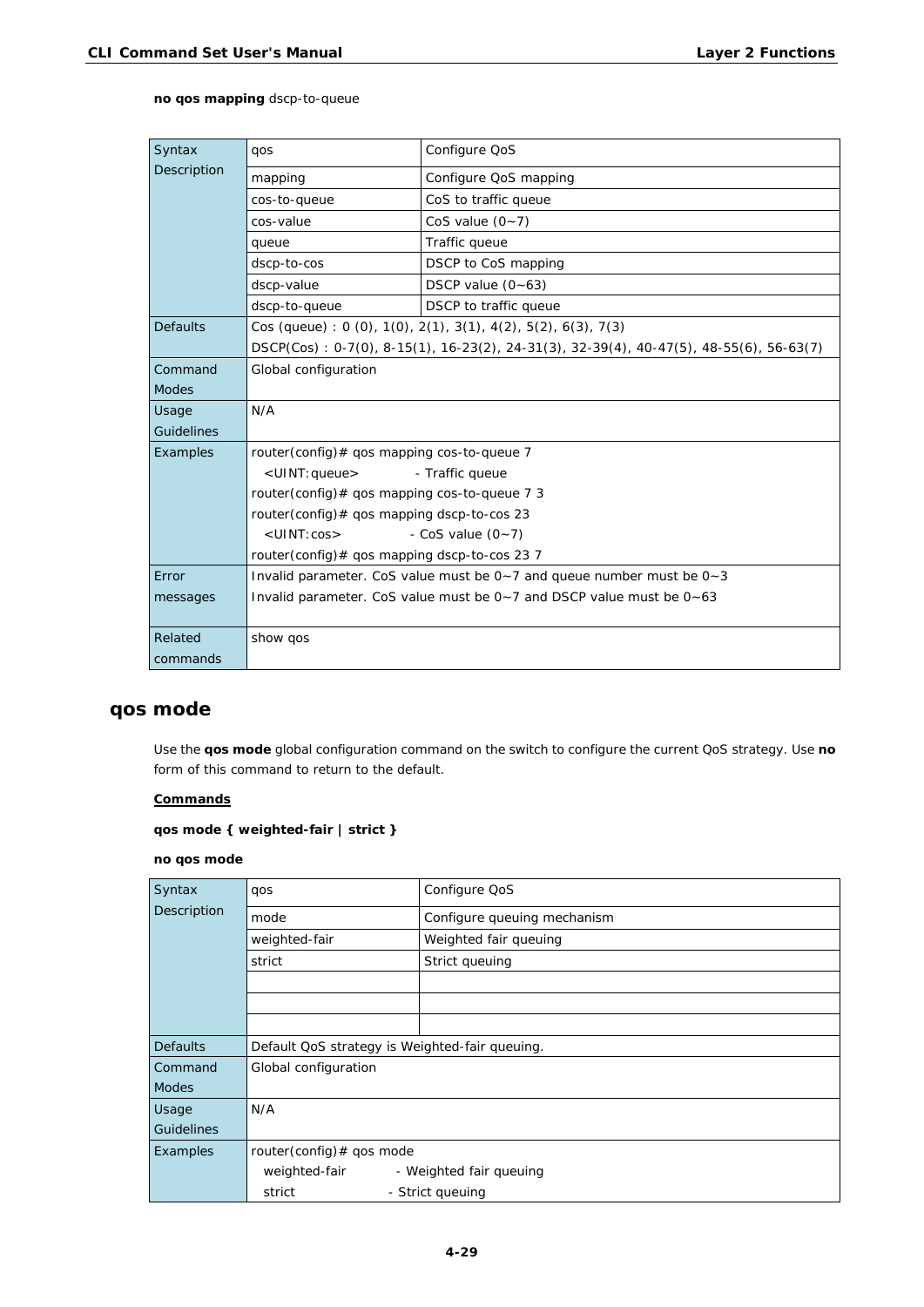#### **no qos mapping** dscp-to-queue

| Syntax            | qos                                          | Configure QoS                                                                          |  |  |  |  |  |
|-------------------|----------------------------------------------|----------------------------------------------------------------------------------------|--|--|--|--|--|
| Description       | mapping                                      | Configure QoS mapping                                                                  |  |  |  |  |  |
|                   | cos-to-queue                                 | CoS to traffic queue                                                                   |  |  |  |  |  |
|                   | cos-value                                    | CoS value $(0-7)$                                                                      |  |  |  |  |  |
|                   | queue                                        | Traffic queue                                                                          |  |  |  |  |  |
|                   | dscp-to-cos                                  | DSCP to CoS mapping                                                                    |  |  |  |  |  |
|                   | dscp-value                                   | DSCP value $(0 - 63)$                                                                  |  |  |  |  |  |
|                   | dscp-to-queue                                | DSCP to traffic queue                                                                  |  |  |  |  |  |
| <b>Defaults</b>   |                                              | Cos (queue): 0 (0), 1(0), 2(1), 3(1), 4(2), 5(2), 6(3), 7(3)                           |  |  |  |  |  |
|                   |                                              | DSCP(Cos): 0-7(0), 8-15(1), 16-23(2), 24-31(3), 32-39(4), 40-47(5), 48-55(6), 56-63(7) |  |  |  |  |  |
| Command           | Global configuration                         |                                                                                        |  |  |  |  |  |
| <b>Modes</b>      |                                              |                                                                                        |  |  |  |  |  |
| Usage             | N/A                                          |                                                                                        |  |  |  |  |  |
| <b>Guidelines</b> |                                              |                                                                                        |  |  |  |  |  |
| Examples          | router(config)# gos mapping cos-to-queue 7   |                                                                                        |  |  |  |  |  |
|                   | <uint: queue=""></uint:>                     | - Traffic queue                                                                        |  |  |  |  |  |
|                   | router(config)# qos mapping cos-to-queue 7 3 |                                                                                        |  |  |  |  |  |
|                   | router(config)# gos mapping dscp-to-cos 23   |                                                                                        |  |  |  |  |  |
|                   | $<$ UINT: $cos>$                             | - CoS value $(0-7)$                                                                    |  |  |  |  |  |
|                   | router(config)# qos mapping dscp-to-cos 23 7 |                                                                                        |  |  |  |  |  |
| Error             |                                              | Invalid parameter. CoS value must be $0 - 7$ and queue number must be $0 - 3$          |  |  |  |  |  |
| messages          |                                              | Invalid parameter. CoS value must be $0\neg 7$ and DSCP value must be $0\neg 63$       |  |  |  |  |  |
| Related           | show gos                                     |                                                                                        |  |  |  |  |  |
| commands          |                                              |                                                                                        |  |  |  |  |  |

# **qos mode**

Use the **qos mode** global configuration command on the switch to configure the current QoS strategy. Use **no**  form of this command to return to the default.

#### **Commands**

### **qos mode { weighted-fair | strict }**

#### **no qos mode**

| Syntax            | qos                                            | Configure QoS               |  |  |  |  |  |
|-------------------|------------------------------------------------|-----------------------------|--|--|--|--|--|
| Description       | mode                                           | Configure queuing mechanism |  |  |  |  |  |
|                   | weighted-fair                                  | Weighted fair queuing       |  |  |  |  |  |
|                   | strict                                         | Strict queuing              |  |  |  |  |  |
|                   |                                                |                             |  |  |  |  |  |
|                   |                                                |                             |  |  |  |  |  |
|                   |                                                |                             |  |  |  |  |  |
| <b>Defaults</b>   | Default QoS strategy is Weighted-fair queuing. |                             |  |  |  |  |  |
| Command           | Global configuration                           |                             |  |  |  |  |  |
| <b>Modes</b>      |                                                |                             |  |  |  |  |  |
| Usage             | N/A                                            |                             |  |  |  |  |  |
| <b>Guidelines</b> |                                                |                             |  |  |  |  |  |
| Examples          | router(config)# qos mode                       |                             |  |  |  |  |  |
|                   | weighted-fair                                  | - Weighted fair queuing     |  |  |  |  |  |
|                   | strict                                         | - Strict queuing            |  |  |  |  |  |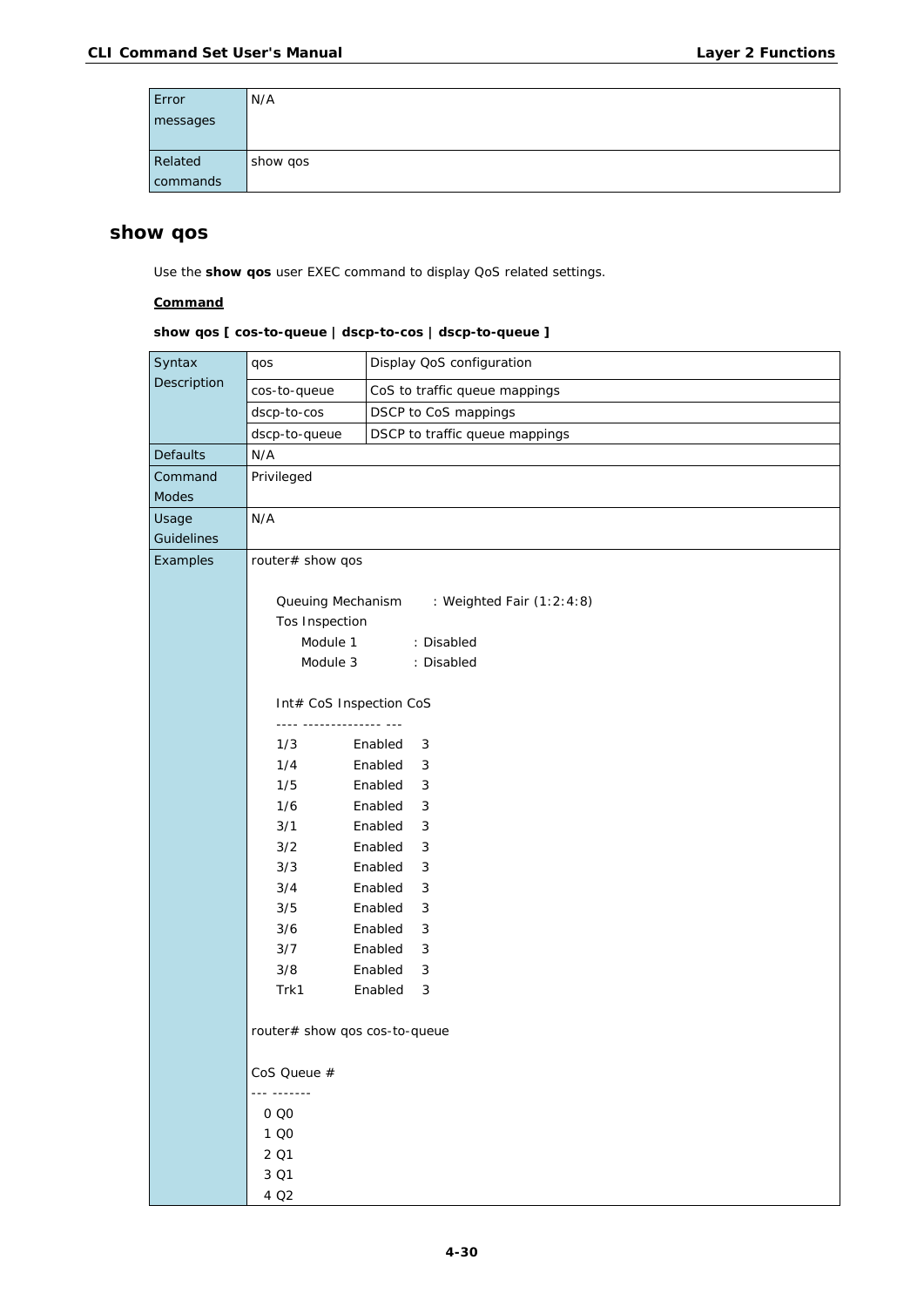| Error    | N/A      |
|----------|----------|
| messages |          |
|          |          |
| Related  | show gos |
| commands |          |

# **show qos**

Use the **show qos** user EXEC command to display QoS related settings.

### **Command**

### **show qos [ cos-to-queue | dscp-to-cos | dscp-to-queue ]**

| Syntax          | qos                             | Display QoS configuration                   |  |  |  |  |  |  |  |  |
|-----------------|---------------------------------|---------------------------------------------|--|--|--|--|--|--|--|--|
| Description     | cos-to-queue                    | CoS to traffic queue mappings               |  |  |  |  |  |  |  |  |
|                 | dscp-to-cos                     | DSCP to CoS mappings                        |  |  |  |  |  |  |  |  |
|                 | dscp-to-queue                   | DSCP to traffic queue mappings              |  |  |  |  |  |  |  |  |
| <b>Defaults</b> | N/A                             |                                             |  |  |  |  |  |  |  |  |
| Command         | Privileged                      |                                             |  |  |  |  |  |  |  |  |
| Modes           |                                 |                                             |  |  |  |  |  |  |  |  |
| Usage           | N/A                             |                                             |  |  |  |  |  |  |  |  |
| Guidelines      |                                 |                                             |  |  |  |  |  |  |  |  |
| Examples        | router# show qos                |                                             |  |  |  |  |  |  |  |  |
|                 |                                 |                                             |  |  |  |  |  |  |  |  |
|                 |                                 | Queuing Mechanism : Weighted Fair (1:2:4:8) |  |  |  |  |  |  |  |  |
|                 | Tos Inspection                  |                                             |  |  |  |  |  |  |  |  |
|                 | Module 1                        | : Disabled                                  |  |  |  |  |  |  |  |  |
|                 |                                 | Module 3 : Disabled                         |  |  |  |  |  |  |  |  |
|                 |                                 |                                             |  |  |  |  |  |  |  |  |
|                 | Int# CoS Inspection CoS         |                                             |  |  |  |  |  |  |  |  |
|                 | ---- --------------- ---<br>1/3 | Enabled<br>3                                |  |  |  |  |  |  |  |  |
|                 | 1/4                             | Enabled<br>3                                |  |  |  |  |  |  |  |  |
|                 | 1/5                             | Enabled<br>$\sqrt{3}$                       |  |  |  |  |  |  |  |  |
|                 | 1/6                             | Enabled<br>3                                |  |  |  |  |  |  |  |  |
|                 | 3/1                             | Enabled<br>$\sqrt{3}$                       |  |  |  |  |  |  |  |  |
|                 | 3/2                             | Enabled<br>3                                |  |  |  |  |  |  |  |  |
|                 | 3/3                             | Enabled<br>3                                |  |  |  |  |  |  |  |  |
|                 | 3/4                             | Enabled<br>$\sqrt{3}$                       |  |  |  |  |  |  |  |  |
|                 | 3/5                             | Enabled<br>3                                |  |  |  |  |  |  |  |  |
|                 | 3/6                             | Enabled<br>3                                |  |  |  |  |  |  |  |  |
|                 | 3/7                             | Enabled<br>3                                |  |  |  |  |  |  |  |  |
|                 | 3/8                             | Enabled<br>3                                |  |  |  |  |  |  |  |  |
|                 | Trk1                            | Enabled<br>3                                |  |  |  |  |  |  |  |  |
|                 |                                 |                                             |  |  |  |  |  |  |  |  |
|                 | router# show qos cos-to-queue   |                                             |  |  |  |  |  |  |  |  |
|                 |                                 |                                             |  |  |  |  |  |  |  |  |
|                 | CoS Queue #                     |                                             |  |  |  |  |  |  |  |  |
|                 | <b>.</b>                        |                                             |  |  |  |  |  |  |  |  |
|                 | 0 Q <sub>0</sub>                |                                             |  |  |  |  |  |  |  |  |
|                 | 1 Q <sub>0</sub>                |                                             |  |  |  |  |  |  |  |  |
|                 | 2 Q1                            |                                             |  |  |  |  |  |  |  |  |
|                 | 3 Q1                            |                                             |  |  |  |  |  |  |  |  |
|                 | 4 Q2                            |                                             |  |  |  |  |  |  |  |  |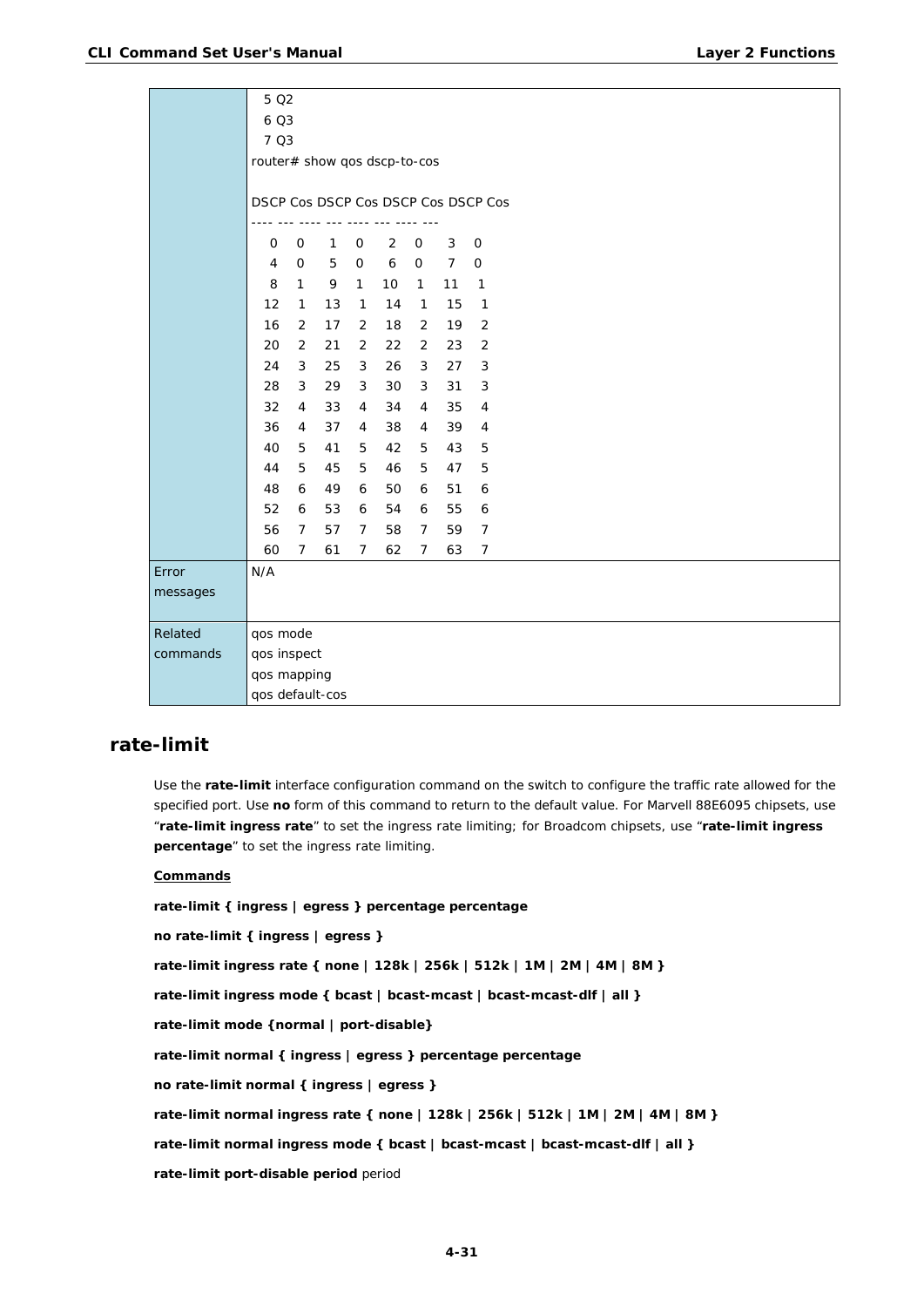|          | 5 Q <sub>2</sub>                    |                |              |                         |                |                |                |                |  |  |  |  |  |
|----------|-------------------------------------|----------------|--------------|-------------------------|----------------|----------------|----------------|----------------|--|--|--|--|--|
|          | 6 Q3                                |                |              |                         |                |                |                |                |  |  |  |  |  |
|          |                                     | 7 Q3           |              |                         |                |                |                |                |  |  |  |  |  |
|          | router# show qos dscp-to-cos        |                |              |                         |                |                |                |                |  |  |  |  |  |
|          |                                     |                |              |                         |                |                |                |                |  |  |  |  |  |
|          | DSCP Cos DSCP Cos DSCP Cos DSCP Cos |                |              |                         |                |                |                |                |  |  |  |  |  |
|          | 0                                   | $\mathsf O$    | $\mathbf{1}$ | ---- ---<br>$\mathsf O$ | $\overline{2}$ | $\mathsf O$    | 3              | $\mathsf O$    |  |  |  |  |  |
|          | $\overline{4}$                      | $\mathsf{O}$   | 5            | $\mathsf{O}$            | 6              | $\mathsf{O}$   | $\overline{7}$ | $\mathsf{O}$   |  |  |  |  |  |
|          | 8                                   | $\mathbf{1}$   | 9            | $\mathbf{1}$            | 10             | $\mathbf{1}$   | 11             | $\mathbf{1}$   |  |  |  |  |  |
|          | 12                                  | $\mathbf{1}$   | 13           | $\mathbf{1}$            | 14             | $\mathbf{1}$   | 15             | $\mathbf{1}$   |  |  |  |  |  |
|          | 16                                  | $\overline{2}$ | 17           | 2                       | 18             | $\overline{2}$ | 19             | $\sqrt{2}$     |  |  |  |  |  |
|          | 20                                  | 2              | 21           | 2                       | 22             | 2              | 23             | 2              |  |  |  |  |  |
|          | 24                                  | 3              | 25           | 3                       | 26             | 3              | 27             | 3              |  |  |  |  |  |
|          | 28                                  | 3              | 29           | 3                       | 30             | 3              | 31             | 3              |  |  |  |  |  |
|          | 32                                  | $\overline{4}$ | 33           | $\overline{4}$          | 34             | $\overline{4}$ | 35             | $\overline{4}$ |  |  |  |  |  |
|          | 36                                  | $\overline{4}$ | 37           | $\overline{4}$          | 38             | $\overline{4}$ | 39             | $\overline{4}$ |  |  |  |  |  |
|          | 40                                  | 5              | 41           | 5                       | 42             | 5              | 43             | 5              |  |  |  |  |  |
|          | 44                                  | 5              | 45           | 5                       | 46             | 5              | 47             | 5              |  |  |  |  |  |
|          | 48                                  | 6              | 49           | 6                       | 50             | 6              | 51             | 6              |  |  |  |  |  |
|          | 52                                  | 6              | 53           | 6                       | 54             | 6              | 55             | 6              |  |  |  |  |  |
|          | 56                                  | $\overline{7}$ | 57           | $\overline{7}$          | 58             | $\overline{7}$ | 59             | $\overline{7}$ |  |  |  |  |  |
|          | 60                                  | $\overline{7}$ | 61           | $\overline{7}$          | 62             | $\overline{7}$ | 63             | $\overline{7}$ |  |  |  |  |  |
| Error    | N/A                                 |                |              |                         |                |                |                |                |  |  |  |  |  |
| messages |                                     |                |              |                         |                |                |                |                |  |  |  |  |  |
| Related  | qos mode                            |                |              |                         |                |                |                |                |  |  |  |  |  |
| commands | qos inspect                         |                |              |                         |                |                |                |                |  |  |  |  |  |
|          | qos mapping                         |                |              |                         |                |                |                |                |  |  |  |  |  |
|          | qos default-cos                     |                |              |                         |                |                |                |                |  |  |  |  |  |

### **rate-limit**

Use the **rate-limit** interface configuration command on the switch to configure the traffic rate allowed for the specified port. Use **no** form of this command to return to the default value. For Marvell 88E6095 chipsets, use "**rate-limit ingress rate**" to set the ingress rate limiting; for Broadcom chipsets, use "**rate-limit ingress percentage**" to set the ingress rate limiting.

#### **Commands**

**rate-limit { ingress | egress } percentage percentage**

**no rate-limit { ingress | egress }**

**rate-limit ingress rate { none | 128k | 256k | 512k | 1M | 2M | 4M | 8M }**

**rate-limit ingress mode { bcast | bcast-mcast | bcast-mcast-dlf | all }**

**rate-limit mode {normal | port-disable}**

**rate-limit normal { ingress | egress } percentage percentage**

**no rate-limit normal { ingress | egress }**

**rate-limit normal ingress rate { none | 128k | 256k | 512k | 1M | 2M | 4M | 8M }**

**rate-limit normal ingress mode { bcast | bcast-mcast | bcast-mcast-dlf | all }**

**rate-limit port-disable period** period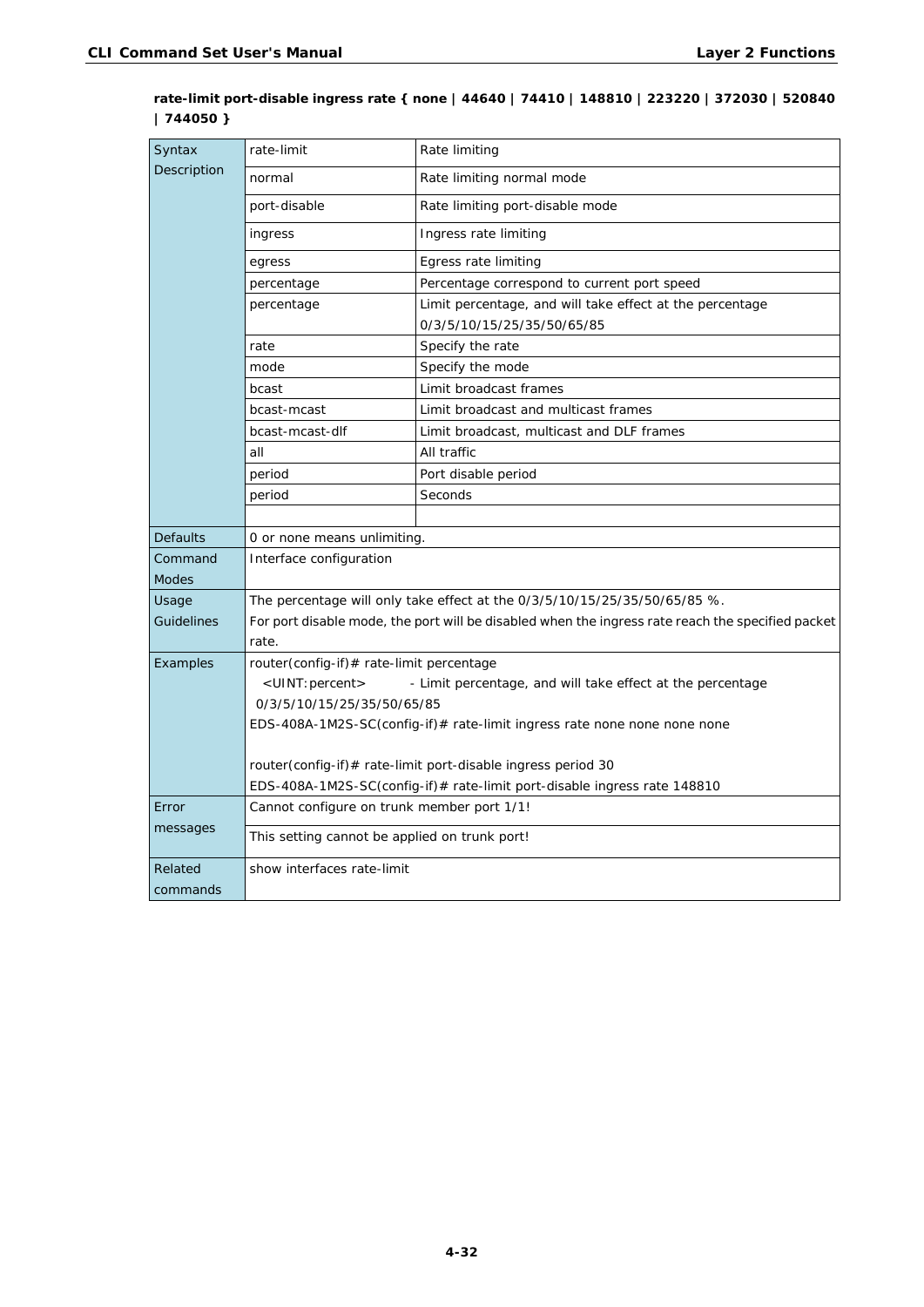| Syntax                  | rate-limit                                                                                                 | Rate limiting                                                                          |  |  |  |  |  |  |
|-------------------------|------------------------------------------------------------------------------------------------------------|----------------------------------------------------------------------------------------|--|--|--|--|--|--|
| Description             | normal                                                                                                     | Rate limiting normal mode                                                              |  |  |  |  |  |  |
|                         | port-disable                                                                                               | Rate limiting port-disable mode                                                        |  |  |  |  |  |  |
|                         | ingress                                                                                                    | Ingress rate limiting                                                                  |  |  |  |  |  |  |
|                         | egress                                                                                                     | Egress rate limiting                                                                   |  |  |  |  |  |  |
|                         | percentage                                                                                                 | Percentage correspond to current port speed                                            |  |  |  |  |  |  |
|                         | percentage                                                                                                 | Limit percentage, and will take effect at the percentage<br>0/3/5/10/15/25/35/50/65/85 |  |  |  |  |  |  |
|                         | rate                                                                                                       | Specify the rate                                                                       |  |  |  |  |  |  |
|                         | mode                                                                                                       | Specify the mode                                                                       |  |  |  |  |  |  |
|                         | bcast                                                                                                      | Limit broadcast frames                                                                 |  |  |  |  |  |  |
|                         | bcast-mcast                                                                                                | Limit broadcast and multicast frames                                                   |  |  |  |  |  |  |
|                         | bcast-mcast-dlf                                                                                            | Limit broadcast, multicast and DLF frames                                              |  |  |  |  |  |  |
|                         | all                                                                                                        | All traffic                                                                            |  |  |  |  |  |  |
|                         | period                                                                                                     | Port disable period                                                                    |  |  |  |  |  |  |
|                         | period                                                                                                     | Seconds                                                                                |  |  |  |  |  |  |
|                         |                                                                                                            |                                                                                        |  |  |  |  |  |  |
| <b>Defaults</b>         |                                                                                                            | 0 or none means unlimiting.                                                            |  |  |  |  |  |  |
| Command<br><b>Modes</b> | Interface configuration                                                                                    |                                                                                        |  |  |  |  |  |  |
| Usage                   | The percentage will only take effect at the 0/3/5/10/15/25/35/50/65/85 %.                                  |                                                                                        |  |  |  |  |  |  |
| <b>Guidelines</b>       | For port disable mode, the port will be disabled when the ingress rate reach the specified packet<br>rate. |                                                                                        |  |  |  |  |  |  |
| Examples                |                                                                                                            | router(config-if)# rate-limit percentage                                               |  |  |  |  |  |  |
|                         | <uint: percent=""></uint:>                                                                                 | - Limit percentage, and will take effect at the percentage                             |  |  |  |  |  |  |
|                         | 0/3/5/10/15/25/35/50/65/85                                                                                 |                                                                                        |  |  |  |  |  |  |
|                         |                                                                                                            | EDS-408A-1M2S-SC(config-if)# rate-limit ingress rate none none none none               |  |  |  |  |  |  |
|                         |                                                                                                            | router(config-if)# rate-limit port-disable ingress period 30                           |  |  |  |  |  |  |
|                         | EDS-408A-1M2S-SC(config-if)# rate-limit port-disable ingress rate 148810                                   |                                                                                        |  |  |  |  |  |  |
| Error                   | Cannot configure on trunk member port 1/1!                                                                 |                                                                                        |  |  |  |  |  |  |
| messages                | This setting cannot be applied on trunk port!                                                              |                                                                                        |  |  |  |  |  |  |
| Related<br>commands     | show interfaces rate-limit                                                                                 |                                                                                        |  |  |  |  |  |  |
|                         |                                                                                                            |                                                                                        |  |  |  |  |  |  |

### **rate-limit port-disable ingress rate { none | 44640 | 74410 | 148810 | 223220 | 372030 | 520840 | 744050 }**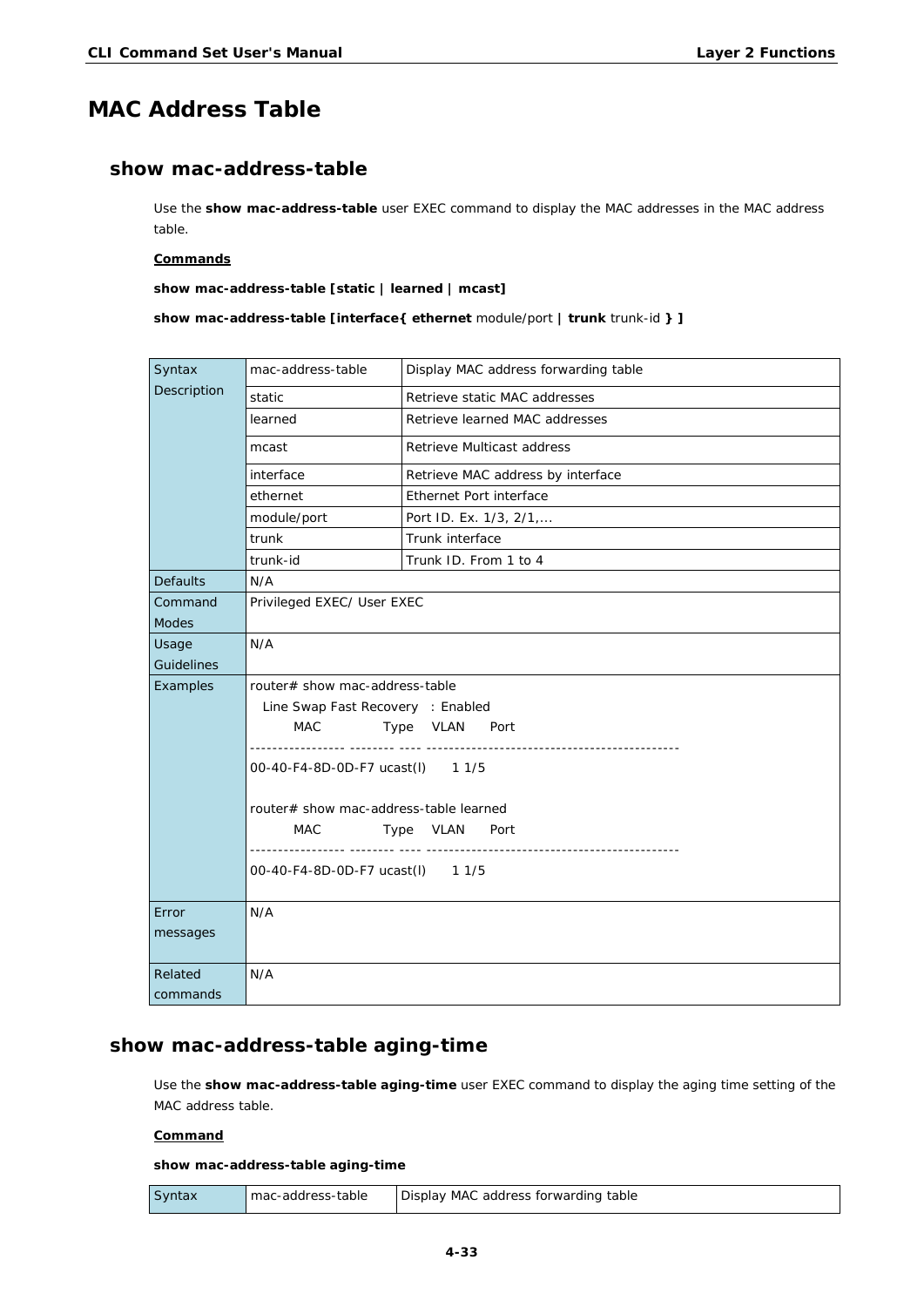# **MAC Address Table**

### **show mac-address-table**

Use the **show mac-address-table** user EXEC command to display the MAC addresses in the MAC address table.

#### **Commands**

**show mac-address-table [static | learned | mcast]**

**show mac-address-table [interface{ ethernet** module/port **| trunk** trunk-id **} ]**

| Syntax<br>Description | mac-address-table                      | Display MAC address forwarding table |  |
|-----------------------|----------------------------------------|--------------------------------------|--|
|                       | static                                 | Retrieve static MAC addresses        |  |
|                       | learned                                | Retrieve learned MAC addresses       |  |
|                       | mcast                                  | Retrieve Multicast address           |  |
|                       | interface                              | Retrieve MAC address by interface    |  |
|                       | ethernet                               | Ethernet Port interface              |  |
|                       | module/port                            | Port ID. Ex. 1/3, 2/1,               |  |
|                       | trunk                                  | Trunk interface                      |  |
|                       | trunk-id                               | Trunk ID. From 1 to 4                |  |
| <b>Defaults</b>       | N/A                                    |                                      |  |
| Command               | Privileged EXEC/ User EXEC             |                                      |  |
| <b>Modes</b>          |                                        |                                      |  |
| Usage                 | N/A                                    |                                      |  |
| <b>Guidelines</b>     |                                        |                                      |  |
| Examples              | router# show mac-address-table         |                                      |  |
|                       | Line Swap Fast Recovery : Enabled      |                                      |  |
|                       | <b>MAC</b>                             | Type VLAN Port                       |  |
|                       | 00-40-F4-8D-0D-F7 ucast(l) 11/5        |                                      |  |
|                       | router# show mac-address-table learned |                                      |  |
|                       | MAC<br>Type VLAN<br>Port               |                                      |  |
|                       |                                        |                                      |  |
|                       | 00-40-F4-8D-0D-F7 ucast(I) 11/5        |                                      |  |
|                       |                                        |                                      |  |
| Error                 | N/A                                    |                                      |  |
| messages              |                                        |                                      |  |
| Related               | N/A                                    |                                      |  |
| commands              |                                        |                                      |  |

## **show mac-address-table aging-time**

Use the **show mac-address-table aging-time** user EXEC command to display the aging time setting of the MAC address table.

#### **Command**

**show mac-address-table aging-time**

| Syntax<br>Display MAC address forwarding table<br>I mac-address-table |
|-----------------------------------------------------------------------|
|-----------------------------------------------------------------------|